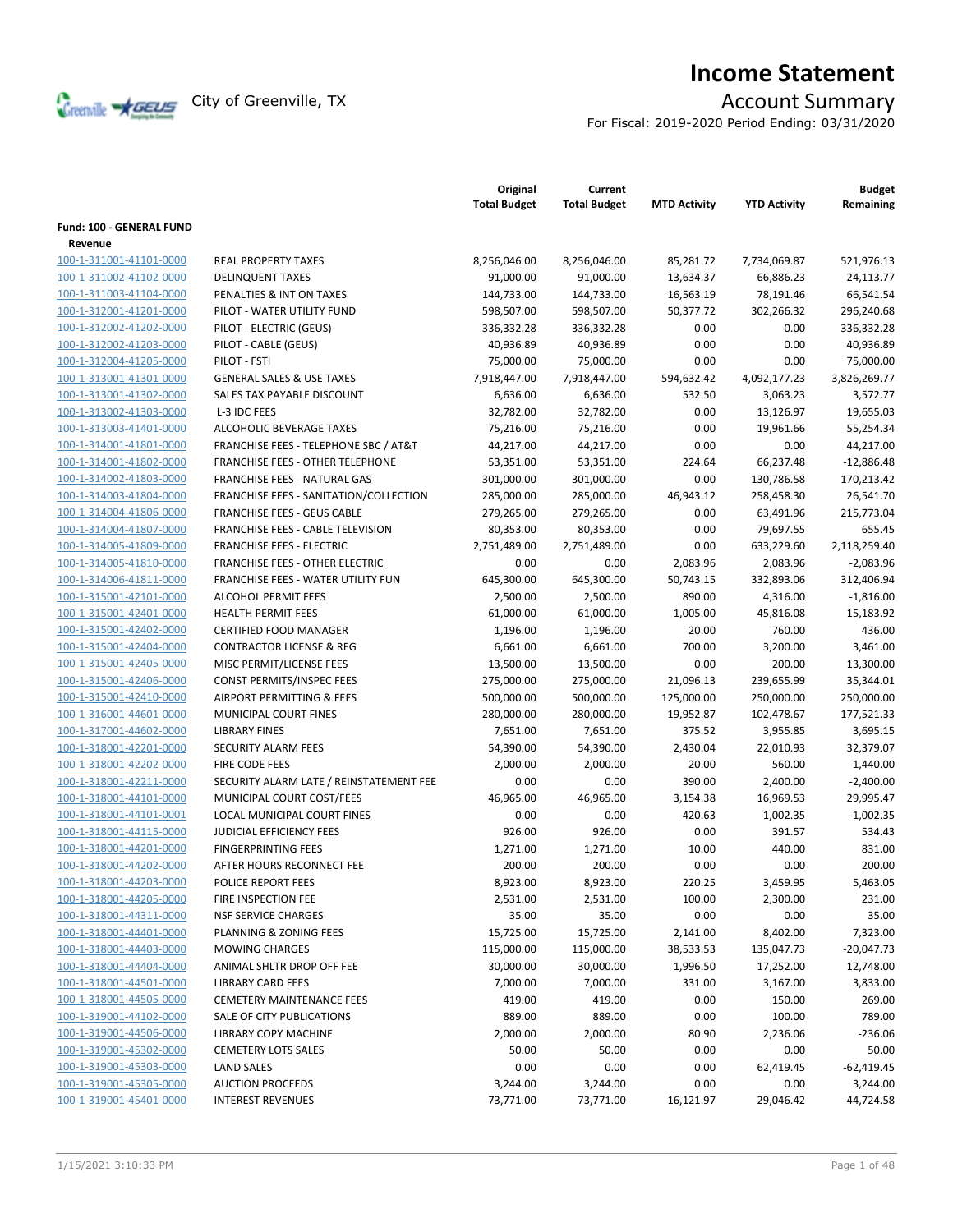

# **Income Statement**

For Fiscal: 2019-2020 Period Ending: 03/31/2020

|                                                    |                                                               | Original<br><b>Total Budget</b> | Current<br><b>Total Budget</b> | <b>MTD Activity</b> | <b>YTD Activity</b>   | <b>Budget</b><br>Remaining |
|----------------------------------------------------|---------------------------------------------------------------|---------------------------------|--------------------------------|---------------------|-----------------------|----------------------------|
| <b>Fund: 100 - GENERAL FUND</b>                    |                                                               |                                 |                                |                     |                       |                            |
| Revenue                                            |                                                               |                                 |                                |                     |                       |                            |
| 100-1-311001-41101-0000                            | <b>REAL PROPERTY TAXES</b>                                    | 8,256,046.00                    | 8,256,046.00                   | 85,281.72           | 7,734,069.87          | 521,976.13                 |
| 100-1-311002-41102-0000                            | <b>DELINQUENT TAXES</b>                                       | 91,000.00                       | 91,000.00                      | 13,634.37           | 66,886.23             | 24,113.77                  |
| 100-1-311003-41104-0000                            | PENALTIES & INT ON TAXES                                      | 144,733.00                      | 144,733.00                     | 16,563.19           | 78,191.46             | 66,541.54                  |
| 100-1-312001-41201-0000                            | PILOT - WATER UTILITY FUND                                    | 598,507.00                      | 598,507.00                     | 50,377.72           | 302,266.32            | 296,240.68                 |
| 100-1-312002-41202-0000                            | PILOT - ELECTRIC (GEUS)                                       | 336,332.28                      | 336,332.28                     | 0.00                | 0.00                  | 336,332.28                 |
| 100-1-312002-41203-0000                            | PILOT - CABLE (GEUS)                                          | 40,936.89                       | 40,936.89                      | 0.00                | 0.00                  | 40,936.89                  |
| 100-1-312004-41205-0000                            | PILOT - FSTI                                                  | 75,000.00                       | 75,000.00                      | 0.00                | 0.00                  | 75,000.00                  |
| 100-1-313001-41301-0000                            | <b>GENERAL SALES &amp; USE TAXES</b>                          | 7,918,447.00                    | 7,918,447.00                   | 594,632.42          | 4,092,177.23          | 3,826,269.77               |
| 100-1-313001-41302-0000                            | SALES TAX PAYABLE DISCOUNT                                    | 6,636.00                        | 6,636.00                       | 532.50              | 3,063.23              | 3,572.77                   |
| 100-1-313002-41303-0000                            | L-3 IDC FEES                                                  | 32,782.00                       | 32,782.00                      | 0.00                | 13,126.97             | 19,655.03                  |
| 100-1-313003-41401-0000                            | ALCOHOLIC BEVERAGE TAXES                                      | 75,216.00                       | 75,216.00                      | 0.00                | 19,961.66             | 55,254.34                  |
| 100-1-314001-41801-0000                            | <b>FRANCHISE FEES - TELEPHONE SBC / AT&amp;T</b>              | 44,217.00                       | 44,217.00                      | 0.00                | 0.00                  | 44,217.00                  |
| 100-1-314001-41802-0000                            | FRANCHISE FEES - OTHER TELEPHONE                              | 53,351.00                       | 53,351.00                      | 224.64              | 66,237.48             | $-12,886.48$               |
| 100-1-314002-41803-0000                            | <b>FRANCHISE FEES - NATURAL GAS</b>                           | 301,000.00                      | 301,000.00                     | 0.00                | 130,786.58            | 170,213.42                 |
| 100-1-314003-41804-0000                            | FRANCHISE FEES - SANITATION/COLLECTION                        | 285,000.00                      | 285,000.00                     | 46,943.12           | 258,458.30            | 26,541.70                  |
| 100-1-314004-41806-0000                            | <b>FRANCHISE FEES - GEUS CABLE</b>                            | 279,265.00                      | 279,265.00                     | 0.00                | 63,491.96             | 215,773.04                 |
| 100-1-314004-41807-0000                            | FRANCHISE FEES - CABLE TELEVISION                             | 80,353.00                       | 80,353.00                      | 0.00                | 79,697.55             | 655.45                     |
| 100-1-314005-41809-0000                            | <b>FRANCHISE FEES - ELECTRIC</b>                              | 2,751,489.00                    | 2,751,489.00                   | 0.00                | 633,229.60            | 2,118,259.40               |
| 100-1-314005-41810-0000                            | <b>FRANCHISE FEES - OTHER ELECTRIC</b>                        | 0.00                            | 0.00                           | 2,083.96            | 2,083.96              | $-2,083.96$                |
|                                                    | FRANCHISE FEES - WATER UTILITY FUN                            | 645,300.00                      | 645,300.00                     | 50,743.15           | 332,893.06            | 312,406.94                 |
| 100-1-314006-41811-0000<br>100-1-315001-42101-0000 | <b>ALCOHOL PERMIT FEES</b>                                    |                                 |                                | 890.00              |                       |                            |
| 100-1-315001-42401-0000                            | <b>HEALTH PERMIT FEES</b>                                     | 2,500.00<br>61,000.00           | 2,500.00<br>61,000.00          | 1,005.00            | 4,316.00<br>45,816.08 | $-1,816.00$<br>15,183.92   |
|                                                    | <b>CERTIFIED FOOD MANAGER</b>                                 |                                 |                                | 20.00               | 760.00                | 436.00                     |
| 100-1-315001-42402-0000                            |                                                               | 1,196.00                        | 1,196.00                       | 700.00              |                       |                            |
| 100-1-315001-42404-0000                            | <b>CONTRACTOR LICENSE &amp; REG</b>                           | 6,661.00                        | 6,661.00                       |                     | 3,200.00              | 3,461.00                   |
| 100-1-315001-42405-0000                            | MISC PERMIT/LICENSE FEES                                      | 13,500.00                       | 13,500.00                      | 0.00                | 200.00                | 13,300.00                  |
| 100-1-315001-42406-0000                            | <b>CONST PERMITS/INSPEC FEES</b><br>AIRPORT PERMITTING & FEES | 275,000.00                      | 275,000.00                     | 21,096.13           | 239,655.99            | 35,344.01                  |
| 100-1-315001-42410-0000                            | MUNICIPAL COURT FINES                                         | 500,000.00                      | 500,000.00                     | 125,000.00          | 250,000.00            | 250,000.00                 |
| 100-1-316001-44601-0000                            | <b>LIBRARY FINES</b>                                          | 280,000.00                      | 280,000.00                     | 19,952.87<br>375.52 | 102,478.67            | 177,521.33                 |
| 100-1-317001-44602-0000                            |                                                               | 7,651.00                        | 7,651.00                       |                     | 3,955.85              | 3,695.15                   |
| 100-1-318001-42201-0000                            | SECURITY ALARM FEES                                           | 54,390.00                       | 54,390.00                      | 2,430.04            | 22,010.93             | 32,379.07                  |
| 100-1-318001-42202-0000                            | FIRE CODE FEES                                                | 2,000.00                        | 2,000.00                       | 20.00               | 560.00                | 1,440.00                   |
| 100-1-318001-42211-0000                            | SECURITY ALARM LATE / REINSTATEMENT FEE                       | 0.00                            | 0.00                           | 390.00              | 2,400.00              | $-2,400.00$                |
| 100-1-318001-44101-0000                            | MUNICIPAL COURT COST/FEES                                     | 46.965.00                       | 46.965.00                      | 3,154.38            | 16,969.53             | 29,995.47                  |
| 100-1-318001-44101-0001                            | LOCAL MUNICIPAL COURT FINES                                   | 0.00                            | 0.00                           | 420.63              | 1,002.35              | $-1,002.35$                |
| 100-1-318001-44115-0000                            | <b>JUDICIAL EFFICIENCY FEES</b>                               | 926.00                          | 926.00                         | 0.00                | 391.57                | 534.43                     |
| 100-1-318001-44201-0000                            | <b>FINGERPRINTING FEES</b>                                    | 1,271.00                        | 1,271.00                       | 10.00               | 440.00                | 831.00                     |
| 100-1-318001-44202-0000                            | AFTER HOURS RECONNECT FEE                                     | 200.00                          | 200.00                         | 0.00                | 0.00                  | 200.00                     |
| 100-1-318001-44203-0000                            | <b>POLICE REPORT FEES</b>                                     | 8,923.00                        | 8,923.00                       | 220.25              | 3,459.95              | 5,463.05                   |
| 100-1-318001-44205-0000                            | FIRE INSPECTION FEE                                           | 2,531.00                        | 2,531.00                       | 100.00              | 2,300.00              | 231.00                     |
| 100-1-318001-44311-0000                            | <b>NSF SERVICE CHARGES</b>                                    | 35.00                           | 35.00                          | 0.00                | 0.00                  | 35.00                      |
| 100-1-318001-44401-0000                            | PLANNING & ZONING FEES                                        | 15,725.00                       | 15,725.00                      | 2,141.00            | 8,402.00              | 7,323.00                   |
| 100-1-318001-44403-0000                            | <b>MOWING CHARGES</b>                                         | 115,000.00                      | 115,000.00                     | 38,533.53           | 135,047.73            | $-20,047.73$               |
| 100-1-318001-44404-0000                            | ANIMAL SHLTR DROP OFF FEE                                     | 30,000.00                       | 30,000.00                      | 1,996.50            | 17,252.00             | 12,748.00                  |
| 100-1-318001-44501-0000                            | <b>LIBRARY CARD FEES</b>                                      | 7,000.00                        | 7,000.00                       | 331.00              | 3,167.00              | 3,833.00                   |
| 100-1-318001-44505-0000                            | <b>CEMETERY MAINTENANCE FEES</b>                              | 419.00                          | 419.00                         | 0.00                | 150.00                | 269.00                     |
| 100-1-319001-44102-0000                            | SALE OF CITY PUBLICATIONS                                     | 889.00                          | 889.00                         | 0.00                | 100.00                | 789.00                     |
| 100-1-319001-44506-0000                            | <b>LIBRARY COPY MACHINE</b>                                   | 2,000.00                        | 2,000.00                       | 80.90               | 2,236.06              | $-236.06$                  |
| 100-1-319001-45302-0000                            | <b>CEMETERY LOTS SALES</b>                                    | 50.00                           | 50.00                          | 0.00                | 0.00                  | 50.00                      |
| 100-1-319001-45303-0000                            | <b>LAND SALES</b>                                             | 0.00                            | 0.00                           | 0.00                | 62,419.45             | $-62,419.45$               |
| 100-1-319001-45305-0000                            | <b>AUCTION PROCEEDS</b>                                       | 3,244.00                        | 3,244.00                       | 0.00                | 0.00                  | 3,244.00                   |
| 100-1-319001-45401-0000                            | <b>INTEREST REVENUES</b>                                      | 73,771.00                       | 73,771.00                      | 16,121.97           | 29,046.42             | 44,724.58                  |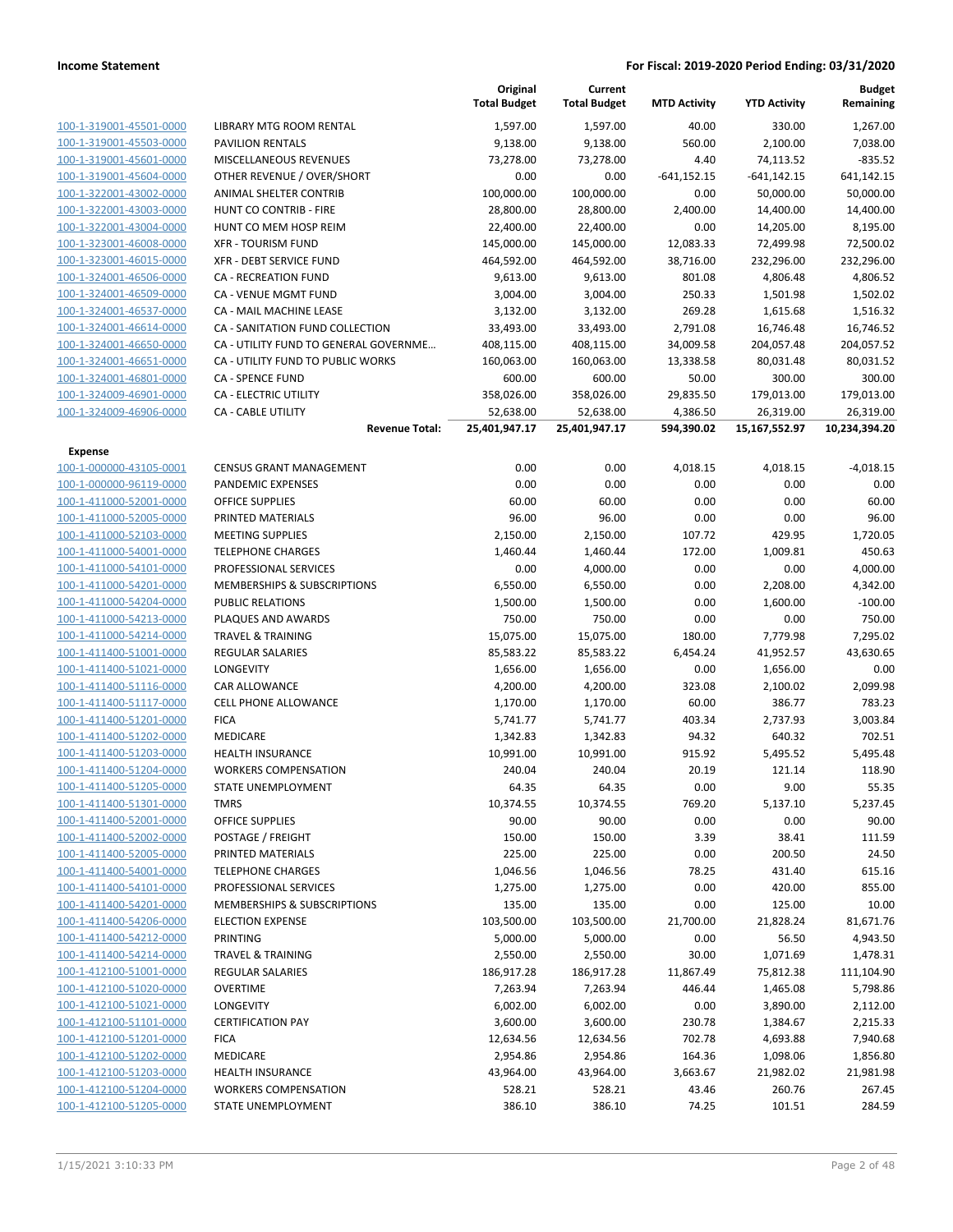|                         |                                       | Original<br><b>Total Budget</b> | Current<br><b>Total Budget</b> | <b>MTD Activity</b> | <b>YTD Activity</b> | Budget<br>Remaining |
|-------------------------|---------------------------------------|---------------------------------|--------------------------------|---------------------|---------------------|---------------------|
| 100-1-319001-45501-0000 | <b>LIBRARY MTG ROOM RENTAL</b>        | 1,597.00                        | 1,597.00                       | 40.00               | 330.00              | 1,267.00            |
| 100-1-319001-45503-0000 | <b>PAVILION RENTALS</b>               | 9,138.00                        | 9,138.00                       | 560.00              | 2,100.00            | 7,038.00            |
| 100-1-319001-45601-0000 | MISCELLANEOUS REVENUES                | 73,278.00                       | 73,278.00                      | 4.40                | 74,113.52           | $-835.52$           |
| 100-1-319001-45604-0000 | OTHER REVENUE / OVER/SHORT            | 0.00                            | 0.00                           | $-641,152.15$       | $-641, 142.15$      | 641,142.15          |
| 100-1-322001-43002-0000 | ANIMAL SHELTER CONTRIB                | 100,000.00                      | 100,000.00                     | 0.00                | 50,000.00           | 50,000.00           |
| 100-1-322001-43003-0000 | HUNT CO CONTRIB - FIRE                | 28,800.00                       | 28,800.00                      | 2,400.00            | 14,400.00           | 14,400.00           |
| 100-1-322001-43004-0000 | HUNT CO MEM HOSP REIM                 | 22,400.00                       | 22,400.00                      | 0.00                | 14,205.00           | 8,195.00            |
| 100-1-323001-46008-0000 | <b>XFR - TOURISM FUND</b>             | 145,000.00                      | 145,000.00                     | 12,083.33           | 72,499.98           | 72,500.02           |
| 100-1-323001-46015-0000 | XFR - DEBT SERVICE FUND               | 464,592.00                      | 464,592.00                     | 38,716.00           | 232,296.00          | 232,296.00          |
| 100-1-324001-46506-0000 | CA - RECREATION FUND                  | 9,613.00                        | 9,613.00                       | 801.08              | 4,806.48            | 4,806.52            |
| 100-1-324001-46509-0000 | CA - VENUE MGMT FUND                  | 3,004.00                        | 3,004.00                       | 250.33              | 1,501.98            | 1,502.02            |
| 100-1-324001-46537-0000 | CA - MAIL MACHINE LEASE               | 3,132.00                        | 3,132.00                       | 269.28              | 1,615.68            | 1,516.32            |
| 100-1-324001-46614-0000 | CA - SANITATION FUND COLLECTION       | 33,493.00                       | 33,493.00                      | 2,791.08            | 16,746.48           | 16,746.52           |
| 100-1-324001-46650-0000 | CA - UTILITY FUND TO GENERAL GOVERNME | 408,115.00                      | 408,115.00                     | 34,009.58           | 204,057.48          | 204,057.52          |
| 100-1-324001-46651-0000 | CA - UTILITY FUND TO PUBLIC WORKS     | 160,063.00                      | 160,063.00                     | 13,338.58           | 80,031.48           | 80,031.52           |
| 100-1-324001-46801-0000 | <b>CA - SPENCE FUND</b>               | 600.00                          | 600.00                         | 50.00               | 300.00              | 300.00              |
| 100-1-324009-46901-0000 | <b>CA - ELECTRIC UTILITY</b>          | 358,026.00                      | 358,026.00                     | 29,835.50           | 179,013.00          | 179,013.00          |
| 100-1-324009-46906-0000 | <b>CA - CABLE UTILITY</b>             | 52,638.00                       | 52,638.00                      | 4,386.50            | 26,319.00           | 26,319.00           |
|                         | <b>Revenue Total:</b>                 | 25,401,947.17                   | 25,401,947.17                  | 594,390.02          | 15,167,552.97       | 10,234,394.20       |
| Expense                 |                                       |                                 |                                |                     |                     |                     |
| 100-1-000000-43105-0001 | <b>CENSUS GRANT MANAGEMENT</b>        | 0.00                            | 0.00                           | 4,018.15            | 4,018.15            | $-4,018.15$         |
| 100-1-000000-96119-0000 | <b>PANDEMIC EXPENSES</b>              | 0.00                            | 0.00                           | 0.00                | 0.00                | 0.00                |
| 100-1-411000-52001-0000 | <b>OFFICE SUPPLIES</b>                | 60.00                           | 60.00                          | 0.00                | 0.00                | 60.00               |
| 100-1-411000-52005-0000 | PRINTED MATERIALS                     | 96.00                           | 96.00                          | 0.00                | 0.00                | 96.00               |
| 100-1-411000-52103-0000 | <b>MEETING SUPPLIES</b>               | 2,150.00                        | 2,150.00                       | 107.72              | 429.95              | 1,720.05            |
| 100-1-411000-54001-0000 | <b>TELEPHONE CHARGES</b>              | 1,460.44                        | 1,460.44                       | 172.00              | 1,009.81            | 450.63              |
| 100-1-411000-54101-0000 | PROFESSIONAL SERVICES                 | 0.00                            | 4,000.00                       | 0.00                | 0.00                | 4,000.00            |
| 100-1-411000-54201-0000 | MEMBERSHIPS & SUBSCRIPTIONS           | 6,550.00                        | 6,550.00                       | 0.00                | 2,208.00            | 4,342.00            |
| 100-1-411000-54204-0000 | <b>PUBLIC RELATIONS</b>               | 1,500.00                        | 1,500.00                       | 0.00                | 1,600.00            | $-100.00$           |
| 100-1-411000-54213-0000 | PLAQUES AND AWARDS                    | 750.00                          | 750.00                         | 0.00                | 0.00                | 750.00              |
| 100-1-411000-54214-0000 | <b>TRAVEL &amp; TRAINING</b>          | 15,075.00                       | 15,075.00                      | 180.00              | 7,779.98            | 7,295.02            |
| 100-1-411400-51001-0000 | <b>REGULAR SALARIES</b>               | 85,583.22                       | 85,583.22                      | 6,454.24            | 41,952.57           | 43,630.65           |
| 100-1-411400-51021-0000 | LONGEVITY                             | 1,656.00                        | 1,656.00                       | 0.00                | 1,656.00            | 0.00                |
| 100-1-411400-51116-0000 | CAR ALLOWANCE                         | 4,200.00                        | 4,200.00                       | 323.08              | 2,100.02            | 2,099.98            |
| 100-1-411400-51117-0000 | <b>CELL PHONE ALLOWANCE</b>           | 1,170.00                        | 1,170.00                       | 60.00               | 386.77              | 783.23              |
| 100-1-411400-51201-0000 | <b>FICA</b>                           | 5,741.77                        | 5,741.77                       | 403.34              | 2,737.93            | 3,003.84            |
| 100-1-411400-51202-0000 | MEDICARE                              | 1,342.83                        | 1,342.83                       | 94.32               | 640.32              | 702.51              |
| 100-1-411400-51203-0000 | <b>HEALTH INSURANCE</b>               | 10,991.00                       | 10,991.00                      | 915.92              | 5,495.52            | 5,495.48            |
| 100-1-411400-51204-0000 | <b>WORKERS COMPENSATION</b>           | 240.04                          | 240.04                         | 20.19               | 121.14              | 118.90              |
| 100-1-411400-51205-0000 | STATE UNEMPLOYMENT                    | 64.35                           | 64.35                          | 0.00                | 9.00                | 55.35               |
| 100-1-411400-51301-0000 | <b>TMRS</b>                           | 10,374.55                       | 10,374.55                      | 769.20              | 5,137.10            | 5,237.45            |
| 100-1-411400-52001-0000 | <b>OFFICE SUPPLIES</b>                | 90.00                           | 90.00                          | 0.00                | 0.00                | 90.00               |
| 100-1-411400-52002-0000 | POSTAGE / FREIGHT                     | 150.00                          | 150.00                         | 3.39                | 38.41               | 111.59              |
| 100-1-411400-52005-0000 | PRINTED MATERIALS                     | 225.00                          | 225.00                         | 0.00                | 200.50              | 24.50               |
| 100-1-411400-54001-0000 | <b>TELEPHONE CHARGES</b>              | 1,046.56                        | 1,046.56                       | 78.25               | 431.40              | 615.16              |
| 100-1-411400-54101-0000 | PROFESSIONAL SERVICES                 | 1,275.00                        | 1,275.00                       | 0.00                | 420.00              | 855.00              |
| 100-1-411400-54201-0000 | MEMBERSHIPS & SUBSCRIPTIONS           | 135.00                          | 135.00                         | 0.00                | 125.00              | 10.00               |
| 100-1-411400-54206-0000 | <b>ELECTION EXPENSE</b>               | 103,500.00                      | 103,500.00                     | 21,700.00           | 21,828.24           | 81,671.76           |
| 100-1-411400-54212-0000 | <b>PRINTING</b>                       | 5,000.00                        | 5,000.00                       | 0.00                | 56.50               | 4,943.50            |
| 100-1-411400-54214-0000 | <b>TRAVEL &amp; TRAINING</b>          | 2,550.00                        | 2,550.00                       | 30.00               | 1,071.69            | 1,478.31            |
| 100-1-412100-51001-0000 | REGULAR SALARIES                      | 186,917.28                      | 186,917.28                     | 11,867.49           | 75,812.38           | 111,104.90          |
| 100-1-412100-51020-0000 | <b>OVERTIME</b>                       | 7,263.94                        | 7,263.94                       | 446.44              | 1,465.08            | 5,798.86            |
| 100-1-412100-51021-0000 | LONGEVITY                             | 6,002.00                        | 6,002.00                       | 0.00                | 3,890.00            | 2,112.00            |
| 100-1-412100-51101-0000 | <b>CERTIFICATION PAY</b>              | 3,600.00                        | 3,600.00                       | 230.78              | 1,384.67            | 2,215.33            |
| 100-1-412100-51201-0000 | <b>FICA</b>                           | 12,634.56                       | 12,634.56                      | 702.78              | 4,693.88            | 7,940.68            |
| 100-1-412100-51202-0000 | MEDICARE                              | 2,954.86                        | 2,954.86                       | 164.36              | 1,098.06            | 1,856.80            |
| 100-1-412100-51203-0000 | <b>HEALTH INSURANCE</b>               | 43,964.00                       | 43,964.00                      | 3,663.67            | 21,982.02           | 21,981.98           |
| 100-1-412100-51204-0000 | <b>WORKERS COMPENSATION</b>           | 528.21                          | 528.21                         | 43.46               | 260.76              | 267.45              |
| 100-1-412100-51205-0000 | STATE UNEMPLOYMENT                    | 386.10                          | 386.10                         | 74.25               | 101.51              | 284.59              |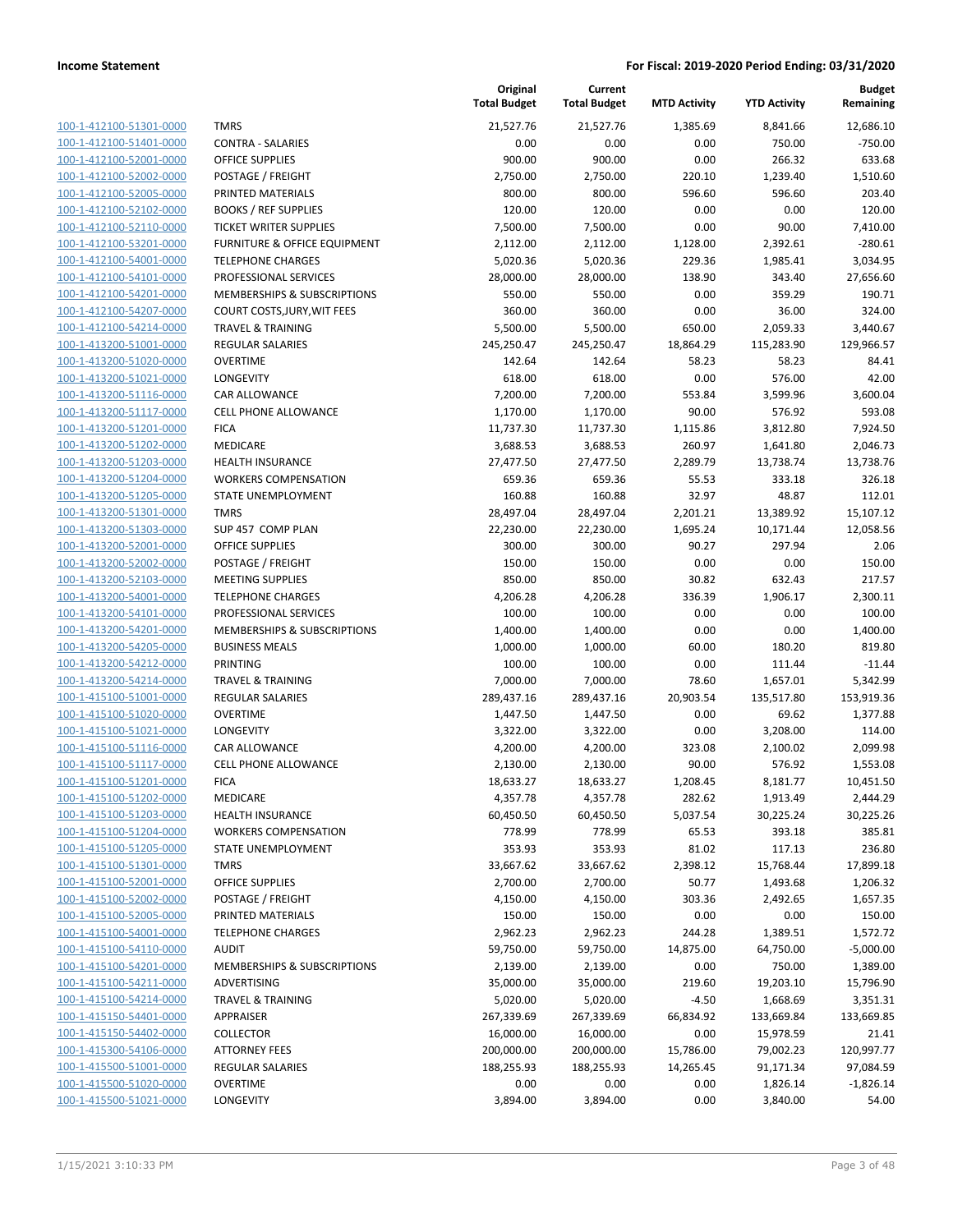| 100-1-412100-51301-0000        |
|--------------------------------|
| 100-1-412100-51401-0000        |
| 100-1-412100-52001-0000        |
| 100-1-412100-52002-0000        |
| <u>100-1-412100-52005-0000</u> |
| <u>100-1-412100-52102-0000</u> |
| 100-1-412100-52110-0000        |
| 100-1-412100-53201-0000        |
| 100-1-412100-54001-0000        |
| 100-1-412100-54101-0000        |
| 100-1-412100-54201-0000        |
| 100-1-412100-54207-0000        |
| 100-1-412100-54214-0000        |
| 100-1-413200-51001-0000        |
| 100-1-413200-51020-0000        |
| 100-1-413200-51021-0000        |
| 100-1-413200-51116-0000        |
| 100-1-413200-51117-0000        |
| 100-1-413200-51201-0000        |
| 100-1-413200-51202-0000        |
| 100-1-413200-51203-0000        |
| 100-1-413200-51204-0000        |
| 100-1-413200-51205-0000        |
| 100-1-413200-51301-0000        |
| 100-1-413200-51303-0000        |
| <u>100-1-413200-52001-0000</u> |
| 100-1-413200-52002-0000        |
| 100-1-413200-52103-0000        |
| 100-1-413200-54001-0000        |
| 100-1-413200-54101-0000        |
| 100-1-413200-54201-0000        |
| 100-1-413200-54205-0000        |
| 100-1-413200-54212-0000        |
| 100-1-413200-54214-0000        |
| 100-1-415100-51001-0000        |
| 100-1-415100-51020-0000        |
| 100-1-415100-51021-0000        |
| 100-1-415100-51116-0000        |
| 100-1-415100-51117-0000        |
| 100-1-415100-51201-0000        |
| 100-1-415100-51202-0000        |
| <u>100-1-415100-51203-0000</u> |
| 100-1-415100-51204-0000        |
|                                |
| 100-1-415100-51205-0000        |
| 100-1-415100-51301-0000        |
| 100-1-415100-52001-0000        |
| 100-1-415100-52002-0000        |
| <u>100-1-415100-52005-0000</u> |
| <u>100-1-415100-54001-0000</u> |
| <u>100-1-415100-54110-0000</u> |
| <u>100-1-415100-54201-0000</u> |
| <u>100-1-415100-54211-0000</u> |
| 100-1-415100-54214-0000        |
| 100-1-415150-54401-0000        |
| 100-1-415150-54402-0000        |
| 100-1-415300-54106-0000        |
| 100-1-415500-51001-0000        |
| <u>100-1-415500-51020-0000</u> |
| <u>100-1-415500-51021-0000</u> |

|                         |                                         | Original<br><b>Total Budget</b> | Current<br><b>Total Budget</b> | <b>MTD Activity</b> | <b>YTD Activity</b> | <b>Budget</b><br>Remaining |
|-------------------------|-----------------------------------------|---------------------------------|--------------------------------|---------------------|---------------------|----------------------------|
| 100-1-412100-51301-0000 | <b>TMRS</b>                             | 21,527.76                       | 21,527.76                      | 1,385.69            | 8,841.66            | 12,686.10                  |
| 100-1-412100-51401-0000 | <b>CONTRA - SALARIES</b>                | 0.00                            | 0.00                           | 0.00                | 750.00              | $-750.00$                  |
| 100-1-412100-52001-0000 | <b>OFFICE SUPPLIES</b>                  | 900.00                          | 900.00                         | 0.00                | 266.32              | 633.68                     |
| 100-1-412100-52002-0000 | POSTAGE / FREIGHT                       | 2,750.00                        | 2,750.00                       | 220.10              | 1,239.40            | 1,510.60                   |
| 100-1-412100-52005-0000 | PRINTED MATERIALS                       | 800.00                          | 800.00                         | 596.60              | 596.60              | 203.40                     |
| 100-1-412100-52102-0000 | <b>BOOKS / REF SUPPLIES</b>             | 120.00                          | 120.00                         | 0.00                | 0.00                | 120.00                     |
| 100-1-412100-52110-0000 | <b>TICKET WRITER SUPPLIES</b>           | 7,500.00                        | 7,500.00                       | 0.00                | 90.00               | 7,410.00                   |
| 100-1-412100-53201-0000 | <b>FURNITURE &amp; OFFICE EQUIPMENT</b> | 2,112.00                        | 2,112.00                       | 1,128.00            | 2,392.61            | $-280.61$                  |
| 100-1-412100-54001-0000 | <b>TELEPHONE CHARGES</b>                | 5,020.36                        | 5,020.36                       | 229.36              | 1,985.41            | 3,034.95                   |
| 100-1-412100-54101-0000 | PROFESSIONAL SERVICES                   | 28,000.00                       | 28,000.00                      | 138.90              | 343.40              | 27,656.60                  |
| 100-1-412100-54201-0000 | MEMBERSHIPS & SUBSCRIPTIONS             | 550.00                          | 550.00                         | 0.00                | 359.29              | 190.71                     |
| 100-1-412100-54207-0000 | COURT COSTS, JURY, WIT FEES             | 360.00                          | 360.00                         | 0.00                | 36.00               | 324.00                     |
| 100-1-412100-54214-0000 | <b>TRAVEL &amp; TRAINING</b>            | 5,500.00                        | 5,500.00                       | 650.00              | 2,059.33            | 3,440.67                   |
| 100-1-413200-51001-0000 | <b>REGULAR SALARIES</b>                 | 245,250.47                      | 245,250.47                     | 18,864.29           | 115,283.90          | 129,966.57                 |
| 100-1-413200-51020-0000 | <b>OVERTIME</b>                         | 142.64                          | 142.64                         | 58.23               | 58.23               | 84.41                      |
| 100-1-413200-51021-0000 | LONGEVITY                               | 618.00                          | 618.00                         | 0.00                | 576.00              | 42.00                      |
| 100-1-413200-51116-0000 | CAR ALLOWANCE                           | 7,200.00                        | 7,200.00                       | 553.84              | 3,599.96            | 3,600.04                   |
| 100-1-413200-51117-0000 | CELL PHONE ALLOWANCE                    | 1,170.00                        | 1,170.00                       | 90.00               | 576.92              | 593.08                     |
| 100-1-413200-51201-0000 | <b>FICA</b>                             | 11,737.30                       | 11,737.30                      | 1,115.86            | 3,812.80            | 7,924.50                   |
| 100-1-413200-51202-0000 | <b>MEDICARE</b>                         | 3,688.53                        | 3,688.53                       | 260.97              | 1,641.80            | 2,046.73                   |
| 100-1-413200-51203-0000 | <b>HEALTH INSURANCE</b>                 | 27,477.50                       | 27,477.50                      | 2,289.79            | 13,738.74           | 13,738.76                  |
| 100-1-413200-51204-0000 | <b>WORKERS COMPENSATION</b>             | 659.36                          | 659.36                         | 55.53               | 333.18              | 326.18                     |
| 100-1-413200-51205-0000 | STATE UNEMPLOYMENT                      | 160.88                          | 160.88                         | 32.97               | 48.87               | 112.01                     |
| 100-1-413200-51301-0000 | <b>TMRS</b>                             | 28,497.04                       | 28,497.04                      | 2,201.21            | 13,389.92           | 15,107.12                  |
| 100-1-413200-51303-0000 | SUP 457 COMP PLAN                       | 22,230.00                       | 22,230.00                      | 1,695.24            | 10,171.44           | 12,058.56                  |
| 100-1-413200-52001-0000 | <b>OFFICE SUPPLIES</b>                  | 300.00                          | 300.00                         | 90.27               | 297.94              | 2.06                       |
| 100-1-413200-52002-0000 | POSTAGE / FREIGHT                       | 150.00                          | 150.00                         | 0.00                | 0.00                | 150.00                     |
| 100-1-413200-52103-0000 | <b>MEETING SUPPLIES</b>                 | 850.00                          | 850.00                         | 30.82               | 632.43              | 217.57                     |
| 100-1-413200-54001-0000 | <b>TELEPHONE CHARGES</b>                | 4,206.28                        | 4,206.28                       | 336.39              | 1,906.17            | 2,300.11                   |
| 100-1-413200-54101-0000 | PROFESSIONAL SERVICES                   | 100.00                          | 100.00                         | 0.00                | 0.00                | 100.00                     |
| 100-1-413200-54201-0000 | MEMBERSHIPS & SUBSCRIPTIONS             | 1,400.00                        | 1,400.00                       | 0.00                | 0.00                | 1,400.00                   |
| 100-1-413200-54205-0000 | <b>BUSINESS MEALS</b>                   | 1,000.00                        | 1,000.00                       | 60.00               | 180.20              | 819.80                     |
| 100-1-413200-54212-0000 | PRINTING                                | 100.00                          | 100.00                         | 0.00                | 111.44              | $-11.44$                   |
| 100-1-413200-54214-0000 | <b>TRAVEL &amp; TRAINING</b>            | 7,000.00                        | 7,000.00                       | 78.60               | 1,657.01            | 5,342.99                   |
| 100-1-415100-51001-0000 | <b>REGULAR SALARIES</b>                 | 289,437.16                      | 289,437.16                     | 20,903.54           | 135,517.80          | 153,919.36                 |
| 100-1-415100-51020-0000 | <b>OVERTIME</b>                         | 1,447.50                        | 1,447.50                       | 0.00                | 69.62               | 1,377.88                   |
| 100-1-415100-51021-0000 | LONGEVITY                               | 3,322.00                        | 3,322.00                       | 0.00                | 3,208.00            | 114.00                     |
| 100-1-415100-51116-0000 | CAR ALLOWANCE                           | 4,200.00                        | 4,200.00                       | 323.08              | 2,100.02            | 2,099.98                   |
| 100-1-415100-51117-0000 | CELL PHONE ALLOWANCE                    | 2,130.00                        | 2,130.00                       | 90.00               | 576.92              | 1,553.08                   |
| 100-1-415100-51201-0000 | <b>FICA</b>                             | 18,633.27                       | 18,633.27                      | 1,208.45            | 8,181.77            | 10,451.50                  |
| 100-1-415100-51202-0000 | MEDICARE                                | 4,357.78                        | 4,357.78                       | 282.62              | 1,913.49            | 2,444.29                   |
| 100-1-415100-51203-0000 | <b>HEALTH INSURANCE</b>                 | 60,450.50                       | 60,450.50                      | 5,037.54            | 30,225.24           | 30,225.26                  |
| 100-1-415100-51204-0000 | <b>WORKERS COMPENSATION</b>             | 778.99                          | 778.99                         | 65.53               | 393.18              | 385.81                     |
| 100-1-415100-51205-0000 | STATE UNEMPLOYMENT                      | 353.93                          | 353.93                         | 81.02               | 117.13              | 236.80                     |
| 100-1-415100-51301-0000 | <b>TMRS</b>                             | 33,667.62                       | 33,667.62                      | 2,398.12            | 15,768.44           | 17,899.18                  |
| 100-1-415100-52001-0000 | <b>OFFICE SUPPLIES</b>                  | 2,700.00                        | 2,700.00                       | 50.77               | 1,493.68            | 1,206.32                   |
| 100-1-415100-52002-0000 | POSTAGE / FREIGHT                       | 4,150.00                        | 4,150.00                       | 303.36              | 2,492.65            | 1,657.35                   |
| 100-1-415100-52005-0000 | PRINTED MATERIALS                       | 150.00                          | 150.00                         | 0.00                | 0.00                | 150.00                     |
| 100-1-415100-54001-0000 | <b>TELEPHONE CHARGES</b>                | 2,962.23                        | 2,962.23                       | 244.28              | 1,389.51            | 1,572.72                   |
| 100-1-415100-54110-0000 | <b>AUDIT</b>                            | 59,750.00                       | 59,750.00                      | 14,875.00           | 64,750.00           | $-5,000.00$                |
| 100-1-415100-54201-0000 | MEMBERSHIPS & SUBSCRIPTIONS             | 2,139.00                        | 2,139.00                       | 0.00                | 750.00              | 1,389.00                   |
| 100-1-415100-54211-0000 | ADVERTISING                             | 35,000.00                       | 35,000.00                      | 219.60              | 19,203.10           | 15,796.90                  |
| 100-1-415100-54214-0000 | <b>TRAVEL &amp; TRAINING</b>            | 5,020.00                        | 5,020.00                       | $-4.50$             | 1,668.69            | 3,351.31                   |
| 100-1-415150-54401-0000 | <b>APPRAISER</b>                        | 267,339.69                      | 267,339.69                     | 66,834.92           | 133,669.84          | 133,669.85                 |
| 100-1-415150-54402-0000 | <b>COLLECTOR</b>                        | 16,000.00                       | 16,000.00                      | 0.00                | 15,978.59           | 21.41                      |
| 100-1-415300-54106-0000 | <b>ATTORNEY FEES</b>                    | 200,000.00                      | 200,000.00                     | 15,786.00           | 79,002.23           | 120,997.77                 |
| 100-1-415500-51001-0000 | <b>REGULAR SALARIES</b>                 | 188,255.93                      | 188,255.93                     | 14,265.45           | 91,171.34           | 97,084.59                  |
| 100-1-415500-51020-0000 | <b>OVERTIME</b>                         | 0.00                            | 0.00                           | 0.00                | 1,826.14            | $-1,826.14$                |
| 100-1-415500-51021-0000 | LONGEVITY                               | 3,894.00                        | 3,894.00                       | 0.00                | 3,840.00            | 54.00                      |
|                         |                                         |                                 |                                |                     |                     |                            |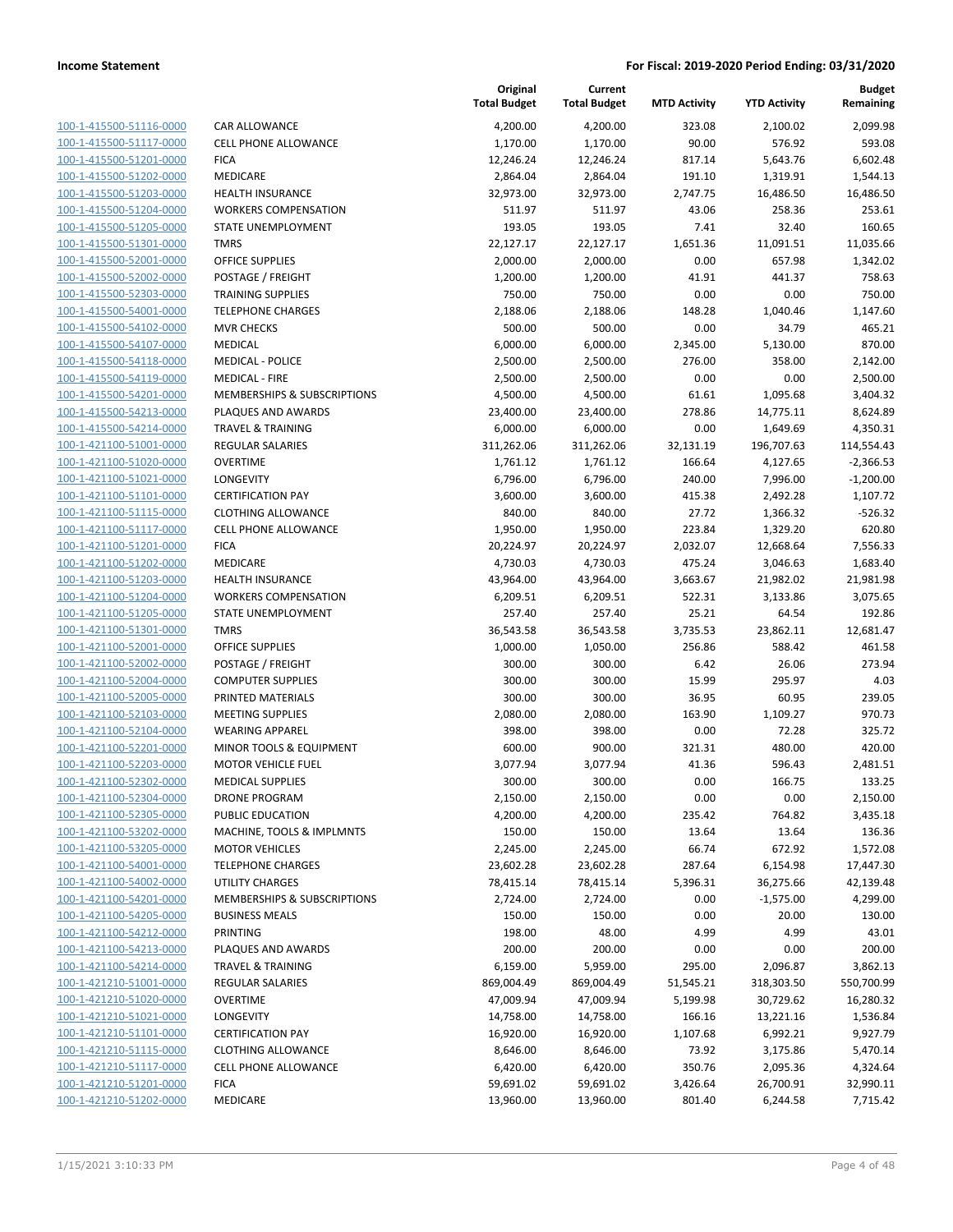| 100-1-415500-51116-0000        |
|--------------------------------|
| 100-1-415500-51117-0000        |
| 100-1-415500-51201-0000        |
| 100-1-415500-51202-0000        |
| 100-1-415500-51203-0000        |
| 100-1-415500-51204-0000        |
| 100-1-415500-51205-0000        |
| 100-1-415500-51301-0000        |
|                                |
| 100-1-415500-52001-0000        |
| 100-1-415500-52002-0000        |
| 100-1-415500-52303-0000        |
| 100-1-415500-54001-0000        |
| 100-1-415500-54102-0000        |
| 100-1-415500-54107-0000        |
| 100-1-415500-54118-0000        |
| 100-1-415500-54119-0000        |
| 100-1-415500-54201-0000        |
| 100-1-415500-54213-0000        |
| 100-1-415500-54214-0000        |
| 100-1-421100-51001-0000        |
|                                |
| 100-1-421100-51020-0000        |
| 100-1-421100-51021-0000        |
| 100-1-421100-51101-0000        |
| 100-1-421100-51115-0000        |
| 100-1-421100-51117-0000        |
| 100-1-421100-51201-0000        |
| 100-1-421100-51202-0000        |
| 100-1-421100-51203-0000        |
| 100-1-421100-51204-0000        |
| 100-1-421100-51205-0000        |
| 100-1-421100-51301-0000        |
| 100-1-421100-52001-0000        |
|                                |
| 100-1-421100-52002-0000        |
| 100-1-421100-52004-0000        |
| 100-1-421100-52005-0000        |
| 100-1-421100-52103-0000        |
| 100-1-421100-52104-0000        |
| 100-1-421100-52201-0000        |
| 100-1-421100-52203-0000        |
| 100-1-421100-52302-0000        |
| 100-1-421100-52304-0000        |
| <u>100-1-421100-52305-0000</u> |
| <u>100-1-421100-53202-0000</u> |
| <u>100-1-421100-53205-0000</u> |
|                                |
| 100-1-421100-54001-0000        |
| 100-1-421100-54002-0000        |
| 100-1-421100-54201-0000        |
| 100-1-421100-54205-0000        |
| <u>100-1-421100-54212-0000</u> |
| <u>100-1-421100-54213-0000</u> |
| 100-1-421100-54214-0000        |
| 100-1-421210-51001-0000        |
| 100-1-421210-51020-0000        |
| <u>100-1-421210-51021-0000</u> |
| <u>100-1-421210-51101-0000</u> |
| <u>100-1-421210-51115-0000</u> |
| <u>100-1-421210-51117-0000</u> |
|                                |
| <u>100-1-421210-51201-0000</u> |
| <u>100-1-421210-51202-0000</u> |

|                                                    |                                          | Original<br><b>Total Budget</b> | Current<br><b>Total Budget</b> | <b>MTD Activity</b> | <b>YTD Activity</b>   | <b>Budget</b><br>Remaining |
|----------------------------------------------------|------------------------------------------|---------------------------------|--------------------------------|---------------------|-----------------------|----------------------------|
| 100-1-415500-51116-0000                            | CAR ALLOWANCE                            | 4,200.00                        | 4,200.00                       | 323.08              | 2,100.02              | 2,099.98                   |
| 100-1-415500-51117-0000                            | <b>CELL PHONE ALLOWANCE</b>              | 1,170.00                        | 1,170.00                       | 90.00               | 576.92                | 593.08                     |
| 100-1-415500-51201-0000                            | <b>FICA</b>                              | 12,246.24                       | 12,246.24                      | 817.14              | 5,643.76              | 6,602.48                   |
| 100-1-415500-51202-0000                            | <b>MEDICARE</b>                          | 2,864.04                        | 2,864.04                       | 191.10              | 1,319.91              | 1,544.13                   |
| 100-1-415500-51203-0000                            | <b>HEALTH INSURANCE</b>                  | 32,973.00                       | 32,973.00                      | 2,747.75            | 16,486.50             | 16,486.50                  |
| 100-1-415500-51204-0000                            | <b>WORKERS COMPENSATION</b>              | 511.97                          | 511.97                         | 43.06               | 258.36                | 253.61                     |
| 100-1-415500-51205-0000                            | STATE UNEMPLOYMENT                       | 193.05                          | 193.05                         | 7.41                | 32.40                 | 160.65                     |
| 100-1-415500-51301-0000                            | <b>TMRS</b>                              | 22,127.17                       | 22,127.17                      | 1,651.36            | 11,091.51             | 11,035.66                  |
| 100-1-415500-52001-0000                            | <b>OFFICE SUPPLIES</b>                   | 2,000.00                        | 2,000.00                       | 0.00                | 657.98                | 1,342.02                   |
| 100-1-415500-52002-0000                            | POSTAGE / FREIGHT                        | 1,200.00                        | 1,200.00                       | 41.91               | 441.37                | 758.63                     |
| 100-1-415500-52303-0000                            | <b>TRAINING SUPPLIES</b>                 | 750.00                          | 750.00                         | 0.00                | 0.00                  | 750.00                     |
| 100-1-415500-54001-0000                            | <b>TELEPHONE CHARGES</b>                 | 2,188.06                        | 2,188.06                       | 148.28              | 1,040.46              | 1,147.60                   |
| 100-1-415500-54102-0000                            | <b>MVR CHECKS</b>                        | 500.00                          | 500.00                         | 0.00                | 34.79                 | 465.21                     |
| 100-1-415500-54107-0000                            | <b>MEDICAL</b>                           | 6,000.00                        | 6,000.00                       | 2,345.00            | 5,130.00              | 870.00                     |
| 100-1-415500-54118-0000                            | <b>MEDICAL - POLICE</b>                  | 2,500.00                        | 2,500.00                       | 276.00              | 358.00                | 2,142.00                   |
| 100-1-415500-54119-0000                            | <b>MEDICAL - FIRE</b>                    | 2,500.00                        | 2,500.00                       | 0.00                | 0.00                  | 2,500.00                   |
| 100-1-415500-54201-0000                            | MEMBERSHIPS & SUBSCRIPTIONS              | 4,500.00                        | 4,500.00                       | 61.61               | 1,095.68              | 3,404.32                   |
| 100-1-415500-54213-0000                            | PLAQUES AND AWARDS                       | 23,400.00                       | 23,400.00                      | 278.86              | 14,775.11             | 8,624.89                   |
| 100-1-415500-54214-0000                            | <b>TRAVEL &amp; TRAINING</b>             | 6,000.00                        | 6,000.00                       | 0.00                | 1,649.69              | 4,350.31                   |
| 100-1-421100-51001-0000                            | <b>REGULAR SALARIES</b>                  | 311,262.06                      | 311,262.06                     | 32,131.19           | 196,707.63            | 114,554.43                 |
| 100-1-421100-51020-0000                            | <b>OVERTIME</b>                          | 1,761.12                        | 1,761.12                       | 166.64              | 4,127.65              | $-2,366.53$                |
| 100-1-421100-51021-0000                            | <b>LONGEVITY</b>                         | 6,796.00                        | 6,796.00                       | 240.00              | 7,996.00              | $-1,200.00$                |
| 100-1-421100-51101-0000                            | <b>CERTIFICATION PAY</b>                 | 3,600.00                        | 3,600.00                       | 415.38              | 2,492.28              | 1,107.72                   |
| 100-1-421100-51115-0000                            | <b>CLOTHING ALLOWANCE</b>                | 840.00                          | 840.00                         | 27.72               | 1,366.32              | $-526.32$                  |
| 100-1-421100-51117-0000                            | <b>CELL PHONE ALLOWANCE</b>              | 1,950.00                        | 1,950.00                       | 223.84              | 1,329.20              | 620.80                     |
| 100-1-421100-51201-0000<br>100-1-421100-51202-0000 | <b>FICA</b><br><b>MEDICARE</b>           | 20,224.97<br>4,730.03           | 20,224.97<br>4,730.03          | 2,032.07<br>475.24  | 12,668.64<br>3,046.63 | 7,556.33<br>1,683.40       |
| 100-1-421100-51203-0000                            | <b>HEALTH INSURANCE</b>                  | 43,964.00                       | 43,964.00                      | 3,663.67            | 21,982.02             | 21,981.98                  |
| 100-1-421100-51204-0000                            | <b>WORKERS COMPENSATION</b>              | 6,209.51                        | 6,209.51                       | 522.31              | 3,133.86              | 3,075.65                   |
| 100-1-421100-51205-0000                            | STATE UNEMPLOYMENT                       | 257.40                          | 257.40                         | 25.21               | 64.54                 | 192.86                     |
| 100-1-421100-51301-0000                            | <b>TMRS</b>                              | 36,543.58                       | 36,543.58                      | 3,735.53            | 23,862.11             | 12,681.47                  |
| 100-1-421100-52001-0000                            | <b>OFFICE SUPPLIES</b>                   | 1,000.00                        | 1,050.00                       | 256.86              | 588.42                | 461.58                     |
| 100-1-421100-52002-0000                            | POSTAGE / FREIGHT                        | 300.00                          | 300.00                         | 6.42                | 26.06                 | 273.94                     |
| 100-1-421100-52004-0000                            | <b>COMPUTER SUPPLIES</b>                 | 300.00                          | 300.00                         | 15.99               | 295.97                | 4.03                       |
| 100-1-421100-52005-0000                            | PRINTED MATERIALS                        | 300.00                          | 300.00                         | 36.95               | 60.95                 | 239.05                     |
| 100-1-421100-52103-0000                            | <b>MEETING SUPPLIES</b>                  | 2,080.00                        | 2,080.00                       | 163.90              | 1,109.27              | 970.73                     |
| 100-1-421100-52104-0000                            | <b>WEARING APPAREL</b>                   | 398.00                          | 398.00                         | 0.00                | 72.28                 | 325.72                     |
| 100-1-421100-52201-0000                            | MINOR TOOLS & EQUIPMENT                  | 600.00                          | 900.00                         | 321.31              | 480.00                | 420.00                     |
| 100-1-421100-52203-0000                            | <b>MOTOR VEHICLE FUEL</b>                | 3,077.94                        | 3,077.94                       | 41.36               | 596.43                | 2,481.51                   |
| 100-1-421100-52302-0000                            | <b>MEDICAL SUPPLIES</b>                  | 300.00                          | 300.00                         | 0.00                | 166.75                | 133.25                     |
| 100-1-421100-52304-0000                            | <b>DRONE PROGRAM</b>                     | 2,150.00                        | 2,150.00                       | 0.00                | 0.00                  | 2,150.00                   |
| 100-1-421100-52305-0000                            | PUBLIC EDUCATION                         | 4,200.00                        | 4,200.00                       | 235.42              | 764.82                | 3,435.18                   |
| 100-1-421100-53202-0000                            | MACHINE, TOOLS & IMPLMNTS                | 150.00                          | 150.00                         | 13.64               | 13.64                 | 136.36                     |
| 100-1-421100-53205-0000                            | <b>MOTOR VEHICLES</b>                    | 2,245.00                        | 2,245.00                       | 66.74               | 672.92                | 1,572.08                   |
| 100-1-421100-54001-0000                            | <b>TELEPHONE CHARGES</b>                 | 23,602.28                       | 23,602.28                      | 287.64              | 6,154.98              | 17,447.30                  |
| 100-1-421100-54002-0000                            | UTILITY CHARGES                          | 78,415.14                       | 78,415.14                      | 5,396.31            | 36,275.66             | 42,139.48                  |
| 100-1-421100-54201-0000                            | MEMBERSHIPS & SUBSCRIPTIONS              | 2,724.00                        | 2,724.00                       | 0.00                | $-1,575.00$           | 4,299.00                   |
| 100-1-421100-54205-0000                            | <b>BUSINESS MEALS</b><br><b>PRINTING</b> | 150.00                          | 150.00                         | 0.00                | 20.00                 | 130.00                     |
| 100-1-421100-54212-0000<br>100-1-421100-54213-0000 | PLAQUES AND AWARDS                       | 198.00<br>200.00                | 48.00<br>200.00                | 4.99<br>0.00        | 4.99<br>0.00          | 43.01<br>200.00            |
| 100-1-421100-54214-0000                            | TRAVEL & TRAINING                        | 6,159.00                        | 5,959.00                       | 295.00              | 2,096.87              | 3,862.13                   |
| 100-1-421210-51001-0000                            | <b>REGULAR SALARIES</b>                  | 869,004.49                      | 869,004.49                     | 51,545.21           | 318,303.50            | 550,700.99                 |
| 100-1-421210-51020-0000                            | <b>OVERTIME</b>                          | 47,009.94                       | 47,009.94                      | 5,199.98            | 30,729.62             | 16,280.32                  |
| 100-1-421210-51021-0000                            | LONGEVITY                                | 14,758.00                       | 14,758.00                      | 166.16              | 13,221.16             | 1,536.84                   |
| 100-1-421210-51101-0000                            | <b>CERTIFICATION PAY</b>                 | 16,920.00                       | 16,920.00                      | 1,107.68            | 6,992.21              | 9,927.79                   |
| 100-1-421210-51115-0000                            | <b>CLOTHING ALLOWANCE</b>                | 8,646.00                        | 8,646.00                       | 73.92               | 3,175.86              | 5,470.14                   |
| 100-1-421210-51117-0000                            | CELL PHONE ALLOWANCE                     | 6,420.00                        | 6,420.00                       | 350.76              | 2,095.36              | 4,324.64                   |
| 100-1-421210-51201-0000                            | <b>FICA</b>                              | 59,691.02                       | 59,691.02                      | 3,426.64            | 26,700.91             | 32,990.11                  |
| 100-1-421210-51202-0000                            | MEDICARE                                 | 13,960.00                       | 13,960.00                      | 801.40              | 6,244.58              | 7,715.42                   |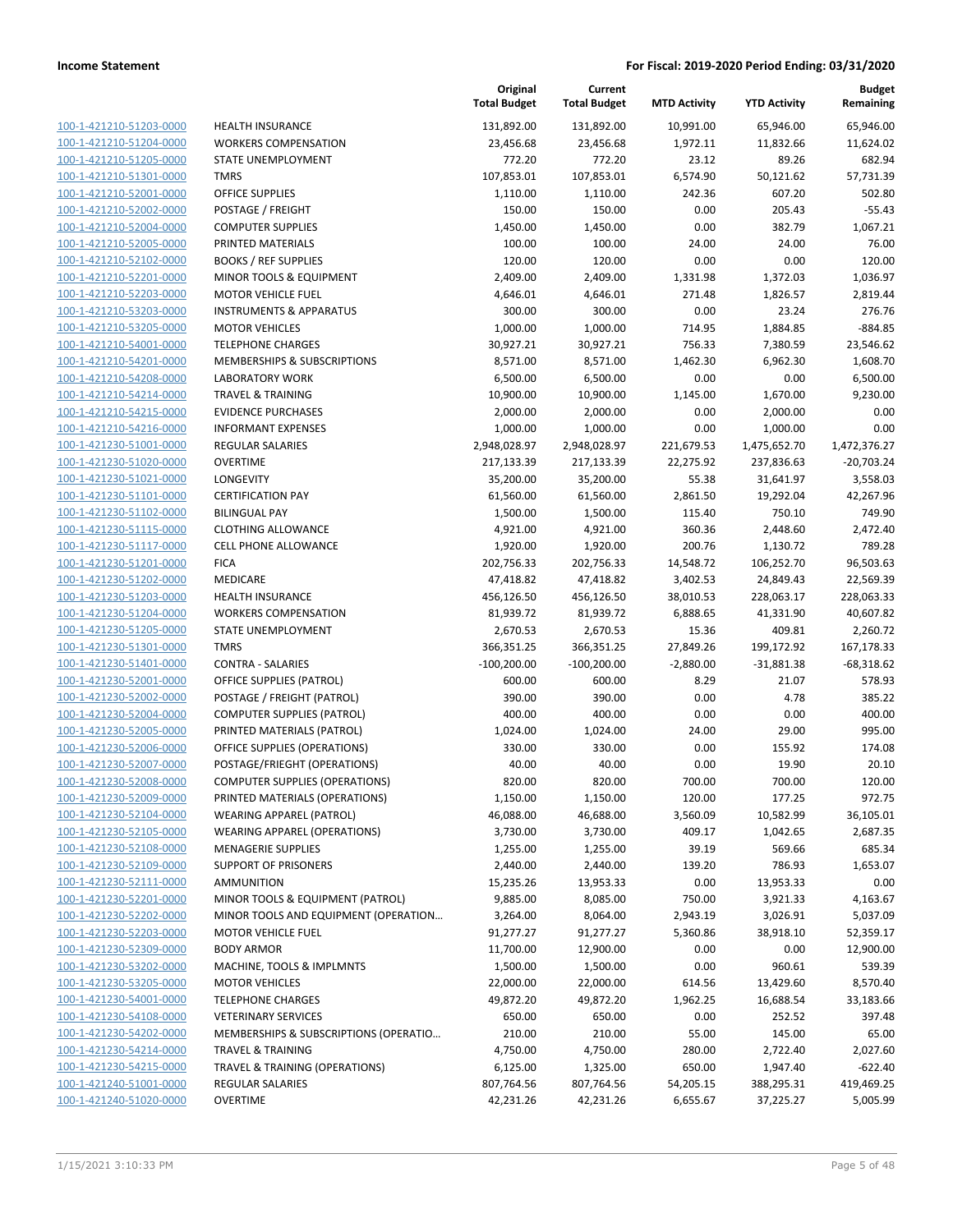| 100-1-421210-51203-0000            |
|------------------------------------|
| 100-1-421210-51204-0000            |
| 100-1-421210-51205-0000            |
| 100-1-421210-51301-0000            |
| <u>100-1-421210-52001-0000</u>     |
| <u>100-1-421210-52002-0000</u>     |
| -421210-52004-0000<br>$100 - 1$    |
| 100-1-421210-52005-0000            |
| 100-1-421210-52102-0000            |
| <u>100-1-421210-52201-0000</u>     |
| 100-1-421210-52203-0000            |
| -421210-53203-0000<br>$100 - 1$    |
| 100-1-421210-53205-0000            |
|                                    |
| 100-1-421210-54001-0000            |
| <u>100-1-421210-54201-0000</u>     |
| <u>100-1-421210-54208-0000</u>     |
| -421210-54214-0000<br>$100 - 1$    |
| 100-1-421210-54215-0000            |
| 100-1-421210-54216-0000            |
| <u>100-1-421230-51001-0000</u>     |
| 100-1-421230-51020-0000            |
| -421230-51021-0000<br>$100 - 1$    |
| 100-1-421230-51101-0000            |
| 100-1-421230-51102-0000            |
| <u>100-1-421230-51115-0000</u>     |
| 100-1-421230-51117-0000            |
| -421230-51201-0000<br>$100 - 1$    |
|                                    |
| 100-1-421230-51202-0000            |
| 100-1-421230-51203-0000            |
| <u>100-1-421230-51204-0000</u>     |
| 100-1-421230-51205-0000            |
| 421230-51301<br>$100 - 1$<br>-0000 |
| 100-1-421230-51401-0000            |
| 100-1-421230-52001-0000            |
| <u>100-1-421230-52002-0000</u>     |
| <u>100-1-421230-52004-0000</u>     |
| -421230-52005-0000<br>$100 - 1$    |
| 100-1-421230-52006-0000            |
| 100-1-421230-52007-0000            |
| <u>100-1-421230-52008-0000</u>     |
| 100-1-421230-52009-0000            |
|                                    |
| <u>100-1-421230-52104-0000</u>     |
| 100-1-421230-52105-0000            |
| <u>100-1-421230-52108-0000</u>     |
| <u>100-1-421230-52109-0000</u>     |
| <u>100-1-421230-52111-0000</u>     |
| <u>100-1-421230-52201-0000</u>     |
| 100-1-421230-52202-0000            |
| 100-1-421230-52203-0000            |
| <u>100-1-421230-52309-0000</u>     |
| 100-1-421230-53202-0000            |
| 100-1-421230-53205-0000            |
| 100-1-421230-54001-0000            |
| <u>100-1-421230-54108-0000</u>     |
| <u>100-1-421230-54202-0000</u>     |
| <u>100-1-421230-54214-0000</u>     |
|                                    |
| <u>100-1-421230-54215-0000</u>     |
| 100-1-421240-51001-0000            |
| 100-1-421240-51020-0000            |

|                                                    |                                                        | Original<br><b>Total Budget</b> | Current<br><b>Total Budget</b> | <b>MTD Activity</b>   | <b>YTD Activity</b>     | <b>Budget</b><br>Remaining |
|----------------------------------------------------|--------------------------------------------------------|---------------------------------|--------------------------------|-----------------------|-------------------------|----------------------------|
| 100-1-421210-51203-0000                            | <b>HEALTH INSURANCE</b>                                | 131,892.00                      | 131,892.00                     | 10,991.00             | 65,946.00               | 65,946.00                  |
| 100-1-421210-51204-0000                            | <b>WORKERS COMPENSATION</b>                            | 23,456.68                       | 23,456.68                      | 1,972.11              | 11,832.66               | 11,624.02                  |
| 100-1-421210-51205-0000                            | STATE UNEMPLOYMENT                                     | 772.20                          | 772.20                         | 23.12                 | 89.26                   | 682.94                     |
| 100-1-421210-51301-0000                            | <b>TMRS</b>                                            | 107,853.01                      | 107,853.01                     | 6,574.90              | 50,121.62               | 57,731.39                  |
| 100-1-421210-52001-0000                            | OFFICE SUPPLIES                                        | 1,110.00                        | 1,110.00                       | 242.36                | 607.20                  | 502.80                     |
| 100-1-421210-52002-0000                            | POSTAGE / FREIGHT                                      | 150.00                          | 150.00                         | 0.00                  | 205.43                  | $-55.43$                   |
| 100-1-421210-52004-0000                            | <b>COMPUTER SUPPLIES</b>                               | 1,450.00                        | 1,450.00                       | 0.00                  | 382.79                  | 1,067.21                   |
| 100-1-421210-52005-0000                            | PRINTED MATERIALS                                      | 100.00                          | 100.00                         | 24.00                 | 24.00                   | 76.00                      |
| 100-1-421210-52102-0000                            | <b>BOOKS / REF SUPPLIES</b>                            | 120.00                          | 120.00                         | 0.00                  | 0.00                    | 120.00                     |
| 100-1-421210-52201-0000                            | MINOR TOOLS & EQUIPMENT                                | 2,409.00                        | 2,409.00                       | 1,331.98              | 1,372.03                | 1,036.97                   |
| 100-1-421210-52203-0000                            | <b>MOTOR VEHICLE FUEL</b>                              | 4,646.01                        | 4,646.01                       | 271.48                | 1,826.57                | 2,819.44                   |
| 100-1-421210-53203-0000                            | <b>INSTRUMENTS &amp; APPARATUS</b>                     | 300.00                          | 300.00                         | 0.00                  | 23.24                   | 276.76                     |
| 100-1-421210-53205-0000                            | <b>MOTOR VEHICLES</b>                                  | 1,000.00                        | 1,000.00                       | 714.95                | 1,884.85                | $-884.85$                  |
| 100-1-421210-54001-0000                            | <b>TELEPHONE CHARGES</b>                               | 30,927.21                       | 30,927.21                      | 756.33                | 7,380.59                | 23,546.62                  |
| 100-1-421210-54201-0000                            | MEMBERSHIPS & SUBSCRIPTIONS                            | 8,571.00                        | 8,571.00                       | 1,462.30              | 6,962.30                | 1,608.70                   |
| 100-1-421210-54208-0000                            | <b>LABORATORY WORK</b>                                 | 6,500.00                        | 6,500.00                       | 0.00                  | 0.00                    | 6,500.00                   |
| 100-1-421210-54214-0000                            | <b>TRAVEL &amp; TRAINING</b>                           | 10,900.00                       | 10,900.00                      | 1,145.00              | 1,670.00                | 9,230.00                   |
| 100-1-421210-54215-0000                            | <b>EVIDENCE PURCHASES</b>                              | 2,000.00                        | 2,000.00                       | 0.00                  | 2,000.00                | 0.00                       |
| 100-1-421210-54216-0000                            | <b>INFORMANT EXPENSES</b>                              | 1,000.00                        | 1,000.00                       | 0.00                  | 1,000.00                | 0.00                       |
| 100-1-421230-51001-0000                            | <b>REGULAR SALARIES</b>                                | 2,948,028.97                    | 2,948,028.97                   | 221,679.53            | 1,475,652.70            | 1,472,376.27               |
| 100-1-421230-51020-0000                            | <b>OVERTIME</b>                                        | 217,133.39                      | 217,133.39                     | 22,275.92             | 237,836.63              | $-20,703.24$               |
| 100-1-421230-51021-0000                            | LONGEVITY                                              | 35,200.00                       | 35,200.00                      | 55.38                 | 31,641.97               | 3,558.03                   |
| 100-1-421230-51101-0000                            | <b>CERTIFICATION PAY</b>                               | 61,560.00                       | 61,560.00                      | 2,861.50              | 19,292.04               | 42,267.96                  |
| 100-1-421230-51102-0000                            | <b>BILINGUAL PAY</b><br><b>CLOTHING ALLOWANCE</b>      | 1,500.00                        | 1,500.00                       | 115.40                | 750.10                  | 749.90                     |
| 100-1-421230-51115-0000<br>100-1-421230-51117-0000 | <b>CELL PHONE ALLOWANCE</b>                            | 4,921.00<br>1,920.00            | 4,921.00<br>1,920.00           | 360.36<br>200.76      | 2,448.60<br>1,130.72    | 2,472.40<br>789.28         |
|                                                    | <b>FICA</b>                                            |                                 |                                |                       |                         |                            |
| 100-1-421230-51201-0000<br>100-1-421230-51202-0000 | MEDICARE                                               | 202,756.33<br>47,418.82         | 202,756.33<br>47,418.82        | 14,548.72<br>3,402.53 | 106,252.70<br>24,849.43 | 96,503.63<br>22,569.39     |
| 100-1-421230-51203-0000                            |                                                        | 456,126.50                      | 456,126.50                     | 38,010.53             | 228,063.17              | 228,063.33                 |
| 100-1-421230-51204-0000                            | <b>HEALTH INSURANCE</b><br><b>WORKERS COMPENSATION</b> | 81,939.72                       | 81,939.72                      | 6,888.65              | 41,331.90               | 40,607.82                  |
| 100-1-421230-51205-0000                            | STATE UNEMPLOYMENT                                     | 2,670.53                        | 2,670.53                       | 15.36                 | 409.81                  | 2,260.72                   |
| 100-1-421230-51301-0000                            | <b>TMRS</b>                                            | 366,351.25                      | 366,351.25                     | 27,849.26             | 199,172.92              | 167,178.33                 |
| 100-1-421230-51401-0000                            | <b>CONTRA - SALARIES</b>                               | $-100,200.00$                   | $-100,200.00$                  | $-2,880.00$           | $-31,881.38$            | $-68,318.62$               |
| 100-1-421230-52001-0000                            | <b>OFFICE SUPPLIES (PATROL)</b>                        | 600.00                          | 600.00                         | 8.29                  | 21.07                   | 578.93                     |
| 100-1-421230-52002-0000                            | POSTAGE / FREIGHT (PATROL)                             | 390.00                          | 390.00                         | 0.00                  | 4.78                    | 385.22                     |
| 100-1-421230-52004-0000                            | <b>COMPUTER SUPPLIES (PATROL)</b>                      | 400.00                          | 400.00                         | 0.00                  | 0.00                    | 400.00                     |
| 100-1-421230-52005-0000                            | PRINTED MATERIALS (PATROL)                             | 1,024.00                        | 1,024.00                       | 24.00                 | 29.00                   | 995.00                     |
| 100-1-421230-52006-0000                            | OFFICE SUPPLIES (OPERATIONS)                           | 330.00                          | 330.00                         | 0.00                  | 155.92                  | 174.08                     |
| 100-1-421230-52007-0000                            | POSTAGE/FRIEGHT (OPERATIONS)                           | 40.00                           | 40.00                          | 0.00                  | 19.90                   | 20.10                      |
| 100-1-421230-52008-0000                            | <b>COMPUTER SUPPLIES (OPERATIONS)</b>                  | 820.00                          | 820.00                         | 700.00                | 700.00                  | 120.00                     |
| 100-1-421230-52009-0000                            | PRINTED MATERIALS (OPERATIONS)                         | 1,150.00                        | 1,150.00                       | 120.00                | 177.25                  | 972.75                     |
| 100-1-421230-52104-0000                            | <b>WEARING APPAREL (PATROL)</b>                        | 46,088.00                       | 46,688.00                      | 3,560.09              | 10,582.99               | 36,105.01                  |
| 100-1-421230-52105-0000                            | <b>WEARING APPAREL (OPERATIONS)</b>                    | 3,730.00                        | 3,730.00                       | 409.17                | 1,042.65                | 2,687.35                   |
| 100-1-421230-52108-0000                            | <b>MENAGERIE SUPPLIES</b>                              | 1,255.00                        | 1,255.00                       | 39.19                 | 569.66                  | 685.34                     |
| 100-1-421230-52109-0000                            | SUPPORT OF PRISONERS                                   | 2,440.00                        | 2,440.00                       | 139.20                | 786.93                  | 1,653.07                   |
| 100-1-421230-52111-0000                            | AMMUNITION                                             | 15,235.26                       | 13,953.33                      | 0.00                  | 13,953.33               | 0.00                       |
| 100-1-421230-52201-0000                            | MINOR TOOLS & EQUIPMENT (PATROL)                       | 9,885.00                        | 8,085.00                       | 750.00                | 3,921.33                | 4,163.67                   |
| 100-1-421230-52202-0000                            | MINOR TOOLS AND EQUIPMENT (OPERATION                   | 3,264.00                        | 8,064.00                       | 2,943.19              | 3,026.91                | 5,037.09                   |
| 100-1-421230-52203-0000                            | <b>MOTOR VEHICLE FUEL</b>                              | 91,277.27                       | 91,277.27                      | 5,360.86              | 38,918.10               | 52,359.17                  |
| 100-1-421230-52309-0000                            | <b>BODY ARMOR</b>                                      | 11,700.00                       | 12,900.00                      | 0.00                  | 0.00                    | 12,900.00                  |
| 100-1-421230-53202-0000                            | MACHINE, TOOLS & IMPLMNTS                              | 1,500.00                        | 1,500.00                       | 0.00                  | 960.61                  | 539.39                     |
| 100-1-421230-53205-0000                            | <b>MOTOR VEHICLES</b>                                  | 22,000.00                       | 22,000.00                      | 614.56                | 13,429.60               | 8,570.40                   |
| 100-1-421230-54001-0000                            | <b>TELEPHONE CHARGES</b>                               | 49,872.20                       | 49,872.20                      | 1,962.25              | 16,688.54               | 33,183.66                  |
| 100-1-421230-54108-0000                            | <b>VETERINARY SERVICES</b>                             | 650.00                          | 650.00                         | 0.00                  | 252.52                  | 397.48                     |
| 100-1-421230-54202-0000                            | MEMBERSHIPS & SUBSCRIPTIONS (OPERATIO                  | 210.00                          | 210.00                         | 55.00                 | 145.00                  | 65.00                      |
| 100-1-421230-54214-0000                            | <b>TRAVEL &amp; TRAINING</b>                           | 4,750.00                        | 4,750.00                       | 280.00                | 2,722.40                | 2,027.60                   |
| 100-1-421230-54215-0000                            | TRAVEL & TRAINING (OPERATIONS)                         | 6,125.00                        | 1,325.00                       | 650.00                | 1,947.40                | $-622.40$                  |
| 100-1-421240-51001-0000                            | <b>REGULAR SALARIES</b>                                | 807,764.56                      | 807,764.56                     | 54,205.15             | 388,295.31              | 419,469.25                 |
| 100-1-421240-51020-0000                            | OVERTIME                                               | 42,231.26                       | 42,231.26                      | 6,655.67              | 37,225.27               | 5,005.99                   |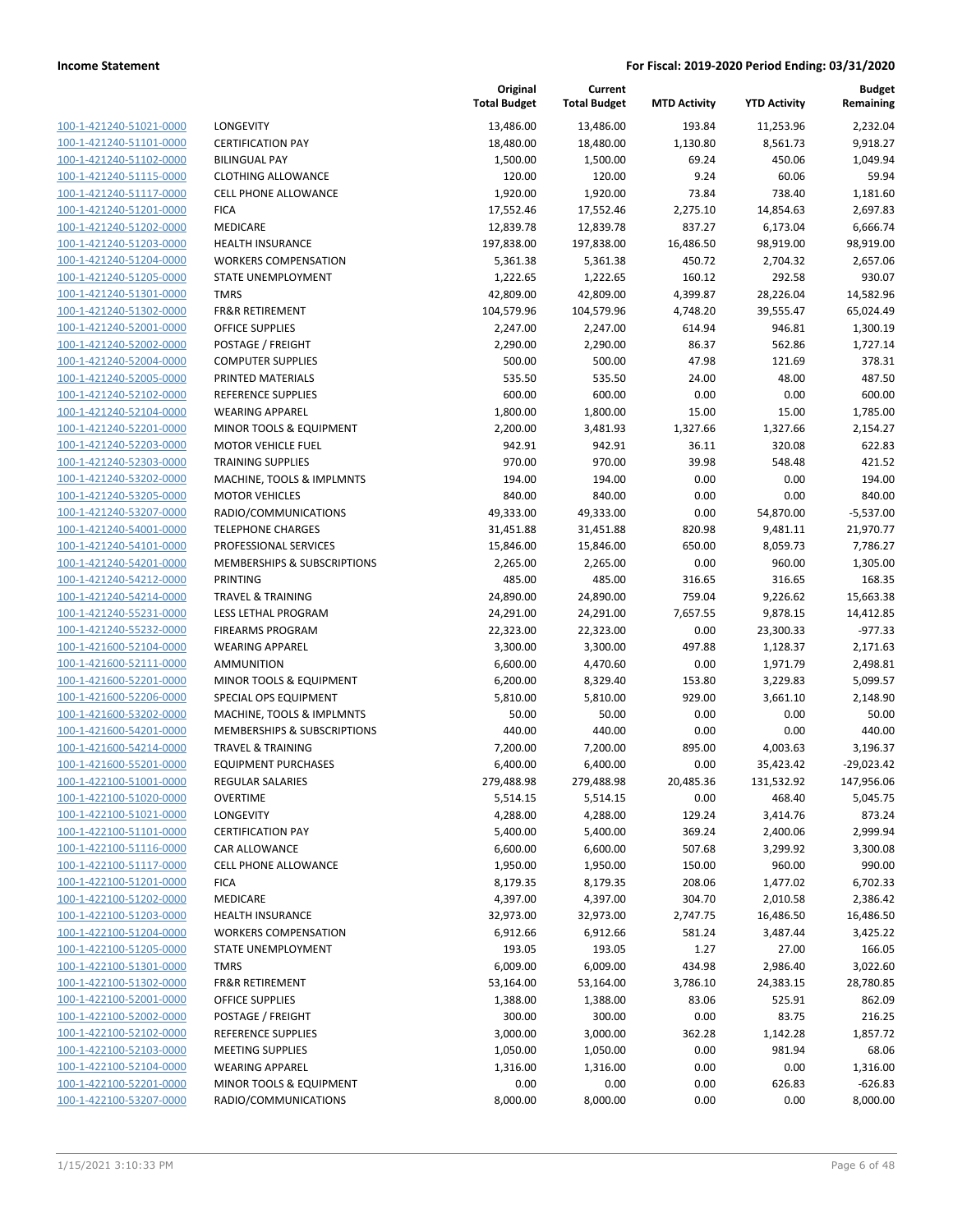| 100-1-421240-51021-0000        |
|--------------------------------|
| 100-1-421240-51101-0000        |
| 100-1-421240-51102-0000        |
| 100-1-421240-51115-0000        |
| 100-1-421240-51117-0000        |
| 100-1-421240-51201-0000        |
| 100-1-421240-51202-0000        |
| 100-1-421240-51203-0000        |
| 100-1-421240-51204-0000        |
| 100-1-421240-51205-0000        |
| 100-1-421240-51301-0000        |
| 100-1-421240-51302-0000        |
| 100-1-421240-52001-0000        |
| 100-1-421240-52002-0000        |
| 100-1-421240-52004-0000        |
| 100-1-421240-52005-0000        |
| 100-1-421240-52102-0000        |
| 100-1-421240-52104-0000        |
| 100-1-421240-52201-0000        |
| 100-1-421240-52203-0000        |
| 100-1-421240-52303-0000        |
| 100-1-421240-53202-0000        |
| 100-1-421240-53205-0000        |
| 100-1-421240-53207-0000        |
| 100-1-421240-54001-0000        |
| 100-1-421240-54101-0000        |
| 100-1-421240-54201-0000        |
| 100-1-421240-54212-0000        |
| 100-1-421240-54214-0000        |
| 100-1-421240-55231-0000        |
| 100-1-421240-55232-0000        |
| 100-1-421600-52104-0000        |
| 100-1-421600-52111-0000        |
| 100-1-421600-52201-0000        |
| 100-1-421600-52206-0000        |
| 100-1-421600-53202-0000        |
| 100-1-421600-54201-0000        |
| 100-1-421600-54214-0000        |
| 100-1-421600-55201-0000        |
| 100-1-422100-51001-0000        |
| 100-1-422100-51020-0000        |
| <u>100-1-422100-51021-0000</u> |
| <u>100-1-422100-51101-0000</u> |
| 100-1-422100-51116-0000        |
| <u>100-1-422100-51117-0000</u> |
| 100-1-422100-51201-0000        |
| 100-1-422100-51202-0000        |
| <u>100-1-422100-51203-0000</u> |
| <u>100-1-422100-51204-0000</u> |
| <u>100-1-422100-51205-0000</u> |
| 100-1-422100-51301-0000        |
| 100-1-422100-51302-0000        |
| 100-1-422100-52001-0000        |
| <u>100-1-422100-52002-0000</u> |
| 100-1-422100-52102-0000        |
| <u>100-1-422100-52103-0000</u> |
| <u>100-1-422100-52104-0000</u> |
|                                |
| <u>100-1-422100-52201-0000</u> |
| 100-1-422100-53207-0000        |

| <b>LONGEVITY</b>                                  |
|---------------------------------------------------|
| <b>CERTIFICATION PAY</b>                          |
| <b>BILINGUAL PAY</b>                              |
| <b>CLOTHING ALLOWANCE</b>                         |
| <b>CELL PHONE ALLOWANCE</b>                       |
| <b>FICA</b>                                       |
| <b>MEDICARE</b>                                   |
| <b>HEALTH INSURANCE</b>                           |
| <b>WORKERS COMPENSATION</b>                       |
| STATE UNEMPLOYMENT                                |
| TMRS                                              |
| <b>FR&amp;R RETIREMENT</b>                        |
| OFFICE SUPPLIES                                   |
| POSTAGE / FREIGHT                                 |
| <b>COMPUTER SUPPLIES</b>                          |
| PRINTED MATERIALS                                 |
| <b>REFERENCE SUPPLIES</b>                         |
| <b>WEARING APPAREL</b><br>MINOR TOOLS & EQUIPMENT |
| <b>MOTOR VEHICLE FUEL</b>                         |
| <b>TRAINING SUPPLIES</b>                          |
| <b>MACHINE, TOOLS &amp; IMPLMNTS</b>              |
| <b>MOTOR VEHICLES</b>                             |
| RADIO/COMMUNICATIONS                              |
| <b>TELEPHONE CHARGES</b>                          |
| PROFESSIONAL SERVICES                             |
| <b>MEMBERSHIPS &amp; SUBSCRIPTIONS</b>            |
| PRINTING                                          |
| <b>TRAVEL &amp; TRAINING</b>                      |
| <b>LESS LETHAL PROGRAM</b>                        |
| <b>FIREARMS PROGRAM</b>                           |
| <b>WEARING APPAREL</b>                            |
| AMMUNITION                                        |
| MINOR TOOLS & EQUIPMENT                           |
| SPECIAL OPS EQUIPMENT                             |
| MACHINE, TOOLS & IMPLMNTS                         |
| MEMBERSHIPS & SUBSCRIPTIONS                       |
| <b>TRAVEL &amp; TRAINING</b>                      |
| <b>EQUIPMENT PURCHASES</b>                        |
| REGULAR SALARIES                                  |
| <b>OVERTIME</b>                                   |
| LONGEVITY                                         |
| <b>CERTIFICATION PAY</b>                          |
| CAR ALLOWANCE                                     |
| <b>CELL PHONE ALLOWANCE</b>                       |
| <b>FICA</b>                                       |
| <b>MEDICARE</b>                                   |
| <b>HEALTH INSURANCE</b>                           |
| <b>WORKERS COMPENSATION</b>                       |
| STATE UNEMPLOYMENT                                |
| <b>TMRS</b>                                       |
| <b>FR&amp;R RETIREMENT</b>                        |
| <b>OFFICE SUPPLIES</b>                            |
| POSTAGE / FREIGHT<br>REFERENCE SUPPLIES           |
| <b>MEETING SUPPLIES</b>                           |
| <b>WEARING APPAREL</b>                            |
| MINOR TOOLS & EQUIPMENT                           |
|                                                   |

|                                                    |                                                       | Original<br><b>Total Budget</b> | Current<br><b>Total Budget</b> | <b>MTD Activity</b> | <b>YTD Activity</b> | Budget<br>Remaining |
|----------------------------------------------------|-------------------------------------------------------|---------------------------------|--------------------------------|---------------------|---------------------|---------------------|
| 100-1-421240-51021-0000                            | LONGEVITY                                             | 13,486.00                       | 13,486.00                      | 193.84              | 11,253.96           | 2,232.04            |
| 100-1-421240-51101-0000                            | <b>CERTIFICATION PAY</b>                              | 18,480.00                       | 18,480.00                      | 1,130.80            | 8,561.73            | 9,918.27            |
| 100-1-421240-51102-0000                            | <b>BILINGUAL PAY</b>                                  | 1,500.00                        | 1,500.00                       | 69.24               | 450.06              | 1,049.94            |
| 100-1-421240-51115-0000                            | <b>CLOTHING ALLOWANCE</b>                             | 120.00                          | 120.00                         | 9.24                | 60.06               | 59.94               |
| 100-1-421240-51117-0000                            | <b>CELL PHONE ALLOWANCE</b>                           | 1,920.00                        | 1,920.00                       | 73.84               | 738.40              | 1,181.60            |
| 100-1-421240-51201-0000                            | <b>FICA</b>                                           | 17,552.46                       | 17,552.46                      | 2,275.10            | 14,854.63           | 2,697.83            |
| 100-1-421240-51202-0000                            | MEDICARE                                              | 12,839.78                       | 12,839.78                      | 837.27              | 6,173.04            | 6,666.74            |
| 100-1-421240-51203-0000                            | <b>HEALTH INSURANCE</b>                               | 197,838.00                      | 197,838.00                     | 16,486.50           | 98,919.00           | 98,919.00           |
| 100-1-421240-51204-0000                            | <b>WORKERS COMPENSATION</b>                           | 5,361.38                        | 5,361.38                       | 450.72              | 2,704.32            | 2,657.06            |
| 100-1-421240-51205-0000                            | STATE UNEMPLOYMENT                                    | 1,222.65                        | 1,222.65                       | 160.12              | 292.58              | 930.07              |
| 100-1-421240-51301-0000                            | <b>TMRS</b>                                           | 42,809.00                       | 42,809.00                      | 4,399.87            | 28,226.04           | 14,582.96           |
| 100-1-421240-51302-0000                            | <b>FR&amp;R RETIREMENT</b>                            | 104,579.96                      | 104,579.96                     | 4,748.20            | 39,555.47           | 65,024.49           |
| 100-1-421240-52001-0000                            | <b>OFFICE SUPPLIES</b>                                | 2,247.00                        | 2,247.00                       | 614.94              | 946.81              | 1,300.19            |
| 100-1-421240-52002-0000                            | POSTAGE / FREIGHT                                     | 2,290.00                        | 2,290.00                       | 86.37               | 562.86              | 1,727.14            |
| 100-1-421240-52004-0000                            | <b>COMPUTER SUPPLIES</b>                              | 500.00                          | 500.00                         | 47.98               | 121.69              | 378.31              |
| 100-1-421240-52005-0000                            | PRINTED MATERIALS                                     | 535.50                          | 535.50                         | 24.00               | 48.00               | 487.50              |
| 100-1-421240-52102-0000                            | <b>REFERENCE SUPPLIES</b>                             | 600.00                          | 600.00                         | 0.00                | 0.00                | 600.00              |
| 100-1-421240-52104-0000                            | <b>WEARING APPAREL</b>                                | 1,800.00                        | 1,800.00                       | 15.00               | 15.00               | 1,785.00            |
| 100-1-421240-52201-0000                            | MINOR TOOLS & EQUIPMENT                               | 2,200.00                        | 3,481.93                       | 1,327.66            | 1,327.66            | 2,154.27            |
| 100-1-421240-52203-0000<br>100-1-421240-52303-0000 | <b>MOTOR VEHICLE FUEL</b><br><b>TRAINING SUPPLIES</b> | 942.91<br>970.00                | 942.91<br>970.00               | 36.11<br>39.98      | 320.08<br>548.48    | 622.83<br>421.52    |
| 100-1-421240-53202-0000                            | MACHINE, TOOLS & IMPLMNTS                             | 194.00                          | 194.00                         | 0.00                | 0.00                | 194.00              |
| 100-1-421240-53205-0000                            | <b>MOTOR VEHICLES</b>                                 | 840.00                          | 840.00                         | 0.00                | 0.00                | 840.00              |
| 100-1-421240-53207-0000                            | RADIO/COMMUNICATIONS                                  | 49,333.00                       | 49,333.00                      | 0.00                | 54,870.00           | $-5,537.00$         |
| 100-1-421240-54001-0000                            | <b>TELEPHONE CHARGES</b>                              | 31,451.88                       | 31,451.88                      | 820.98              | 9,481.11            | 21,970.77           |
| 100-1-421240-54101-0000                            | PROFESSIONAL SERVICES                                 | 15,846.00                       | 15,846.00                      | 650.00              | 8,059.73            | 7,786.27            |
| 100-1-421240-54201-0000                            | MEMBERSHIPS & SUBSCRIPTIONS                           | 2,265.00                        | 2,265.00                       | 0.00                | 960.00              | 1,305.00            |
| 100-1-421240-54212-0000                            | <b>PRINTING</b>                                       | 485.00                          | 485.00                         | 316.65              | 316.65              | 168.35              |
| 100-1-421240-54214-0000                            | <b>TRAVEL &amp; TRAINING</b>                          | 24,890.00                       | 24,890.00                      | 759.04              | 9,226.62            | 15,663.38           |
| 100-1-421240-55231-0000                            | LESS LETHAL PROGRAM                                   | 24,291.00                       | 24,291.00                      | 7,657.55            | 9,878.15            | 14,412.85           |
| 100-1-421240-55232-0000                            | <b>FIREARMS PROGRAM</b>                               | 22,323.00                       | 22,323.00                      | 0.00                | 23,300.33           | $-977.33$           |
| 100-1-421600-52104-0000                            | <b>WEARING APPAREL</b>                                | 3,300.00                        | 3,300.00                       | 497.88              | 1,128.37            | 2,171.63            |
| 100-1-421600-52111-0000                            | <b>AMMUNITION</b>                                     | 6,600.00                        | 4,470.60                       | 0.00                | 1,971.79            | 2,498.81            |
| 100-1-421600-52201-0000                            | MINOR TOOLS & EQUIPMENT                               | 6,200.00                        | 8,329.40                       | 153.80              | 3,229.83            | 5,099.57            |
| 100-1-421600-52206-0000                            | SPECIAL OPS EQUIPMENT                                 | 5,810.00                        | 5,810.00                       | 929.00              | 3,661.10            | 2,148.90            |
| 100-1-421600-53202-0000                            | MACHINE, TOOLS & IMPLMNTS                             | 50.00                           | 50.00                          | 0.00                | 0.00                | 50.00               |
| 100-1-421600-54201-0000                            | MEMBERSHIPS & SUBSCRIPTIONS                           | 440.00                          | 440.00                         | 0.00                | 0.00                | 440.00              |
| 100-1-421600-54214-0000                            | <b>TRAVEL &amp; TRAINING</b>                          | 7,200.00                        | 7,200.00                       | 895.00              | 4,003.63            | 3,196.37            |
| 100-1-421600-55201-0000                            | <b>EQUIPMENT PURCHASES</b>                            | 6,400.00                        | 6,400.00                       | 0.00                | 35,423.42           | $-29,023.42$        |
| 100-1-422100-51001-0000                            | <b>REGULAR SALARIES</b>                               | 279,488.98                      | 279,488.98                     | 20,485.36           | 131,532.92          | 147,956.06          |
| 100-1-422100-51020-0000                            | <b>OVERTIME</b>                                       | 5,514.15                        | 5,514.15                       | 0.00                | 468.40              | 5,045.75            |
| 100-1-422100-51021-0000                            | LONGEVITY                                             | 4,288.00                        | 4,288.00                       | 129.24              | 3,414.76            | 873.24              |
| 100-1-422100-51101-0000                            | <b>CERTIFICATION PAY</b>                              | 5,400.00                        | 5,400.00                       | 369.24              | 2,400.06            | 2,999.94            |
| 100-1-422100-51116-0000                            | CAR ALLOWANCE                                         | 6,600.00                        | 6,600.00                       | 507.68              | 3,299.92            | 3,300.08            |
| 100-1-422100-51117-0000                            | CELL PHONE ALLOWANCE                                  | 1,950.00                        | 1,950.00                       | 150.00              | 960.00              | 990.00              |
| 100-1-422100-51201-0000                            | <b>FICA</b>                                           | 8,179.35                        | 8,179.35                       | 208.06              | 1,477.02            | 6,702.33            |
| 100-1-422100-51202-0000                            | MEDICARE                                              | 4,397.00                        | 4,397.00                       | 304.70              | 2,010.58            | 2,386.42            |
| 100-1-422100-51203-0000                            | <b>HEALTH INSURANCE</b>                               | 32,973.00                       | 32,973.00                      | 2,747.75            | 16,486.50           | 16,486.50           |
| 100-1-422100-51204-0000                            | <b>WORKERS COMPENSATION</b>                           | 6,912.66                        | 6,912.66                       | 581.24              | 3,487.44            | 3,425.22            |
| 100-1-422100-51205-0000                            | STATE UNEMPLOYMENT                                    | 193.05                          | 193.05                         | 1.27                | 27.00               | 166.05              |
| 100-1-422100-51301-0000                            | <b>TMRS</b>                                           | 6,009.00                        | 6,009.00                       | 434.98              | 2,986.40            | 3,022.60            |
| 100-1-422100-51302-0000                            | <b>FR&amp;R RETIREMENT</b>                            | 53,164.00                       | 53,164.00                      | 3,786.10            | 24,383.15           | 28,780.85           |
| 100-1-422100-52001-0000                            | OFFICE SUPPLIES                                       | 1,388.00                        | 1,388.00                       | 83.06               | 525.91              | 862.09              |
| 100-1-422100-52002-0000                            | POSTAGE / FREIGHT                                     | 300.00                          | 300.00                         | 0.00                | 83.75               | 216.25              |
| 100-1-422100-52102-0000                            | REFERENCE SUPPLIES                                    | 3,000.00                        | 3,000.00                       | 362.28              | 1,142.28            | 1,857.72            |
| 100-1-422100-52103-0000                            | <b>MEETING SUPPLIES</b>                               | 1,050.00                        | 1,050.00                       | 0.00                | 981.94              | 68.06               |
| 100-1-422100-52104-0000                            | <b>WEARING APPAREL</b>                                | 1,316.00                        | 1,316.00                       | 0.00                | 0.00                | 1,316.00            |
| 100-1-422100-52201-0000                            | MINOR TOOLS & EQUIPMENT                               | 0.00                            | 0.00                           | 0.00                | 626.83              | $-626.83$           |
| 100-1-422100-53207-0000                            | RADIO/COMMUNICATIONS                                  | 8,000.00                        | 8,000.00                       | 0.00                | 0.00                | 8,000.00            |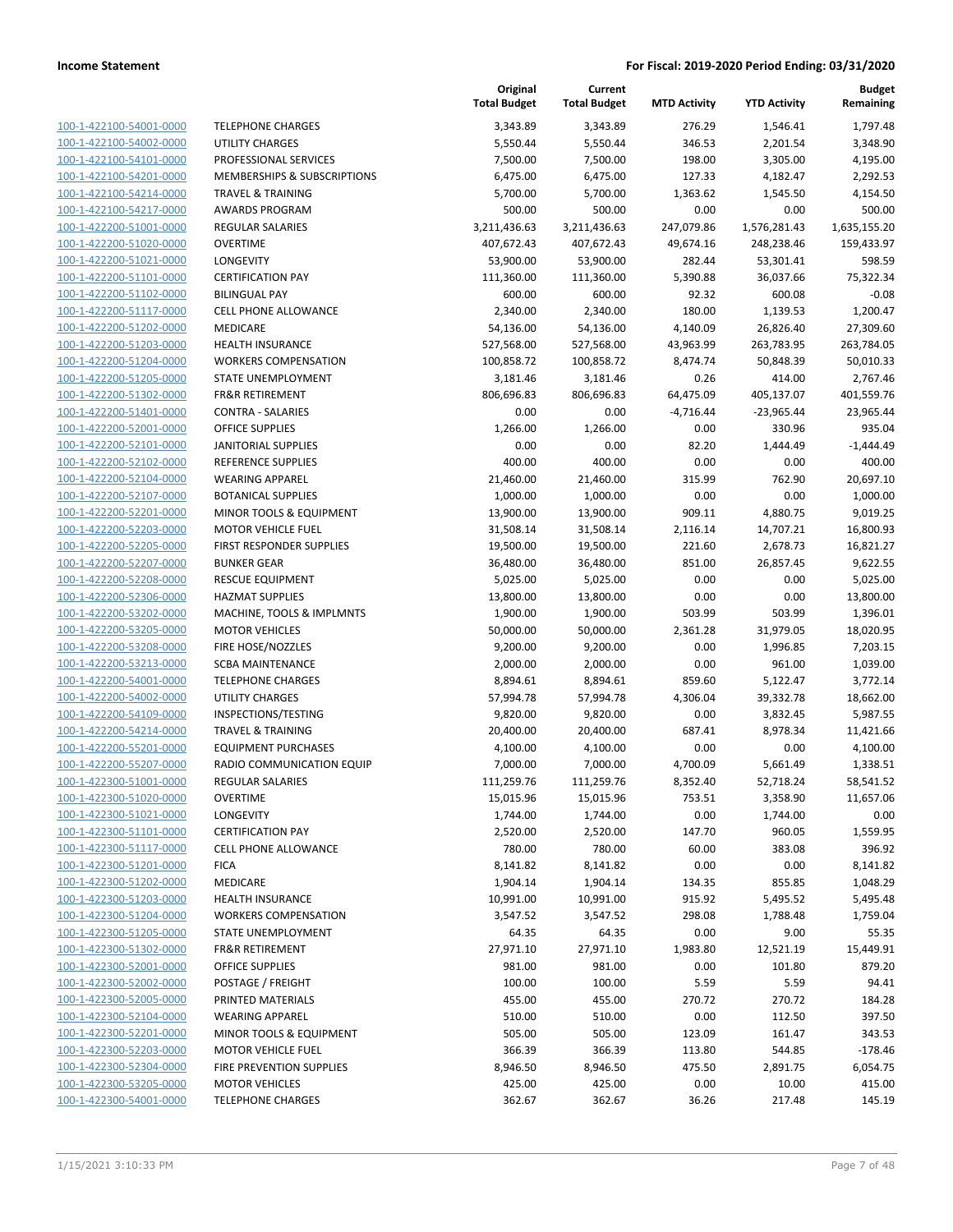| 100-1-422100-54001-0000        |
|--------------------------------|
| 100-1-422100-54002-0000        |
| 100-1-422100-54101-0000        |
| 100-1-422100-54201-0000        |
| 100-1-422100-54214-0000        |
| 100-1-422100-54217-0000        |
| 100-1-422200-51001-0000        |
| 100-1-422200-51020-0000        |
| 100-1-422200-51021-0000        |
| 100-1-422200-51101-0000        |
| 100-1-422200-51102-0000        |
| 100-1-422200-51117-0000        |
| 100-1-422200-51202-0000        |
| 100-1-422200-51203-0000        |
| 100-1-422200-51204-0000        |
| 100-1-422200-51205-0000        |
| 100-1-422200-51302-0000        |
| 100-1-422200-51401-0000        |
| 100-1-422200-52001-0000        |
| 100-1-422200-52101-0000        |
| 100-1-422200-52102-0000        |
| 100-1-422200-52104-0000        |
| 100-1-422200-52107-0000        |
| 100-1-422200-52201-0000        |
| 100-1-422200-52203-0000        |
| 100-1-422200-52205-0000        |
| 100-1-422200-52207-0000        |
| 100-1-422200-52208-0000        |
| 100-1-422200-52306-0000        |
| 100-1-422200-53202-0000        |
| 100-1-422200-53205-0000        |
| 100-1-422200-53208-0000        |
| 100-1-422200-53213-0000        |
| 100-1-422200-54001-0000        |
| 100-1-422200-54002-0000        |
| 100-1-422200-54109-0000        |
| 100-1-422200-54214-0000        |
| 100-1-422200-55201-0000        |
| 100-1-422200-55207-0000        |
| 100-1-422300-51001-0000        |
| 100-1-422300-51020-0000        |
| <u>100-1-422300-51021-0000</u> |
| 100-1-422300-51101-0000        |
| <u>100-1-422300-51117-0000</u> |
| <u>100-1-422300-51201-0000</u> |
| <u>100-1-422300-51202-0000</u> |
| 100-1-422300-51203-0000        |
| <u>100-1-422300-51204-0000</u> |
| <u>100-1-422300-51205-0000</u> |
| <u>100-1-422300-51302-0000</u> |
| <u>100-1-422300-52001-0000</u> |
| 100-1-422300-52002-0000        |
| <u>100-1-422300-52005-0000</u> |
| <u>100-1-422300-52104-0000</u> |
| <u>100-1-422300-52201-0000</u> |
| 100-1-422300-52203-0000        |
| 100-1-422300-52304-0000        |
| <u>100-1-422300-53205-0000</u> |
| <u>100-1-422300-54001-0000</u> |
|                                |

|                                                    |                                                         | Original<br><b>Total Budget</b> | Current<br><b>Total Budget</b> | <b>MTD Activity</b>  | <b>YTD Activity</b>   | <b>Budget</b><br>Remaining |
|----------------------------------------------------|---------------------------------------------------------|---------------------------------|--------------------------------|----------------------|-----------------------|----------------------------|
| 100-1-422100-54001-0000                            | <b>TELEPHONE CHARGES</b>                                | 3,343.89                        | 3,343.89                       | 276.29               | 1,546.41              | 1.797.48                   |
| 100-1-422100-54002-0000                            | <b>UTILITY CHARGES</b>                                  | 5,550.44                        | 5,550.44                       | 346.53               | 2,201.54              | 3,348.90                   |
| 100-1-422100-54101-0000                            | PROFESSIONAL SERVICES                                   | 7,500.00                        | 7,500.00                       | 198.00               | 3,305.00              | 4,195.00                   |
| 100-1-422100-54201-0000                            | MEMBERSHIPS & SUBSCRIPTIONS                             | 6,475.00                        | 6,475.00                       | 127.33               | 4,182.47              | 2,292.53                   |
| 100-1-422100-54214-0000                            | <b>TRAVEL &amp; TRAINING</b>                            | 5,700.00                        | 5,700.00                       | 1,363.62             | 1,545.50              | 4,154.50                   |
| 100-1-422100-54217-0000                            | <b>AWARDS PROGRAM</b>                                   | 500.00                          | 500.00                         | 0.00                 | 0.00                  | 500.00                     |
| 100-1-422200-51001-0000                            | <b>REGULAR SALARIES</b>                                 | 3,211,436.63                    | 3,211,436.63                   | 247,079.86           | 1,576,281.43          | 1,635,155.20               |
| 100-1-422200-51020-0000                            | <b>OVERTIME</b>                                         | 407,672.43                      | 407,672.43                     | 49,674.16            | 248,238.46            | 159,433.97                 |
| 100-1-422200-51021-0000                            | <b>LONGEVITY</b>                                        | 53,900.00                       | 53,900.00                      | 282.44               | 53,301.41             | 598.59                     |
| 100-1-422200-51101-0000                            | <b>CERTIFICATION PAY</b>                                | 111,360.00                      | 111,360.00                     | 5,390.88             | 36,037.66             | 75,322.34                  |
| 100-1-422200-51102-0000                            | <b>BILINGUAL PAY</b>                                    | 600.00                          | 600.00                         | 92.32                | 600.08                | $-0.08$                    |
| 100-1-422200-51117-0000                            | <b>CELL PHONE ALLOWANCE</b>                             | 2,340.00                        | 2,340.00                       | 180.00               | 1,139.53              | 1,200.47                   |
| 100-1-422200-51202-0000                            | MEDICARE                                                | 54,136.00                       | 54,136.00                      | 4,140.09             | 26,826.40             | 27,309.60                  |
| 100-1-422200-51203-0000                            | <b>HEALTH INSURANCE</b>                                 | 527,568.00                      | 527,568.00                     | 43,963.99            | 263,783.95            | 263,784.05                 |
| 100-1-422200-51204-0000                            | <b>WORKERS COMPENSATION</b>                             | 100,858.72                      | 100,858.72                     | 8,474.74             | 50,848.39             | 50,010.33                  |
| 100-1-422200-51205-0000<br>100-1-422200-51302-0000 | STATE UNEMPLOYMENT<br><b>FR&amp;R RETIREMENT</b>        | 3,181.46<br>806,696.83          | 3,181.46<br>806,696.83         | 0.26<br>64,475.09    | 414.00<br>405,137.07  | 2,767.46<br>401,559.76     |
| 100-1-422200-51401-0000                            | <b>CONTRA - SALARIES</b>                                | 0.00                            | 0.00                           | $-4,716.44$          | $-23,965.44$          | 23,965.44                  |
| 100-1-422200-52001-0000                            | <b>OFFICE SUPPLIES</b>                                  | 1,266.00                        | 1,266.00                       | 0.00                 | 330.96                | 935.04                     |
| 100-1-422200-52101-0000                            | <b>JANITORIAL SUPPLIES</b>                              | 0.00                            | 0.00                           | 82.20                | 1,444.49              | $-1,444.49$                |
| 100-1-422200-52102-0000                            | <b>REFERENCE SUPPLIES</b>                               | 400.00                          | 400.00                         | 0.00                 | 0.00                  | 400.00                     |
| 100-1-422200-52104-0000                            | <b>WEARING APPAREL</b>                                  | 21,460.00                       | 21,460.00                      | 315.99               | 762.90                | 20,697.10                  |
| 100-1-422200-52107-0000                            | <b>BOTANICAL SUPPLIES</b>                               | 1,000.00                        | 1,000.00                       | 0.00                 | 0.00                  | 1,000.00                   |
| 100-1-422200-52201-0000                            | <b>MINOR TOOLS &amp; EQUIPMENT</b>                      | 13,900.00                       | 13,900.00                      | 909.11               | 4,880.75              | 9,019.25                   |
| 100-1-422200-52203-0000                            | <b>MOTOR VEHICLE FUEL</b>                               | 31,508.14                       | 31,508.14                      | 2,116.14             | 14,707.21             | 16,800.93                  |
| 100-1-422200-52205-0000                            | FIRST RESPONDER SUPPLIES                                | 19,500.00                       | 19,500.00                      | 221.60               | 2,678.73              | 16,821.27                  |
| 100-1-422200-52207-0000                            | <b>BUNKER GEAR</b>                                      | 36,480.00                       | 36,480.00                      | 851.00               | 26,857.45             | 9,622.55                   |
| 100-1-422200-52208-0000                            | <b>RESCUE EQUIPMENT</b>                                 | 5,025.00                        | 5,025.00                       | 0.00                 | 0.00                  | 5,025.00                   |
| 100-1-422200-52306-0000                            | <b>HAZMAT SUPPLIES</b>                                  | 13,800.00                       | 13,800.00                      | 0.00                 | 0.00                  | 13,800.00                  |
| 100-1-422200-53202-0000                            | MACHINE, TOOLS & IMPLMNTS                               | 1,900.00                        | 1,900.00                       | 503.99               | 503.99                | 1,396.01                   |
| 100-1-422200-53205-0000                            | <b>MOTOR VEHICLES</b>                                   | 50,000.00                       | 50,000.00                      | 2,361.28             | 31,979.05             | 18,020.95                  |
| 100-1-422200-53208-0000                            | FIRE HOSE/NOZZLES                                       | 9,200.00                        | 9,200.00                       | 0.00                 | 1,996.85              | 7,203.15                   |
| 100-1-422200-53213-0000                            | <b>SCBA MAINTENANCE</b>                                 | 2,000.00                        | 2,000.00                       | 0.00                 | 961.00                | 1,039.00                   |
| 100-1-422200-54001-0000                            | <b>TELEPHONE CHARGES</b>                                | 8,894.61                        | 8,894.61                       | 859.60               | 5,122.47              | 3,772.14                   |
| 100-1-422200-54002-0000                            | UTILITY CHARGES                                         | 57,994.78                       | 57,994.78                      | 4,306.04             | 39,332.78             | 18,662.00                  |
| 100-1-422200-54109-0000                            | INSPECTIONS/TESTING                                     | 9,820.00                        | 9,820.00                       | 0.00                 | 3,832.45              | 5,987.55                   |
| 100-1-422200-54214-0000                            | <b>TRAVEL &amp; TRAINING</b>                            | 20,400.00                       | 20,400.00                      | 687.41               | 8,978.34              | 11,421.66                  |
| 100-1-422200-55201-0000<br>100-1-422200-55207-0000 | <b>EQUIPMENT PURCHASES</b><br>RADIO COMMUNICATION EQUIP | 4,100.00                        | 4,100.00                       | 0.00                 | 0.00                  | 4,100.00                   |
| 100-1-422300-51001-0000                            | <b>REGULAR SALARIES</b>                                 | 7,000.00<br>111,259.76          | 7,000.00<br>111,259.76         | 4,700.09<br>8,352.40 | 5,661.49<br>52,718.24 | 1,338.51<br>58,541.52      |
| 100-1-422300-51020-0000                            | <b>OVERTIME</b>                                         | 15,015.96                       | 15,015.96                      | 753.51               | 3,358.90              | 11,657.06                  |
| 100-1-422300-51021-0000                            | LONGEVITY                                               | 1,744.00                        | 1,744.00                       | 0.00                 | 1,744.00              | 0.00                       |
| 100-1-422300-51101-0000                            | <b>CERTIFICATION PAY</b>                                | 2,520.00                        | 2,520.00                       | 147.70               | 960.05                | 1,559.95                   |
| 100-1-422300-51117-0000                            | CELL PHONE ALLOWANCE                                    | 780.00                          | 780.00                         | 60.00                | 383.08                | 396.92                     |
| 100-1-422300-51201-0000                            | <b>FICA</b>                                             | 8,141.82                        | 8,141.82                       | 0.00                 | 0.00                  | 8,141.82                   |
| 100-1-422300-51202-0000                            | MEDICARE                                                | 1,904.14                        | 1,904.14                       | 134.35               | 855.85                | 1,048.29                   |
| 100-1-422300-51203-0000                            | <b>HEALTH INSURANCE</b>                                 | 10,991.00                       | 10,991.00                      | 915.92               | 5,495.52              | 5,495.48                   |
| 100-1-422300-51204-0000                            | <b>WORKERS COMPENSATION</b>                             | 3,547.52                        | 3,547.52                       | 298.08               | 1,788.48              | 1,759.04                   |
| 100-1-422300-51205-0000                            | <b>STATE UNEMPLOYMENT</b>                               | 64.35                           | 64.35                          | 0.00                 | 9.00                  | 55.35                      |
| 100-1-422300-51302-0000                            | FR&R RETIREMENT                                         | 27,971.10                       | 27,971.10                      | 1,983.80             | 12,521.19             | 15,449.91                  |
| 100-1-422300-52001-0000                            | OFFICE SUPPLIES                                         | 981.00                          | 981.00                         | 0.00                 | 101.80                | 879.20                     |
| 100-1-422300-52002-0000                            | POSTAGE / FREIGHT                                       | 100.00                          | 100.00                         | 5.59                 | 5.59                  | 94.41                      |
| 100-1-422300-52005-0000                            | PRINTED MATERIALS                                       | 455.00                          | 455.00                         | 270.72               | 270.72                | 184.28                     |
| 100-1-422300-52104-0000                            | <b>WEARING APPAREL</b>                                  | 510.00                          | 510.00                         | 0.00                 | 112.50                | 397.50                     |
| 100-1-422300-52201-0000                            | MINOR TOOLS & EQUIPMENT                                 | 505.00                          | 505.00                         | 123.09               | 161.47                | 343.53                     |
| 100-1-422300-52203-0000                            | <b>MOTOR VEHICLE FUEL</b>                               | 366.39                          | 366.39                         | 113.80               | 544.85                | $-178.46$                  |
| 100-1-422300-52304-0000                            | FIRE PREVENTION SUPPLIES                                | 8,946.50                        | 8,946.50                       | 475.50               | 2,891.75              | 6,054.75                   |
| 100-1-422300-53205-0000                            | <b>MOTOR VEHICLES</b>                                   | 425.00                          | 425.00                         | 0.00                 | 10.00                 | 415.00                     |
| 100-1-422300-54001-0000                            | <b>TELEPHONE CHARGES</b>                                | 362.67                          | 362.67                         | 36.26                | 217.48                | 145.19                     |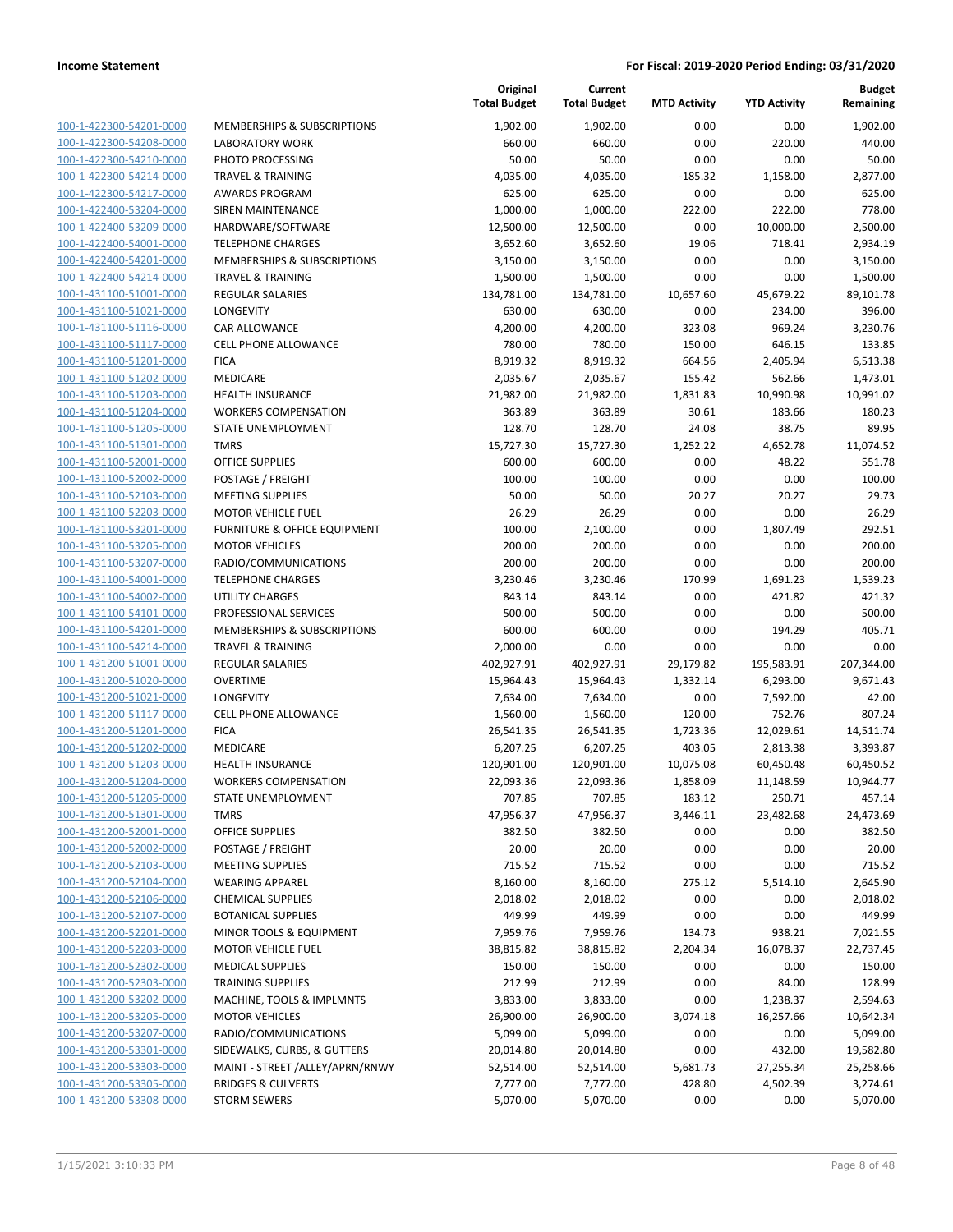| 100-1-422300-54201-0000        |
|--------------------------------|
| 100-1-422300-54208-0000        |
| 100-1-422300-54210-0000        |
| 100-1-422300-54214-0000        |
| 100-1-422300-54217-0000        |
| 100-1-422400-53204-0000        |
| 100-1-422400-53209-0000        |
|                                |
| 100-1-422400-54001-0000        |
| 100-1-422400-54201-0000        |
| 100-1-422400-54214-0000        |
| 100-1-431100-51001-0000        |
| 100-1-431100-51021-0000        |
| 100-1-431100-51116-0000        |
| 100-1-431100-51117-0000        |
| 100-1-431100-51201-0000        |
| 100-1-431100-51202-0000        |
|                                |
| 100-1-431100-51203-0000        |
| 100-1-431100-51204-0000        |
| 100-1-431100-51205-0000        |
| $100-$<br>1-431100-51301-0000  |
| 100-1-431100-52001-0000        |
| 100-1-431100-52002-0000        |
| 100-1-431100-52103-0000        |
| 100-1-431100-52203-0000        |
| 100-1-431100-53201-0000        |
| 100-1-431100-53205-0000        |
|                                |
| 100-1-431100-53207-0000        |
| 100-1-431100-54001-0000        |
| 100-1-431100-54002-0000        |
| 100-1-431100-54101-0000        |
| 100-1-431100-54201-0000        |
| 100-1-431100-54214-0000        |
| <u>100-1-431200-51001-0000</u> |
| 100-1-431200-51020-0000        |
| 100-1-431200-51021-0000        |
| 100-1-431200-51117-0000        |
|                                |
| 100-1-431200-51201-0000        |
| 100-1-431200-51202-0000        |
| 100-1-431200-51203-0000        |
| 100-1-431200-51204-0000        |
| 100-1-431200-51205-0000        |
| 100-1-431200-51301-0000        |
| 100-1-431200-52001-0000        |
| 100-1-431200-52002-0000        |
| 100-1-431200-52103-0000        |
| 100-1-431200-52104-0000        |
|                                |
| 100-1-431200-52106-0000        |
| <u>100-1-431200-52107-0000</u> |
| <u>100-1-431200-52201-0000</u> |
| 100-1-431200-52203-0000        |
| 100-1-431200-52302-0000        |
| 100-1-431200-52303-0000        |
| 100-1-431200-53202-0000        |
| <u>100-1-431200-53205-0000</u> |
| 100-1-431200-53207-0000        |
| <u>100-1-431200-53301-0000</u> |
|                                |
| 100-1-431200-53303-0000        |
| 100-1-431200-53305-0000        |
| <u>100-1-431200-53308-0000</u> |

|                         |                                 | Original<br><b>Total Budget</b> | Current<br><b>Total Budget</b> | <b>MTD Activity</b> | <b>YTD Activity</b> | <b>Budget</b><br>Remaining |
|-------------------------|---------------------------------|---------------------------------|--------------------------------|---------------------|---------------------|----------------------------|
| 100-1-422300-54201-0000 | MEMBERSHIPS & SUBSCRIPTIONS     | 1,902.00                        | 1,902.00                       | 0.00                | 0.00                | 1,902.00                   |
| 100-1-422300-54208-0000 | <b>LABORATORY WORK</b>          | 660.00                          | 660.00                         | 0.00                | 220.00              | 440.00                     |
| 100-1-422300-54210-0000 | PHOTO PROCESSING                | 50.00                           | 50.00                          | 0.00                | 0.00                | 50.00                      |
| 100-1-422300-54214-0000 | <b>TRAVEL &amp; TRAINING</b>    | 4,035.00                        | 4,035.00                       | $-185.32$           | 1,158.00            | 2,877.00                   |
| 100-1-422300-54217-0000 | <b>AWARDS PROGRAM</b>           | 625.00                          | 625.00                         | 0.00                | 0.00                | 625.00                     |
| 100-1-422400-53204-0000 | SIREN MAINTENANCE               | 1,000.00                        | 1,000.00                       | 222.00              | 222.00              | 778.00                     |
| 100-1-422400-53209-0000 | HARDWARE/SOFTWARE               | 12,500.00                       | 12,500.00                      | 0.00                | 10,000.00           | 2,500.00                   |
| 100-1-422400-54001-0000 | <b>TELEPHONE CHARGES</b>        | 3,652.60                        | 3,652.60                       | 19.06               | 718.41              | 2,934.19                   |
| 100-1-422400-54201-0000 | MEMBERSHIPS & SUBSCRIPTIONS     | 3,150.00                        | 3,150.00                       | 0.00                | 0.00                | 3,150.00                   |
| 100-1-422400-54214-0000 | <b>TRAVEL &amp; TRAINING</b>    | 1,500.00                        | 1,500.00                       | 0.00                | 0.00                | 1,500.00                   |
| 100-1-431100-51001-0000 | <b>REGULAR SALARIES</b>         | 134,781.00                      | 134,781.00                     | 10,657.60           | 45,679.22           | 89,101.78                  |
| 100-1-431100-51021-0000 | LONGEVITY                       | 630.00                          | 630.00                         | 0.00                | 234.00              | 396.00                     |
| 100-1-431100-51116-0000 | <b>CAR ALLOWANCE</b>            | 4,200.00                        | 4,200.00                       | 323.08              | 969.24              | 3,230.76                   |
| 100-1-431100-51117-0000 | <b>CELL PHONE ALLOWANCE</b>     | 780.00                          | 780.00                         | 150.00              | 646.15              | 133.85                     |
| 100-1-431100-51201-0000 | <b>FICA</b>                     | 8,919.32                        | 8,919.32                       | 664.56              | 2,405.94            | 6,513.38                   |
| 100-1-431100-51202-0000 | MEDICARE                        | 2,035.67                        | 2,035.67                       | 155.42              | 562.66              | 1,473.01                   |
| 100-1-431100-51203-0000 | <b>HEALTH INSURANCE</b>         | 21,982.00                       | 21,982.00                      | 1,831.83            | 10,990.98           | 10,991.02                  |
| 100-1-431100-51204-0000 | <b>WORKERS COMPENSATION</b>     | 363.89                          | 363.89                         | 30.61               | 183.66              | 180.23                     |
| 100-1-431100-51205-0000 | STATE UNEMPLOYMENT              | 128.70                          | 128.70                         | 24.08               | 38.75               | 89.95                      |
| 100-1-431100-51301-0000 | <b>TMRS</b>                     | 15,727.30                       | 15,727.30                      | 1,252.22            | 4,652.78            | 11,074.52                  |
| 100-1-431100-52001-0000 | <b>OFFICE SUPPLIES</b>          | 600.00                          | 600.00                         | 0.00                | 48.22               | 551.78                     |
| 100-1-431100-52002-0000 | POSTAGE / FREIGHT               | 100.00                          | 100.00                         | 0.00                | 0.00                | 100.00                     |
| 100-1-431100-52103-0000 | <b>MEETING SUPPLIES</b>         | 50.00                           | 50.00                          | 20.27               | 20.27               | 29.73                      |
| 100-1-431100-52203-0000 | <b>MOTOR VEHICLE FUEL</b>       | 26.29                           | 26.29                          | 0.00                | 0.00                | 26.29                      |
| 100-1-431100-53201-0000 | FURNITURE & OFFICE EQUIPMENT    | 100.00                          | 2,100.00                       | 0.00                | 1,807.49            | 292.51                     |
| 100-1-431100-53205-0000 | <b>MOTOR VEHICLES</b>           | 200.00                          | 200.00                         | 0.00                | 0.00                | 200.00                     |
| 100-1-431100-53207-0000 | RADIO/COMMUNICATIONS            | 200.00                          | 200.00                         | 0.00                | 0.00                | 200.00                     |
| 100-1-431100-54001-0000 | <b>TELEPHONE CHARGES</b>        | 3,230.46                        | 3,230.46                       | 170.99              | 1,691.23            | 1,539.23                   |
| 100-1-431100-54002-0000 | <b>UTILITY CHARGES</b>          | 843.14                          | 843.14                         | 0.00                | 421.82              | 421.32                     |
| 100-1-431100-54101-0000 | PROFESSIONAL SERVICES           | 500.00                          | 500.00                         | 0.00                | 0.00                | 500.00                     |
| 100-1-431100-54201-0000 | MEMBERSHIPS & SUBSCRIPTIONS     | 600.00                          | 600.00                         | 0.00                | 194.29              | 405.71                     |
| 100-1-431100-54214-0000 | <b>TRAVEL &amp; TRAINING</b>    | 2,000.00                        | 0.00                           | 0.00                | 0.00                | 0.00                       |
| 100-1-431200-51001-0000 | <b>REGULAR SALARIES</b>         | 402,927.91                      | 402,927.91                     | 29,179.82           | 195,583.91          | 207,344.00                 |
| 100-1-431200-51020-0000 | <b>OVERTIME</b>                 | 15,964.43                       | 15,964.43                      | 1,332.14            | 6,293.00            | 9,671.43                   |
| 100-1-431200-51021-0000 | LONGEVITY                       | 7,634.00                        | 7,634.00                       | 0.00                | 7,592.00            | 42.00                      |
| 100-1-431200-51117-0000 | <b>CELL PHONE ALLOWANCE</b>     | 1,560.00                        | 1,560.00                       | 120.00              | 752.76              | 807.24                     |
| 100-1-431200-51201-0000 | <b>FICA</b>                     | 26,541.35                       | 26,541.35                      | 1,723.36            | 12,029.61           | 14,511.74                  |
| 100-1-431200-51202-0000 | MEDICARE                        | 6,207.25                        | 6,207.25                       | 403.05              | 2,813.38            | 3,393.87                   |
| 100-1-431200-51203-0000 | <b>HEALTH INSURANCE</b>         | 120,901.00                      | 120,901.00                     | 10,075.08           | 60,450.48           | 60,450.52                  |
| 100-1-431200-51204-0000 | <b>WORKERS COMPENSATION</b>     | 22,093.36                       | 22,093.36                      | 1,858.09            | 11,148.59           | 10,944.77                  |
| 100-1-431200-51205-0000 | STATE UNEMPLOYMENT              | 707.85                          | 707.85                         | 183.12              | 250.71              | 457.14                     |
| 100-1-431200-51301-0000 | <b>TMRS</b>                     | 47,956.37                       | 47,956.37                      | 3,446.11            | 23,482.68           | 24,473.69                  |
| 100-1-431200-52001-0000 | OFFICE SUPPLIES                 | 382.50                          | 382.50                         | 0.00                | 0.00                | 382.50                     |
| 100-1-431200-52002-0000 | POSTAGE / FREIGHT               | 20.00                           | 20.00                          | 0.00                | 0.00                | 20.00                      |
| 100-1-431200-52103-0000 | MEETING SUPPLIES                | 715.52                          | 715.52                         | 0.00                | 0.00                | 715.52                     |
| 100-1-431200-52104-0000 | <b>WEARING APPAREL</b>          | 8,160.00                        | 8,160.00                       | 275.12              | 5,514.10            | 2,645.90                   |
| 100-1-431200-52106-0000 | <b>CHEMICAL SUPPLIES</b>        | 2,018.02                        | 2,018.02                       | 0.00                | 0.00                | 2,018.02                   |
| 100-1-431200-52107-0000 | <b>BOTANICAL SUPPLIES</b>       | 449.99                          | 449.99                         | 0.00                | 0.00                | 449.99                     |
| 100-1-431200-52201-0000 | MINOR TOOLS & EQUIPMENT         | 7,959.76                        | 7,959.76                       | 134.73              | 938.21              | 7,021.55                   |
| 100-1-431200-52203-0000 | <b>MOTOR VEHICLE FUEL</b>       | 38,815.82                       | 38,815.82                      | 2,204.34            | 16,078.37           | 22,737.45                  |
| 100-1-431200-52302-0000 | <b>MEDICAL SUPPLIES</b>         | 150.00                          | 150.00                         | 0.00                | 0.00                | 150.00                     |
| 100-1-431200-52303-0000 | <b>TRAINING SUPPLIES</b>        | 212.99                          | 212.99                         | 0.00                | 84.00               | 128.99                     |
| 100-1-431200-53202-0000 | MACHINE, TOOLS & IMPLMNTS       | 3,833.00                        | 3,833.00                       | 0.00                | 1,238.37            | 2,594.63                   |
| 100-1-431200-53205-0000 | <b>MOTOR VEHICLES</b>           | 26,900.00                       | 26,900.00                      | 3,074.18            | 16,257.66           | 10,642.34                  |
| 100-1-431200-53207-0000 | RADIO/COMMUNICATIONS            | 5,099.00                        | 5,099.00                       | 0.00                | 0.00                | 5,099.00                   |
| 100-1-431200-53301-0000 | SIDEWALKS, CURBS, & GUTTERS     | 20,014.80                       | 20,014.80                      | 0.00                | 432.00              | 19,582.80                  |
| 100-1-431200-53303-0000 | MAINT - STREET /ALLEY/APRN/RNWY | 52,514.00                       | 52,514.00                      | 5,681.73            | 27,255.34           | 25,258.66                  |
| 100-1-431200-53305-0000 | <b>BRIDGES &amp; CULVERTS</b>   | 7,777.00                        | 7,777.00                       | 428.80              | 4,502.39            | 3,274.61                   |
| 100-1-431200-53308-0000 | <b>STORM SEWERS</b>             | 5,070.00                        | 5,070.00                       | 0.00                | 0.00                | 5,070.00                   |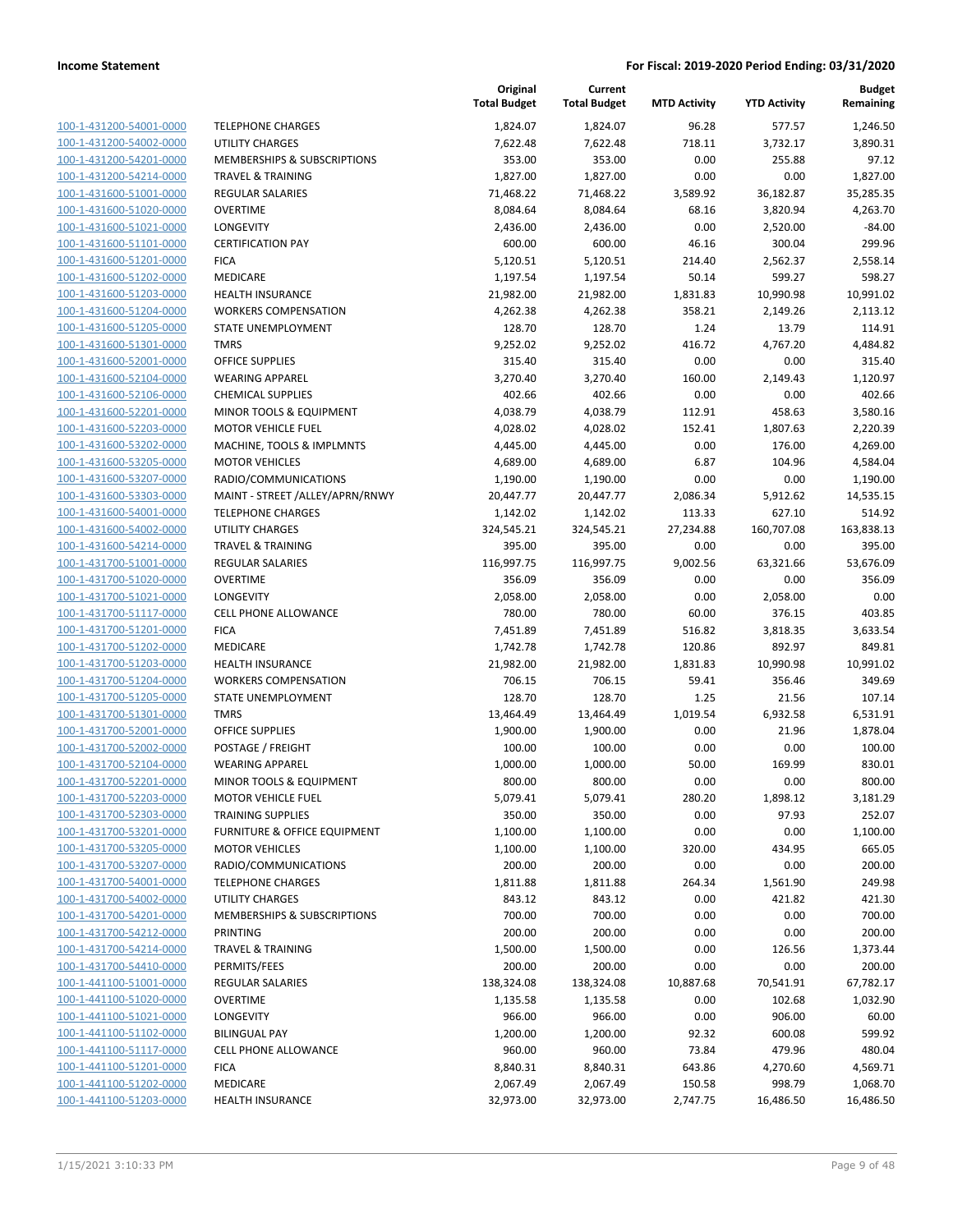| 100-1-431200-54001-0000        |
|--------------------------------|
| 100-1-431200-54002-0000        |
| 100-1-431200-54201-0000        |
| 100-1-431200-54214-0000        |
| <u>100-1-431600-51001-0000</u> |
| 100-1-431600-51020-0000        |
| 100-1-431600-51021-0000        |
| 100-1-431600-51101-0000        |
| 100-1-431600-51201-0000        |
| 100-1-431600-51202-0000        |
| 100-1-431600-51203-0000        |
| 100-1-431600-51204-0000        |
| 100-1-431600-51205-0000        |
| 100-1-431600-51301-0000        |
| <u>100-1-431600-52001-0000</u> |
| 100-1-431600-52104-0000        |
| 100-1-431600-52106-0000        |
| 100-1-431600-52201-0000        |
|                                |
| 100-1-431600-52203-0000        |
| <u>100-1-431600-53202-0000</u> |
| 100-1-431600-53205-0000        |
| 100-1-431600-53207-0000        |
| 100-1-431600-53303-0000        |
| 100-1-431600-54001-0000        |
| <u>100-1-431600-54002-0000</u> |
| 100-1-431600-54214-0000        |
| 100-1-431700-51001-0000        |
| 100-1-431700-51020-0000        |
| 100-1-431700-51021-0000        |
| 100-1-431700-51117-0000        |
| 100-1-431700-51201-0000        |
| 100-1-431700-51202-0000        |
| 100-1-431700-51203-0000        |
| 100-1-431700-51204-0000        |
| <u>100-1-431700-51205-0000</u> |
| 100-1-431700-51301-0000        |
| 100-1-431700-52001-0000        |
| 100-1-431700-52002-0000        |
| 100-1-431700-52104-0000        |
| 100-1-431700-52201-0000        |
| 100-1-431700-52203-0000        |
| 100-1-431700-52303-0000        |
|                                |
| 100-1-431700-53201-0000        |
| <u>100-1-431700-53205-0000</u> |
| <u>100-1-431700-53207-0000</u> |
| 100-1-431700-54001-0000        |
| 100-1-431700-54002-0000        |
| 100-1-431700-54201-0000        |
| <u>100-1-431700-54212-0000</u> |
| 100-1-431700-54214-0000        |
| 100-1-431700-54410-0000        |
| 100-1-441100-51001-0000        |
| 100-1-441100-51020-0000        |
| <u>100-1-441100-51021-0000</u> |
| <u>100-1-441100-51102-0000</u> |
| <u>100-1-441100-51117-0000</u> |
| <u>100-1-441100-51201-0000</u> |
| 100-1-441100-51202-0000        |
| <u>100-1-441100-51203-0000</u> |
|                                |

|                         |                                 | Original<br><b>Total Budget</b> | Current<br><b>Total Budget</b> | <b>MTD Activity</b> | <b>YTD Activity</b> | <b>Budget</b><br>Remaining |
|-------------------------|---------------------------------|---------------------------------|--------------------------------|---------------------|---------------------|----------------------------|
| 100-1-431200-54001-0000 | <b>TELEPHONE CHARGES</b>        | 1,824.07                        | 1,824.07                       | 96.28               | 577.57              | 1,246.50                   |
| 100-1-431200-54002-0000 | <b>UTILITY CHARGES</b>          | 7,622.48                        | 7,622.48                       | 718.11              | 3,732.17            | 3,890.31                   |
| 100-1-431200-54201-0000 | MEMBERSHIPS & SUBSCRIPTIONS     | 353.00                          | 353.00                         | 0.00                | 255.88              | 97.12                      |
| 100-1-431200-54214-0000 | <b>TRAVEL &amp; TRAINING</b>    | 1,827.00                        | 1,827.00                       | 0.00                | 0.00                | 1,827.00                   |
| 100-1-431600-51001-0000 | <b>REGULAR SALARIES</b>         | 71,468.22                       | 71,468.22                      | 3,589.92            | 36,182.87           | 35,285.35                  |
| 100-1-431600-51020-0000 | <b>OVERTIME</b>                 | 8,084.64                        | 8,084.64                       | 68.16               | 3,820.94            | 4,263.70                   |
| 100-1-431600-51021-0000 | <b>LONGEVITY</b>                | 2,436.00                        | 2,436.00                       | 0.00                | 2,520.00            | $-84.00$                   |
| 100-1-431600-51101-0000 | <b>CERTIFICATION PAY</b>        | 600.00                          | 600.00                         | 46.16               | 300.04              | 299.96                     |
| 100-1-431600-51201-0000 | <b>FICA</b>                     | 5,120.51                        | 5,120.51                       | 214.40              | 2,562.37            | 2,558.14                   |
| 100-1-431600-51202-0000 | MEDICARE                        | 1,197.54                        | 1,197.54                       | 50.14               | 599.27              | 598.27                     |
| 100-1-431600-51203-0000 | HEALTH INSURANCE                | 21,982.00                       | 21,982.00                      | 1,831.83            | 10,990.98           | 10,991.02                  |
| 100-1-431600-51204-0000 | <b>WORKERS COMPENSATION</b>     | 4,262.38                        | 4,262.38                       | 358.21              | 2,149.26            | 2,113.12                   |
| 100-1-431600-51205-0000 | STATE UNEMPLOYMENT              | 128.70                          | 128.70                         | 1.24                | 13.79               | 114.91                     |
| 100-1-431600-51301-0000 | <b>TMRS</b>                     | 9,252.02                        | 9,252.02                       | 416.72              | 4,767.20            | 4,484.82                   |
| 100-1-431600-52001-0000 | <b>OFFICE SUPPLIES</b>          | 315.40                          | 315.40                         | 0.00                | 0.00                | 315.40                     |
| 100-1-431600-52104-0000 | <b>WEARING APPAREL</b>          | 3,270.40                        | 3,270.40                       | 160.00              | 2,149.43            | 1,120.97                   |
| 100-1-431600-52106-0000 | <b>CHEMICAL SUPPLIES</b>        | 402.66                          | 402.66                         | 0.00                | 0.00                | 402.66                     |
| 100-1-431600-52201-0000 | MINOR TOOLS & EQUIPMENT         | 4,038.79                        | 4,038.79                       | 112.91              | 458.63              | 3,580.16                   |
| 100-1-431600-52203-0000 | <b>MOTOR VEHICLE FUEL</b>       | 4,028.02                        | 4,028.02                       | 152.41              | 1,807.63            | 2,220.39                   |
| 100-1-431600-53202-0000 | MACHINE, TOOLS & IMPLMNTS       | 4,445.00                        | 4,445.00                       | 0.00                | 176.00              | 4,269.00                   |
| 100-1-431600-53205-0000 | <b>MOTOR VEHICLES</b>           | 4,689.00                        | 4,689.00                       | 6.87                | 104.96              | 4,584.04                   |
| 100-1-431600-53207-0000 | RADIO/COMMUNICATIONS            | 1,190.00                        | 1,190.00                       | 0.00                | 0.00                | 1,190.00                   |
| 100-1-431600-53303-0000 | MAINT - STREET /ALLEY/APRN/RNWY | 20,447.77                       | 20,447.77                      | 2,086.34            | 5,912.62            | 14,535.15                  |
| 100-1-431600-54001-0000 | <b>TELEPHONE CHARGES</b>        | 1,142.02                        | 1,142.02                       | 113.33              | 627.10              | 514.92                     |
| 100-1-431600-54002-0000 | <b>UTILITY CHARGES</b>          | 324,545.21                      | 324,545.21                     | 27,234.88           | 160,707.08          | 163,838.13                 |
| 100-1-431600-54214-0000 | <b>TRAVEL &amp; TRAINING</b>    | 395.00                          | 395.00                         | 0.00                | 0.00                | 395.00                     |
| 100-1-431700-51001-0000 | <b>REGULAR SALARIES</b>         | 116,997.75                      | 116,997.75                     | 9,002.56            | 63,321.66           | 53,676.09                  |
| 100-1-431700-51020-0000 | <b>OVERTIME</b>                 | 356.09                          | 356.09                         | 0.00                | 0.00                | 356.09                     |
| 100-1-431700-51021-0000 | LONGEVITY                       | 2,058.00                        | 2,058.00                       | 0.00                | 2,058.00            | 0.00                       |
| 100-1-431700-51117-0000 | <b>CELL PHONE ALLOWANCE</b>     | 780.00                          | 780.00                         | 60.00               | 376.15              | 403.85                     |
| 100-1-431700-51201-0000 | <b>FICA</b>                     | 7,451.89                        | 7,451.89                       | 516.82              | 3,818.35            | 3,633.54                   |
| 100-1-431700-51202-0000 | MEDICARE                        | 1,742.78                        | 1,742.78                       | 120.86              | 892.97              | 849.81                     |
| 100-1-431700-51203-0000 | <b>HEALTH INSURANCE</b>         | 21,982.00                       | 21,982.00                      | 1,831.83            | 10,990.98           | 10,991.02                  |
| 100-1-431700-51204-0000 | <b>WORKERS COMPENSATION</b>     | 706.15                          | 706.15                         | 59.41               | 356.46              | 349.69                     |
| 100-1-431700-51205-0000 | STATE UNEMPLOYMENT              | 128.70                          | 128.70                         | 1.25                | 21.56               | 107.14                     |
| 100-1-431700-51301-0000 | <b>TMRS</b>                     | 13,464.49                       | 13,464.49                      | 1,019.54            | 6,932.58            | 6,531.91                   |
| 100-1-431700-52001-0000 | <b>OFFICE SUPPLIES</b>          | 1,900.00                        | 1,900.00                       | 0.00                | 21.96               | 1,878.04                   |
| 100-1-431700-52002-0000 | POSTAGE / FREIGHT               | 100.00                          | 100.00                         | 0.00                | 0.00                | 100.00                     |
| 100-1-431700-52104-0000 | <b>WEARING APPAREL</b>          | 1,000.00                        | 1,000.00                       | 50.00               | 169.99              | 830.01                     |
| 100-1-431700-52201-0000 | MINOR TOOLS & EQUIPMENT         | 800.00                          | 800.00                         | 0.00                | 0.00                | 800.00                     |
| 100-1-431700-52203-0000 | <b>MOTOR VEHICLE FUEL</b>       | 5,079.41                        | 5,079.41                       | 280.20              | 1,898.12            | 3,181.29                   |
| 100-1-431700-52303-0000 | <b>TRAINING SUPPLIES</b>        | 350.00                          | 350.00                         | 0.00                | 97.93               | 252.07                     |
| 100-1-431700-53201-0000 | FURNITURE & OFFICE EQUIPMENT    | 1,100.00                        | 1,100.00                       | 0.00                | 0.00                | 1,100.00                   |
| 100-1-431700-53205-0000 | <b>MOTOR VEHICLES</b>           | 1,100.00                        | 1,100.00                       | 320.00              | 434.95              | 665.05                     |
| 100-1-431700-53207-0000 | RADIO/COMMUNICATIONS            | 200.00                          | 200.00                         | 0.00                | 0.00                | 200.00                     |
| 100-1-431700-54001-0000 | <b>TELEPHONE CHARGES</b>        | 1,811.88                        | 1,811.88                       | 264.34              | 1,561.90            | 249.98                     |
| 100-1-431700-54002-0000 | UTILITY CHARGES                 | 843.12                          | 843.12                         | 0.00                | 421.82              | 421.30                     |
| 100-1-431700-54201-0000 | MEMBERSHIPS & SUBSCRIPTIONS     | 700.00                          | 700.00                         | 0.00                | 0.00                | 700.00                     |
| 100-1-431700-54212-0000 | PRINTING                        | 200.00                          | 200.00                         | 0.00                | 0.00                | 200.00                     |
| 100-1-431700-54214-0000 | <b>TRAVEL &amp; TRAINING</b>    | 1,500.00                        | 1,500.00                       | 0.00                | 126.56              | 1,373.44                   |
| 100-1-431700-54410-0000 | PERMITS/FEES                    | 200.00                          | 200.00                         | 0.00                | 0.00                | 200.00                     |
| 100-1-441100-51001-0000 | REGULAR SALARIES                | 138,324.08                      | 138,324.08                     | 10,887.68           | 70,541.91           | 67,782.17                  |
| 100-1-441100-51020-0000 | <b>OVERTIME</b>                 | 1,135.58                        | 1,135.58                       | 0.00                | 102.68              | 1,032.90                   |
| 100-1-441100-51021-0000 | LONGEVITY                       | 966.00                          | 966.00                         | 0.00                | 906.00              | 60.00                      |
| 100-1-441100-51102-0000 | <b>BILINGUAL PAY</b>            | 1,200.00                        | 1,200.00                       | 92.32               | 600.08              | 599.92                     |
| 100-1-441100-51117-0000 | CELL PHONE ALLOWANCE            | 960.00                          | 960.00                         | 73.84               | 479.96              | 480.04                     |
| 100-1-441100-51201-0000 | <b>FICA</b>                     | 8,840.31                        | 8,840.31                       | 643.86              | 4,270.60            | 4,569.71                   |
| 100-1-441100-51202-0000 | MEDICARE                        | 2,067.49                        | 2,067.49                       | 150.58              | 998.79              | 1,068.70                   |
| 100-1-441100-51203-0000 | <b>HEALTH INSURANCE</b>         | 32,973.00                       | 32,973.00                      | 2,747.75            | 16,486.50           | 16,486.50                  |
|                         |                                 |                                 |                                |                     |                     |                            |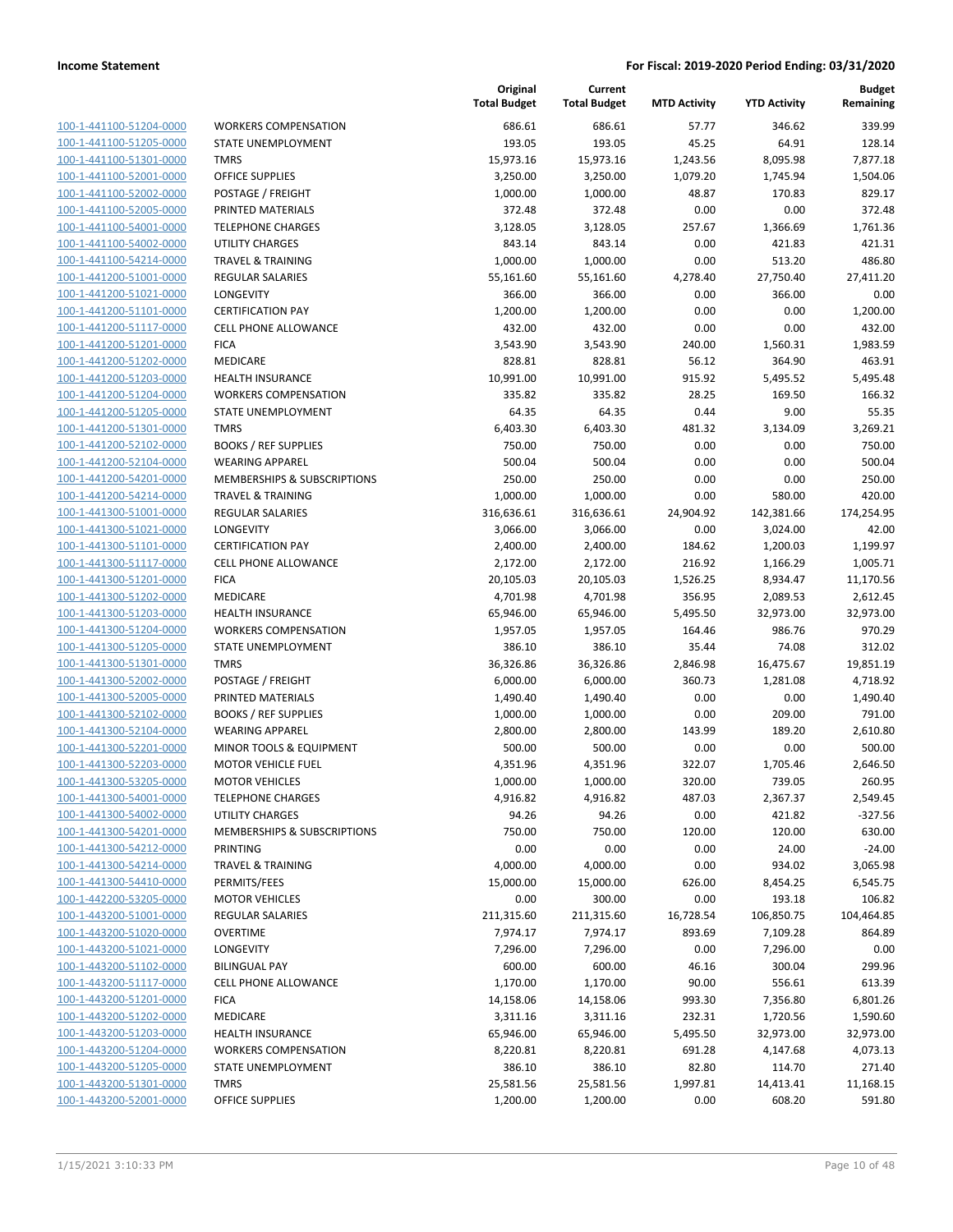100-1-441100-51204-0000 V 100-1-441100-51205-0000 S 100-1-441100-51301-0000 100-1-441100-52001-0000 100-1-441100-52002-0000 **P** 100-1-441100-52005-0000 | 100-1-441100-54001-0000 1 100-1-441100-54002-0000 | 100-1-441100-54214-0000 100-1-441200-51001-0000 REGULAR SALAR SALAR SALAR SALAR SALAR SALAR SALAR SALAR SALAR SALAR SALAR SALAR SALAR S<br>SALAR SALAM SALAM SALAM SALAH SALAH SALAH SALAH SALAH SALAH SALAH SALAH SALAH SALAH SALAH SALAH SALAH SALAM SA 100-1-441200-51021-0000 100-1-441200-51101-0000 **CERTIFICATE** 100-1-441200-51117-0000 ( 100-1-441200-51201-0000 100-1-441200-51202-0000 100-1-441200-51203-0000 100-1-441200-51204-0000 V 100-1-441200-51205-0000 S 100-1-441200-51301-0000 T 100-1-441200-52102-0000 **E** 100-1-441200-52104-0000 100-1-441200-54201-0000 M 100-1-441200-54214-0000 100-1-441300-51001-0000 R 100-1-441300-51021-0000 L 100-1-441300-51101-0000 C 100-1-441300-51117-0000 C 100-1-441300-51201-0000 F 100-1-441300-51202-0000 M 100-1-441300-51203-0000 H 100-1-441300-51204-0000 V 100-1-441300-51205-0000 S 100-1-441300-51301-0000 1 100-1-441300-52002-0000 **F** 100-1-441300-52005-0000 100-1-441300-52102-0000 100-1-441300-52104-0000 \ 100-1-441300-52201-0000 100-1-441300-52203-0000 M 100-1-441300-53205-0000 100-1-441300-54001-0000 T 100-1-441300-54002-0000 U 100-1-441300-54201-0000 M 100-1-441300-54212-0000 **P** 100-1-441300-54214-0000 100-1-441300-54410-0000 **F** 100-1-442200-53205-0000 M 100-1-443200-51001-0000 F 100-1-443200-51020-0000 OVERTIME 7,974.17 7,974.17 893.69 7,109.28 864.89 100-1-443200-51021-0000 L 100-1-443200-51102-0000 **B** 100-1-443200-51117-0000 100-1-443200-51201-0000 F 100-1-443200-51202-0000 100-1-443200-51203-0000 100-1-443200-51204-0000 100-1-443200-51205-0000 STATE STATE STATE STATE STATE STATE STATE STATE STATE STATE STATE STATE STATE STATE S 100-1-443200-51301-0000 100-1-443200-52001-0000 C

|                             | Original<br><b>Total Budget</b> | Current<br><b>Total Budget</b> | <b>MTD Activity</b> | <b>YTD Activity</b> | <b>Budget</b><br>Remaining |
|-----------------------------|---------------------------------|--------------------------------|---------------------|---------------------|----------------------------|
| WORKERS COMPENSATION        | 686.61                          | 686.61                         | 57.77               | 346.62              | 339.99                     |
| STATE UNEMPLOYMENT          | 193.05                          | 193.05                         | 45.25               | 64.91               | 128.14                     |
| TMRS                        | 15,973.16                       | 15,973.16                      | 1,243.56            | 8,095.98            | 7,877.18                   |
| OFFICE SUPPLIES             | 3,250.00                        | 3,250.00                       | 1,079.20            | 1,745.94            | 1,504.06                   |
| POSTAGE / FREIGHT           | 1,000.00                        | 1,000.00                       | 48.87               | 170.83              | 829.17                     |
| PRINTED MATERIALS           | 372.48                          | 372.48                         | 0.00                | 0.00                | 372.48                     |
| <b>TELEPHONE CHARGES</b>    | 3,128.05                        | 3,128.05                       | 257.67              | 1,366.69            | 1,761.36                   |
| UTILITY CHARGES             | 843.14                          | 843.14                         | 0.00                | 421.83              | 421.31                     |
| TRAVEL & TRAINING           | 1,000.00                        | 1,000.00                       | 0.00                | 513.20              | 486.80                     |
| REGULAR SALARIES            | 55,161.60                       | 55,161.60                      | 4,278.40            | 27,750.40           | 27,411.20                  |
| LONGEVITY                   | 366.00                          | 366.00                         | 0.00                | 366.00              | 0.00                       |
| <b>CERTIFICATION PAY</b>    | 1,200.00                        | 1,200.00                       | 0.00                | 0.00                | 1,200.00                   |
| CELL PHONE ALLOWANCE        | 432.00                          | 432.00                         | 0.00                | 0.00                | 432.00                     |
| FICA                        | 3,543.90                        | 3,543.90                       | 240.00              | 1,560.31            | 1,983.59                   |
| MEDICARE                    | 828.81                          | 828.81                         | 56.12               | 364.90              | 463.91                     |
| HEALTH INSURANCE            | 10,991.00                       | 10,991.00                      | 915.92              | 5,495.52            | 5,495.48                   |
| <b>WORKERS COMPENSATION</b> | 335.82                          | 335.82                         | 28.25               | 169.50              | 166.32                     |
| STATE UNEMPLOYMENT          | 64.35                           | 64.35                          | 0.44                | 9.00                | 55.35                      |
| TMRS                        | 6,403.30                        | 6,403.30                       | 481.32              | 3,134.09            | 3,269.21                   |
| BOOKS / REF SUPPLIES        | 750.00                          | 750.00                         | 0.00                | 0.00                | 750.00                     |
| WEARING APPAREL             | 500.04                          | 500.04                         | 0.00                | 0.00                | 500.04                     |
| MEMBERSHIPS & SUBSCRIPTIONS | 250.00                          | 250.00                         | 0.00                | 0.00                | 250.00                     |
| TRAVEL & TRAINING           | 1,000.00                        | 1,000.00                       | 0.00                | 580.00              | 420.00                     |
| REGULAR SALARIES            | 316,636.61                      | 316,636.61                     | 24,904.92           | 142,381.66          | 174,254.95                 |
| LONGEVITY                   | 3,066.00                        | 3,066.00                       | 0.00                | 3,024.00            | 42.00                      |
| <b>CERTIFICATION PAY</b>    | 2,400.00                        | 2,400.00                       | 184.62              | 1,200.03            | 1,199.97                   |
| CELL PHONE ALLOWANCE        | 2,172.00                        | 2,172.00                       | 216.92              | 1,166.29            | 1,005.71                   |
| FICA                        | 20,105.03                       | 20,105.03                      | 1,526.25            | 8,934.47            | 11,170.56                  |
| MEDICARE                    | 4,701.98                        | 4,701.98                       | 356.95              | 2,089.53            | 2,612.45                   |
| HEALTH INSURANCE            | 65,946.00                       | 65,946.00                      | 5,495.50            | 32,973.00           | 32,973.00                  |
| WORKERS COMPENSATION        | 1,957.05                        | 1,957.05                       | 164.46              | 986.76              | 970.29                     |
| STATE UNEMPLOYMENT          | 386.10                          | 386.10                         | 35.44               | 74.08               | 312.02                     |
| TMRS                        | 36,326.86                       | 36,326.86                      | 2,846.98            | 16,475.67           | 19,851.19                  |
| POSTAGE / FREIGHT           | 6,000.00                        | 6,000.00                       | 360.73              | 1,281.08            | 4,718.92                   |
| PRINTED MATERIALS           | 1,490.40                        | 1,490.40                       | 0.00                | 0.00                | 1,490.40                   |
| BOOKS / REF SUPPLIES        | 1,000.00                        | 1,000.00                       | 0.00                | 209.00              | 791.00                     |
| WEARING APPAREL             | 2,800.00                        | 2,800.00                       | 143.99              | 189.20              | 2,610.80                   |
| MINOR TOOLS & EQUIPMENT     | 500.00                          | 500.00                         | 0.00                | 0.00                | 500.00                     |
| MOTOR VEHICLE FUEL          | 4,351.96                        | 4,351.96                       | 322.07              | 1,705.46            | 2,646.50                   |
| MOTOR VEHICLES              | 1,000.00                        | 1,000.00                       | 320.00              | 739.05              | 260.95                     |
| TELEPHONE CHARGES           | 4,916.82                        | 4,916.82                       | 487.03              | 2,367.37            | 2,549.45                   |
| UTILITY CHARGES             | 94.26                           | 94.26                          | 0.00                | 421.82              | $-327.56$                  |
| MEMBERSHIPS & SUBSCRIPTIONS | 750.00                          | 750.00                         | 120.00              | 120.00              | 630.00                     |
| PRINTING                    | 0.00                            | 0.00                           | 0.00                | 24.00               | $-24.00$                   |
| TRAVEL & TRAINING           | 4,000.00                        | 4,000.00                       | 0.00                | 934.02              | 3,065.98                   |
| PERMITS/FEES                | 15,000.00                       | 15,000.00                      | 626.00              | 8,454.25            | 6,545.75                   |
| MOTOR VEHICLES              | 0.00                            | 300.00                         | 0.00                | 193.18              | 106.82                     |
| REGULAR SALARIES            | 211,315.60                      | 211,315.60                     | 16,728.54           | 106,850.75          | 104,464.85                 |
| OVERTIME                    | 7,974.17                        | 7,974.17                       | 893.69              | 7,109.28            | 864.89                     |
| LONGEVITY                   | 7,296.00                        | 7,296.00                       | 0.00                | 7,296.00            | 0.00                       |
| <b>BILINGUAL PAY</b>        | 600.00                          | 600.00                         | 46.16               | 300.04              | 299.96                     |
| CELL PHONE ALLOWANCE        | 1,170.00                        | 1,170.00                       | 90.00               | 556.61              | 613.39                     |
| FICA                        | 14,158.06                       | 14,158.06                      | 993.30              | 7,356.80            | 6,801.26                   |
| MEDICARE                    | 3,311.16                        | 3,311.16                       | 232.31              | 1,720.56            | 1,590.60                   |
| HEALTH INSURANCE            | 65,946.00                       | 65,946.00                      | 5,495.50            | 32,973.00           | 32,973.00                  |
| WORKERS COMPENSATION        | 8,220.81                        | 8,220.81                       | 691.28              | 4,147.68            | 4,073.13                   |
| STATE UNEMPLOYMENT          | 386.10                          | 386.10                         | 82.80               | 114.70              | 271.40                     |
| TMRS                        | 25,581.56                       | 25,581.56                      | 1,997.81            | 14,413.41           | 11,168.15                  |
| OFFICE SUPPLIES             | 1,200.00                        | 1,200.00                       | 0.00                | 608.20              | 591.80                     |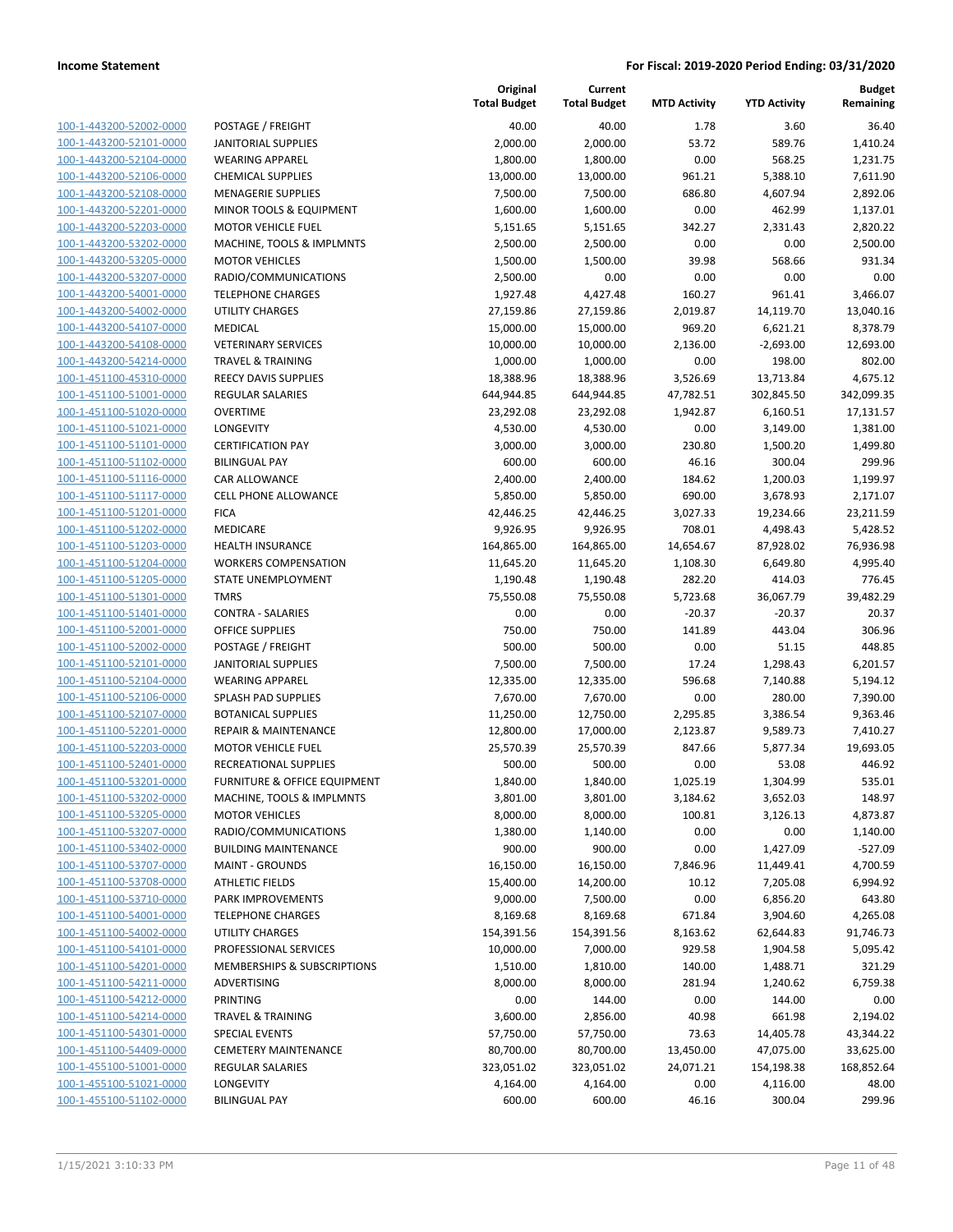100-1-443200-52002-0000 100-1-443200-52101-0000 100-1-443200-52104-0000 100-1-443200-52106-0000 100-1-443200-52108-0000 100-1-443200-52201-0000 100-1-443200-52203-0000 100-1-443200-53202-0000 100-1-443200-53205-0000 100-1-443200-53207-0000 RADIO/COMMUNICATIONS 2,500.00 0.00 0.00 0.00 0.00 100-1-443200-54001-0000 100-1-443200-54002-0000 100-1-443200-54107-0000 100-1-443200-54108-0000 100-1-443200-54214-0000 100-1-451100-45310-0000 100-1-451100-51001-0000 100-1-451100-51020-0000 100-1-451100-51021-0000 LONGEVITY 4,530.00 4,530.00 0.00 3,149.00 1,381.00 100-1-451100-51101-0000 100-1-451100-51102-0000 100-1-451100-51116-0000 100-1-451100-51117-0000 100-1-451100-51201-0000 100-1-451100-51202-0000 100-1-451100-51203-0000 100-1-451100-51204-0000 100-1-451100-51205-0000 100-1-451100-51301-0000 100-1-451100-51401-0000 100-1-451100-52001-0000 100-1-451100-52002-0000 100-1-451100-52101-0000 100-1-451100-52104-0000 100-1-451100-52106-0000 100-1-451100-52107-0000 100-1-451100-52201-0000 100-1-451100-52203-0000 100-1-451100-52401-0000 100-1-451100-53201-0000 100-1-451100-53202-0000 100-1-451100-53205-0000 100-1-451100-53207-0000 100-1-451100-53402-0000 100-1-451100-53707-0000 100-1-451100-53708-0000 100-1-451100-53710-0000 100-1-451100-54001-0000 100-1-451100-54002-0000 100-1-451100-54101-0000 100-1-451100-54201-0000 100-1-451100-54211-0000 100-1-451100-54212-0000 100-1-451100-54214-0000 100-1-451100-54301-0000 100-1-451100-54409-0000 100-1-455100-51001-0000 100-1-455100-51021-0000 100-1-455100-51102-0000

|                                         | Original<br><b>Total Budget</b> | Current<br><b>Total Budget</b> | <b>MTD Activity</b> | <b>YTD Activity</b> | <b>Budget</b><br>Remaining |
|-----------------------------------------|---------------------------------|--------------------------------|---------------------|---------------------|----------------------------|
| POSTAGE / FREIGHT                       | 40.00                           | 40.00                          | 1.78                | 3.60                | 36.40                      |
| <b>JANITORIAL SUPPLIES</b>              | 2,000.00                        | 2,000.00                       | 53.72               | 589.76              | 1,410.24                   |
| <b>WEARING APPAREL</b>                  | 1,800.00                        | 1,800.00                       | 0.00                | 568.25              | 1,231.75                   |
| <b>CHEMICAL SUPPLIES</b>                | 13,000.00                       | 13,000.00                      | 961.21              | 5,388.10            | 7,611.90                   |
| <b>MENAGERIE SUPPLIES</b>               | 7,500.00                        | 7,500.00                       | 686.80              | 4,607.94            | 2,892.06                   |
| MINOR TOOLS & EQUIPMENT                 | 1,600.00                        | 1,600.00                       | 0.00                | 462.99              | 1,137.01                   |
| <b>MOTOR VEHICLE FUEL</b>               | 5,151.65                        | 5,151.65                       | 342.27              | 2,331.43            | 2,820.22                   |
| MACHINE, TOOLS & IMPLMNTS               | 2,500.00                        | 2,500.00                       | 0.00                | 0.00                | 2,500.00                   |
| <b>MOTOR VEHICLES</b>                   | 1,500.00                        | 1,500.00                       | 39.98               | 568.66              | 931.34                     |
| RADIO/COMMUNICATIONS                    | 2,500.00                        | 0.00                           | 0.00                | 0.00                | 0.00                       |
| <b>TELEPHONE CHARGES</b>                | 1,927.48                        | 4,427.48                       | 160.27              | 961.41              | 3,466.07                   |
| <b>UTILITY CHARGES</b>                  | 27,159.86                       | 27,159.86                      | 2,019.87            | 14,119.70           | 13,040.16                  |
| MEDICAL                                 | 15,000.00                       | 15,000.00                      | 969.20              | 6,621.21            | 8,378.79                   |
| <b>VETERINARY SERVICES</b>              | 10,000.00                       | 10,000.00                      | 2,136.00            | $-2,693.00$         | 12,693.00                  |
| <b>TRAVEL &amp; TRAINING</b>            | 1,000.00                        | 1,000.00                       | 0.00                | 198.00              | 802.00                     |
| <b>REECY DAVIS SUPPLIES</b>             | 18,388.96                       | 18,388.96                      | 3,526.69            | 13,713.84           | 4,675.12                   |
| <b>REGULAR SALARIES</b>                 | 644,944.85                      | 644,944.85                     | 47,782.51           | 302,845.50          | 342,099.35                 |
| <b>OVERTIME</b>                         | 23,292.08                       | 23,292.08                      | 1,942.87            | 6,160.51            | 17,131.57                  |
| <b>LONGEVITY</b>                        | 4,530.00                        | 4,530.00                       | 0.00                | 3,149.00            | 1,381.00                   |
| <b>CERTIFICATION PAY</b>                | 3,000.00                        | 3,000.00                       | 230.80              | 1,500.20            | 1,499.80                   |
| <b>BILINGUAL PAY</b>                    | 600.00                          | 600.00                         | 46.16               | 300.04              | 299.96                     |
| <b>CAR ALLOWANCE</b>                    | 2,400.00                        | 2,400.00                       | 184.62              | 1,200.03            | 1,199.97                   |
| <b>CELL PHONE ALLOWANCE</b>             | 5,850.00                        | 5,850.00                       | 690.00              | 3,678.93            | 2,171.07                   |
| <b>FICA</b>                             | 42,446.25                       | 42,446.25                      | 3,027.33            | 19,234.66           | 23,211.59                  |
| MEDICARE                                | 9,926.95                        | 9,926.95                       | 708.01              | 4,498.43            | 5,428.52                   |
| <b>HEALTH INSURANCE</b>                 | 164,865.00                      | 164,865.00                     | 14,654.67           | 87,928.02           | 76,936.98                  |
| <b>WORKERS COMPENSATION</b>             | 11,645.20                       | 11,645.20                      | 1,108.30            | 6,649.80            | 4,995.40                   |
| STATE UNEMPLOYMENT                      | 1,190.48                        | 1,190.48                       | 282.20              | 414.03              | 776.45                     |
| <b>TMRS</b>                             | 75,550.08                       | 75,550.08                      | 5,723.68            | 36,067.79           | 39,482.29                  |
| <b>CONTRA - SALARIES</b>                | 0.00                            | 0.00                           | $-20.37$            | $-20.37$            | 20.37                      |
| <b>OFFICE SUPPLIES</b>                  | 750.00                          | 750.00                         | 141.89              | 443.04              | 306.96                     |
| POSTAGE / FREIGHT                       | 500.00                          | 500.00                         | 0.00                | 51.15               | 448.85                     |
| <b>JANITORIAL SUPPLIES</b>              | 7,500.00                        | 7,500.00                       | 17.24               | 1,298.43            | 6,201.57                   |
| <b>WEARING APPAREL</b>                  | 12,335.00                       | 12,335.00                      | 596.68              | 7,140.88            | 5,194.12                   |
| SPLASH PAD SUPPLIES                     | 7,670.00                        | 7,670.00                       | 0.00                | 280.00              | 7,390.00                   |
| <b>BOTANICAL SUPPLIES</b>               | 11,250.00                       | 12,750.00                      | 2,295.85            | 3,386.54            | 9,363.46                   |
| <b>REPAIR &amp; MAINTENANCE</b>         | 12,800.00                       | 17,000.00                      | 2,123.87            | 9,589.73            | 7,410.27                   |
| <b>MOTOR VEHICLE FUEL</b>               | 25,570.39                       | 25,570.39                      | 847.66              | 5,877.34            | 19,693.05                  |
| RECREATIONAL SUPPLIES                   | 500.00                          | 500.00                         | 0.00                | 53.08               | 446.92                     |
| <b>FURNITURE &amp; OFFICE EQUIPMENT</b> | 1,840.00                        | 1,840.00                       | 1,025.19            | 1,304.99            | 535.01                     |
| MACHINE, TOOLS & IMPLMNTS               | 3,801.00                        | 3,801.00                       | 3,184.62            | 3,652.03            | 148.97                     |
| <b>MOTOR VEHICLES</b>                   | 8,000.00                        | 8,000.00                       | 100.81              | 3,126.13            | 4,873.87                   |
| RADIO/COMMUNICATIONS                    | 1,380.00                        | 1,140.00                       | 0.00                | 0.00                | 1,140.00                   |
| <b>BUILDING MAINTENANCE</b>             | 900.00                          | 900.00                         | 0.00                | 1,427.09            | $-527.09$                  |
| <b>MAINT - GROUNDS</b>                  | 16,150.00                       | 16,150.00                      | 7,846.96            | 11,449.41           | 4,700.59                   |
| <b>ATHLETIC FIELDS</b>                  | 15,400.00                       | 14,200.00                      | 10.12               | 7,205.08            | 6,994.92                   |
| PARK IMPROVEMENTS                       | 9,000.00                        | 7,500.00                       | 0.00                | 6,856.20            | 643.80                     |
| <b>TELEPHONE CHARGES</b>                | 8,169.68                        | 8,169.68                       | 671.84              | 3,904.60            | 4,265.08                   |
| UTILITY CHARGES                         | 154,391.56                      | 154,391.56                     | 8,163.62            | 62,644.83           | 91,746.73                  |
| PROFESSIONAL SERVICES                   | 10,000.00                       | 7,000.00                       | 929.58              | 1,904.58            | 5,095.42                   |
| MEMBERSHIPS & SUBSCRIPTIONS             | 1,510.00                        | 1,810.00                       | 140.00              | 1,488.71            | 321.29                     |
| ADVERTISING                             | 8,000.00                        | 8,000.00                       | 281.94              | 1,240.62            | 6,759.38                   |
| <b>PRINTING</b>                         | 0.00                            | 144.00                         | 0.00                | 144.00              | 0.00                       |
| <b>TRAVEL &amp; TRAINING</b>            | 3,600.00                        | 2,856.00                       | 40.98               | 661.98              | 2,194.02                   |
| <b>SPECIAL EVENTS</b>                   | 57,750.00                       | 57,750.00                      | 73.63               | 14,405.78           | 43,344.22                  |
| <b>CEMETERY MAINTENANCE</b>             | 80,700.00                       | 80,700.00                      | 13,450.00           | 47,075.00           | 33,625.00                  |
| <b>REGULAR SALARIES</b>                 | 323,051.02                      | 323,051.02                     | 24,071.21           | 154,198.38          | 168,852.64                 |
| LONGEVITY                               | 4,164.00                        | 4,164.00                       | 0.00                | 4,116.00            | 48.00                      |
| <b>BILINGUAL PAY</b>                    | 600.00                          | 600.00                         | 46.16               | 300.04              | 299.96                     |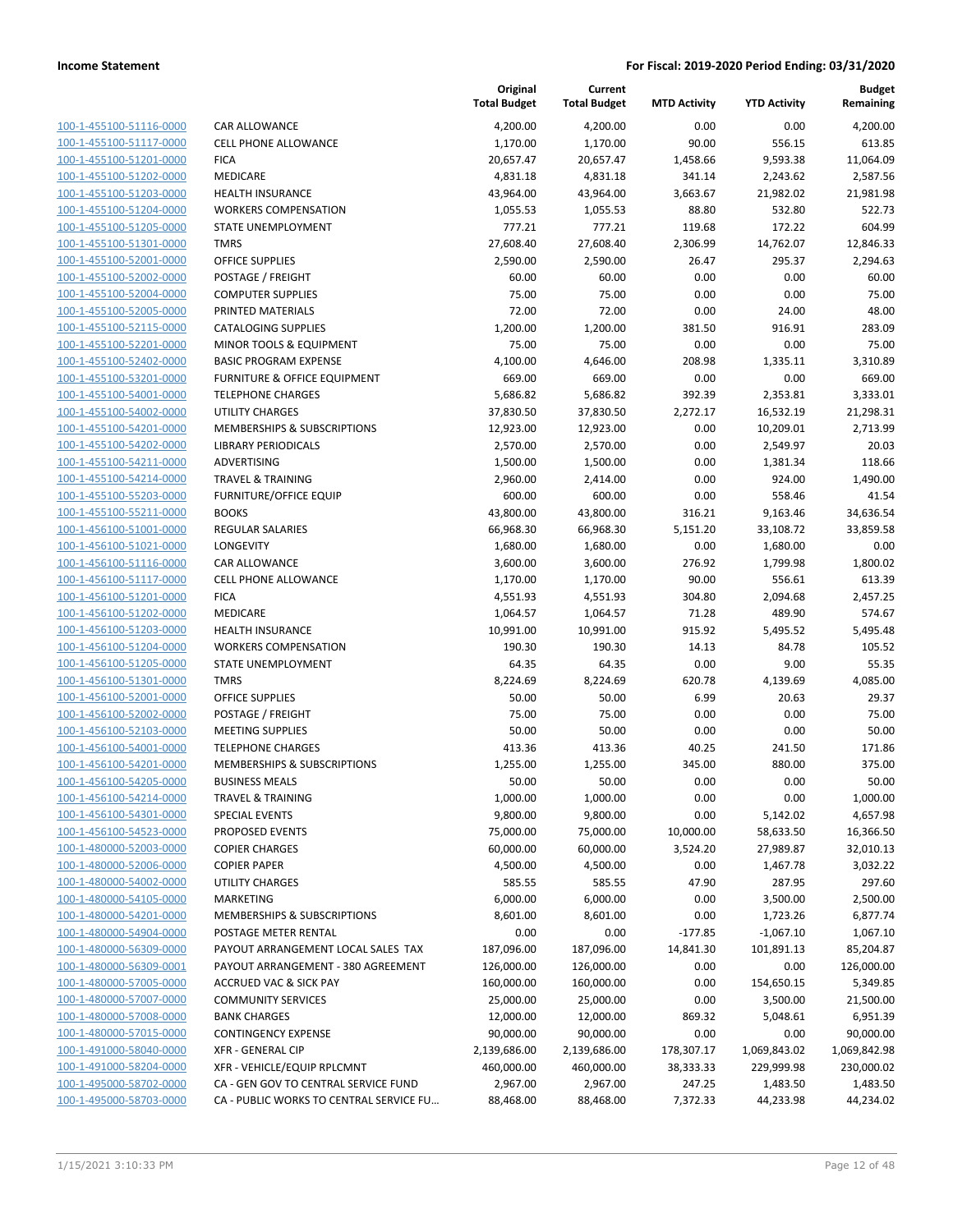| 100-1-455100-51116-0000         |
|---------------------------------|
| 100-1-455100-51117-0000         |
| 100-1-455100-51201-0000         |
| 100-1-455100-51202-0000         |
| <u>100-1-455100-51203-0000</u>  |
| 100-1-455100-51204-0000         |
| 100-1-455100-51205-0000         |
| 100-1-455100-51301-0000         |
| 100-1-455100-52001-0000         |
| <u>100-1-455100-52002-0000</u>  |
| 100-1-455100-52004-0000         |
| 100-1-455100-52005-0000         |
| 100-1-455100-52115-0000         |
| 100-1-455100-52201-0000         |
| <u>100-1-455100-52402-0000</u>  |
| 100-1-455100-53201-0000         |
| 100-1-455100-54001-0000         |
| 100-1-455100-54002-0000         |
| 100-1-455100-54201-0000         |
| 100-1-455100-54202-0000         |
| 100-1-455100-54211-0000         |
| 100-1-455100-54214-0000         |
| 100-1-455100-55203-0000         |
| 100-1-455100-55211-0000         |
| <u>100-1-456100-51001-0000</u>  |
| 100-1-456100-51021-0000         |
| 456100-51116-0000<br>$100 - 1$  |
| 100-1-456100-51117-0000         |
| 100-1-456100-51201-0000         |
| 100-1-456100-51202-0000         |
| 100-1-456100-51203-0000         |
| -456100-51204-0000<br>$100 - 1$ |
| 100-1-456100-51205-0000         |
| 100-1-456100-51301-0000         |
| 100-1-456100-52001-0000         |
| 100-1-456100-52002-0000         |
| 100-1-456100-52103-0000         |
| 100-1-456100-54001-0000         |
| 100-1-456100-54201-0000         |
| 100-1-456100-54205-0000         |
| 100-1-456100-54214-0000         |
| <u>100-1-456100-54301-0000</u>  |
| 100-1-456100-54523-0000         |
| <u>100-1-480000-52003-0000</u>  |
| <u>100-1-480000-52006-0000</u>  |
| 100-1-480000-54002-0000         |
| 100-1-480000-54105-0000         |
| 100-1-480000-54201-0000         |
| <u>100-1-480000-54904-0000</u>  |
| <u>100-1-480000-56309-0000</u>  |
| <u>100-1-480000-56309-0001</u>  |
| 100-1-480000-57005-0000         |
| 100-1-480000-57007-0000         |
| <u>100-1-480000-57008-0000</u>  |
| <u>100-1-480000-57015-0000</u>  |
| <u>100-1-491000-58040-0000</u>  |
| <u>100-1-491000-58204-0000</u>  |
| 100-1-495000-58702-0000         |
| 100-1-495000-58703-0000         |
|                                 |

|                                                    |                                                          | Original<br><b>Total Budget</b> | Current<br><b>Total Budget</b> | <b>MTD Activity</b> | <b>YTD Activity</b>   | <b>Budget</b><br>Remaining |
|----------------------------------------------------|----------------------------------------------------------|---------------------------------|--------------------------------|---------------------|-----------------------|----------------------------|
| 100-1-455100-51116-0000                            | CAR ALLOWANCE                                            | 4,200.00                        | 4,200.00                       | 0.00                | 0.00                  | 4,200.00                   |
| 100-1-455100-51117-0000                            | <b>CELL PHONE ALLOWANCE</b>                              | 1,170.00                        | 1,170.00                       | 90.00               | 556.15                | 613.85                     |
| 100-1-455100-51201-0000                            | <b>FICA</b>                                              | 20,657.47                       | 20,657.47                      | 1,458.66            | 9,593.38              | 11,064.09                  |
| 100-1-455100-51202-0000                            | MEDICARE                                                 | 4,831.18                        | 4,831.18                       | 341.14              | 2,243.62              | 2,587.56                   |
| 100-1-455100-51203-0000                            | <b>HEALTH INSURANCE</b>                                  | 43,964.00                       | 43,964.00                      | 3,663.67            | 21,982.02             | 21,981.98                  |
| 100-1-455100-51204-0000                            | <b>WORKERS COMPENSATION</b>                              | 1,055.53                        | 1,055.53                       | 88.80               | 532.80                | 522.73                     |
| 100-1-455100-51205-0000                            | STATE UNEMPLOYMENT                                       | 777.21                          | 777.21                         | 119.68              | 172.22                | 604.99                     |
| 100-1-455100-51301-0000                            | <b>TMRS</b>                                              | 27,608.40                       | 27,608.40                      | 2,306.99            | 14,762.07             | 12,846.33                  |
| 100-1-455100-52001-0000                            | <b>OFFICE SUPPLIES</b>                                   | 2,590.00                        | 2,590.00                       | 26.47               | 295.37                | 2,294.63                   |
| 100-1-455100-52002-0000                            | POSTAGE / FREIGHT                                        | 60.00                           | 60.00                          | 0.00                | 0.00                  | 60.00                      |
| 100-1-455100-52004-0000                            | <b>COMPUTER SUPPLIES</b>                                 | 75.00                           | 75.00                          | 0.00                | 0.00                  | 75.00                      |
| 100-1-455100-52005-0000                            | PRINTED MATERIALS                                        | 72.00                           | 72.00                          | 0.00                | 24.00                 | 48.00                      |
| 100-1-455100-52115-0000                            | <b>CATALOGING SUPPLIES</b>                               | 1,200.00                        | 1,200.00                       | 381.50              | 916.91                | 283.09                     |
| 100-1-455100-52201-0000                            | MINOR TOOLS & EQUIPMENT                                  | 75.00                           | 75.00                          | 0.00                | 0.00                  | 75.00                      |
| 100-1-455100-52402-0000                            | <b>BASIC PROGRAM EXPENSE</b>                             | 4,100.00                        | 4,646.00                       | 208.98              | 1,335.11              | 3,310.89                   |
| 100-1-455100-53201-0000<br>100-1-455100-54001-0000 | FURNITURE & OFFICE EQUIPMENT<br><b>TELEPHONE CHARGES</b> | 669.00<br>5,686.82              | 669.00<br>5,686.82             | 0.00<br>392.39      | 0.00<br>2,353.81      | 669.00<br>3,333.01         |
| 100-1-455100-54002-0000                            | <b>UTILITY CHARGES</b>                                   | 37,830.50                       | 37,830.50                      | 2,272.17            | 16,532.19             | 21,298.31                  |
| 100-1-455100-54201-0000                            | MEMBERSHIPS & SUBSCRIPTIONS                              | 12,923.00                       | 12,923.00                      | 0.00                | 10,209.01             | 2,713.99                   |
| 100-1-455100-54202-0000                            | <b>LIBRARY PERIODICALS</b>                               | 2,570.00                        | 2,570.00                       | 0.00                | 2,549.97              | 20.03                      |
| 100-1-455100-54211-0000                            | ADVERTISING                                              | 1,500.00                        | 1,500.00                       | 0.00                | 1,381.34              | 118.66                     |
| 100-1-455100-54214-0000                            | <b>TRAVEL &amp; TRAINING</b>                             | 2,960.00                        | 2,414.00                       | 0.00                | 924.00                | 1,490.00                   |
| 100-1-455100-55203-0000                            | <b>FURNITURE/OFFICE EQUIP</b>                            | 600.00                          | 600.00                         | 0.00                | 558.46                | 41.54                      |
| 100-1-455100-55211-0000                            | <b>BOOKS</b>                                             | 43,800.00                       | 43,800.00                      | 316.21              | 9,163.46              | 34,636.54                  |
| 100-1-456100-51001-0000                            | <b>REGULAR SALARIES</b>                                  | 66,968.30                       | 66,968.30                      | 5,151.20            | 33,108.72             | 33,859.58                  |
| 100-1-456100-51021-0000                            | LONGEVITY                                                | 1,680.00                        | 1,680.00                       | 0.00                | 1,680.00              | 0.00                       |
| 100-1-456100-51116-0000                            | CAR ALLOWANCE                                            | 3,600.00                        | 3,600.00                       | 276.92              | 1,799.98              | 1,800.02                   |
| 100-1-456100-51117-0000                            | <b>CELL PHONE ALLOWANCE</b>                              | 1,170.00                        | 1,170.00                       | 90.00               | 556.61                | 613.39                     |
| 100-1-456100-51201-0000                            | <b>FICA</b>                                              | 4,551.93                        | 4,551.93                       | 304.80              | 2,094.68              | 2,457.25                   |
| 100-1-456100-51202-0000                            | MEDICARE                                                 | 1,064.57                        | 1,064.57                       | 71.28               | 489.90                | 574.67                     |
| 100-1-456100-51203-0000                            | <b>HEALTH INSURANCE</b>                                  | 10,991.00                       | 10,991.00                      | 915.92              | 5,495.52              | 5,495.48                   |
| 100-1-456100-51204-0000                            | <b>WORKERS COMPENSATION</b>                              | 190.30                          | 190.30                         | 14.13               | 84.78                 | 105.52                     |
| 100-1-456100-51205-0000                            | STATE UNEMPLOYMENT                                       | 64.35                           | 64.35                          | 0.00                | 9.00                  | 55.35                      |
| 100-1-456100-51301-0000                            | <b>TMRS</b>                                              | 8,224.69                        | 8,224.69                       | 620.78              | 4,139.69              | 4,085.00                   |
| 100-1-456100-52001-0000                            | <b>OFFICE SUPPLIES</b>                                   | 50.00                           | 50.00                          | 6.99                | 20.63                 | 29.37                      |
| 100-1-456100-52002-0000                            | POSTAGE / FREIGHT                                        | 75.00                           | 75.00                          | 0.00                | 0.00                  | 75.00                      |
| 100-1-456100-52103-0000                            | <b>MEETING SUPPLIES</b>                                  | 50.00                           | 50.00                          | 0.00                | 0.00                  | 50.00                      |
| 100-1-456100-54001-0000                            | <b>TELEPHONE CHARGES</b>                                 | 413.36                          | 413.36                         | 40.25               | 241.50                | 171.86                     |
| 100-1-456100-54201-0000                            | MEMBERSHIPS & SUBSCRIPTIONS                              | 1,255.00                        | 1,255.00                       | 345.00              | 880.00                | 375.00                     |
| 100-1-456100-54205-0000                            | <b>BUSINESS MEALS</b>                                    | 50.00                           | 50.00                          | 0.00                | 0.00                  | 50.00                      |
| 100-1-456100-54214-0000<br>100-1-456100-54301-0000 | TRAVEL & TRAINING                                        | 1,000.00                        | 1,000.00                       | 0.00                | 0.00                  | 1,000.00                   |
| 100-1-456100-54523-0000                            | SPECIAL EVENTS<br>PROPOSED EVENTS                        | 9,800.00<br>75,000.00           | 9,800.00<br>75,000.00          | 0.00<br>10,000.00   | 5,142.02<br>58,633.50 | 4,657.98<br>16,366.50      |
| 100-1-480000-52003-0000                            | <b>COPIER CHARGES</b>                                    | 60,000.00                       | 60,000.00                      | 3,524.20            | 27,989.87             | 32,010.13                  |
| 100-1-480000-52006-0000                            | <b>COPIER PAPER</b>                                      | 4,500.00                        | 4,500.00                       | 0.00                | 1,467.78              | 3,032.22                   |
| 100-1-480000-54002-0000                            | UTILITY CHARGES                                          | 585.55                          | 585.55                         | 47.90               | 287.95                | 297.60                     |
| 100-1-480000-54105-0000                            | MARKETING                                                | 6,000.00                        | 6,000.00                       | 0.00                | 3,500.00              | 2,500.00                   |
| 100-1-480000-54201-0000                            | MEMBERSHIPS & SUBSCRIPTIONS                              | 8,601.00                        | 8,601.00                       | 0.00                | 1,723.26              | 6,877.74                   |
| 100-1-480000-54904-0000                            | POSTAGE METER RENTAL                                     | 0.00                            | 0.00                           | $-177.85$           | $-1,067.10$           | 1,067.10                   |
| 100-1-480000-56309-0000                            | PAYOUT ARRANGEMENT LOCAL SALES TAX                       | 187,096.00                      | 187,096.00                     | 14,841.30           | 101,891.13            | 85,204.87                  |
| 100-1-480000-56309-0001                            | PAYOUT ARRANGEMENT - 380 AGREEMENT                       | 126,000.00                      | 126,000.00                     | 0.00                | 0.00                  | 126,000.00                 |
| 100-1-480000-57005-0000                            | <b>ACCRUED VAC &amp; SICK PAY</b>                        | 160,000.00                      | 160,000.00                     | 0.00                | 154,650.15            | 5,349.85                   |
| 100-1-480000-57007-0000                            | <b>COMMUNITY SERVICES</b>                                | 25,000.00                       | 25,000.00                      | 0.00                | 3,500.00              | 21,500.00                  |
| 100-1-480000-57008-0000                            | <b>BANK CHARGES</b>                                      | 12,000.00                       | 12,000.00                      | 869.32              | 5,048.61              | 6,951.39                   |
| 100-1-480000-57015-0000                            | <b>CONTINGENCY EXPENSE</b>                               | 90,000.00                       | 90,000.00                      | 0.00                | 0.00                  | 90,000.00                  |
| 100-1-491000-58040-0000                            | <b>XFR - GENERAL CIP</b>                                 | 2,139,686.00                    | 2,139,686.00                   | 178,307.17          | 1,069,843.02          | 1,069,842.98               |
| 100-1-491000-58204-0000                            | XFR - VEHICLE/EQUIP RPLCMNT                              | 460,000.00                      | 460,000.00                     | 38,333.33           | 229,999.98            | 230,000.02                 |
| 100-1-495000-58702-0000                            | CA - GEN GOV TO CENTRAL SERVICE FUND                     | 2,967.00                        | 2,967.00                       | 247.25              | 1,483.50              | 1,483.50                   |
| 100-1-495000-58703-0000                            | CA - PUBLIC WORKS TO CENTRAL SERVICE FU                  | 88,468.00                       | 88,468.00                      | 7,372.33            | 44,233.98             | 44,234.02                  |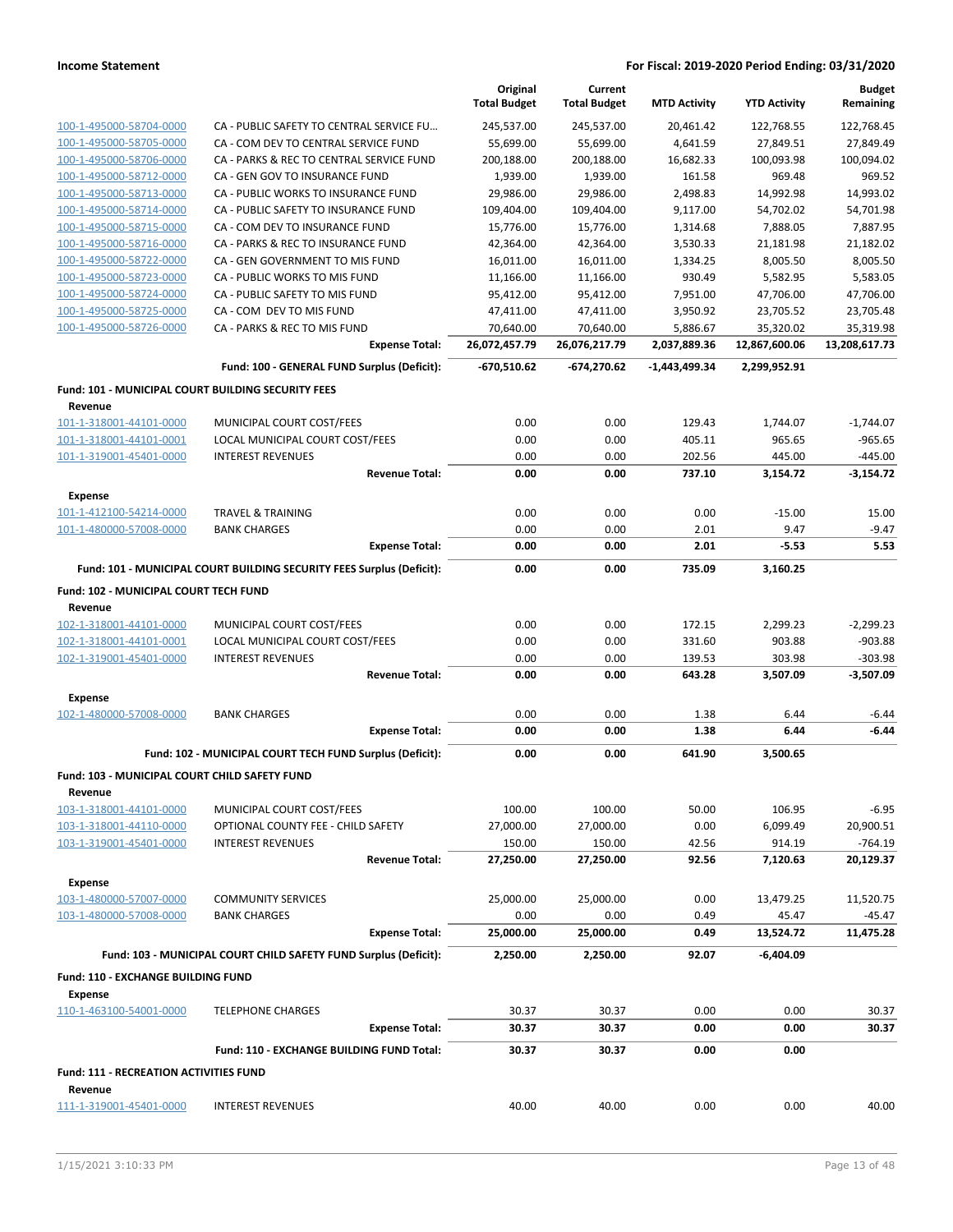|                                                               |                                                                       | Original<br><b>Total Budget</b> | Current<br><b>Total Budget</b> | <b>MTD Activity</b> | <b>YTD Activity</b> | <b>Budget</b><br>Remaining |
|---------------------------------------------------------------|-----------------------------------------------------------------------|---------------------------------|--------------------------------|---------------------|---------------------|----------------------------|
| 100-1-495000-58704-0000                                       | CA - PUBLIC SAFETY TO CENTRAL SERVICE FU                              | 245,537.00                      | 245,537.00                     | 20,461.42           | 122,768.55          | 122,768.45                 |
| 100-1-495000-58705-0000                                       | CA - COM DEV TO CENTRAL SERVICE FUND                                  | 55,699.00                       | 55,699.00                      | 4,641.59            | 27,849.51           | 27,849.49                  |
| 100-1-495000-58706-0000                                       | CA - PARKS & REC TO CENTRAL SERVICE FUND                              | 200,188.00                      | 200,188.00                     | 16,682.33           | 100,093.98          | 100,094.02                 |
| 100-1-495000-58712-0000                                       | CA - GEN GOV TO INSURANCE FUND                                        | 1,939.00                        | 1,939.00                       | 161.58              | 969.48              | 969.52                     |
| 100-1-495000-58713-0000                                       | CA - PUBLIC WORKS TO INSURANCE FUND                                   | 29,986.00                       | 29,986.00                      | 2,498.83            | 14,992.98           | 14,993.02                  |
| 100-1-495000-58714-0000                                       | CA - PUBLIC SAFETY TO INSURANCE FUND                                  | 109,404.00                      | 109,404.00                     | 9,117.00            | 54,702.02           | 54,701.98                  |
| 100-1-495000-58715-0000                                       | CA - COM DEV TO INSURANCE FUND                                        | 15,776.00                       | 15,776.00                      | 1,314.68            | 7,888.05            | 7,887.95                   |
| 100-1-495000-58716-0000                                       | CA - PARKS & REC TO INSURANCE FUND                                    | 42,364.00                       | 42,364.00                      | 3,530.33            | 21,181.98           | 21,182.02                  |
| 100-1-495000-58722-0000                                       | CA - GEN GOVERNMENT TO MIS FUND                                       | 16,011.00                       | 16,011.00                      | 1,334.25            | 8,005.50            | 8,005.50                   |
| 100-1-495000-58723-0000                                       | CA - PUBLIC WORKS TO MIS FUND                                         | 11,166.00                       | 11,166.00                      | 930.49              | 5,582.95            | 5,583.05                   |
| 100-1-495000-58724-0000                                       | CA - PUBLIC SAFETY TO MIS FUND                                        | 95,412.00                       | 95,412.00                      | 7,951.00            | 47,706.00           | 47,706.00                  |
| 100-1-495000-58725-0000                                       | CA - COM DEV TO MIS FUND                                              | 47,411.00                       | 47,411.00                      | 3,950.92            | 23,705.52           | 23,705.48                  |
| 100-1-495000-58726-0000                                       | CA - PARKS & REC TO MIS FUND                                          | 70,640.00                       | 70,640.00                      | 5,886.67            | 35,320.02           | 35,319.98                  |
|                                                               | <b>Expense Total:</b>                                                 | 26,072,457.79                   | 26,076,217.79                  | 2,037,889.36        | 12,867,600.06       | 13,208,617.73              |
|                                                               | Fund: 100 - GENERAL FUND Surplus (Deficit):                           | -670,510.62                     | -674,270.62                    | -1,443,499.34       | 2,299,952.91        |                            |
| Fund: 101 - MUNICIPAL COURT BUILDING SECURITY FEES<br>Revenue |                                                                       |                                 |                                |                     |                     |                            |
| 101-1-318001-44101-0000                                       | MUNICIPAL COURT COST/FEES                                             | 0.00                            | 0.00                           | 129.43              | 1,744.07            | $-1,744.07$                |
| 101-1-318001-44101-0001                                       | LOCAL MUNICIPAL COURT COST/FEES                                       | 0.00                            | 0.00                           | 405.11              | 965.65              | $-965.65$                  |
| 101-1-319001-45401-0000                                       | <b>INTEREST REVENUES</b>                                              | 0.00                            | 0.00                           | 202.56              | 445.00              | $-445.00$                  |
|                                                               | <b>Revenue Total:</b>                                                 | 0.00                            | 0.00                           | 737.10              | 3,154.72            | $-3,154.72$                |
| <b>Expense</b>                                                |                                                                       |                                 |                                |                     |                     |                            |
| 101-1-412100-54214-0000                                       | <b>TRAVEL &amp; TRAINING</b>                                          | 0.00                            | 0.00                           | 0.00                | $-15.00$            | 15.00                      |
| 101-1-480000-57008-0000                                       | <b>BANK CHARGES</b>                                                   | 0.00                            | 0.00                           | 2.01                | 9.47                | $-9.47$                    |
|                                                               | <b>Expense Total:</b>                                                 | 0.00                            | 0.00                           | 2.01                | $-5.53$             | 5.53                       |
|                                                               | Fund: 101 - MUNICIPAL COURT BUILDING SECURITY FEES Surplus (Deficit): | 0.00                            | 0.00                           | 735.09              | 3,160.25            |                            |
| Fund: 102 - MUNICIPAL COURT TECH FUND                         |                                                                       |                                 |                                |                     |                     |                            |
| Revenue                                                       |                                                                       |                                 |                                |                     |                     |                            |
| 102-1-318001-44101-0000                                       | MUNICIPAL COURT COST/FEES                                             | 0.00                            | 0.00                           | 172.15              | 2,299.23            | $-2,299.23$                |
| 102-1-318001-44101-0001                                       | LOCAL MUNICIPAL COURT COST/FEES                                       | 0.00                            | 0.00                           | 331.60              | 903.88              | $-903.88$                  |
| 102-1-319001-45401-0000                                       | <b>INTEREST REVENUES</b>                                              | 0.00                            | 0.00                           | 139.53              | 303.98              | $-303.98$                  |
|                                                               | <b>Revenue Total:</b>                                                 | 0.00                            | 0.00                           | 643.28              | 3,507.09            | $-3,507.09$                |
| <b>Expense</b>                                                |                                                                       |                                 |                                |                     |                     |                            |
| 102-1-480000-57008-0000                                       | <b>BANK CHARGES</b>                                                   | 0.00                            | 0.00                           | 1.38                | 6.44                | $-6.44$                    |
|                                                               | <b>Expense Total:</b>                                                 | 0.00                            | 0.00                           | 1.38                | 6.44                | $-6.44$                    |
|                                                               | Fund: 102 - MUNICIPAL COURT TECH FUND Surplus (Deficit):              | 0.00                            | 0.00                           | 641.90              | 3,500.65            |                            |
| Fund: 103 - MUNICIPAL COURT CHILD SAFETY FUND                 |                                                                       |                                 |                                |                     |                     |                            |
| Revenue                                                       |                                                                       |                                 |                                |                     |                     |                            |
| 103-1-318001-44101-0000                                       | MUNICIPAL COURT COST/FEES                                             | 100.00                          | 100.00                         | 50.00               | 106.95              | $-6.95$                    |
| 103-1-318001-44110-0000                                       | OPTIONAL COUNTY FEE - CHILD SAFETY                                    | 27,000.00                       | 27,000.00                      | 0.00                | 6,099.49            | 20,900.51                  |
| 103-1-319001-45401-0000                                       | <b>INTEREST REVENUES</b>                                              | 150.00                          | 150.00                         | 42.56               | 914.19              | $-764.19$                  |
|                                                               | <b>Revenue Total:</b>                                                 | 27,250.00                       | 27,250.00                      | 92.56               | 7,120.63            | 20,129.37                  |
| <b>Expense</b>                                                |                                                                       |                                 |                                |                     |                     |                            |
| 103-1-480000-57007-0000                                       | <b>COMMUNITY SERVICES</b>                                             | 25,000.00                       | 25,000.00                      | 0.00                | 13,479.25           | 11,520.75                  |
| 103-1-480000-57008-0000                                       | <b>BANK CHARGES</b><br><b>Expense Total:</b>                          | 0.00<br>25,000.00               | 0.00<br>25,000.00              | 0.49<br>0.49        | 45.47<br>13,524.72  | $-45.47$<br>11,475.28      |
|                                                               |                                                                       |                                 |                                |                     |                     |                            |
|                                                               | Fund: 103 - MUNICIPAL COURT CHILD SAFETY FUND Surplus (Deficit):      | 2,250.00                        | 2,250.00                       | 92.07               | -6,404.09           |                            |
| Fund: 110 - EXCHANGE BUILDING FUND<br><b>Expense</b>          |                                                                       |                                 |                                |                     |                     |                            |
| 110-1-463100-54001-0000                                       | <b>TELEPHONE CHARGES</b>                                              | 30.37                           | 30.37                          | 0.00                | 0.00                | 30.37                      |
|                                                               | <b>Expense Total:</b>                                                 | 30.37                           | 30.37                          | 0.00                | 0.00                | 30.37                      |
|                                                               | Fund: 110 - EXCHANGE BUILDING FUND Total:                             | 30.37                           | 30.37                          | 0.00                | 0.00                |                            |
| <b>Fund: 111 - RECREATION ACTIVITIES FUND</b>                 |                                                                       |                                 |                                |                     |                     |                            |
| Revenue<br>111-1-319001-45401-0000                            | <b>INTEREST REVENUES</b>                                              | 40.00                           | 40.00                          | 0.00                | 0.00                | 40.00                      |
|                                                               |                                                                       |                                 |                                |                     |                     |                            |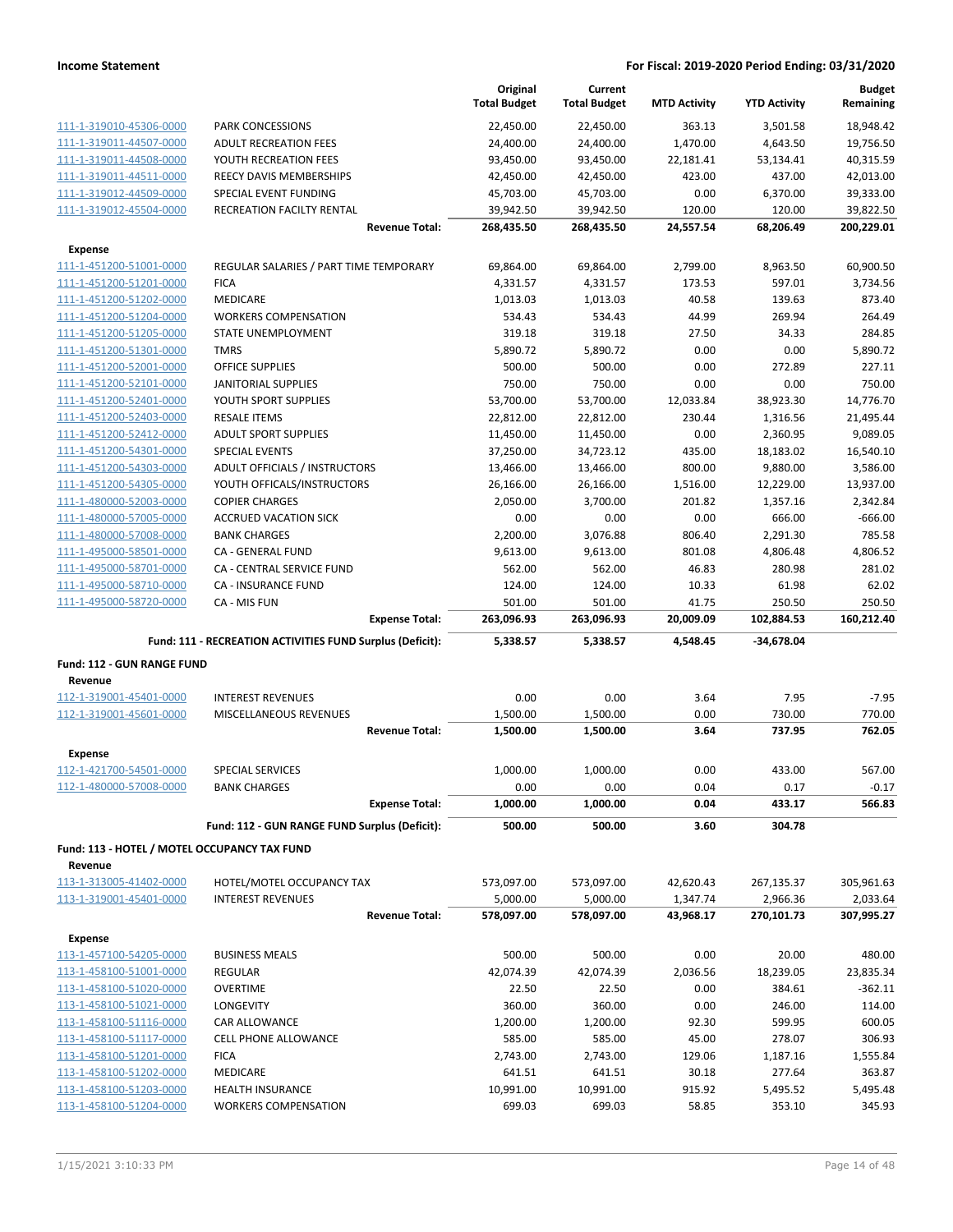|                                                         |                                                           | Original<br><b>Total Budget</b> | Current<br><b>Total Budget</b> | <b>MTD Activity</b> | <b>YTD Activity</b>  | <b>Budget</b><br>Remaining |
|---------------------------------------------------------|-----------------------------------------------------------|---------------------------------|--------------------------------|---------------------|----------------------|----------------------------|
| 111-1-319010-45306-0000                                 | PARK CONCESSIONS                                          | 22,450.00                       | 22,450.00                      | 363.13              | 3,501.58             | 18,948.42                  |
| 111-1-319011-44507-0000                                 | <b>ADULT RECREATION FEES</b>                              | 24,400.00                       | 24,400.00                      | 1,470.00            | 4,643.50             | 19,756.50                  |
| 111-1-319011-44508-0000                                 | YOUTH RECREATION FEES                                     | 93,450.00                       | 93,450.00                      | 22,181.41           | 53,134.41            | 40,315.59                  |
| 111-1-319011-44511-0000                                 | REECY DAVIS MEMBERSHIPS                                   | 42,450.00                       | 42,450.00                      | 423.00              | 437.00               | 42,013.00                  |
| 111-1-319012-44509-0000                                 | SPECIAL EVENT FUNDING                                     | 45,703.00                       | 45,703.00                      | 0.00                | 6,370.00             | 39,333.00                  |
| 111-1-319012-45504-0000                                 | RECREATION FACILTY RENTAL                                 | 39,942.50                       | 39,942.50                      | 120.00              | 120.00               | 39,822.50                  |
|                                                         | <b>Revenue Total:</b>                                     | 268,435.50                      | 268,435.50                     | 24,557.54           | 68,206.49            | 200,229.01                 |
| <b>Expense</b>                                          |                                                           |                                 |                                |                     |                      |                            |
| 111-1-451200-51001-0000                                 | REGULAR SALARIES / PART TIME TEMPORARY                    | 69,864.00                       | 69,864.00                      | 2,799.00            | 8,963.50             | 60,900.50                  |
| 111-1-451200-51201-0000                                 | <b>FICA</b>                                               | 4,331.57                        | 4,331.57                       | 173.53              | 597.01               | 3,734.56                   |
| 111-1-451200-51202-0000                                 | MEDICARE                                                  | 1,013.03                        | 1,013.03                       | 40.58               | 139.63               | 873.40                     |
| 111-1-451200-51204-0000                                 | <b>WORKERS COMPENSATION</b>                               | 534.43                          | 534.43                         | 44.99               | 269.94               | 264.49                     |
| 111-1-451200-51205-0000                                 | STATE UNEMPLOYMENT                                        | 319.18                          | 319.18                         | 27.50               | 34.33                | 284.85                     |
| 111-1-451200-51301-0000                                 | <b>TMRS</b>                                               | 5,890.72                        | 5,890.72                       | 0.00                | 0.00                 | 5,890.72                   |
| 111-1-451200-52001-0000                                 | <b>OFFICE SUPPLIES</b>                                    | 500.00                          | 500.00                         | 0.00                | 272.89               | 227.11                     |
| 111-1-451200-52101-0000                                 | <b>JANITORIAL SUPPLIES</b>                                | 750.00                          | 750.00                         | 0.00                | 0.00                 | 750.00                     |
| 111-1-451200-52401-0000                                 | YOUTH SPORT SUPPLIES                                      | 53,700.00                       | 53,700.00                      | 12,033.84           | 38,923.30            | 14,776.70                  |
| 111-1-451200-52403-0000<br>111-1-451200-52412-0000      | <b>RESALE ITEMS</b><br><b>ADULT SPORT SUPPLIES</b>        | 22,812.00                       | 22,812.00                      | 230.44<br>0.00      | 1,316.56<br>2,360.95 | 21,495.44<br>9,089.05      |
| 111-1-451200-54301-0000                                 | <b>SPECIAL EVENTS</b>                                     | 11,450.00<br>37,250.00          | 11,450.00<br>34,723.12         | 435.00              | 18,183.02            | 16,540.10                  |
| 111-1-451200-54303-0000                                 | ADULT OFFICIALS / INSTRUCTORS                             | 13,466.00                       | 13,466.00                      | 800.00              | 9,880.00             | 3,586.00                   |
| 111-1-451200-54305-0000                                 | YOUTH OFFICALS/INSTRUCTORS                                | 26,166.00                       | 26,166.00                      | 1,516.00            | 12,229.00            | 13,937.00                  |
| 111-1-480000-52003-0000                                 | <b>COPIER CHARGES</b>                                     | 2,050.00                        | 3,700.00                       | 201.82              | 1,357.16             | 2,342.84                   |
| 111-1-480000-57005-0000                                 | <b>ACCRUED VACATION SICK</b>                              | 0.00                            | 0.00                           | 0.00                | 666.00               | $-666.00$                  |
| 111-1-480000-57008-0000                                 | <b>BANK CHARGES</b>                                       | 2,200.00                        | 3,076.88                       | 806.40              | 2,291.30             | 785.58                     |
| 111-1-495000-58501-0000                                 | CA - GENERAL FUND                                         | 9,613.00                        | 9,613.00                       | 801.08              | 4,806.48             | 4,806.52                   |
| 111-1-495000-58701-0000                                 | CA - CENTRAL SERVICE FUND                                 | 562.00                          | 562.00                         | 46.83               | 280.98               | 281.02                     |
| 111-1-495000-58710-0000                                 | <b>CA - INSURANCE FUND</b>                                | 124.00                          | 124.00                         | 10.33               | 61.98                | 62.02                      |
| 111-1-495000-58720-0000                                 | CA - MIS FUN                                              | 501.00                          | 501.00                         | 41.75               | 250.50               | 250.50                     |
|                                                         | <b>Expense Total:</b>                                     | 263,096.93                      | 263,096.93                     | 20,009.09           | 102,884.53           | 160,212.40                 |
|                                                         | Fund: 111 - RECREATION ACTIVITIES FUND Surplus (Deficit): | 5,338.57                        | 5,338.57                       | 4,548.45            | $-34,678.04$         |                            |
| Fund: 112 - GUN RANGE FUND                              |                                                           |                                 |                                |                     |                      |                            |
| Revenue                                                 |                                                           |                                 |                                |                     |                      |                            |
| 112-1-319001-45401-0000                                 | <b>INTEREST REVENUES</b>                                  | 0.00                            | 0.00                           | 3.64                | 7.95                 | $-7.95$                    |
| 112-1-319001-45601-0000                                 | <b>MISCELLANEOUS REVENUES</b>                             | 1,500.00                        | 1,500.00                       | 0.00                | 730.00               | 770.00                     |
|                                                         | <b>Revenue Total:</b>                                     | 1,500.00                        | 1,500.00                       | 3.64                | 737.95               | 762.05                     |
| <b>Expense</b>                                          |                                                           |                                 |                                |                     |                      |                            |
| 112-1-421700-54501-0000                                 | <b>SPECIAL SERVICES</b>                                   | 1,000.00                        | 1,000.00                       | 0.00                | 433.00               | 567.00                     |
| 112-1-480000-57008-0000                                 | <b>BANK CHARGES</b>                                       | 0.00                            | 0.00                           | 0.04                | 0.17                 | $-0.17$                    |
|                                                         | <b>Expense Total:</b>                                     | 1,000.00                        | 1,000.00                       | 0.04                | 433.17               | 566.83                     |
|                                                         | Fund: 112 - GUN RANGE FUND Surplus (Deficit):             | 500.00                          | 500.00                         | 3.60                | 304.78               |                            |
| Fund: 113 - HOTEL / MOTEL OCCUPANCY TAX FUND<br>Revenue |                                                           |                                 |                                |                     |                      |                            |
| 113-1-313005-41402-0000                                 | HOTEL/MOTEL OCCUPANCY TAX                                 | 573,097.00                      | 573,097.00                     | 42,620.43           | 267,135.37           | 305,961.63                 |
| 113-1-319001-45401-0000                                 | <b>INTEREST REVENUES</b>                                  | 5,000.00                        | 5,000.00                       | 1,347.74            | 2,966.36             | 2,033.64                   |
|                                                         | <b>Revenue Total:</b>                                     | 578,097.00                      | 578,097.00                     | 43,968.17           | 270,101.73           | 307,995.27                 |
| <b>Expense</b>                                          |                                                           |                                 |                                |                     |                      |                            |
| 113-1-457100-54205-0000                                 | <b>BUSINESS MEALS</b>                                     | 500.00                          | 500.00                         | 0.00                | 20.00                | 480.00                     |
| 113-1-458100-51001-0000                                 | REGULAR                                                   | 42,074.39                       | 42,074.39                      | 2,036.56            | 18,239.05            | 23,835.34                  |
| 113-1-458100-51020-0000                                 | <b>OVERTIME</b>                                           | 22.50                           | 22.50                          | 0.00                | 384.61               | $-362.11$                  |
| 113-1-458100-51021-0000                                 | LONGEVITY                                                 | 360.00                          | 360.00                         | 0.00                | 246.00               | 114.00                     |
| 113-1-458100-51116-0000                                 | CAR ALLOWANCE                                             | 1,200.00                        | 1,200.00                       | 92.30               | 599.95               | 600.05                     |
| 113-1-458100-51117-0000                                 | <b>CELL PHONE ALLOWANCE</b>                               | 585.00                          | 585.00                         | 45.00               | 278.07               | 306.93                     |
| 113-1-458100-51201-0000                                 |                                                           |                                 |                                | 129.06              | 1,187.16             | 1,555.84                   |
|                                                         | <b>FICA</b>                                               | 2,743.00                        | 2,743.00                       |                     |                      |                            |
| 113-1-458100-51202-0000                                 | MEDICARE                                                  | 641.51                          | 641.51                         | 30.18               | 277.64               | 363.87                     |
| 113-1-458100-51203-0000                                 | <b>HEALTH INSURANCE</b>                                   | 10,991.00                       | 10,991.00                      | 915.92              | 5,495.52             | 5,495.48                   |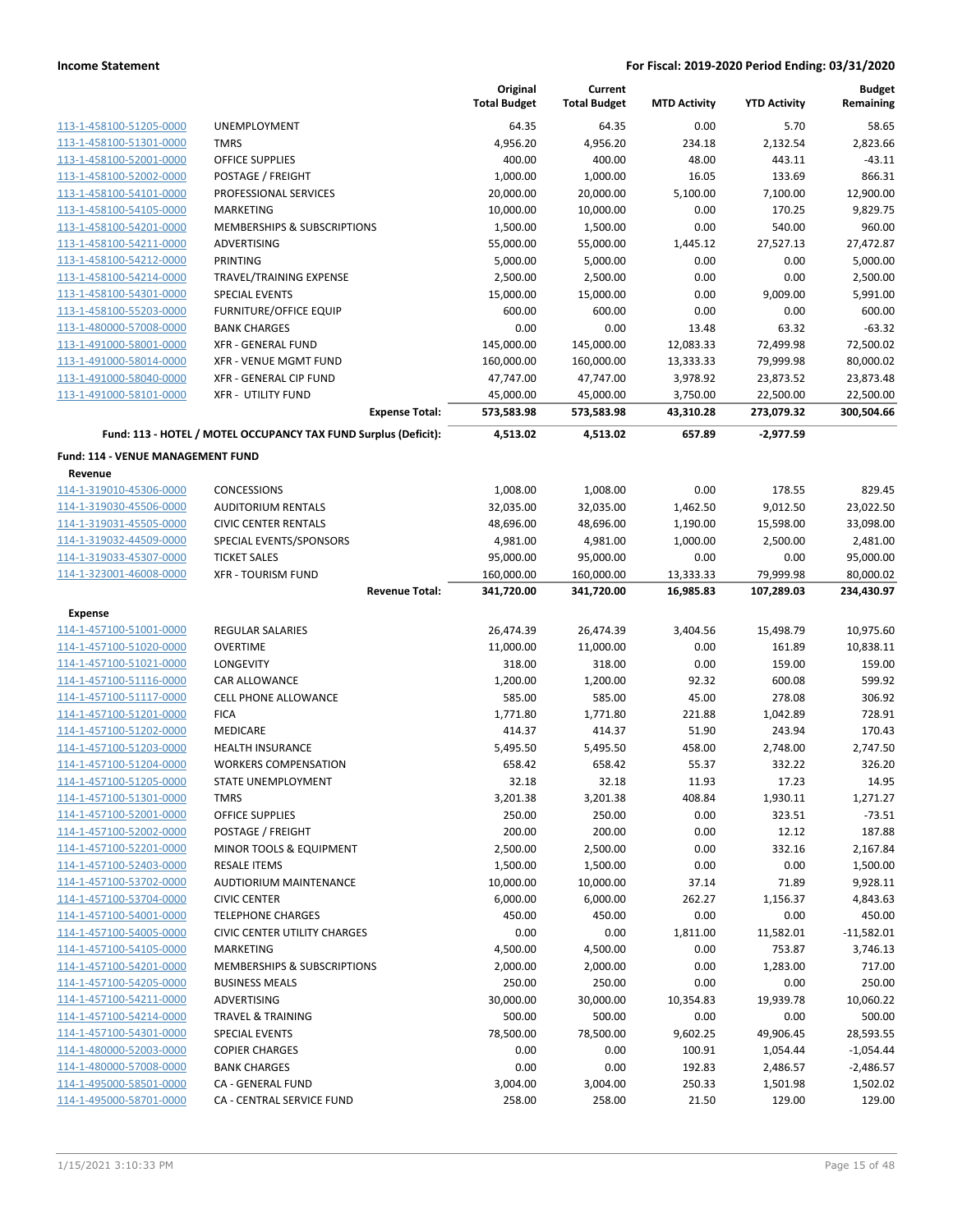|                                                     |                                                                 | Original<br><b>Total Budget</b> | Current<br><b>Total Budget</b> | <b>MTD Activity</b> | <b>YTD Activity</b> | <b>Budget</b><br>Remaining |
|-----------------------------------------------------|-----------------------------------------------------------------|---------------------------------|--------------------------------|---------------------|---------------------|----------------------------|
| 113-1-458100-51205-0000                             | <b>UNEMPLOYMENT</b>                                             | 64.35                           | 64.35                          | 0.00                | 5.70                | 58.65                      |
| 113-1-458100-51301-0000                             | <b>TMRS</b>                                                     | 4,956.20                        | 4,956.20                       | 234.18              | 2,132.54            | 2,823.66                   |
| 113-1-458100-52001-0000                             | <b>OFFICE SUPPLIES</b>                                          | 400.00                          | 400.00                         | 48.00               | 443.11              | $-43.11$                   |
| 113-1-458100-52002-0000                             | POSTAGE / FREIGHT                                               | 1,000.00                        | 1,000.00                       | 16.05               | 133.69              | 866.31                     |
| 113-1-458100-54101-0000                             | PROFESSIONAL SERVICES                                           | 20,000.00                       | 20,000.00                      | 5,100.00            | 7,100.00            | 12,900.00                  |
| 113-1-458100-54105-0000                             | <b>MARKETING</b>                                                | 10,000.00                       | 10,000.00                      | 0.00                | 170.25              | 9,829.75                   |
| 113-1-458100-54201-0000                             | MEMBERSHIPS & SUBSCRIPTIONS                                     | 1,500.00                        | 1,500.00                       | 0.00                | 540.00              | 960.00                     |
| 113-1-458100-54211-0000                             | ADVERTISING                                                     | 55,000.00                       | 55,000.00                      | 1,445.12            | 27,527.13           | 27,472.87                  |
| 113-1-458100-54212-0000                             | PRINTING                                                        | 5,000.00                        | 5,000.00                       | 0.00                | 0.00                | 5,000.00                   |
| 113-1-458100-54214-0000                             | TRAVEL/TRAINING EXPENSE                                         | 2,500.00                        | 2,500.00                       | 0.00                | 0.00                | 2,500.00                   |
| 113-1-458100-54301-0000                             | <b>SPECIAL EVENTS</b>                                           | 15,000.00                       | 15,000.00                      | 0.00                | 9,009.00            | 5,991.00                   |
| 113-1-458100-55203-0000                             | <b>FURNITURE/OFFICE EQUIP</b>                                   | 600.00                          | 600.00                         | 0.00                | 0.00                | 600.00                     |
| 113-1-480000-57008-0000                             | <b>BANK CHARGES</b>                                             | 0.00                            | 0.00                           | 13.48               | 63.32               | $-63.32$                   |
| 113-1-491000-58001-0000                             | <b>XFR - GENERAL FUND</b>                                       | 145,000.00                      | 145,000.00                     | 12,083.33           | 72,499.98           | 72,500.02                  |
| 113-1-491000-58014-0000                             | <b>XFR - VENUE MGMT FUND</b>                                    | 160,000.00                      | 160,000.00                     | 13,333.33           | 79,999.98           | 80,000.02                  |
| 113-1-491000-58040-0000                             | XFR - GENERAL CIP FUND                                          | 47,747.00                       | 47,747.00                      | 3,978.92            | 23,873.52           | 23,873.48                  |
| 113-1-491000-58101-0000                             | <b>XFR - UTILITY FUND</b>                                       | 45,000.00                       | 45,000.00                      | 3,750.00            | 22,500.00           | 22,500.00                  |
|                                                     | <b>Expense Total:</b>                                           | 573,583.98                      | 573,583.98                     | 43,310.28           | 273,079.32          | 300,504.66                 |
|                                                     | Fund: 113 - HOTEL / MOTEL OCCUPANCY TAX FUND Surplus (Deficit): | 4,513.02                        | 4,513.02                       | 657.89              | $-2,977.59$         |                            |
| <b>Fund: 114 - VENUE MANAGEMENT FUND</b><br>Revenue |                                                                 |                                 |                                |                     |                     |                            |
|                                                     | <b>CONCESSIONS</b>                                              |                                 |                                | 0.00                | 178.55              | 829.45                     |
| 114-1-319010-45306-0000<br>114-1-319030-45506-0000  | <b>AUDITORIUM RENTALS</b>                                       | 1,008.00<br>32,035.00           | 1,008.00                       | 1,462.50            | 9,012.50            | 23,022.50                  |
| 114-1-319031-45505-0000                             | <b>CIVIC CENTER RENTALS</b>                                     | 48,696.00                       | 32,035.00<br>48,696.00         | 1,190.00            | 15,598.00           | 33,098.00                  |
| 114-1-319032-44509-0000                             | SPECIAL EVENTS/SPONSORS                                         | 4,981.00                        | 4,981.00                       | 1,000.00            | 2,500.00            | 2,481.00                   |
| 114-1-319033-45307-0000                             | <b>TICKET SALES</b>                                             | 95,000.00                       | 95,000.00                      | 0.00                | 0.00                | 95,000.00                  |
| 114-1-323001-46008-0000                             | <b>XFR - TOURISM FUND</b>                                       | 160,000.00                      | 160,000.00                     | 13,333.33           | 79,999.98           | 80,000.02                  |
|                                                     | <b>Revenue Total:</b>                                           | 341,720.00                      | 341,720.00                     | 16,985.83           | 107,289.03          | 234,430.97                 |
| <b>Expense</b>                                      |                                                                 |                                 |                                |                     |                     |                            |
| 114-1-457100-51001-0000                             | <b>REGULAR SALARIES</b>                                         | 26,474.39                       | 26,474.39                      | 3,404.56            | 15,498.79           | 10,975.60                  |
| 114-1-457100-51020-0000                             | <b>OVERTIME</b>                                                 | 11,000.00                       | 11,000.00                      | 0.00                | 161.89              | 10,838.11                  |
| 114-1-457100-51021-0000                             | LONGEVITY                                                       | 318.00                          | 318.00                         | 0.00                | 159.00              | 159.00                     |
| 114-1-457100-51116-0000                             | <b>CAR ALLOWANCE</b>                                            | 1,200.00                        | 1,200.00                       | 92.32               | 600.08              | 599.92                     |
| 114-1-457100-51117-0000                             | <b>CELL PHONE ALLOWANCE</b>                                     | 585.00                          | 585.00                         | 45.00               | 278.08              | 306.92                     |
| 114-1-457100-51201-0000                             | <b>FICA</b>                                                     | 1,771.80                        | 1,771.80                       | 221.88              | 1,042.89            | 728.91                     |
| 114-1-457100-51202-0000                             | MEDICARE                                                        | 414.37                          | 414.37                         | 51.90               | 243.94              | 170.43                     |
| 114-1-457100-51203-0000                             | <b>HEALTH INSURANCE</b>                                         | 5,495.50                        | 5,495.50                       | 458.00              | 2,748.00            | 2,747.50                   |
| 114-1-457100-51204-0000                             | <b>WORKERS COMPENSATION</b>                                     | 658.42                          | 658.42                         | 55.37               | 332.22              | 326.20                     |
| 114-1-457100-51205-0000                             | STATE UNEMPLOYMENT                                              | 32.18                           | 32.18                          | 11.93               | 17.23               | 14.95                      |
| 114-1-457100-51301-0000                             | TMRS                                                            | 3,201.38                        | 3,201.38                       | 408.84              | 1,930.11            | 1,271.27                   |
| 114-1-457100-52001-0000                             | OFFICE SUPPLIES                                                 | 250.00                          | 250.00                         | 0.00                | 323.51              | $-73.51$                   |
| 114-1-457100-52002-0000                             | POSTAGE / FREIGHT                                               | 200.00                          | 200.00                         | 0.00                | 12.12               | 187.88                     |
| 114-1-457100-52201-0000                             | MINOR TOOLS & EQUIPMENT                                         | 2,500.00                        | 2,500.00                       | 0.00                | 332.16              | 2,167.84                   |
| 114-1-457100-52403-0000                             | <b>RESALE ITEMS</b>                                             | 1,500.00                        | 1,500.00                       | 0.00                | 0.00                | 1,500.00                   |
| 114-1-457100-53702-0000                             | AUDTIORIUM MAINTENANCE                                          | 10,000.00                       | 10,000.00                      | 37.14               | 71.89               | 9,928.11                   |
| 114-1-457100-53704-0000                             | <b>CIVIC CENTER</b>                                             | 6,000.00                        | 6,000.00                       | 262.27              | 1,156.37            | 4,843.63                   |
| 114-1-457100-54001-0000                             | <b>TELEPHONE CHARGES</b>                                        | 450.00                          | 450.00                         | 0.00                | 0.00                | 450.00                     |
| 114-1-457100-54005-0000                             | <b>CIVIC CENTER UTILITY CHARGES</b><br><b>MARKETING</b>         | 0.00                            | 0.00                           | 1,811.00            | 11,582.01           | $-11,582.01$<br>3,746.13   |
| 114-1-457100-54105-0000<br>114-1-457100-54201-0000  | <b>MEMBERSHIPS &amp; SUBSCRIPTIONS</b>                          | 4,500.00                        | 4,500.00<br>2,000.00           | 0.00                | 753.87<br>1,283.00  |                            |
| 114-1-457100-54205-0000                             | <b>BUSINESS MEALS</b>                                           | 2,000.00<br>250.00              | 250.00                         | 0.00<br>0.00        | 0.00                | 717.00<br>250.00           |
| 114-1-457100-54211-0000                             | ADVERTISING                                                     | 30,000.00                       | 30,000.00                      | 10,354.83           | 19,939.78           | 10,060.22                  |
| 114-1-457100-54214-0000                             | <b>TRAVEL &amp; TRAINING</b>                                    | 500.00                          | 500.00                         | 0.00                | 0.00                | 500.00                     |
| 114-1-457100-54301-0000                             | <b>SPECIAL EVENTS</b>                                           | 78,500.00                       | 78,500.00                      | 9,602.25            | 49,906.45           | 28,593.55                  |
| 114-1-480000-52003-0000                             | <b>COPIER CHARGES</b>                                           | 0.00                            | 0.00                           | 100.91              | 1,054.44            | $-1,054.44$                |
| 114-1-480000-57008-0000                             | <b>BANK CHARGES</b>                                             | 0.00                            | 0.00                           | 192.83              | 2,486.57            | $-2,486.57$                |
| 114-1-495000-58501-0000                             | CA - GENERAL FUND                                               | 3,004.00                        | 3,004.00                       | 250.33              | 1,501.98            | 1,502.02                   |
| 114-1-495000-58701-0000                             | CA - CENTRAL SERVICE FUND                                       | 258.00                          | 258.00                         | 21.50               | 129.00              | 129.00                     |
|                                                     |                                                                 |                                 |                                |                     |                     |                            |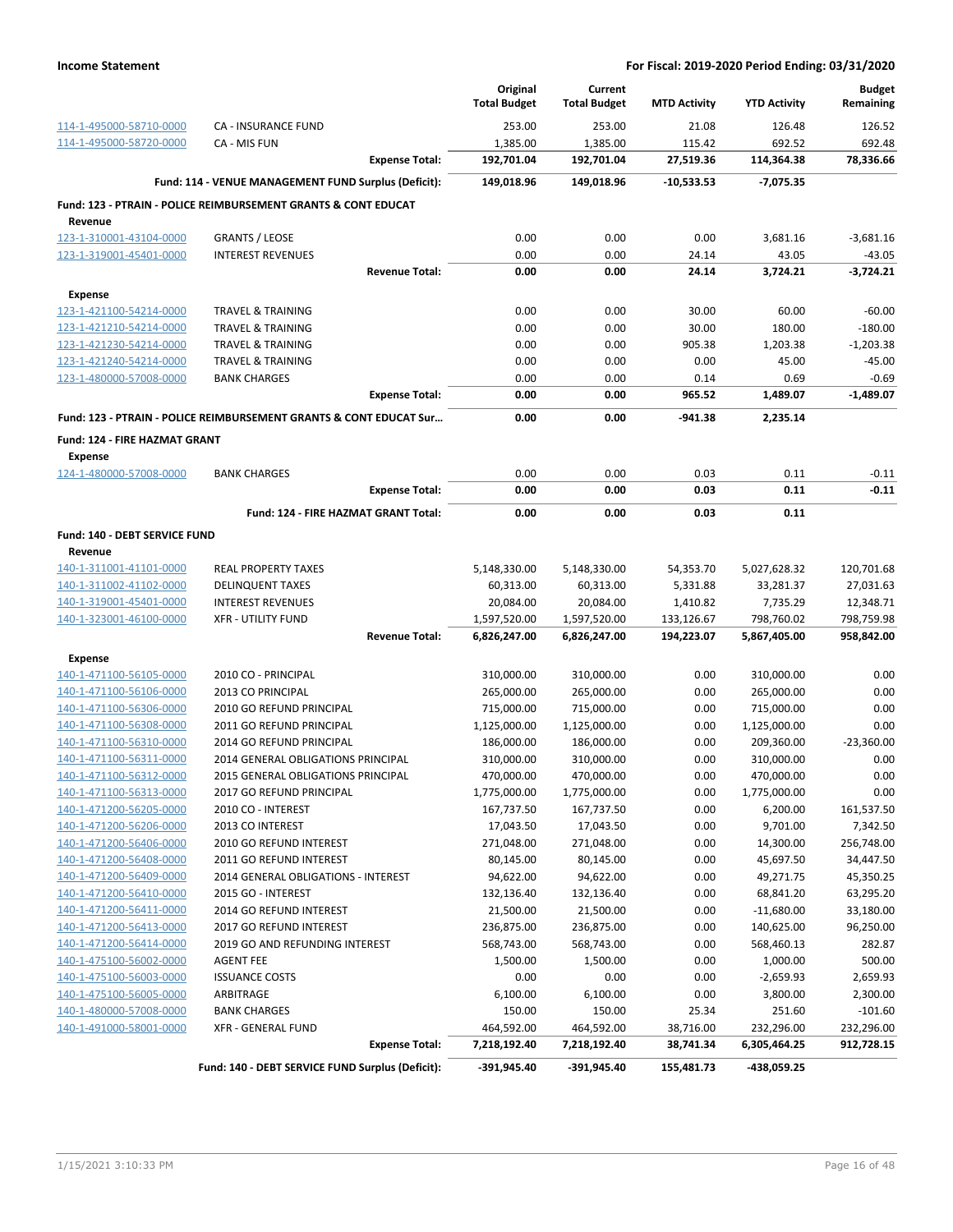|                                           |                                                                    | Original<br><b>Total Budget</b> | Current<br><b>Total Budget</b> | <b>MTD Activity</b> | <b>YTD Activity</b> | <b>Budget</b><br>Remaining |
|-------------------------------------------|--------------------------------------------------------------------|---------------------------------|--------------------------------|---------------------|---------------------|----------------------------|
| 114-1-495000-58710-0000                   | CA - INSURANCE FUND                                                | 253.00                          | 253.00                         | 21.08               | 126.48              | 126.52                     |
| 114-1-495000-58720-0000                   | CA - MIS FUN                                                       | 1,385.00                        | 1,385.00                       | 115.42              | 692.52              | 692.48                     |
|                                           | <b>Expense Total:</b>                                              | 192,701.04                      | 192,701.04                     | 27,519.36           | 114,364.38          | 78.336.66                  |
|                                           | Fund: 114 - VENUE MANAGEMENT FUND Surplus (Deficit):               | 149,018.96                      | 149,018.96                     | $-10,533.53$        | $-7,075.35$         |                            |
|                                           | Fund: 123 - PTRAIN - POLICE REIMBURSEMENT GRANTS & CONT EDUCAT     |                                 |                                |                     |                     |                            |
| Revenue                                   |                                                                    |                                 |                                |                     |                     |                            |
| 123-1-310001-43104-0000                   | <b>GRANTS / LEOSE</b>                                              | 0.00                            | 0.00                           | 0.00                | 3,681.16            | $-3,681.16$                |
| 123-1-319001-45401-0000                   | <b>INTEREST REVENUES</b><br><b>Revenue Total:</b>                  | 0.00<br>0.00                    | 0.00<br>0.00                   | 24.14<br>24.14      | 43.05<br>3,724.21   | $-43.05$<br>$-3,724.21$    |
|                                           |                                                                    |                                 |                                |                     |                     |                            |
| <b>Expense</b><br>123-1-421100-54214-0000 | <b>TRAVEL &amp; TRAINING</b>                                       | 0.00                            | 0.00                           | 30.00               | 60.00               | $-60.00$                   |
| 123-1-421210-54214-0000                   | <b>TRAVEL &amp; TRAINING</b>                                       | 0.00                            | 0.00                           | 30.00               | 180.00              | $-180.00$                  |
| 123-1-421230-54214-0000                   | <b>TRAVEL &amp; TRAINING</b>                                       | 0.00                            | 0.00                           | 905.38              | 1,203.38            | $-1,203.38$                |
| 123-1-421240-54214-0000                   | <b>TRAVEL &amp; TRAINING</b>                                       | 0.00                            | 0.00                           | 0.00                | 45.00               | $-45.00$                   |
| 123-1-480000-57008-0000                   | <b>BANK CHARGES</b>                                                | 0.00                            | 0.00                           | 0.14                | 0.69                | $-0.69$                    |
|                                           | <b>Expense Total:</b>                                              | 0.00                            | 0.00                           | 965.52              | 1,489.07            | $-1,489.07$                |
|                                           | Fund: 123 - PTRAIN - POLICE REIMBURSEMENT GRANTS & CONT EDUCAT Sur | 0.00                            | 0.00                           | -941.38             | 2,235.14            |                            |
| Fund: 124 - FIRE HAZMAT GRANT             |                                                                    |                                 |                                |                     |                     |                            |
| <b>Expense</b>                            |                                                                    |                                 |                                |                     |                     |                            |
| 124-1-480000-57008-0000                   | <b>BANK CHARGES</b>                                                | 0.00                            | 0.00                           | 0.03                | 0.11                | $-0.11$                    |
|                                           | <b>Expense Total:</b>                                              | 0.00                            | 0.00                           | 0.03                | 0.11                | $-0.11$                    |
|                                           | Fund: 124 - FIRE HAZMAT GRANT Total:                               | 0.00                            | 0.00                           | 0.03                | 0.11                |                            |
| Fund: 140 - DEBT SERVICE FUND             |                                                                    |                                 |                                |                     |                     |                            |
| Revenue<br>140-1-311001-41101-0000        | <b>REAL PROPERTY TAXES</b>                                         | 5,148,330.00                    | 5,148,330.00                   | 54,353.70           | 5,027,628.32        | 120,701.68                 |
| 140-1-311002-41102-0000                   | <b>DELINQUENT TAXES</b>                                            | 60,313.00                       | 60,313.00                      | 5,331.88            | 33,281.37           | 27,031.63                  |
| 140-1-319001-45401-0000                   | <b>INTEREST REVENUES</b>                                           | 20,084.00                       | 20,084.00                      | 1,410.82            | 7,735.29            | 12,348.71                  |
| 140-1-323001-46100-0000                   | <b>XFR - UTILITY FUND</b>                                          | 1,597,520.00                    | 1,597,520.00                   | 133,126.67          | 798,760.02          | 798,759.98                 |
|                                           | <b>Revenue Total:</b>                                              | 6,826,247.00                    | 6,826,247.00                   | 194,223.07          | 5,867,405.00        | 958,842.00                 |
| <b>Expense</b>                            |                                                                    |                                 |                                |                     |                     |                            |
| 140-1-471100-56105-0000                   | 2010 CO - PRINCIPAL                                                | 310,000.00                      | 310,000.00                     | 0.00                | 310,000.00          | 0.00                       |
| 140-1-471100-56106-0000                   | 2013 CO PRINCIPAL                                                  | 265,000.00                      | 265,000.00                     | 0.00                | 265,000.00          | 0.00                       |
| 140-1-471100-56306-0000                   | 2010 GO REFUND PRINCIPAL                                           | 715,000.00                      | 715,000.00                     | 0.00                | 715,000.00          | 0.00                       |
| 140-1-471100-56308-0000                   | 2011 GO REFUND PRINCIPAL                                           | 1,125,000.00                    | 1,125,000.00                   | 0.00                | 1,125,000.00        | 0.00                       |
| 140-1-471100-56310-0000                   | 2014 GO REFUND PRINCIPAL                                           | 186,000.00                      | 186,000.00                     | 0.00                | 209,360.00          | $-23,360.00$               |
| 140-1-471100-56311-0000                   | 2014 GENERAL OBLIGATIONS PRINCIPAL                                 | 310,000.00                      | 310,000.00                     | 0.00                | 310,000.00          | 0.00                       |
| 140-1-471100-56312-0000                   | 2015 GENERAL OBLIGATIONS PRINCIPAL                                 | 470,000.00                      | 470,000.00                     | 0.00                | 470,000.00          | 0.00                       |
| 140-1-471100-56313-0000                   | 2017 GO REFUND PRINCIPAL                                           | 1,775,000.00                    | 1,775,000.00                   | 0.00                | 1,775,000.00        | 0.00                       |
| 140-1-471200-56205-0000                   | 2010 CO - INTEREST                                                 | 167,737.50                      | 167,737.50                     | 0.00                | 6,200.00            | 161,537.50                 |
| 140-1-471200-56206-0000                   | 2013 CO INTEREST                                                   | 17,043.50                       | 17,043.50                      | 0.00                | 9,701.00            | 7,342.50                   |
| 140-1-471200-56406-0000                   | 2010 GO REFUND INTEREST                                            | 271,048.00                      | 271,048.00                     | 0.00                | 14,300.00           | 256,748.00                 |
| 140-1-471200-56408-0000                   | 2011 GO REFUND INTEREST                                            | 80,145.00                       | 80,145.00                      | 0.00                | 45,697.50           | 34,447.50                  |
| 140-1-471200-56409-0000                   | 2014 GENERAL OBLIGATIONS - INTEREST                                | 94,622.00                       | 94,622.00                      | 0.00                | 49,271.75           | 45,350.25                  |
| 140-1-471200-56410-0000                   | 2015 GO - INTEREST                                                 | 132,136.40                      | 132,136.40                     | 0.00                | 68,841.20           | 63,295.20                  |
| 140-1-471200-56411-0000                   | 2014 GO REFUND INTEREST                                            | 21,500.00                       | 21,500.00                      | 0.00                | $-11,680.00$        | 33,180.00                  |
| 140-1-471200-56413-0000                   | 2017 GO REFUND INTEREST                                            | 236,875.00                      | 236,875.00                     | 0.00                | 140,625.00          | 96,250.00                  |
| 140-1-471200-56414-0000                   | 2019 GO AND REFUNDING INTEREST                                     | 568,743.00                      | 568,743.00                     | 0.00                | 568,460.13          | 282.87                     |
| 140-1-475100-56002-0000                   | <b>AGENT FEE</b>                                                   | 1,500.00                        | 1,500.00                       | 0.00                | 1,000.00            | 500.00                     |
| 140-1-475100-56003-0000                   | <b>ISSUANCE COSTS</b>                                              | 0.00                            | 0.00                           | 0.00                | $-2,659.93$         | 2,659.93                   |
| 140-1-475100-56005-0000                   | ARBITRAGE                                                          | 6,100.00                        | 6,100.00                       | 0.00                | 3,800.00            | 2,300.00                   |
| 140-1-480000-57008-0000                   | <b>BANK CHARGES</b>                                                | 150.00                          | 150.00                         | 25.34               | 251.60              | $-101.60$                  |
| 140-1-491000-58001-0000                   | <b>XFR - GENERAL FUND</b>                                          | 464,592.00                      | 464,592.00                     | 38,716.00           | 232,296.00          | 232,296.00                 |
|                                           | <b>Expense Total:</b>                                              | 7,218,192.40                    | 7,218,192.40                   | 38,741.34           | 6,305,464.25        | 912,728.15                 |
|                                           | Fund: 140 - DEBT SERVICE FUND Surplus (Deficit):                   | $-391,945.40$                   | $-391,945.40$                  | 155,481.73          | -438,059.25         |                            |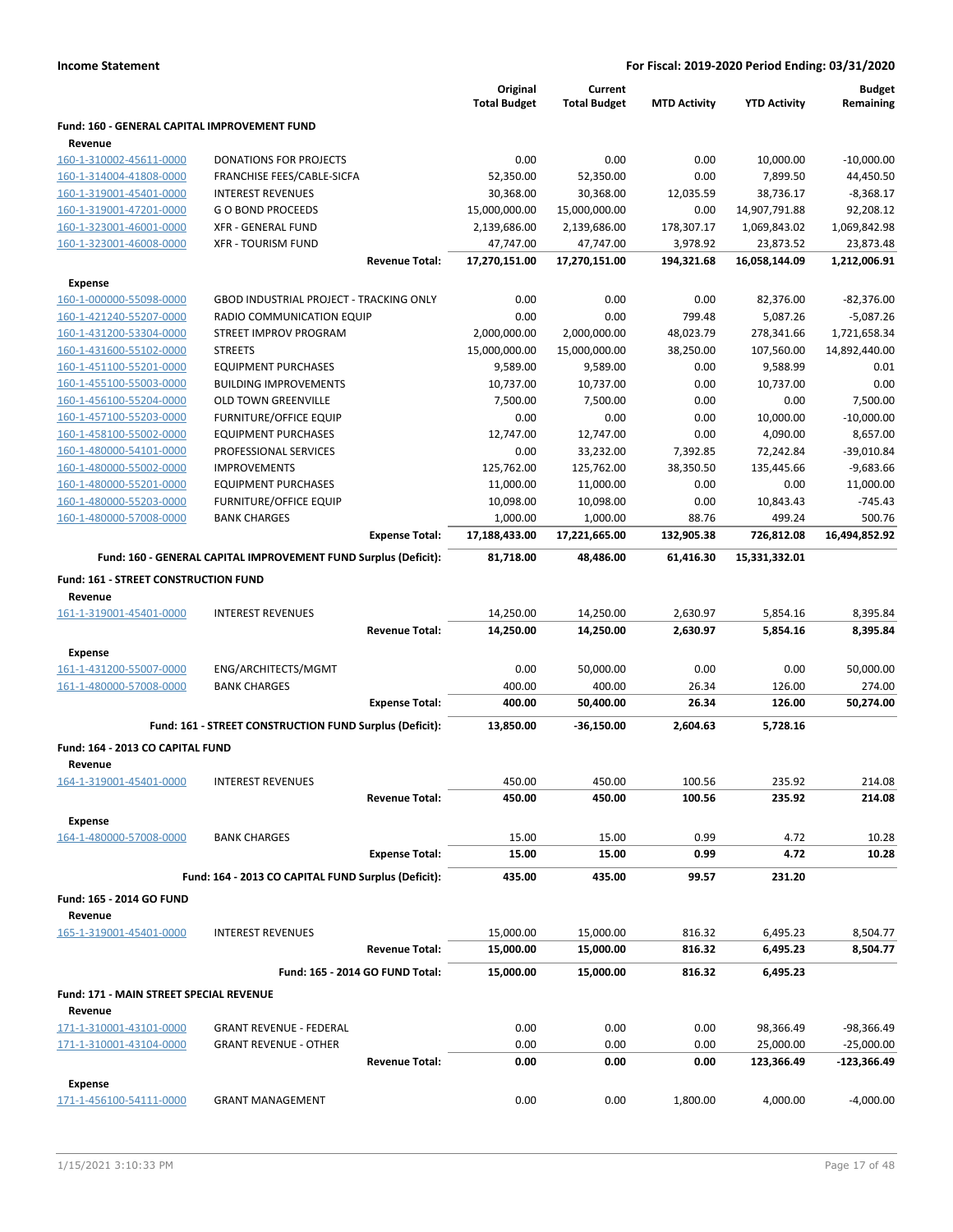|                                              |                                                                 |                                 | Original            | Current             |                     | <b>YTD Activity</b> | <b>Budget</b><br>Remaining |
|----------------------------------------------|-----------------------------------------------------------------|---------------------------------|---------------------|---------------------|---------------------|---------------------|----------------------------|
|                                              |                                                                 |                                 | <b>Total Budget</b> | <b>Total Budget</b> | <b>MTD Activity</b> |                     |                            |
| Fund: 160 - GENERAL CAPITAL IMPROVEMENT FUND |                                                                 |                                 |                     |                     |                     |                     |                            |
| Revenue<br>160-1-310002-45611-0000           | <b>DONATIONS FOR PROJECTS</b>                                   |                                 | 0.00                | 0.00                | 0.00                | 10,000.00           | $-10,000.00$               |
| 160-1-314004-41808-0000                      | FRANCHISE FEES/CABLE-SICFA                                      |                                 | 52,350.00           | 52,350.00           | 0.00                | 7,899.50            | 44,450.50                  |
| 160-1-319001-45401-0000                      | <b>INTEREST REVENUES</b>                                        |                                 | 30,368.00           | 30,368.00           | 12,035.59           | 38,736.17           | $-8,368.17$                |
| 160-1-319001-47201-0000                      | <b>GO BOND PROCEEDS</b>                                         |                                 | 15,000,000.00       | 15,000,000.00       | 0.00                | 14,907,791.88       | 92,208.12                  |
| 160-1-323001-46001-0000                      | <b>XFR - GENERAL FUND</b>                                       |                                 | 2,139,686.00        | 2,139,686.00        | 178,307.17          | 1,069,843.02        | 1,069,842.98               |
| 160-1-323001-46008-0000                      | <b>XFR - TOURISM FUND</b>                                       |                                 | 47,747.00           | 47,747.00           | 3,978.92            | 23,873.52           | 23,873.48                  |
|                                              |                                                                 | <b>Revenue Total:</b>           | 17,270,151.00       | 17,270,151.00       | 194,321.68          | 16,058,144.09       | 1,212,006.91               |
| <b>Expense</b>                               |                                                                 |                                 |                     |                     |                     |                     |                            |
| 160-1-000000-55098-0000                      | <b>GBOD INDUSTRIAL PROJECT - TRACKING ONLY</b>                  |                                 | 0.00                | 0.00                | 0.00                | 82,376.00           | $-82,376.00$               |
| 160-1-421240-55207-0000                      | RADIO COMMUNICATION EQUIP                                       |                                 | 0.00                | 0.00                | 799.48              | 5,087.26            | $-5,087.26$                |
| 160-1-431200-53304-0000                      | STREET IMPROV PROGRAM                                           |                                 | 2,000,000.00        | 2,000,000.00        | 48,023.79           | 278,341.66          | 1,721,658.34               |
| 160-1-431600-55102-0000                      | <b>STREETS</b>                                                  |                                 | 15,000,000.00       | 15,000,000.00       | 38,250.00           | 107,560.00          | 14,892,440.00              |
| 160-1-451100-55201-0000                      | <b>EQUIPMENT PURCHASES</b>                                      |                                 | 9,589.00            | 9,589.00            | 0.00                | 9,588.99            | 0.01                       |
| 160-1-455100-55003-0000                      | <b>BUILDING IMPROVEMENTS</b>                                    |                                 | 10,737.00           | 10,737.00           | 0.00                | 10,737.00           | 0.00                       |
| 160-1-456100-55204-0000                      | <b>OLD TOWN GREENVILLE</b>                                      |                                 | 7,500.00            | 7,500.00            | 0.00                | 0.00                | 7,500.00                   |
| 160-1-457100-55203-0000                      | <b>FURNITURE/OFFICE EQUIP</b>                                   |                                 | 0.00                | 0.00                | 0.00                | 10,000.00           | $-10,000.00$               |
| 160-1-458100-55002-0000                      | <b>EQUIPMENT PURCHASES</b>                                      |                                 | 12,747.00           | 12,747.00           | 0.00                | 4,090.00            | 8,657.00                   |
| 160-1-480000-54101-0000                      | PROFESSIONAL SERVICES                                           |                                 | 0.00                | 33,232.00           | 7,392.85            | 72,242.84           | $-39,010.84$               |
| 160-1-480000-55002-0000                      | <b>IMPROVEMENTS</b>                                             |                                 | 125,762.00          | 125,762.00          | 38,350.50           | 135,445.66          | $-9,683.66$                |
| 160-1-480000-55201-0000                      | <b>EQUIPMENT PURCHASES</b>                                      |                                 | 11,000.00           | 11,000.00           | 0.00                | 0.00                | 11,000.00                  |
| 160-1-480000-55203-0000                      | <b>FURNITURE/OFFICE EQUIP</b>                                   |                                 | 10,098.00           | 10,098.00           | 0.00                | 10,843.43           | $-745.43$                  |
| 160-1-480000-57008-0000                      | <b>BANK CHARGES</b>                                             |                                 | 1,000.00            | 1,000.00            | 88.76               | 499.24              | 500.76                     |
|                                              |                                                                 | <b>Expense Total:</b>           | 17,188,433.00       | 17,221,665.00       | 132,905.38          | 726,812.08          | 16,494,852.92              |
|                                              | Fund: 160 - GENERAL CAPITAL IMPROVEMENT FUND Surplus (Deficit): |                                 | 81,718.00           | 48,486.00           | 61,416.30           | 15,331,332.01       |                            |
| Fund: 161 - STREET CONSTRUCTION FUND         |                                                                 |                                 |                     |                     |                     |                     |                            |
| Revenue                                      |                                                                 |                                 |                     |                     |                     |                     |                            |
| 161-1-319001-45401-0000                      | <b>INTEREST REVENUES</b>                                        |                                 | 14,250.00           | 14,250.00           | 2,630.97            | 5,854.16            | 8,395.84                   |
|                                              |                                                                 | <b>Revenue Total:</b>           | 14,250.00           | 14,250.00           | 2,630.97            | 5,854.16            | 8,395.84                   |
| <b>Expense</b>                               |                                                                 |                                 |                     |                     |                     |                     |                            |
| 161-1-431200-55007-0000                      | ENG/ARCHITECTS/MGMT                                             |                                 | 0.00                | 50,000.00           | 0.00                | 0.00                | 50,000.00                  |
| 161-1-480000-57008-0000                      | <b>BANK CHARGES</b>                                             |                                 | 400.00              | 400.00              | 26.34               | 126.00              | 274.00                     |
|                                              |                                                                 | <b>Expense Total:</b>           | 400.00              | 50,400.00           | 26.34               | 126.00              | 50,274.00                  |
|                                              | Fund: 161 - STREET CONSTRUCTION FUND Surplus (Deficit):         |                                 | 13,850.00           | $-36,150.00$        | 2,604.63            | 5,728.16            |                            |
| Fund: 164 - 2013 CO CAPITAL FUND             |                                                                 |                                 |                     |                     |                     |                     |                            |
| Revenue                                      |                                                                 |                                 |                     |                     |                     |                     |                            |
| 164-1-319001-45401-0000                      | <b>INTEREST REVENUES</b>                                        |                                 | 450.00              | 450.00              | 100.56              | 235.92              | 214.08                     |
|                                              |                                                                 | <b>Revenue Total:</b>           | 450.00              | 450.00              | 100.56              | 235.92              | 214.08                     |
|                                              |                                                                 |                                 |                     |                     |                     |                     |                            |
| <b>Expense</b><br>164-1-480000-57008-0000    | <b>BANK CHARGES</b>                                             |                                 | 15.00               | 15.00               | 0.99                | 4.72                | 10.28                      |
|                                              |                                                                 | <b>Expense Total:</b>           | 15.00               | 15.00               | 0.99                | 4.72                | 10.28                      |
|                                              |                                                                 |                                 |                     |                     |                     |                     |                            |
|                                              | Fund: 164 - 2013 CO CAPITAL FUND Surplus (Deficit):             |                                 | 435.00              | 435.00              | 99.57               | 231.20              |                            |
| Fund: 165 - 2014 GO FUND                     |                                                                 |                                 |                     |                     |                     |                     |                            |
| Revenue                                      |                                                                 |                                 |                     |                     |                     |                     |                            |
| 165-1-319001-45401-0000                      | <b>INTEREST REVENUES</b>                                        |                                 | 15,000.00           | 15,000.00           | 816.32              | 6,495.23            | 8,504.77                   |
|                                              |                                                                 | <b>Revenue Total:</b>           | 15,000.00           | 15,000.00           | 816.32              | 6,495.23            | 8,504.77                   |
|                                              |                                                                 | Fund: 165 - 2014 GO FUND Total: | 15,000.00           | 15,000.00           | 816.32              | 6,495.23            |                            |
| Fund: 171 - MAIN STREET SPECIAL REVENUE      |                                                                 |                                 |                     |                     |                     |                     |                            |
| Revenue                                      |                                                                 |                                 |                     |                     |                     |                     |                            |
| 171-1-310001-43101-0000                      | <b>GRANT REVENUE - FEDERAL</b>                                  |                                 | 0.00                | 0.00                | 0.00                | 98,366.49           | -98,366.49                 |
| 171-1-310001-43104-0000                      | <b>GRANT REVENUE - OTHER</b>                                    |                                 | 0.00                | 0.00                | 0.00                | 25,000.00           | $-25,000.00$               |
|                                              |                                                                 | <b>Revenue Total:</b>           | 0.00                | 0.00                | 0.00                | 123,366.49          | -123,366.49                |
| <b>Expense</b>                               |                                                                 |                                 |                     |                     |                     |                     |                            |
| 171-1-456100-54111-0000                      | <b>GRANT MANAGEMENT</b>                                         |                                 | 0.00                | 0.00                | 1,800.00            | 4,000.00            | $-4,000.00$                |
|                                              |                                                                 |                                 |                     |                     |                     |                     |                            |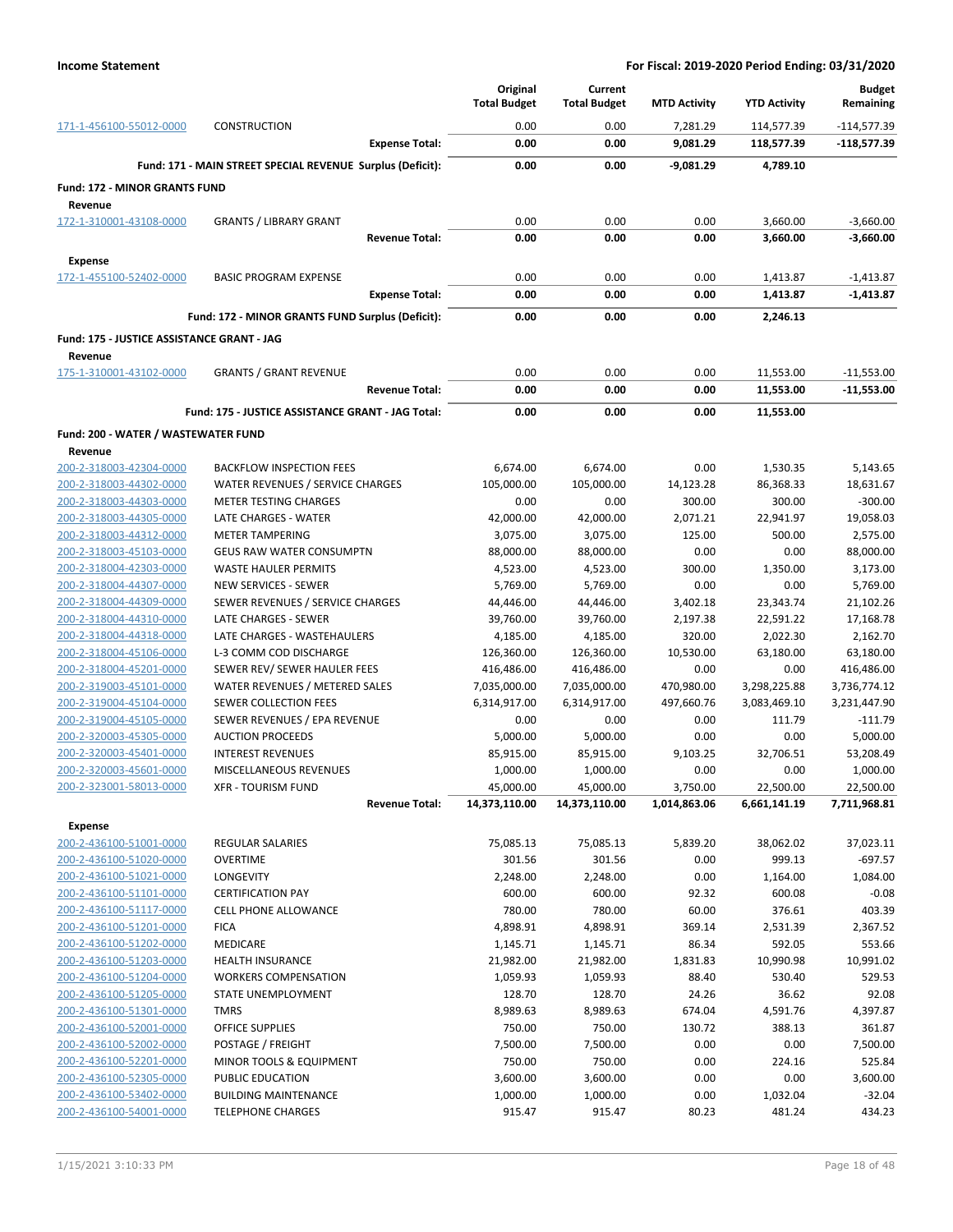|                                                    |                                                            | Original<br><b>Total Budget</b> | Current<br><b>Total Budget</b> | <b>MTD Activity</b> | <b>YTD Activity</b> | <b>Budget</b><br>Remaining |
|----------------------------------------------------|------------------------------------------------------------|---------------------------------|--------------------------------|---------------------|---------------------|----------------------------|
| 171-1-456100-55012-0000                            | <b>CONSTRUCTION</b>                                        | 0.00                            | 0.00                           | 7,281.29            | 114,577.39          | $-114,577.39$              |
|                                                    | <b>Expense Total:</b>                                      | 0.00                            | 0.00                           | 9,081.29            | 118,577.39          | $-118,577.39$              |
|                                                    | Fund: 171 - MAIN STREET SPECIAL REVENUE Surplus (Deficit): | 0.00                            | 0.00                           | -9,081.29           | 4.789.10            |                            |
| <b>Fund: 172 - MINOR GRANTS FUND</b>               |                                                            |                                 |                                |                     |                     |                            |
| Revenue                                            |                                                            |                                 |                                |                     |                     |                            |
| 172-1-310001-43108-0000                            | <b>GRANTS / LIBRARY GRANT</b>                              | 0.00                            | 0.00                           | 0.00                | 3,660.00            | $-3,660.00$                |
|                                                    | <b>Revenue Total:</b>                                      | 0.00                            | 0.00                           | 0.00                | 3,660.00            | $-3,660.00$                |
| <b>Expense</b>                                     |                                                            |                                 |                                |                     |                     |                            |
| 172-1-455100-52402-0000                            | <b>BASIC PROGRAM EXPENSE</b>                               | 0.00                            | 0.00                           | 0.00                | 1,413.87            | $-1,413.87$                |
|                                                    | <b>Expense Total:</b>                                      | 0.00                            | 0.00                           | 0.00                | 1,413.87            | $-1,413.87$                |
|                                                    | Fund: 172 - MINOR GRANTS FUND Surplus (Deficit):           | 0.00                            | 0.00                           | 0.00                | 2,246.13            |                            |
| Fund: 175 - JUSTICE ASSISTANCE GRANT - JAG         |                                                            |                                 |                                |                     |                     |                            |
| Revenue                                            |                                                            |                                 |                                |                     |                     |                            |
| 175-1-310001-43102-0000                            | <b>GRANTS / GRANT REVENUE</b>                              | 0.00                            | 0.00                           | 0.00                | 11,553.00           | $-11,553.00$               |
|                                                    | <b>Revenue Total:</b>                                      | 0.00                            | 0.00                           | 0.00                | 11,553.00           | $-11,553.00$               |
|                                                    | Fund: 175 - JUSTICE ASSISTANCE GRANT - JAG Total:          | 0.00                            | 0.00                           | 0.00                | 11,553.00           |                            |
| Fund: 200 - WATER / WASTEWATER FUND                |                                                            |                                 |                                |                     |                     |                            |
| Revenue                                            |                                                            |                                 |                                |                     |                     |                            |
| 200-2-318003-42304-0000                            | <b>BACKFLOW INSPECTION FEES</b>                            | 6,674.00                        | 6,674.00                       | 0.00                | 1,530.35            | 5,143.65                   |
| 200-2-318003-44302-0000                            | WATER REVENUES / SERVICE CHARGES                           | 105,000.00                      | 105,000.00                     | 14,123.28           | 86,368.33           | 18,631.67                  |
| 200-2-318003-44303-0000                            | <b>METER TESTING CHARGES</b>                               | 0.00                            | 0.00                           | 300.00              | 300.00              | $-300.00$                  |
| 200-2-318003-44305-0000                            | LATE CHARGES - WATER                                       | 42,000.00                       | 42,000.00                      | 2,071.21            | 22,941.97           | 19,058.03                  |
| 200-2-318003-44312-0000<br>200-2-318003-45103-0000 | <b>METER TAMPERING</b><br><b>GEUS RAW WATER CONSUMPTN</b>  | 3,075.00<br>88,000.00           | 3,075.00<br>88,000.00          | 125.00<br>0.00      | 500.00<br>0.00      | 2,575.00<br>88,000.00      |
| 200-2-318004-42303-0000                            | <b>WASTE HAULER PERMITS</b>                                | 4,523.00                        | 4,523.00                       | 300.00              | 1,350.00            | 3,173.00                   |
| 200-2-318004-44307-0000                            | <b>NEW SERVICES - SEWER</b>                                | 5,769.00                        | 5,769.00                       | 0.00                | 0.00                | 5,769.00                   |
| 200-2-318004-44309-0000                            | SEWER REVENUES / SERVICE CHARGES                           | 44,446.00                       | 44,446.00                      | 3,402.18            | 23,343.74           | 21,102.26                  |
| 200-2-318004-44310-0000                            | LATE CHARGES - SEWER                                       | 39,760.00                       | 39,760.00                      | 2,197.38            | 22,591.22           | 17,168.78                  |
| 200-2-318004-44318-0000                            | LATE CHARGES - WASTEHAULERS                                | 4,185.00                        | 4,185.00                       | 320.00              | 2,022.30            | 2,162.70                   |
| 200-2-318004-45106-0000                            | L-3 COMM COD DISCHARGE                                     | 126,360.00                      | 126,360.00                     | 10,530.00           | 63,180.00           | 63,180.00                  |
| 200-2-318004-45201-0000                            | SEWER REV/ SEWER HAULER FEES                               | 416,486.00                      | 416,486.00                     | 0.00                | 0.00                | 416,486.00                 |
| 200-2-319003-45101-0000                            | WATER REVENUES / METERED SALES                             | 7,035,000.00                    | 7,035,000.00                   | 470,980.00          | 3,298,225.88        | 3,736,774.12               |
| 200-2-319004-45104-0000                            | SEWER COLLECTION FEES                                      | 6,314,917.00                    | 6,314,917.00                   | 497,660.76          | 3,083,469.10        | 3,231,447.90               |
| 200-2-319004-45105-0000<br>200-2-320003-45305-0000 | SEWER REVENUES / EPA REVENUE<br><b>AUCTION PROCEEDS</b>    | 0.00<br>5,000.00                | 0.00<br>5,000.00               | 0.00<br>0.00        | 111.79<br>0.00      | $-111.79$<br>5,000.00      |
| 200-2-320003-45401-0000                            | <b>INTEREST REVENUES</b>                                   | 85,915.00                       | 85,915.00                      | 9,103.25            | 32,706.51           | 53,208.49                  |
| 200-2-320003-45601-0000                            | MISCELLANEOUS REVENUES                                     | 1,000.00                        | 1,000.00                       | 0.00                | 0.00                | 1,000.00                   |
| 200-2-323001-58013-0000                            | <b>XFR - TOURISM FUND</b>                                  | 45,000.00                       | 45,000.00                      | 3,750.00            | 22,500.00           | 22,500.00                  |
|                                                    | <b>Revenue Total:</b>                                      | 14,373,110.00                   | 14,373,110.00                  | 1,014,863.06        | 6,661,141.19        | 7,711,968.81               |
| <b>Expense</b>                                     |                                                            |                                 |                                |                     |                     |                            |
| 200-2-436100-51001-0000                            | REGULAR SALARIES                                           | 75,085.13                       | 75,085.13                      | 5,839.20            | 38,062.02           | 37,023.11                  |
| 200-2-436100-51020-0000                            | <b>OVERTIME</b>                                            | 301.56                          | 301.56                         | 0.00                | 999.13              | $-697.57$                  |
| 200-2-436100-51021-0000                            | LONGEVITY                                                  | 2,248.00                        | 2,248.00                       | 0.00                | 1,164.00            | 1,084.00                   |
| 200-2-436100-51101-0000                            | <b>CERTIFICATION PAY</b>                                   | 600.00                          | 600.00                         | 92.32               | 600.08              | $-0.08$                    |
| 200-2-436100-51117-0000                            | <b>CELL PHONE ALLOWANCE</b>                                | 780.00                          | 780.00                         | 60.00               | 376.61              | 403.39                     |
| 200-2-436100-51201-0000                            | <b>FICA</b>                                                | 4,898.91                        | 4,898.91                       | 369.14              | 2,531.39            | 2,367.52                   |
| 200-2-436100-51202-0000<br>200-2-436100-51203-0000 | MEDICARE<br><b>HEALTH INSURANCE</b>                        | 1,145.71<br>21,982.00           | 1,145.71<br>21,982.00          | 86.34<br>1,831.83   | 592.05<br>10,990.98 | 553.66<br>10,991.02        |
| 200-2-436100-51204-0000                            | <b>WORKERS COMPENSATION</b>                                | 1,059.93                        | 1,059.93                       | 88.40               | 530.40              | 529.53                     |
| 200-2-436100-51205-0000                            | STATE UNEMPLOYMENT                                         | 128.70                          | 128.70                         | 24.26               | 36.62               | 92.08                      |
| 200-2-436100-51301-0000                            | <b>TMRS</b>                                                | 8,989.63                        | 8,989.63                       | 674.04              | 4,591.76            | 4,397.87                   |
| 200-2-436100-52001-0000                            | <b>OFFICE SUPPLIES</b>                                     | 750.00                          | 750.00                         | 130.72              | 388.13              | 361.87                     |
| 200-2-436100-52002-0000                            | POSTAGE / FREIGHT                                          | 7,500.00                        | 7,500.00                       | 0.00                | 0.00                | 7,500.00                   |
| 200-2-436100-52201-0000                            | MINOR TOOLS & EQUIPMENT                                    | 750.00                          | 750.00                         | 0.00                | 224.16              | 525.84                     |
| 200-2-436100-52305-0000                            | PUBLIC EDUCATION                                           | 3,600.00                        | 3,600.00                       | 0.00                | 0.00                | 3,600.00                   |
| 200-2-436100-53402-0000                            | <b>BUILDING MAINTENANCE</b>                                | 1,000.00                        | 1,000.00                       | 0.00                | 1,032.04            | $-32.04$                   |
| 200-2-436100-54001-0000                            | <b>TELEPHONE CHARGES</b>                                   | 915.47                          | 915.47                         | 80.23               | 481.24              | 434.23                     |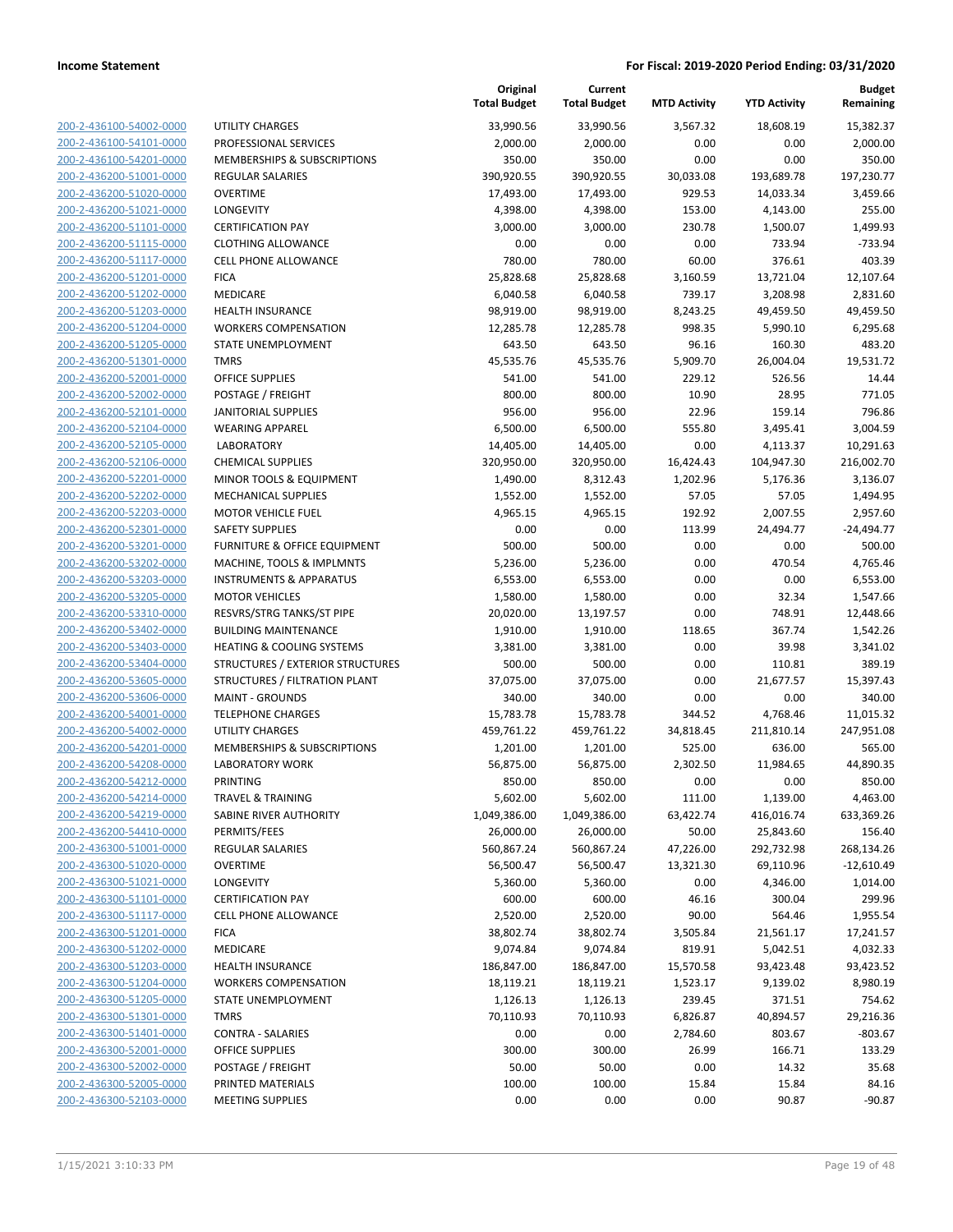|                         |                                         | Original<br><b>Total Budget</b> | Current<br><b>Total Budget</b> | <b>MTD Activity</b> | <b>YTD Activity</b> | <b>Budget</b><br>Remaining |
|-------------------------|-----------------------------------------|---------------------------------|--------------------------------|---------------------|---------------------|----------------------------|
| 200-2-436100-54002-0000 | UTILITY CHARGES                         | 33,990.56                       | 33,990.56                      | 3,567.32            | 18,608.19           | 15,382.37                  |
| 200-2-436100-54101-0000 | PROFESSIONAL SERVICES                   | 2,000.00                        | 2,000.00                       | 0.00                | 0.00                | 2,000.00                   |
| 200-2-436100-54201-0000 | MEMBERSHIPS & SUBSCRIPTIONS             | 350.00                          | 350.00                         | 0.00                | 0.00                | 350.00                     |
| 200-2-436200-51001-0000 | <b>REGULAR SALARIES</b>                 | 390,920.55                      | 390,920.55                     | 30,033.08           | 193,689.78          | 197,230.77                 |
| 200-2-436200-51020-0000 | <b>OVERTIME</b>                         | 17,493.00                       | 17,493.00                      | 929.53              | 14,033.34           | 3,459.66                   |
| 200-2-436200-51021-0000 | LONGEVITY                               | 4,398.00                        | 4,398.00                       | 153.00              | 4,143.00            | 255.00                     |
| 200-2-436200-51101-0000 | <b>CERTIFICATION PAY</b>                | 3,000.00                        | 3,000.00                       | 230.78              | 1,500.07            | 1,499.93                   |
| 200-2-436200-51115-0000 | <b>CLOTHING ALLOWANCE</b>               | 0.00                            | 0.00                           | 0.00                | 733.94              | $-733.94$                  |
| 200-2-436200-51117-0000 | <b>CELL PHONE ALLOWANCE</b>             | 780.00                          | 780.00                         | 60.00               | 376.61              | 403.39                     |
| 200-2-436200-51201-0000 | <b>FICA</b>                             | 25,828.68                       | 25,828.68                      | 3,160.59            | 13,721.04           | 12,107.64                  |
| 200-2-436200-51202-0000 | MEDICARE                                | 6,040.58                        | 6,040.58                       | 739.17              | 3,208.98            | 2,831.60                   |
| 200-2-436200-51203-0000 | <b>HEALTH INSURANCE</b>                 | 98,919.00                       | 98,919.00                      | 8,243.25            | 49,459.50           | 49,459.50                  |
| 200-2-436200-51204-0000 | <b>WORKERS COMPENSATION</b>             | 12,285.78                       | 12,285.78                      | 998.35              | 5,990.10            | 6,295.68                   |
| 200-2-436200-51205-0000 | STATE UNEMPLOYMENT                      | 643.50                          | 643.50                         | 96.16               | 160.30              | 483.20                     |
| 200-2-436200-51301-0000 | <b>TMRS</b>                             | 45,535.76                       | 45,535.76                      | 5,909.70            | 26,004.04           | 19,531.72                  |
| 200-2-436200-52001-0000 | <b>OFFICE SUPPLIES</b>                  | 541.00                          | 541.00                         | 229.12              | 526.56              | 14.44                      |
| 200-2-436200-52002-0000 | POSTAGE / FREIGHT                       | 800.00                          | 800.00                         | 10.90               | 28.95               | 771.05                     |
| 200-2-436200-52101-0000 | <b>JANITORIAL SUPPLIES</b>              | 956.00                          | 956.00                         | 22.96               | 159.14              | 796.86                     |
| 200-2-436200-52104-0000 | <b>WEARING APPAREL</b>                  | 6,500.00                        | 6,500.00                       | 555.80              | 3,495.41            | 3,004.59                   |
| 200-2-436200-52105-0000 | <b>LABORATORY</b>                       | 14,405.00                       | 14,405.00                      | 0.00                | 4,113.37            | 10,291.63                  |
| 200-2-436200-52106-0000 | <b>CHEMICAL SUPPLIES</b>                | 320,950.00                      | 320,950.00                     | 16,424.43           | 104,947.30          | 216,002.70                 |
| 200-2-436200-52201-0000 | MINOR TOOLS & EQUIPMENT                 | 1,490.00                        | 8,312.43                       | 1,202.96            | 5,176.36            | 3,136.07                   |
| 200-2-436200-52202-0000 | <b>MECHANICAL SUPPLIES</b>              | 1,552.00                        | 1,552.00                       | 57.05               | 57.05               | 1,494.95                   |
| 200-2-436200-52203-0000 | <b>MOTOR VEHICLE FUEL</b>               | 4,965.15                        | 4,965.15                       | 192.92              | 2,007.55            | 2,957.60                   |
| 200-2-436200-52301-0000 | <b>SAFETY SUPPLIES</b>                  | 0.00                            | 0.00                           | 113.99              | 24,494.77           | $-24,494.77$               |
| 200-2-436200-53201-0000 | <b>FURNITURE &amp; OFFICE EQUIPMENT</b> | 500.00                          | 500.00                         | 0.00                | 0.00                | 500.00                     |
| 200-2-436200-53202-0000 | MACHINE, TOOLS & IMPLMNTS               | 5,236.00                        | 5,236.00                       | 0.00                | 470.54              | 4,765.46                   |
| 200-2-436200-53203-0000 | <b>INSTRUMENTS &amp; APPARATUS</b>      | 6,553.00                        | 6,553.00                       | 0.00                | 0.00                | 6,553.00                   |
| 200-2-436200-53205-0000 | <b>MOTOR VEHICLES</b>                   | 1,580.00                        | 1,580.00                       | 0.00                | 32.34               | 1,547.66                   |
| 200-2-436200-53310-0000 | RESVRS/STRG TANKS/ST PIPE               | 20,020.00                       | 13,197.57                      | 0.00                | 748.91              | 12,448.66                  |
| 200-2-436200-53402-0000 | <b>BUILDING MAINTENANCE</b>             | 1,910.00                        | 1,910.00                       | 118.65              | 367.74              | 1,542.26                   |
| 200-2-436200-53403-0000 | <b>HEATING &amp; COOLING SYSTEMS</b>    | 3,381.00                        | 3,381.00                       | 0.00                | 39.98               | 3,341.02                   |
| 200-2-436200-53404-0000 | STRUCTURES / EXTERIOR STRUCTURES        | 500.00                          | 500.00                         | 0.00                | 110.81              | 389.19                     |
| 200-2-436200-53605-0000 | STRUCTURES / FILTRATION PLANT           | 37,075.00                       | 37,075.00                      | 0.00                | 21,677.57           | 15,397.43                  |
| 200-2-436200-53606-0000 | <b>MAINT - GROUNDS</b>                  | 340.00                          | 340.00                         | 0.00                | 0.00                | 340.00                     |
| 200-2-436200-54001-0000 | <b>TELEPHONE CHARGES</b>                | 15,783.78                       | 15,783.78                      | 344.52              | 4,768.46            | 11,015.32                  |
| 200-2-436200-54002-0000 | <b>UTILITY CHARGES</b>                  | 459,761.22                      | 459,761.22                     | 34,818.45           | 211,810.14          | 247,951.08                 |
| 200-2-436200-54201-0000 | MEMBERSHIPS & SUBSCRIPTIONS             | 1,201.00                        | 1,201.00                       | 525.00              | 636.00              | 565.00                     |
| 200-2-436200-54208-0000 | <b>LABORATORY WORK</b>                  | 56,875.00                       | 56,875.00                      | 2,302.50            | 11,984.65           | 44,890.35                  |
| 200-2-436200-54212-0000 | PRINTING                                | 850.00                          | 850.00                         | 0.00                | 0.00                | 850.00                     |
| 200-2-436200-54214-0000 | <b>TRAVEL &amp; TRAINING</b>            | 5,602.00                        | 5,602.00                       | 111.00              | 1,139.00            | 4,463.00                   |
| 200-2-436200-54219-0000 | SABINE RIVER AUTHORITY                  | 1,049,386.00                    | 1,049,386.00                   | 63,422.74           | 416,016.74          | 633,369.26                 |
| 200-2-436200-54410-0000 | PERMITS/FEES                            | 26,000.00                       | 26,000.00                      | 50.00               | 25,843.60           | 156.40                     |
| 200-2-436300-51001-0000 | REGULAR SALARIES                        | 560,867.24                      | 560,867.24                     | 47,226.00           | 292,732.98          | 268,134.26                 |
| 200-2-436300-51020-0000 | <b>OVERTIME</b>                         | 56,500.47                       | 56,500.47                      | 13,321.30           | 69,110.96           | $-12,610.49$               |
| 200-2-436300-51021-0000 | LONGEVITY                               | 5,360.00                        | 5,360.00                       | 0.00                | 4,346.00            | 1,014.00                   |
| 200-2-436300-51101-0000 | <b>CERTIFICATION PAY</b>                | 600.00                          | 600.00                         | 46.16               | 300.04              | 299.96                     |
| 200-2-436300-51117-0000 | <b>CELL PHONE ALLOWANCE</b>             | 2,520.00                        | 2,520.00                       | 90.00               | 564.46              | 1,955.54                   |
| 200-2-436300-51201-0000 | <b>FICA</b>                             | 38,802.74                       | 38,802.74                      | 3,505.84            | 21,561.17           | 17,241.57                  |
| 200-2-436300-51202-0000 | MEDICARE                                | 9,074.84                        | 9,074.84                       | 819.91              | 5,042.51            | 4,032.33                   |
| 200-2-436300-51203-0000 | <b>HEALTH INSURANCE</b>                 | 186,847.00                      | 186,847.00                     | 15,570.58           | 93,423.48           | 93,423.52                  |
| 200-2-436300-51204-0000 | <b>WORKERS COMPENSATION</b>             | 18,119.21                       | 18,119.21                      | 1,523.17            | 9,139.02            | 8,980.19                   |
| 200-2-436300-51205-0000 | STATE UNEMPLOYMENT                      | 1,126.13                        | 1,126.13                       | 239.45              | 371.51              | 754.62                     |
| 200-2-436300-51301-0000 | <b>TMRS</b>                             | 70,110.93                       | 70,110.93                      | 6,826.87            | 40,894.57           | 29,216.36                  |
| 200-2-436300-51401-0000 | <b>CONTRA - SALARIES</b>                | 0.00                            | 0.00                           | 2,784.60            | 803.67              | $-803.67$                  |
| 200-2-436300-52001-0000 | <b>OFFICE SUPPLIES</b>                  | 300.00                          | 300.00                         | 26.99               | 166.71              | 133.29                     |
| 200-2-436300-52002-0000 | POSTAGE / FREIGHT                       | 50.00                           | 50.00                          | 0.00                | 14.32               | 35.68                      |
| 200-2-436300-52005-0000 | PRINTED MATERIALS                       | 100.00                          | 100.00                         | 15.84               | 15.84               | 84.16                      |
| 200-2-436300-52103-0000 | <b>MEETING SUPPLIES</b>                 | 0.00                            | 0.00                           | 0.00                | 90.87               | $-90.87$                   |
|                         |                                         |                                 |                                |                     |                     |                            |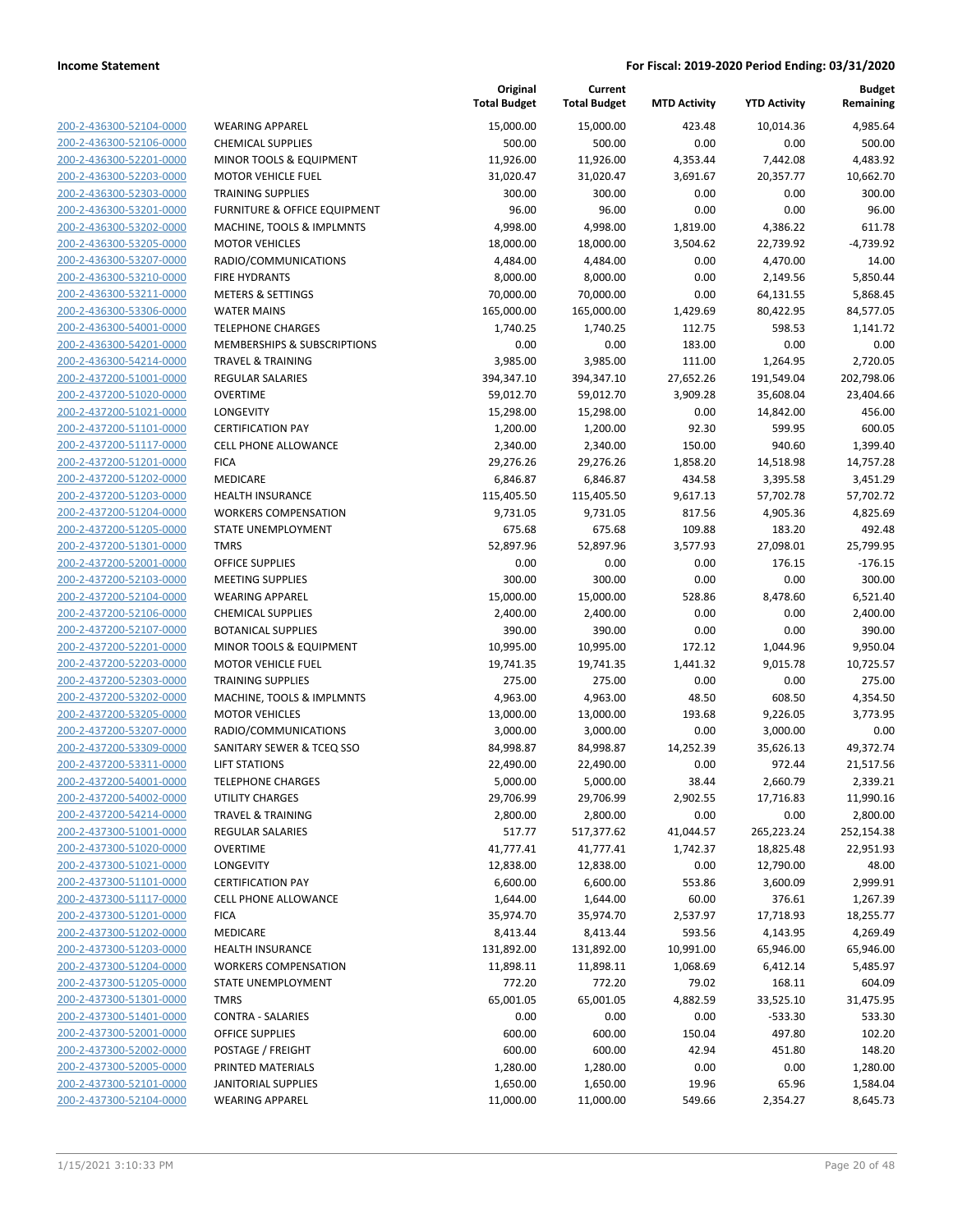| 200-2-436300-52104-0000 | WEA              |
|-------------------------|------------------|
| 200-2-436300-52106-0000 | <b>CHEI</b>      |
| 200-2-436300-52201-0000 | <b>MIN</b>       |
| 200-2-436300-52203-0000 | MO <sub>1</sub>  |
| 200-2-436300-52303-0000 | TRAI             |
|                         | <b>FURI</b>      |
| 200-2-436300-53201-0000 |                  |
| 200-2-436300-53202-0000 | <b>MAC</b>       |
| 200-2-436300-53205-0000 | M <sub>O</sub>   |
| 200-2-436300-53207-0000 | <b>RAD</b>       |
| 200-2-436300-53210-0000 | <b>FIRE</b>      |
| 200-2-436300-53211-0000 | <b>MET</b>       |
| 200-2-436300-53306-0000 | <b>WAT</b>       |
| 200-2-436300-54001-0000 | TELE             |
| 200-2-436300-54201-0000 | MEN              |
| 200-2-436300-54214-0000 | TRA'             |
| 200-2-437200-51001-0000 | <b>REG</b>       |
| 200-2-437200-51020-0000 | <b>OVE</b>       |
| 200-2-437200-51021-0000 | LON              |
| 200-2-437200-51101-0000 | CER <sub>1</sub> |
| 200-2-437200-51117-0000 | <b>CELL</b>      |
| 200-2-437200-51201-0000 | <b>FICA</b>      |
| 200-2-437200-51202-0000 | MED              |
| 200-2-437200-51203-0000 | HEA              |
| 200-2-437200-51204-0000 | wor              |
| 200-2-437200-51205-0000 | STA1             |
| 200-2-437200-51301-0000 | <b>TMR</b>       |
| 200-2-437200-52001-0000 | OFFI             |
|                         | <b>MEE</b>       |
| 200-2-437200-52103-0000 |                  |
| 200-2-437200-52104-0000 | WEA              |
| 200-2-437200-52106-0000 | <b>CHEI</b>      |
| 200-2-437200-52107-0000 | BOT.             |
| 200-2-437200-52201-0000 | <b>MIN</b>       |
| 200-2-437200-52203-0000 | MO1              |
| 200-2-437200-52303-0000 | TRAI             |
| 200-2-437200-53202-0000 | MAC              |
| 200-2-437200-53205-0000 | MO1              |
| 200-2-437200-53207-0000 | RAD              |
| 200-2-437200-53309-0000 | SAN              |
| 200-2-437200-53311-0000 | <b>LIFT</b>      |
| 200-2-437200-54001-0000 | TELE             |
| 200-2-437200-54002-0000 | UTIL             |
| 200-2-437200-54214-0000 | TRA'             |
| 200-2-437300-51001-0000 | REG              |
| 200-2-437300-51020-0000 | <b>OVE</b>       |
| 200-2-437300-51021-0000 | LON              |
| 200-2-437300-51101-0000 | CER <sub>1</sub> |
| 200-2-437300-51117-0000 | CELL             |
| 200-2-437300-51201-0000 | <b>FICA</b>      |
| 200-2-437300-51202-0000 | MED              |
| 200-2-437300-51203-0000 | HEA              |
| 200-2-437300-51204-0000 | wor              |
| 200-2-437300-51205-0000 | STA1             |
|                         |                  |
| 200-2-437300-51301-0000 | <b>TMR</b>       |
| 200-2-437300-51401-0000 | CON              |
| 200-2-437300-52001-0000 | OFFI             |
| 200-2-437300-52002-0000 | POS <sup>-</sup> |
| 200-2-437300-52005-0000 | PRIN             |
| 200-2-437300-52101-0000 | JANI             |
| 200-2-437300-52104-0000 | WEA              |
|                         |                  |

|                                                    |                                                       | Original<br><b>Total Budget</b> | Current<br><b>Total Budget</b> | <b>MTD Activity</b> | <b>YTD Activity</b> | Budget<br>Remaining |
|----------------------------------------------------|-------------------------------------------------------|---------------------------------|--------------------------------|---------------------|---------------------|---------------------|
| 200-2-436300-52104-0000                            | <b>WEARING APPAREL</b>                                | 15,000.00                       | 15,000.00                      | 423.48              | 10,014.36           | 4,985.64            |
| 200-2-436300-52106-0000                            | <b>CHEMICAL SUPPLIES</b>                              | 500.00                          | 500.00                         | 0.00                | 0.00                | 500.00              |
| 200-2-436300-52201-0000                            | MINOR TOOLS & EQUIPMENT                               | 11,926.00                       | 11,926.00                      | 4,353.44            | 7,442.08            | 4,483.92            |
| 200-2-436300-52203-0000                            | <b>MOTOR VEHICLE FUEL</b>                             | 31,020.47                       | 31,020.47                      | 3,691.67            | 20,357.77           | 10,662.70           |
| 200-2-436300-52303-0000                            | <b>TRAINING SUPPLIES</b>                              | 300.00                          | 300.00                         | 0.00                | 0.00                | 300.00              |
| 200-2-436300-53201-0000                            | FURNITURE & OFFICE EQUIPMENT                          | 96.00                           | 96.00                          | 0.00                | 0.00                | 96.00               |
| 200-2-436300-53202-0000                            | MACHINE, TOOLS & IMPLMNTS                             | 4,998.00                        | 4,998.00                       | 1,819.00            | 4,386.22            | 611.78              |
| 200-2-436300-53205-0000                            | <b>MOTOR VEHICLES</b>                                 | 18,000.00                       | 18,000.00                      | 3,504.62            | 22,739.92           | $-4,739.92$         |
| 200-2-436300-53207-0000                            | RADIO/COMMUNICATIONS                                  | 4,484.00                        | 4,484.00                       | 0.00                | 4,470.00            | 14.00               |
| 200-2-436300-53210-0000                            | <b>FIRE HYDRANTS</b>                                  | 8,000.00                        | 8,000.00                       | 0.00                | 2,149.56            | 5,850.44            |
| 200-2-436300-53211-0000                            | <b>METERS &amp; SETTINGS</b>                          | 70,000.00                       | 70,000.00                      | 0.00                | 64,131.55           | 5,868.45            |
| 200-2-436300-53306-0000                            | <b>WATER MAINS</b>                                    | 165,000.00                      | 165,000.00                     | 1,429.69            | 80,422.95           | 84,577.05           |
| 200-2-436300-54001-0000                            | <b>TELEPHONE CHARGES</b>                              | 1,740.25                        | 1,740.25                       | 112.75              | 598.53              | 1,141.72            |
| 200-2-436300-54201-0000                            | <b>MEMBERSHIPS &amp; SUBSCRIPTIONS</b>                | 0.00                            | 0.00                           | 183.00              | 0.00                | 0.00                |
| 200-2-436300-54214-0000                            | <b>TRAVEL &amp; TRAINING</b>                          | 3,985.00                        | 3,985.00                       | 111.00              | 1,264.95            | 2,720.05            |
| 200-2-437200-51001-0000                            | REGULAR SALARIES                                      | 394,347.10                      | 394,347.10                     | 27,652.26           | 191,549.04          | 202,798.06          |
| 200-2-437200-51020-0000                            | <b>OVERTIME</b>                                       | 59,012.70                       | 59,012.70                      | 3,909.28            | 35,608.04           | 23,404.66           |
| 200-2-437200-51021-0000                            | LONGEVITY                                             | 15,298.00                       | 15,298.00                      | 0.00                | 14,842.00           | 456.00              |
| 200-2-437200-51101-0000                            | <b>CERTIFICATION PAY</b>                              | 1,200.00                        | 1,200.00                       | 92.30               | 599.95              | 600.05              |
| 200-2-437200-51117-0000                            | <b>CELL PHONE ALLOWANCE</b>                           | 2,340.00                        | 2,340.00                       | 150.00              | 940.60              | 1,399.40            |
| 200-2-437200-51201-0000                            | <b>FICA</b>                                           | 29,276.26                       | 29,276.26                      | 1,858.20            | 14,518.98           | 14,757.28           |
| 200-2-437200-51202-0000                            | <b>MEDICARE</b>                                       | 6,846.87                        | 6,846.87                       | 434.58              | 3,395.58            | 3,451.29            |
| 200-2-437200-51203-0000                            | <b>HEALTH INSURANCE</b>                               | 115,405.50                      | 115,405.50                     | 9,617.13            | 57,702.78           | 57,702.72           |
| 200-2-437200-51204-0000                            | <b>WORKERS COMPENSATION</b>                           | 9,731.05                        | 9,731.05                       | 817.56              | 4,905.36            | 4,825.69            |
| 200-2-437200-51205-0000                            | STATE UNEMPLOYMENT                                    | 675.68                          | 675.68                         | 109.88              | 183.20              | 492.48              |
| 200-2-437200-51301-0000                            | <b>TMRS</b>                                           | 52,897.96                       | 52,897.96                      | 3,577.93            | 27,098.01           | 25,799.95           |
| 200-2-437200-52001-0000                            | <b>OFFICE SUPPLIES</b>                                | 0.00                            | 0.00                           | 0.00                | 176.15              | $-176.15$           |
| 200-2-437200-52103-0000                            | <b>MEETING SUPPLIES</b>                               | 300.00                          | 300.00                         | 0.00                | 0.00                | 300.00              |
| 200-2-437200-52104-0000                            | <b>WEARING APPAREL</b>                                | 15,000.00                       | 15,000.00                      | 528.86              | 8,478.60            | 6,521.40            |
| 200-2-437200-52106-0000                            | <b>CHEMICAL SUPPLIES</b>                              | 2,400.00                        | 2,400.00                       | 0.00                | 0.00                | 2,400.00            |
| 200-2-437200-52107-0000                            | <b>BOTANICAL SUPPLIES</b>                             | 390.00                          | 390.00                         | 0.00                | 0.00                | 390.00              |
| 200-2-437200-52201-0000                            | MINOR TOOLS & EQUIPMENT                               | 10,995.00                       | 10,995.00                      | 172.12              | 1,044.96            | 9,950.04            |
| 200-2-437200-52203-0000<br>200-2-437200-52303-0000 | <b>MOTOR VEHICLE FUEL</b>                             | 19,741.35<br>275.00             | 19,741.35                      | 1,441.32            | 9,015.78            | 10,725.57<br>275.00 |
| 200-2-437200-53202-0000                            | <b>TRAINING SUPPLIES</b><br>MACHINE, TOOLS & IMPLMNTS | 4,963.00                        | 275.00<br>4,963.00             | 0.00<br>48.50       | 0.00<br>608.50      | 4,354.50            |
| 200-2-437200-53205-0000                            | <b>MOTOR VEHICLES</b>                                 | 13,000.00                       | 13,000.00                      | 193.68              | 9,226.05            | 3,773.95            |
| 200-2-437200-53207-0000                            | RADIO/COMMUNICATIONS                                  | 3,000.00                        | 3,000.00                       | 0.00                | 3,000.00            | 0.00                |
| 200-2-437200-53309-0000                            | SANITARY SEWER & TCEQ SSO                             | 84,998.87                       | 84,998.87                      | 14,252.39           | 35,626.13           | 49,372.74           |
| 200-2-437200-53311-0000                            | <b>LIFT STATIONS</b>                                  | 22,490.00                       | 22,490.00                      | 0.00                | 972.44              | 21,517.56           |
| 200-2-437200-54001-0000                            | <b>TELEPHONE CHARGES</b>                              | 5,000.00                        | 5,000.00                       | 38.44               | 2,660.79            | 2,339.21            |
| 200-2-437200-54002-0000                            | UTILITY CHARGES                                       | 29,706.99                       | 29,706.99                      | 2,902.55            | 17,716.83           | 11,990.16           |
| 200-2-437200-54214-0000                            | <b>TRAVEL &amp; TRAINING</b>                          | 2,800.00                        | 2,800.00                       | 0.00                | 0.00                | 2,800.00            |
| 200-2-437300-51001-0000                            | <b>REGULAR SALARIES</b>                               | 517.77                          | 517,377.62                     | 41,044.57           | 265,223.24          | 252,154.38          |
| 200-2-437300-51020-0000                            | <b>OVERTIME</b>                                       | 41,777.41                       | 41,777.41                      | 1,742.37            | 18,825.48           | 22,951.93           |
| 200-2-437300-51021-0000                            | LONGEVITY                                             | 12,838.00                       | 12,838.00                      | 0.00                | 12,790.00           | 48.00               |
| 200-2-437300-51101-0000                            | <b>CERTIFICATION PAY</b>                              | 6,600.00                        | 6,600.00                       | 553.86              | 3,600.09            | 2,999.91            |
| 200-2-437300-51117-0000                            | <b>CELL PHONE ALLOWANCE</b>                           | 1,644.00                        | 1,644.00                       | 60.00               | 376.61              | 1,267.39            |
| 200-2-437300-51201-0000                            | <b>FICA</b>                                           | 35,974.70                       | 35,974.70                      | 2,537.97            | 17,718.93           | 18,255.77           |
| 200-2-437300-51202-0000                            | MEDICARE                                              | 8,413.44                        | 8,413.44                       | 593.56              | 4,143.95            | 4,269.49            |
| 200-2-437300-51203-0000                            | HEALTH INSURANCE                                      | 131,892.00                      | 131,892.00                     | 10,991.00           | 65,946.00           | 65,946.00           |
| 200-2-437300-51204-0000                            | <b>WORKERS COMPENSATION</b>                           | 11,898.11                       | 11,898.11                      | 1,068.69            | 6,412.14            | 5,485.97            |
| 200-2-437300-51205-0000                            | STATE UNEMPLOYMENT                                    | 772.20                          | 772.20                         | 79.02               | 168.11              | 604.09              |
| 200-2-437300-51301-0000                            | <b>TMRS</b>                                           | 65,001.05                       | 65,001.05                      | 4,882.59            | 33,525.10           | 31,475.95           |
| 200-2-437300-51401-0000                            | <b>CONTRA - SALARIES</b>                              | 0.00                            | 0.00                           | 0.00                | $-533.30$           | 533.30              |
| 200-2-437300-52001-0000                            | OFFICE SUPPLIES                                       | 600.00                          | 600.00                         | 150.04              | 497.80              | 102.20              |
| 200-2-437300-52002-0000                            | POSTAGE / FREIGHT                                     | 600.00                          | 600.00                         | 42.94               | 451.80              | 148.20              |
| 200-2-437300-52005-0000                            | PRINTED MATERIALS                                     | 1,280.00                        | 1,280.00                       | 0.00                | 0.00                | 1,280.00            |
| 200-2-437300-52101-0000                            | <b>JANITORIAL SUPPLIES</b>                            | 1,650.00                        | 1,650.00                       | 19.96               | 65.96               | 1,584.04            |
| 200-2-437300-52104-0000                            | <b>WEARING APPAREL</b>                                | 11,000.00                       | 11,000.00                      | 549.66              | 2,354.27            | 8,645.73            |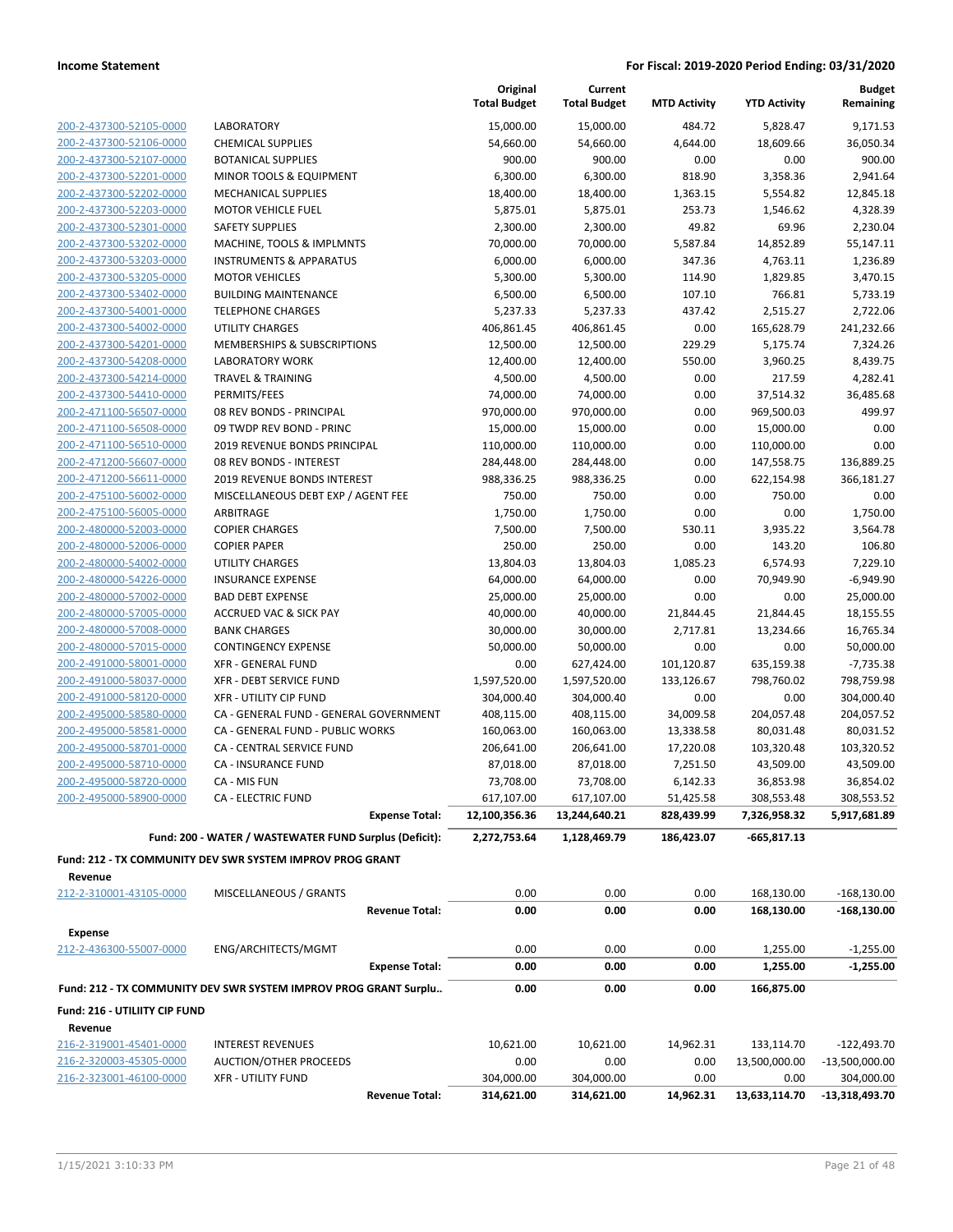|                                                    |                                                                      | Original<br><b>Total Budget</b> | Current<br><b>Total Budget</b> | <b>MTD Activity</b>     | <b>YTD Activity</b>        | <b>Budget</b><br>Remaining |
|----------------------------------------------------|----------------------------------------------------------------------|---------------------------------|--------------------------------|-------------------------|----------------------------|----------------------------|
| 200-2-437300-52105-0000                            | <b>LABORATORY</b>                                                    | 15,000.00                       | 15,000.00                      | 484.72                  | 5,828.47                   | 9,171.53                   |
| 200-2-437300-52106-0000                            | <b>CHEMICAL SUPPLIES</b>                                             | 54,660.00                       | 54,660.00                      | 4,644.00                | 18,609.66                  | 36,050.34                  |
| 200-2-437300-52107-0000                            | <b>BOTANICAL SUPPLIES</b>                                            | 900.00                          | 900.00                         | 0.00                    | 0.00                       | 900.00                     |
| 200-2-437300-52201-0000                            | <b>MINOR TOOLS &amp; EQUIPMENT</b>                                   | 6,300.00                        | 6,300.00                       | 818.90                  | 3,358.36                   | 2,941.64                   |
| 200-2-437300-52202-0000                            | <b>MECHANICAL SUPPLIES</b>                                           | 18,400.00                       | 18,400.00                      | 1,363.15                | 5,554.82                   | 12,845.18                  |
| 200-2-437300-52203-0000                            | <b>MOTOR VEHICLE FUEL</b>                                            | 5,875.01                        | 5,875.01                       | 253.73                  | 1,546.62                   | 4,328.39                   |
| 200-2-437300-52301-0000                            | <b>SAFETY SUPPLIES</b>                                               | 2,300.00                        | 2,300.00                       | 49.82                   | 69.96                      | 2,230.04                   |
| 200-2-437300-53202-0000                            | MACHINE, TOOLS & IMPLMNTS                                            | 70,000.00                       | 70,000.00                      | 5,587.84                | 14,852.89                  | 55,147.11                  |
| 200-2-437300-53203-0000                            | <b>INSTRUMENTS &amp; APPARATUS</b>                                   | 6,000.00                        | 6,000.00                       | 347.36                  | 4,763.11                   | 1,236.89                   |
| 200-2-437300-53205-0000                            | <b>MOTOR VEHICLES</b>                                                | 5,300.00                        | 5,300.00                       | 114.90                  | 1,829.85                   | 3,470.15                   |
| 200-2-437300-53402-0000                            | <b>BUILDING MAINTENANCE</b>                                          | 6,500.00                        | 6,500.00                       | 107.10                  | 766.81                     | 5,733.19                   |
| 200-2-437300-54001-0000                            | <b>TELEPHONE CHARGES</b>                                             | 5,237.33                        | 5,237.33                       | 437.42                  | 2,515.27                   | 2,722.06                   |
| 200-2-437300-54002-0000                            | <b>UTILITY CHARGES</b>                                               | 406,861.45                      | 406,861.45                     | 0.00                    | 165,628.79                 | 241,232.66                 |
| 200-2-437300-54201-0000                            | MEMBERSHIPS & SUBSCRIPTIONS                                          | 12,500.00                       | 12,500.00                      | 229.29                  | 5,175.74                   | 7,324.26                   |
| 200-2-437300-54208-0000                            | <b>LABORATORY WORK</b>                                               | 12,400.00                       | 12,400.00                      | 550.00                  | 3,960.25                   | 8,439.75                   |
| 200-2-437300-54214-0000                            | <b>TRAVEL &amp; TRAINING</b>                                         | 4,500.00                        | 4,500.00                       | 0.00                    | 217.59                     | 4,282.41                   |
| 200-2-437300-54410-0000                            | PERMITS/FEES                                                         | 74,000.00                       | 74,000.00                      | 0.00                    | 37,514.32                  | 36,485.68                  |
| 200-2-471100-56507-0000                            | 08 REV BONDS - PRINCIPAL                                             | 970,000.00                      | 970,000.00                     | 0.00                    | 969,500.03                 | 499.97                     |
| 200-2-471100-56508-0000                            | 09 TWDP REV BOND - PRINC                                             | 15,000.00                       | 15,000.00                      | 0.00                    | 15,000.00                  | 0.00                       |
| 200-2-471100-56510-0000                            | 2019 REVENUE BONDS PRINCIPAL                                         | 110,000.00                      | 110,000.00                     | 0.00                    | 110,000.00                 | 0.00                       |
| 200-2-471200-56607-0000                            | 08 REV BONDS - INTEREST                                              | 284,448.00                      | 284,448.00                     | 0.00                    | 147,558.75                 | 136,889.25                 |
| 200-2-471200-56611-0000                            | 2019 REVENUE BONDS INTEREST                                          | 988,336.25                      | 988,336.25                     | 0.00                    | 622,154.98                 | 366,181.27                 |
| 200-2-475100-56002-0000                            | MISCELLANEOUS DEBT EXP / AGENT FEE                                   | 750.00                          | 750.00                         | 0.00                    | 750.00                     | 0.00                       |
| 200-2-475100-56005-0000                            | ARBITRAGE                                                            | 1,750.00                        | 1,750.00                       | 0.00                    | 0.00                       | 1,750.00                   |
| 200-2-480000-52003-0000                            | <b>COPIER CHARGES</b>                                                | 7,500.00                        | 7,500.00                       | 530.11                  | 3,935.22                   | 3,564.78                   |
| 200-2-480000-52006-0000                            | <b>COPIER PAPER</b>                                                  | 250.00                          | 250.00                         | 0.00                    | 143.20                     | 106.80                     |
| 200-2-480000-54002-0000                            | UTILITY CHARGES                                                      | 13,804.03                       | 13,804.03                      | 1,085.23                | 6,574.93                   | 7,229.10                   |
| 200-2-480000-54226-0000                            | <b>INSURANCE EXPENSE</b>                                             | 64,000.00                       | 64,000.00                      | 0.00                    | 70,949.90                  | $-6,949.90$                |
| 200-2-480000-57002-0000                            | <b>BAD DEBT EXPENSE</b>                                              | 25,000.00                       | 25,000.00                      | 0.00                    | 0.00                       | 25,000.00                  |
| 200-2-480000-57005-0000                            | <b>ACCRUED VAC &amp; SICK PAY</b>                                    | 40,000.00                       | 40,000.00                      | 21,844.45               | 21,844.45                  | 18,155.55                  |
| 200-2-480000-57008-0000                            | <b>BANK CHARGES</b>                                                  | 30,000.00                       | 30,000.00                      | 2,717.81                | 13,234.66                  | 16,765.34                  |
| 200-2-480000-57015-0000                            | <b>CONTINGENCY EXPENSE</b>                                           | 50,000.00                       | 50,000.00                      | 0.00                    | 0.00                       | 50,000.00                  |
| 200-2-491000-58001-0000                            | <b>XFR - GENERAL FUND</b>                                            | 0.00                            | 627,424.00                     | 101,120.87              | 635,159.38                 | $-7,735.38$                |
| 200-2-491000-58037-0000                            | XFR - DEBT SERVICE FUND                                              | 1,597,520.00                    | 1,597,520.00                   | 133,126.67              | 798,760.02                 | 798,759.98                 |
| 200-2-491000-58120-0000                            | XFR - UTILITY CIP FUND<br>CA - GENERAL FUND - GENERAL GOVERNMENT     | 304,000.40                      | 304,000.40                     | 0.00                    | 0.00                       | 304,000.40                 |
| 200-2-495000-58580-0000                            |                                                                      | 408,115.00                      | 408,115.00                     | 34,009.58               | 204,057.48                 | 204,057.52                 |
| 200-2-495000-58581-0000                            | CA - GENERAL FUND - PUBLIC WORKS<br><b>CA - CENTRAL SERVICE FUND</b> | 160,063.00                      | 160,063.00<br>206,641.00       | 13,338.58               | 80,031.48                  | 80,031.52                  |
| 200-2-495000-58701-0000<br>200-2-495000-58710-0000 | <b>CA - INSURANCE FUND</b>                                           | 206,641.00<br>87,018.00         |                                | 17,220.08               | 103,320.48                 | 103,320.52                 |
| 200-2-495000-58720-0000                            | CA - MIS FUN                                                         |                                 | 87,018.00                      | 7,251.50                | 43,509.00                  | 43,509.00<br>36,854.02     |
| 200-2-495000-58900-0000                            |                                                                      | 73,708.00                       | 73,708.00                      | 6,142.33                | 36,853.98                  |                            |
|                                                    | <b>CA - ELECTRIC FUND</b><br><b>Expense Total:</b>                   | 617,107.00<br>12,100,356.36     | 617,107.00<br>13,244,640.21    | 51,425.58<br>828,439.99 | 308,553.48<br>7,326,958.32 | 308,553.52<br>5,917,681.89 |
|                                                    |                                                                      |                                 |                                |                         |                            |                            |
|                                                    | Fund: 200 - WATER / WASTEWATER FUND Surplus (Deficit):               | 2,272,753.64                    | 1,128,469.79                   | 186,423.07              | $-665,817.13$              |                            |
|                                                    | Fund: 212 - TX COMMUNITY DEV SWR SYSTEM IMPROV PROG GRANT            |                                 |                                |                         |                            |                            |
| Revenue                                            |                                                                      |                                 |                                |                         |                            |                            |
| 212-2-310001-43105-0000                            | MISCELLANEOUS / GRANTS                                               | 0.00                            | 0.00                           | 0.00                    | 168,130.00                 | $-168,130.00$              |
|                                                    | <b>Revenue Total:</b>                                                | 0.00                            | 0.00                           | 0.00                    | 168,130.00                 | $-168,130.00$              |
| <b>Expense</b>                                     |                                                                      |                                 |                                |                         |                            |                            |
| 212-2-436300-55007-0000                            | ENG/ARCHITECTS/MGMT                                                  | 0.00                            | 0.00                           | 0.00                    | 1,255.00                   | $-1,255.00$                |
|                                                    | <b>Expense Total:</b>                                                | 0.00                            | 0.00                           | 0.00                    | 1,255.00                   | $-1,255.00$                |
|                                                    |                                                                      |                                 |                                |                         |                            |                            |
|                                                    | Fund: 212 - TX COMMUNITY DEV SWR SYSTEM IMPROV PROG GRANT Surplu     | 0.00                            | 0.00                           | 0.00                    | 166,875.00                 |                            |
| Fund: 216 - UTILIITY CIP FUND<br>Revenue           |                                                                      |                                 |                                |                         |                            |                            |
| 216-2-319001-45401-0000                            | <b>INTEREST REVENUES</b>                                             | 10,621.00                       | 10,621.00                      | 14,962.31               | 133,114.70                 | $-122,493.70$              |
| 216-2-320003-45305-0000                            | <b>AUCTION/OTHER PROCEEDS</b>                                        | 0.00                            | 0.00                           | 0.00                    | 13,500,000.00              | $-13,500,000.00$           |
| 216-2-323001-46100-0000                            | <b>XFR - UTILITY FUND</b>                                            | 304,000.00                      | 304,000.00                     | 0.00                    | 0.00                       | 304,000.00                 |
|                                                    | <b>Revenue Total:</b>                                                | 314,621.00                      | 314,621.00                     | 14,962.31               | 13,633,114.70              | $-13,318,493.70$           |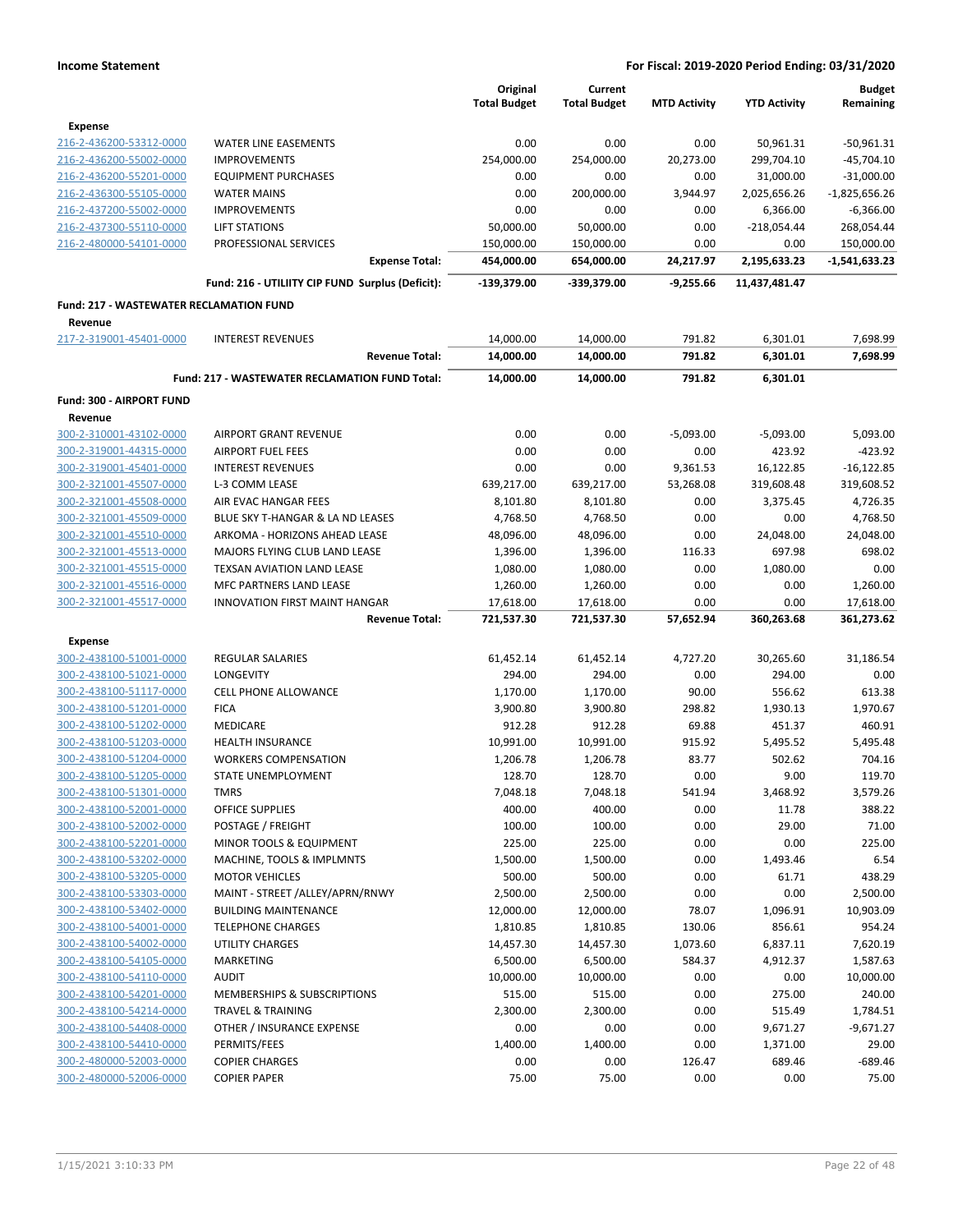|                                                |                                                   | Original<br><b>Total Budget</b> | Current<br><b>Total Budget</b> | <b>MTD Activity</b> | <b>YTD Activity</b>  | <b>Budget</b><br>Remaining |
|------------------------------------------------|---------------------------------------------------|---------------------------------|--------------------------------|---------------------|----------------------|----------------------------|
| <b>Expense</b>                                 |                                                   |                                 |                                |                     |                      |                            |
| 216-2-436200-53312-0000                        | <b>WATER LINE EASEMENTS</b>                       | 0.00                            | 0.00                           | 0.00                | 50,961.31            | -50,961.31                 |
| 216-2-436200-55002-0000                        | <b>IMPROVEMENTS</b>                               | 254,000.00                      | 254,000.00                     | 20,273.00           | 299,704.10           | $-45,704.10$               |
| 216-2-436200-55201-0000                        | <b>EQUIPMENT PURCHASES</b>                        | 0.00                            | 0.00                           | 0.00                | 31,000.00            | $-31,000.00$               |
| 216-2-436300-55105-0000                        | <b>WATER MAINS</b>                                | 0.00                            | 200,000.00                     | 3,944.97            | 2,025,656.26         | $-1,825,656.26$            |
| 216-2-437200-55002-0000                        | <b>IMPROVEMENTS</b>                               | 0.00                            | 0.00                           | 0.00                | 6,366.00             | $-6,366.00$                |
| 216-2-437300-55110-0000                        | <b>LIFT STATIONS</b>                              | 50,000.00                       | 50,000.00                      | 0.00                | $-218,054.44$        | 268,054.44                 |
| 216-2-480000-54101-0000                        | PROFESSIONAL SERVICES                             | 150,000.00                      | 150,000.00                     | 0.00                | 0.00                 | 150,000.00                 |
|                                                | <b>Expense Total:</b>                             | 454,000.00                      | 654,000.00                     | 24,217.97           | 2,195,633.23         | -1,541,633.23              |
|                                                | Fund: 216 - UTILIITY CIP FUND Surplus (Deficit):  | $-139,379.00$                   | -339,379.00                    | $-9,255.66$         | 11,437,481.47        |                            |
| <b>Fund: 217 - WASTEWATER RECLAMATION FUND</b> |                                                   |                                 |                                |                     |                      |                            |
| Revenue                                        |                                                   |                                 |                                |                     |                      |                            |
| 217-2-319001-45401-0000                        | <b>INTEREST REVENUES</b><br><b>Revenue Total:</b> | 14,000.00<br>14,000.00          | 14,000.00<br>14,000.00         | 791.82<br>791.82    | 6,301.01<br>6,301.01 | 7,698.99<br>7,698.99       |
|                                                |                                                   |                                 |                                |                     |                      |                            |
|                                                | Fund: 217 - WASTEWATER RECLAMATION FUND Total:    | 14,000.00                       | 14,000.00                      | 791.82              | 6,301.01             |                            |
| Fund: 300 - AIRPORT FUND<br>Revenue            |                                                   |                                 |                                |                     |                      |                            |
| 300-2-310001-43102-0000                        | <b>AIRPORT GRANT REVENUE</b>                      | 0.00                            | 0.00                           | $-5,093.00$         | $-5,093.00$          | 5,093.00                   |
| 300-2-319001-44315-0000                        | <b>AIRPORT FUEL FEES</b>                          | 0.00                            | 0.00                           | 0.00                | 423.92               | $-423.92$                  |
| 300-2-319001-45401-0000                        | <b>INTEREST REVENUES</b>                          | 0.00                            | 0.00                           | 9,361.53            | 16,122.85            | $-16,122.85$               |
| 300-2-321001-45507-0000                        | L-3 COMM LEASE                                    |                                 |                                | 53,268.08           | 319,608.48           |                            |
|                                                |                                                   | 639,217.00                      | 639,217.00                     |                     |                      | 319,608.52                 |
| 300-2-321001-45508-0000                        | AIR EVAC HANGAR FEES                              | 8,101.80                        | 8,101.80                       | 0.00                | 3,375.45             | 4,726.35                   |
| 300-2-321001-45509-0000                        | BLUE SKY T-HANGAR & LA ND LEASES                  | 4,768.50                        | 4,768.50                       | 0.00                | 0.00                 | 4,768.50                   |
| 300-2-321001-45510-0000                        | ARKOMA - HORIZONS AHEAD LEASE                     | 48,096.00                       | 48,096.00                      | 0.00                | 24,048.00            | 24,048.00                  |
| 300-2-321001-45513-0000                        | MAJORS FLYING CLUB LAND LEASE                     | 1,396.00                        | 1,396.00                       | 116.33              | 697.98               | 698.02                     |
| 300-2-321001-45515-0000                        | TEXSAN AVIATION LAND LEASE                        | 1,080.00                        | 1,080.00                       | 0.00                | 1,080.00             | 0.00                       |
| 300-2-321001-45516-0000                        | MFC PARTNERS LAND LEASE                           | 1,260.00                        | 1,260.00                       | 0.00                | 0.00                 | 1,260.00                   |
| 300-2-321001-45517-0000                        | INNOVATION FIRST MAINT HANGAR                     | 17,618.00                       | 17,618.00                      | 0.00                | 0.00                 | 17,618.00                  |
|                                                | <b>Revenue Total:</b>                             | 721,537.30                      | 721,537.30                     | 57,652.94           | 360,263.68           | 361,273.62                 |
| <b>Expense</b>                                 |                                                   |                                 |                                |                     |                      |                            |
| 300-2-438100-51001-0000                        | <b>REGULAR SALARIES</b>                           | 61,452.14                       | 61,452.14                      | 4,727.20            | 30,265.60            | 31,186.54                  |
| 300-2-438100-51021-0000                        | LONGEVITY                                         | 294.00                          | 294.00                         | 0.00                | 294.00               | 0.00                       |
| 300-2-438100-51117-0000                        | <b>CELL PHONE ALLOWANCE</b>                       | 1,170.00                        | 1,170.00                       | 90.00               | 556.62               | 613.38                     |
| 300-2-438100-51201-0000                        | <b>FICA</b>                                       | 3,900.80                        | 3,900.80                       | 298.82              | 1,930.13             | 1,970.67                   |
| 300-2-438100-51202-0000                        | MEDICARE                                          | 912.28                          | 912.28                         | 69.88               | 451.37               | 460.91                     |
| 300-2-438100-51203-0000                        | <b>HEALTH INSURANCE</b>                           | 10,991.00                       | 10,991.00                      | 915.92              | 5,495.52             | 5,495.48                   |
| 300-2-438100-51204-0000                        | <b>WORKERS COMPENSATION</b>                       | 1,206.78                        | 1,206.78                       | 83.77               | 502.62               | 704.16                     |
| 300-2-438100-51205-0000                        | STATE UNEMPLOYMENT                                | 128.70                          | 128.70                         | 0.00                | 9.00                 | 119.70                     |
| 300-2-438100-51301-0000                        | TMRS                                              | 7,048.18                        | 7,048.18                       | 541.94              | 3,468.92             | 3,579.26                   |
| 300-2-438100-52001-0000                        | OFFICE SUPPLIES                                   | 400.00                          | 400.00                         | 0.00                | 11.78                | 388.22                     |
| 300-2-438100-52002-0000                        | POSTAGE / FREIGHT                                 | 100.00                          | 100.00                         | 0.00                | 29.00                | 71.00                      |
| 300-2-438100-52201-0000                        | MINOR TOOLS & EQUIPMENT                           | 225.00                          | 225.00                         | 0.00                | 0.00                 | 225.00                     |
| 300-2-438100-53202-0000                        | MACHINE, TOOLS & IMPLMNTS                         | 1,500.00                        | 1,500.00                       | 0.00                | 1,493.46             | 6.54                       |
| 300-2-438100-53205-0000                        | <b>MOTOR VEHICLES</b>                             | 500.00                          | 500.00                         | 0.00                | 61.71                | 438.29                     |
| 300-2-438100-53303-0000                        | MAINT - STREET /ALLEY/APRN/RNWY                   | 2,500.00                        | 2,500.00                       | 0.00                | 0.00                 | 2,500.00                   |
| 300-2-438100-53402-0000                        | <b>BUILDING MAINTENANCE</b>                       | 12,000.00                       | 12,000.00                      | 78.07               | 1,096.91             | 10,903.09                  |
| 300-2-438100-54001-0000                        | <b>TELEPHONE CHARGES</b>                          | 1,810.85                        | 1,810.85                       | 130.06              | 856.61               | 954.24                     |
| 300-2-438100-54002-0000                        | UTILITY CHARGES                                   | 14,457.30                       | 14,457.30                      | 1,073.60            | 6,837.11             | 7,620.19                   |
| 300-2-438100-54105-0000                        | MARKETING                                         | 6,500.00                        | 6,500.00                       | 584.37              | 4,912.37             | 1,587.63                   |
| 300-2-438100-54110-0000                        | <b>AUDIT</b>                                      | 10,000.00                       | 10,000.00                      | 0.00                | 0.00                 | 10,000.00                  |
| 300-2-438100-54201-0000                        |                                                   | 515.00                          | 515.00                         | 0.00                | 275.00               | 240.00                     |
|                                                | MEMBERSHIPS & SUBSCRIPTIONS                       |                                 |                                |                     |                      |                            |
| 300-2-438100-54214-0000                        | <b>TRAVEL &amp; TRAINING</b>                      | 2,300.00                        | 2,300.00                       | 0.00                | 515.49               | 1,784.51                   |
| 300-2-438100-54408-0000                        | OTHER / INSURANCE EXPENSE                         | 0.00                            | 0.00                           | 0.00                | 9,671.27             | $-9,671.27$                |
| 300-2-438100-54410-0000                        | PERMITS/FEES                                      | 1,400.00                        | 1,400.00                       | 0.00                | 1,371.00             | 29.00                      |
| 300-2-480000-52003-0000                        | <b>COPIER CHARGES</b>                             | 0.00                            | 0.00                           | 126.47              | 689.46               | $-689.46$                  |
| 300-2-480000-52006-0000                        | <b>COPIER PAPER</b>                               | 75.00                           | 75.00                          | 0.00                | 0.00                 | 75.00                      |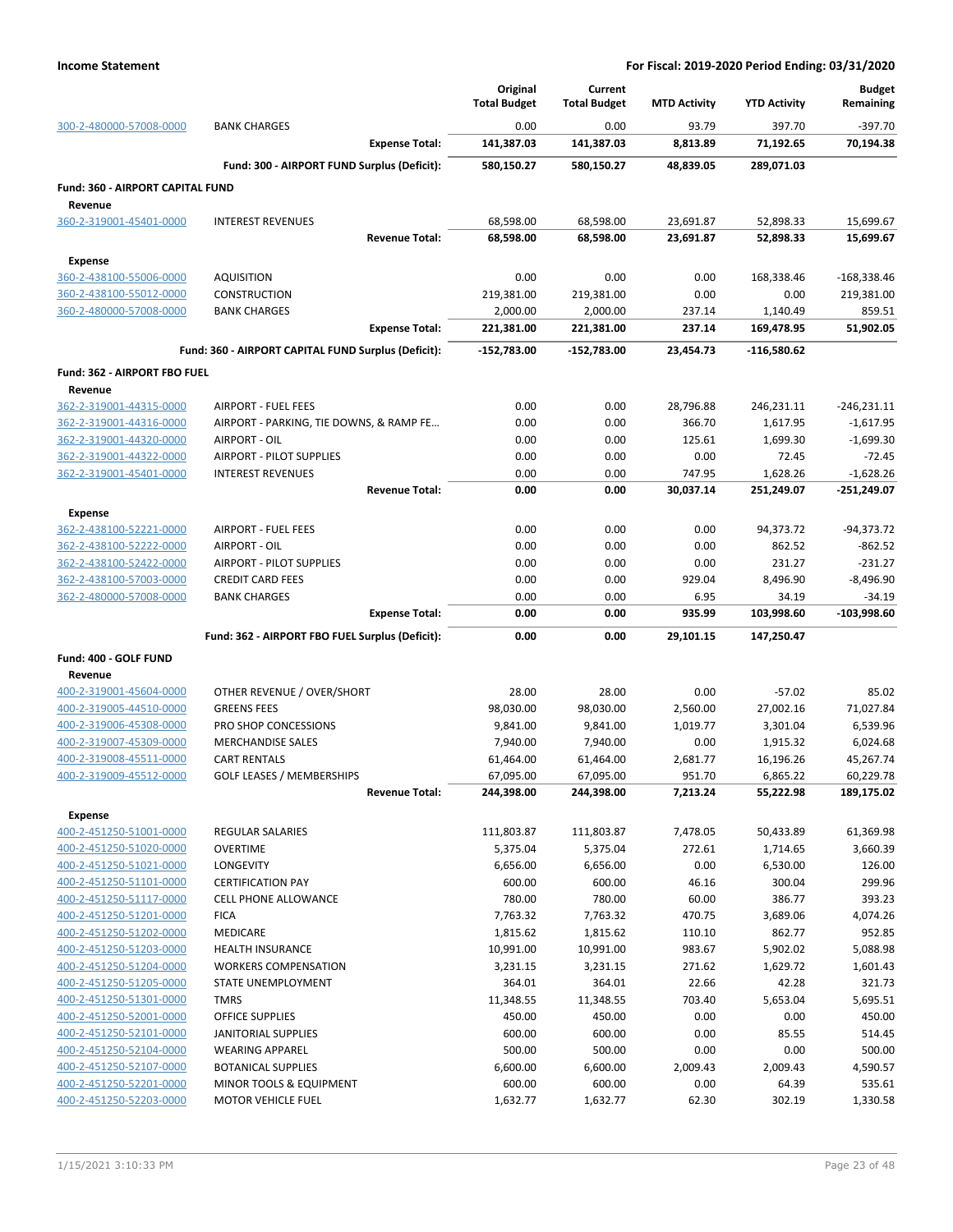|                                                    |                                                         |                       | Original<br><b>Total Budget</b> | Current<br><b>Total Budget</b> | <b>MTD Activity</b> | <b>YTD Activity</b>    | <b>Budget</b><br>Remaining   |
|----------------------------------------------------|---------------------------------------------------------|-----------------------|---------------------------------|--------------------------------|---------------------|------------------------|------------------------------|
| 300-2-480000-57008-0000                            | <b>BANK CHARGES</b>                                     |                       | 0.00                            | 0.00                           | 93.79               | 397.70                 | $-397.70$                    |
|                                                    |                                                         | <b>Expense Total:</b> | 141,387.03                      | 141,387.03                     | 8,813.89            | 71,192.65              | 70,194.38                    |
|                                                    | Fund: 300 - AIRPORT FUND Surplus (Deficit):             |                       | 580,150.27                      | 580,150.27                     | 48,839.05           | 289,071.03             |                              |
| <b>Fund: 360 - AIRPORT CAPITAL FUND</b>            |                                                         |                       |                                 |                                |                     |                        |                              |
| Revenue                                            |                                                         |                       |                                 |                                |                     |                        |                              |
| 360-2-319001-45401-0000                            | <b>INTEREST REVENUES</b>                                |                       | 68,598.00                       | 68,598.00                      | 23,691.87           | 52,898.33              | 15,699.67                    |
|                                                    |                                                         | <b>Revenue Total:</b> | 68,598.00                       | 68,598.00                      | 23,691.87           | 52,898.33              | 15,699.67                    |
| <b>Expense</b>                                     |                                                         |                       |                                 |                                |                     |                        |                              |
| 360-2-438100-55006-0000                            | AQUISITION                                              |                       | 0.00                            | 0.00                           | 0.00                | 168,338.46             | -168,338.46                  |
| 360-2-438100-55012-0000                            | CONSTRUCTION                                            |                       | 219,381.00                      | 219,381.00                     | 0.00                | 0.00                   | 219,381.00                   |
| 360-2-480000-57008-0000                            | <b>BANK CHARGES</b>                                     | <b>Expense Total:</b> | 2,000.00<br>221,381.00          | 2,000.00<br>221,381.00         | 237.14<br>237.14    | 1,140.49<br>169,478.95 | 859.51<br>51,902.05          |
|                                                    |                                                         |                       |                                 |                                |                     |                        |                              |
|                                                    | Fund: 360 - AIRPORT CAPITAL FUND Surplus (Deficit):     |                       | -152,783.00                     | $-152,783.00$                  | 23,454.73           | -116,580.62            |                              |
| <b>Fund: 362 - AIRPORT FBO FUEL</b>                |                                                         |                       |                                 |                                |                     |                        |                              |
| Revenue<br>362-2-319001-44315-0000                 | <b>AIRPORT - FUEL FEES</b>                              |                       |                                 |                                |                     | 246,231.11             |                              |
| 362-2-319001-44316-0000                            | AIRPORT - PARKING, TIE DOWNS, & RAMP FE                 |                       | 0.00<br>0.00                    | 0.00<br>0.00                   | 28,796.88<br>366.70 | 1,617.95               | $-246,231.11$<br>$-1,617.95$ |
| 362-2-319001-44320-0000                            | AIRPORT - OIL                                           |                       | 0.00                            | 0.00                           | 125.61              | 1,699.30               | $-1,699.30$                  |
| 362-2-319001-44322-0000                            | AIRPORT - PILOT SUPPLIES                                |                       | 0.00                            | 0.00                           | 0.00                | 72.45                  | $-72.45$                     |
| 362-2-319001-45401-0000                            | <b>INTEREST REVENUES</b>                                |                       | 0.00                            | 0.00                           | 747.95              | 1,628.26               | $-1,628.26$                  |
|                                                    |                                                         | <b>Revenue Total:</b> | 0.00                            | 0.00                           | 30,037.14           | 251,249.07             | -251,249.07                  |
| <b>Expense</b>                                     |                                                         |                       |                                 |                                |                     |                        |                              |
| 362-2-438100-52221-0000                            | <b>AIRPORT - FUEL FEES</b>                              |                       | 0.00                            | 0.00                           | 0.00                | 94,373.72              | $-94,373.72$                 |
| 362-2-438100-52222-0000                            | AIRPORT - OIL                                           |                       | 0.00                            | 0.00                           | 0.00                | 862.52                 | $-862.52$                    |
| 362-2-438100-52422-0000                            | AIRPORT - PILOT SUPPLIES                                |                       | 0.00                            | 0.00                           | 0.00                | 231.27                 | $-231.27$                    |
| 362-2-438100-57003-0000                            | <b>CREDIT CARD FEES</b>                                 |                       | 0.00                            | 0.00                           | 929.04              | 8,496.90               | $-8,496.90$                  |
| 362-2-480000-57008-0000                            | <b>BANK CHARGES</b>                                     |                       | 0.00                            | 0.00                           | 6.95                | 34.19                  | $-34.19$                     |
|                                                    |                                                         | <b>Expense Total:</b> | 0.00                            | 0.00                           | 935.99              | 103,998.60             | -103,998.60                  |
|                                                    | Fund: 362 - AIRPORT FBO FUEL Surplus (Deficit):         |                       | 0.00                            | 0.00                           | 29,101.15           | 147,250.47             |                              |
| Fund: 400 - GOLF FUND                              |                                                         |                       |                                 |                                |                     |                        |                              |
| Revenue                                            |                                                         |                       |                                 |                                |                     |                        |                              |
| 400-2-319001-45604-0000                            | OTHER REVENUE / OVER/SHORT                              |                       | 28.00                           | 28.00                          | 0.00                | $-57.02$               | 85.02                        |
| 400-2-319005-44510-0000                            | <b>GREENS FEES</b>                                      |                       | 98,030.00                       | 98,030.00                      | 2,560.00            | 27,002.16              | 71,027.84                    |
| 400-2-319006-45308-0000                            | PRO SHOP CONCESSIONS                                    |                       | 9,841.00                        | 9,841.00                       | 1,019.77            | 3,301.04               | 6,539.96                     |
| 400-2-319007-45309-0000                            | <b>MERCHANDISE SALES</b>                                |                       | 7,940.00                        | 7,940.00                       | 0.00                | 1,915.32               | 6,024.68                     |
| 400-2-319008-45511-0000<br>400-2-319009-45512-0000 | <b>CART RENTALS</b><br><b>GOLF LEASES / MEMBERSHIPS</b> |                       | 61,464.00<br>67,095.00          | 61,464.00<br>67,095.00         | 2,681.77<br>951.70  | 16,196.26<br>6,865.22  | 45,267.74<br>60,229.78       |
|                                                    |                                                         | <b>Revenue Total:</b> | 244,398.00                      | 244,398.00                     | 7,213.24            | 55,222.98              | 189,175.02                   |
|                                                    |                                                         |                       |                                 |                                |                     |                        |                              |
| <b>Expense</b><br>400-2-451250-51001-0000          | <b>REGULAR SALARIES</b>                                 |                       | 111,803.87                      | 111,803.87                     | 7,478.05            | 50,433.89              | 61,369.98                    |
| 400-2-451250-51020-0000                            | <b>OVERTIME</b>                                         |                       | 5,375.04                        | 5,375.04                       | 272.61              | 1,714.65               | 3,660.39                     |
| 400-2-451250-51021-0000                            | LONGEVITY                                               |                       | 6,656.00                        | 6,656.00                       | 0.00                | 6,530.00               | 126.00                       |
| 400-2-451250-51101-0000                            | <b>CERTIFICATION PAY</b>                                |                       | 600.00                          | 600.00                         | 46.16               | 300.04                 | 299.96                       |
| 400-2-451250-51117-0000                            | <b>CELL PHONE ALLOWANCE</b>                             |                       | 780.00                          | 780.00                         | 60.00               | 386.77                 | 393.23                       |
| 400-2-451250-51201-0000                            | <b>FICA</b>                                             |                       | 7,763.32                        | 7,763.32                       | 470.75              | 3,689.06               | 4,074.26                     |
| 400-2-451250-51202-0000                            | MEDICARE                                                |                       | 1,815.62                        | 1,815.62                       | 110.10              | 862.77                 | 952.85                       |
| 400-2-451250-51203-0000                            | <b>HEALTH INSURANCE</b>                                 |                       | 10,991.00                       | 10,991.00                      | 983.67              | 5,902.02               | 5,088.98                     |
| 400-2-451250-51204-0000                            | <b>WORKERS COMPENSATION</b>                             |                       | 3,231.15                        | 3,231.15                       | 271.62              | 1,629.72               | 1,601.43                     |
| 400-2-451250-51205-0000                            | STATE UNEMPLOYMENT                                      |                       | 364.01                          | 364.01                         | 22.66               | 42.28                  | 321.73                       |
| 400-2-451250-51301-0000                            | <b>TMRS</b>                                             |                       | 11,348.55                       | 11,348.55                      | 703.40              | 5,653.04               | 5,695.51                     |
| 400-2-451250-52001-0000<br>400-2-451250-52101-0000 | OFFICE SUPPLIES<br>JANITORIAL SUPPLIES                  |                       | 450.00<br>600.00                | 450.00<br>600.00               | 0.00<br>0.00        | 0.00<br>85.55          | 450.00<br>514.45             |
| 400-2-451250-52104-0000                            | <b>WEARING APPAREL</b>                                  |                       | 500.00                          | 500.00                         | 0.00                | 0.00                   | 500.00                       |
| 400-2-451250-52107-0000                            | <b>BOTANICAL SUPPLIES</b>                               |                       | 6,600.00                        | 6,600.00                       | 2,009.43            | 2,009.43               | 4,590.57                     |
| 400-2-451250-52201-0000                            | MINOR TOOLS & EQUIPMENT                                 |                       | 600.00                          | 600.00                         | 0.00                | 64.39                  | 535.61                       |
| 400-2-451250-52203-0000                            | <b>MOTOR VEHICLE FUEL</b>                               |                       | 1,632.77                        | 1,632.77                       | 62.30               | 302.19                 | 1,330.58                     |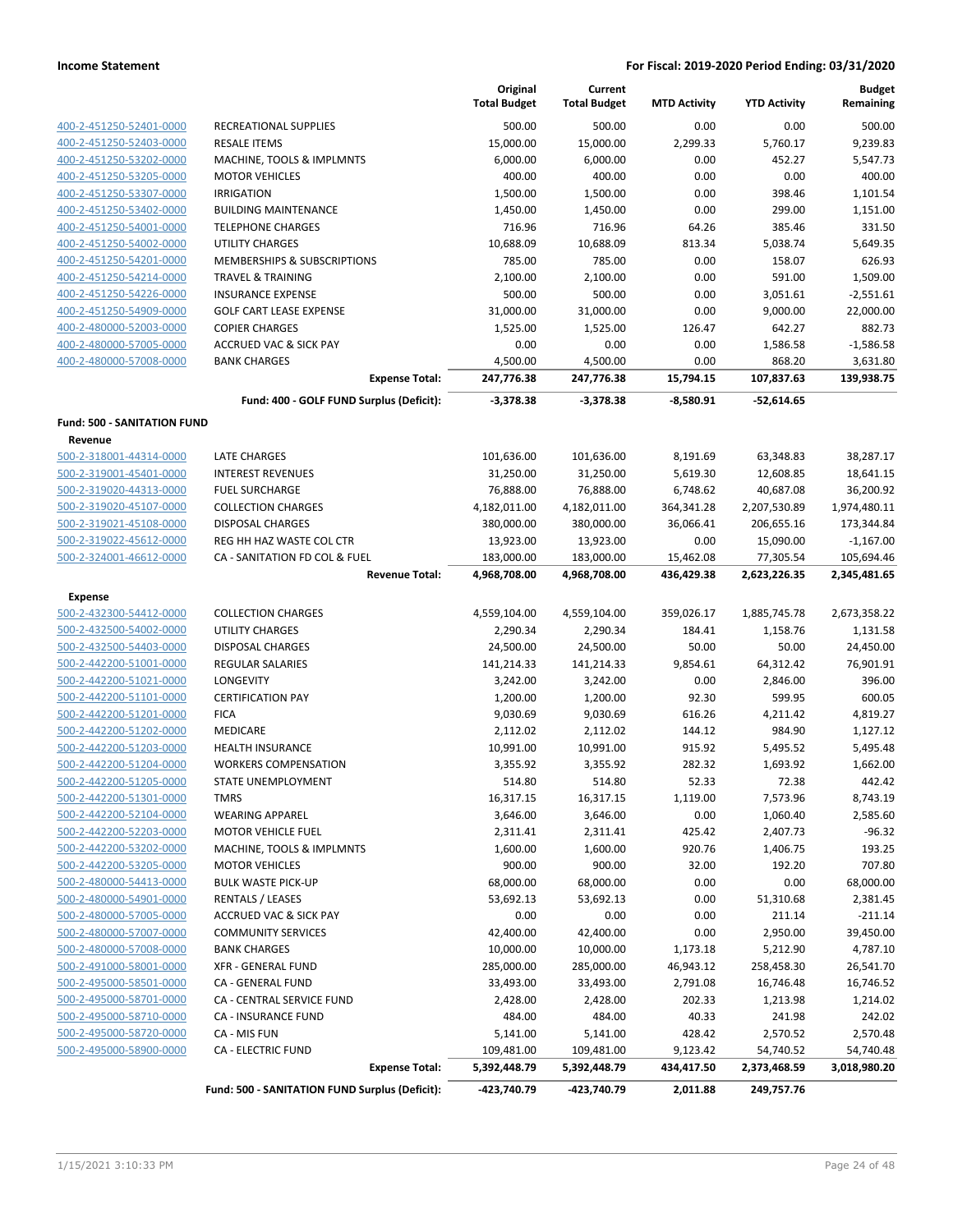|                                    |                                                | Original<br><b>Total Budget</b> | Current<br><b>Total Budget</b> | <b>MTD Activity</b> | <b>YTD Activity</b> | <b>Budget</b><br>Remaining |
|------------------------------------|------------------------------------------------|---------------------------------|--------------------------------|---------------------|---------------------|----------------------------|
| 400-2-451250-52401-0000            | RECREATIONAL SUPPLIES                          | 500.00                          | 500.00                         | 0.00                | 0.00                | 500.00                     |
| 400-2-451250-52403-0000            | <b>RESALE ITEMS</b>                            | 15,000.00                       | 15,000.00                      | 2,299.33            | 5,760.17            | 9,239.83                   |
| 400-2-451250-53202-0000            | MACHINE, TOOLS & IMPLMNTS                      | 6,000.00                        | 6,000.00                       | 0.00                | 452.27              | 5,547.73                   |
| 400-2-451250-53205-0000            | <b>MOTOR VEHICLES</b>                          | 400.00                          | 400.00                         | 0.00                | 0.00                | 400.00                     |
| 400-2-451250-53307-0000            | <b>IRRIGATION</b>                              | 1,500.00                        | 1,500.00                       | 0.00                | 398.46              | 1,101.54                   |
| 400-2-451250-53402-0000            | <b>BUILDING MAINTENANCE</b>                    | 1,450.00                        | 1,450.00                       | 0.00                | 299.00              | 1,151.00                   |
| 400-2-451250-54001-0000            | <b>TELEPHONE CHARGES</b>                       | 716.96                          | 716.96                         | 64.26               | 385.46              | 331.50                     |
| 400-2-451250-54002-0000            | <b>UTILITY CHARGES</b>                         | 10,688.09                       | 10,688.09                      | 813.34              | 5,038.74            | 5,649.35                   |
| 400-2-451250-54201-0000            | <b>MEMBERSHIPS &amp; SUBSCRIPTIONS</b>         | 785.00                          | 785.00                         | 0.00                | 158.07              | 626.93                     |
| 400-2-451250-54214-0000            | <b>TRAVEL &amp; TRAINING</b>                   | 2,100.00                        | 2,100.00                       | 0.00                | 591.00              | 1,509.00                   |
| 400-2-451250-54226-0000            | <b>INSURANCE EXPENSE</b>                       | 500.00                          | 500.00                         | 0.00                | 3,051.61            | $-2,551.61$                |
| 400-2-451250-54909-0000            | <b>GOLF CART LEASE EXPENSE</b>                 | 31,000.00                       | 31,000.00                      | 0.00                | 9,000.00            | 22,000.00                  |
| 400-2-480000-52003-0000            | <b>COPIER CHARGES</b>                          | 1,525.00                        | 1,525.00                       | 126.47              | 642.27              | 882.73                     |
| 400-2-480000-57005-0000            | <b>ACCRUED VAC &amp; SICK PAY</b>              | 0.00                            | 0.00                           | 0.00                | 1,586.58            | $-1,586.58$                |
| 400-2-480000-57008-0000            | <b>BANK CHARGES</b>                            | 4,500.00                        | 4,500.00                       | 0.00                | 868.20              | 3,631.80                   |
|                                    | <b>Expense Total:</b>                          | 247,776.38                      | 247,776.38                     | 15,794.15           | 107,837.63          | 139,938.75                 |
|                                    | Fund: 400 - GOLF FUND Surplus (Deficit):       | $-3,378.38$                     | -3,378.38                      | $-8,580.91$         | -52,614.65          |                            |
| <b>Fund: 500 - SANITATION FUND</b> |                                                |                                 |                                |                     |                     |                            |
| Revenue<br>500-2-318001-44314-0000 | <b>LATE CHARGES</b>                            | 101,636.00                      | 101,636.00                     | 8,191.69            | 63,348.83           | 38,287.17                  |
| 500-2-319001-45401-0000            | <b>INTEREST REVENUES</b>                       | 31,250.00                       | 31,250.00                      | 5,619.30            | 12,608.85           | 18,641.15                  |
| 500-2-319020-44313-0000            | <b>FUEL SURCHARGE</b>                          | 76,888.00                       | 76,888.00                      | 6,748.62            | 40,687.08           | 36,200.92                  |
| 500-2-319020-45107-0000            | <b>COLLECTION CHARGES</b>                      | 4,182,011.00                    | 4,182,011.00                   | 364,341.28          | 2,207,530.89        | 1,974,480.11               |
| 500-2-319021-45108-0000            | <b>DISPOSAL CHARGES</b>                        | 380,000.00                      | 380,000.00                     | 36,066.41           | 206,655.16          | 173,344.84                 |
| 500-2-319022-45612-0000            | REG HH HAZ WASTE COL CTR                       | 13,923.00                       | 13,923.00                      | 0.00                | 15,090.00           | $-1,167.00$                |
| 500-2-324001-46612-0000            | CA - SANITATION FD COL & FUEL                  | 183,000.00                      | 183,000.00                     | 15,462.08           | 77,305.54           | 105,694.46                 |
|                                    | <b>Revenue Total:</b>                          | 4,968,708.00                    | 4,968,708.00                   | 436,429.38          | 2,623,226.35        | 2,345,481.65               |
| <b>Expense</b>                     |                                                |                                 |                                |                     |                     |                            |
| 500-2-432300-54412-0000            | <b>COLLECTION CHARGES</b>                      | 4,559,104.00                    | 4,559,104.00                   | 359,026.17          | 1,885,745.78        | 2,673,358.22               |
| 500-2-432500-54002-0000            | <b>UTILITY CHARGES</b>                         | 2,290.34                        | 2,290.34                       | 184.41              | 1,158.76            | 1,131.58                   |
| 500-2-432500-54403-0000            | DISPOSAL CHARGES                               | 24,500.00                       | 24,500.00                      | 50.00               | 50.00               | 24,450.00                  |
| 500-2-442200-51001-0000            | REGULAR SALARIES                               | 141,214.33                      | 141,214.33                     | 9,854.61            | 64,312.42           | 76,901.91                  |
| 500-2-442200-51021-0000            | LONGEVITY                                      | 3,242.00                        | 3,242.00                       | 0.00                | 2,846.00            | 396.00                     |
| 500-2-442200-51101-0000            | <b>CERTIFICATION PAY</b>                       | 1,200.00                        | 1,200.00                       | 92.30               | 599.95              | 600.05                     |
| 500-2-442200-51201-0000            | <b>FICA</b>                                    | 9,030.69                        | 9,030.69                       | 616.26              | 4,211.42            | 4,819.27                   |
| 500-2-442200-51202-0000            | MEDICARE                                       | 2,112.02                        | 2,112.02                       | 144.12              | 984.90              | 1,127.12                   |
| 500-2-442200-51203-0000            | <b>HEALTH INSURANCE</b>                        | 10,991.00                       | 10,991.00                      | 915.92              | 5,495.52            | 5,495.48                   |
| 500-2-442200-51204-0000            | <b>WORKERS COMPENSATION</b>                    | 3,355.92                        | 3,355.92                       | 282.32              | 1,693.92            | 1,662.00                   |
| 500-2-442200-51205-0000            | STATE UNEMPLOYMENT                             | 514.80                          | 514.80                         | 52.33               | 72.38               | 442.42                     |
| 500-2-442200-51301-0000            | <b>TMRS</b>                                    | 16,317.15                       | 16,317.15                      | 1,119.00            | 7,573.96            | 8,743.19                   |
| 500-2-442200-52104-0000            | <b>WEARING APPAREL</b>                         | 3,646.00                        | 3,646.00                       | 0.00                | 1,060.40            | 2,585.60                   |
| 500-2-442200-52203-0000            | MOTOR VEHICLE FUEL                             | 2,311.41                        | 2,311.41                       | 425.42              | 2,407.73            | $-96.32$                   |
| 500-2-442200-53202-0000            | MACHINE, TOOLS & IMPLMNTS                      | 1,600.00                        | 1,600.00                       | 920.76              | 1,406.75            | 193.25                     |
| 500-2-442200-53205-0000            | <b>MOTOR VEHICLES</b>                          | 900.00                          | 900.00                         | 32.00               | 192.20              | 707.80                     |
| 500-2-480000-54413-0000            | <b>BULK WASTE PICK-UP</b>                      | 68,000.00                       | 68,000.00                      | 0.00                | 0.00                | 68,000.00                  |
| 500-2-480000-54901-0000            | <b>RENTALS / LEASES</b>                        | 53,692.13                       | 53,692.13                      | 0.00                | 51,310.68           | 2,381.45                   |
| 500-2-480000-57005-0000            | <b>ACCRUED VAC &amp; SICK PAY</b>              | 0.00                            | 0.00                           | 0.00                | 211.14              | $-211.14$                  |
| 500-2-480000-57007-0000            | <b>COMMUNITY SERVICES</b>                      | 42,400.00                       | 42,400.00                      | 0.00                | 2,950.00            | 39,450.00                  |
| 500-2-480000-57008-0000            | <b>BANK CHARGES</b>                            | 10,000.00                       | 10,000.00                      | 1,173.18            | 5,212.90            | 4,787.10                   |
| 500-2-491000-58001-0000            | <b>XFR - GENERAL FUND</b>                      | 285,000.00                      | 285,000.00                     | 46,943.12           | 258,458.30          | 26,541.70                  |
| 500-2-495000-58501-0000            | CA - GENERAL FUND                              | 33,493.00                       | 33,493.00                      | 2,791.08            | 16,746.48           | 16,746.52                  |
| 500-2-495000-58701-0000            | CA - CENTRAL SERVICE FUND                      | 2,428.00                        | 2,428.00                       | 202.33              | 1,213.98            | 1,214.02                   |
| 500-2-495000-58710-0000            | CA - INSURANCE FUND                            | 484.00                          | 484.00                         | 40.33               | 241.98              | 242.02                     |
| 500-2-495000-58720-0000            | CA - MIS FUN                                   | 5,141.00                        | 5,141.00                       | 428.42              | 2,570.52            | 2,570.48                   |
| 500-2-495000-58900-0000            | <b>CA - ELECTRIC FUND</b>                      | 109,481.00                      | 109,481.00                     | 9,123.42            | 54,740.52           | 54,740.48                  |
|                                    | <b>Expense Total:</b>                          | 5,392,448.79                    | 5,392,448.79                   | 434,417.50          | 2,373,468.59        | 3,018,980.20               |
|                                    | Fund: 500 - SANITATION FUND Surplus (Deficit): | -423,740.79                     | -423,740.79                    | 2,011.88            | 249,757.76          |                            |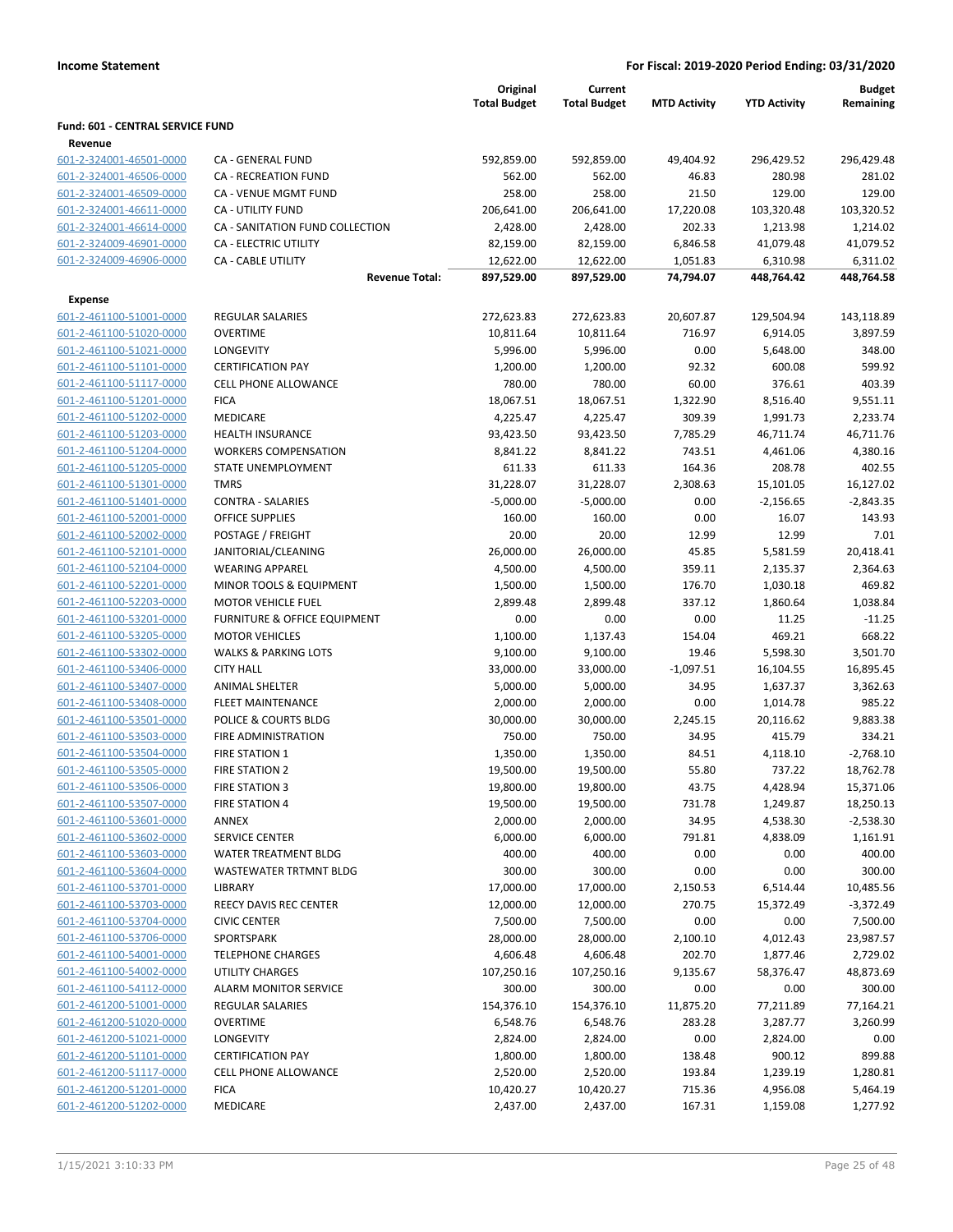|                                                    |                                              | Original              | Current             |                      |                      |                       | <b>Budget</b> |
|----------------------------------------------------|----------------------------------------------|-----------------------|---------------------|----------------------|----------------------|-----------------------|---------------|
|                                                    |                                              | <b>Total Budget</b>   | <b>Total Budget</b> | <b>MTD Activity</b>  | <b>YTD Activity</b>  | Remaining             |               |
| Fund: 601 - CENTRAL SERVICE FUND                   |                                              |                       |                     |                      |                      |                       |               |
| Revenue                                            |                                              |                       |                     |                      |                      |                       |               |
| 601-2-324001-46501-0000                            | CA - GENERAL FUND                            | 592,859.00            | 592,859.00          | 49,404.92            | 296,429.52           | 296,429.48            |               |
| 601-2-324001-46506-0000                            | <b>CA - RECREATION FUND</b>                  | 562.00                | 562.00              | 46.83                | 280.98               | 281.02                |               |
| 601-2-324001-46509-0000                            | <b>CA - VENUE MGMT FUND</b>                  | 258.00                | 258.00              | 21.50                | 129.00               | 129.00                |               |
| 601-2-324001-46611-0000                            | <b>CA - UTILITY FUND</b>                     | 206,641.00            | 206,641.00          | 17,220.08            | 103,320.48           | 103,320.52            |               |
| 601-2-324001-46614-0000                            | CA - SANITATION FUND COLLECTION              | 2,428.00              | 2,428.00            | 202.33               | 1,213.98             | 1,214.02              |               |
| 601-2-324009-46901-0000                            | CA - ELECTRIC UTILITY                        | 82,159.00             | 82,159.00           | 6,846.58             | 41,079.48            | 41,079.52             |               |
| 601-2-324009-46906-0000                            | <b>CA - CABLE UTILITY</b>                    | 12,622.00             | 12,622.00           | 1,051.83             | 6,310.98             | 6,311.02              |               |
|                                                    | <b>Revenue Total:</b>                        | 897,529.00            | 897,529.00          | 74,794.07            | 448,764.42           | 448,764.58            |               |
| Expense                                            |                                              |                       |                     |                      |                      |                       |               |
| 601-2-461100-51001-0000                            | <b>REGULAR SALARIES</b>                      | 272,623.83            | 272,623.83          | 20,607.87            | 129,504.94           | 143,118.89            |               |
| 601-2-461100-51020-0000                            | <b>OVERTIME</b>                              | 10,811.64             | 10,811.64           | 716.97               | 6,914.05             | 3,897.59              |               |
| 601-2-461100-51021-0000                            | <b>LONGEVITY</b>                             | 5,996.00              | 5,996.00            | 0.00                 | 5,648.00             | 348.00                |               |
| 601-2-461100-51101-0000                            | <b>CERTIFICATION PAY</b>                     | 1,200.00              | 1,200.00            | 92.32                | 600.08               | 599.92                |               |
| 601-2-461100-51117-0000                            | <b>CELL PHONE ALLOWANCE</b>                  | 780.00                | 780.00              | 60.00                | 376.61               | 403.39                |               |
| 601-2-461100-51201-0000                            | <b>FICA</b>                                  | 18,067.51             | 18,067.51           | 1,322.90             | 8,516.40             | 9,551.11              |               |
| 601-2-461100-51202-0000                            | <b>MEDICARE</b>                              | 4,225.47              | 4,225.47            | 309.39               | 1,991.73             | 2,233.74              |               |
| 601-2-461100-51203-0000                            | <b>HEALTH INSURANCE</b>                      | 93,423.50             | 93,423.50           | 7,785.29             | 46,711.74            | 46,711.76             |               |
| 601-2-461100-51204-0000                            | <b>WORKERS COMPENSATION</b>                  | 8,841.22              | 8,841.22            | 743.51               | 4,461.06             | 4,380.16              |               |
| 601-2-461100-51205-0000                            | <b>STATE UNEMPLOYMENT</b>                    | 611.33                | 611.33              | 164.36               | 208.78               | 402.55                |               |
| 601-2-461100-51301-0000                            | <b>TMRS</b>                                  | 31,228.07             | 31,228.07           | 2,308.63             | 15,101.05            | 16,127.02             |               |
| 601-2-461100-51401-0000                            | <b>CONTRA - SALARIES</b>                     | $-5,000.00$           | $-5,000.00$         | 0.00                 | $-2,156.65$          | $-2,843.35$           |               |
| 601-2-461100-52001-0000                            | <b>OFFICE SUPPLIES</b>                       | 160.00                | 160.00              | 0.00                 | 16.07                | 143.93                |               |
| 601-2-461100-52002-0000                            | POSTAGE / FREIGHT                            | 20.00                 | 20.00               | 12.99                | 12.99                | 7.01                  |               |
| 601-2-461100-52101-0000                            | JANITORIAL/CLEANING                          | 26,000.00             | 26,000.00           | 45.85                | 5,581.59             | 20,418.41             |               |
| 601-2-461100-52104-0000                            | <b>WEARING APPAREL</b>                       | 4,500.00              | 4,500.00            | 359.11               | 2,135.37             | 2,364.63              |               |
| 601-2-461100-52201-0000                            | MINOR TOOLS & EQUIPMENT                      | 1,500.00              | 1,500.00            | 176.70               | 1,030.18             | 469.82                |               |
| 601-2-461100-52203-0000                            | <b>MOTOR VEHICLE FUEL</b>                    | 2,899.48              | 2,899.48            | 337.12               | 1,860.64             | 1,038.84              |               |
| 601-2-461100-53201-0000                            | FURNITURE & OFFICE EQUIPMENT                 | 0.00                  | 0.00                | 0.00                 | 11.25                | $-11.25$              |               |
| 601-2-461100-53205-0000                            | <b>MOTOR VEHICLES</b>                        | 1,100.00              | 1,137.43            | 154.04               | 469.21               | 668.22                |               |
|                                                    | <b>WALKS &amp; PARKING LOTS</b>              |                       |                     | 19.46                |                      | 3,501.70              |               |
| 601-2-461100-53302-0000                            | <b>CITY HALL</b>                             | 9,100.00              | 9,100.00            |                      | 5,598.30             |                       |               |
| 601-2-461100-53406-0000<br>601-2-461100-53407-0000 | <b>ANIMAL SHELTER</b>                        | 33,000.00<br>5,000.00 | 33,000.00           | $-1,097.51$<br>34.95 | 16,104.55            | 16,895.45<br>3,362.63 |               |
| 601-2-461100-53408-0000                            | FLEET MAINTENANCE                            |                       | 5,000.00            | 0.00                 | 1,637.37<br>1,014.78 | 985.22                |               |
| 601-2-461100-53501-0000                            | POLICE & COURTS BLDG                         | 2,000.00<br>30,000.00 | 2,000.00            |                      |                      | 9,883.38              |               |
|                                                    |                                              |                       | 30,000.00           | 2,245.15             | 20,116.62            |                       |               |
| 601-2-461100-53503-0000                            | FIRE ADMINISTRATION<br><b>FIRE STATION 1</b> | 750.00                | 750.00              | 34.95                | 415.79               | 334.21<br>$-2,768.10$ |               |
| 601-2-461100-53504-0000                            |                                              | 1,350.00              | 1,350.00            | 84.51                | 4,118.10             | 18,762.78             |               |
| 601-2-461100-53505-0000                            | <b>FIRE STATION 2</b>                        | 19,500.00             | 19,500.00           | 55.80                | 737.22               |                       |               |
| 601-2-461100-53506-0000                            | FIRE STATION 3                               | 19,800.00             | 19,800.00           | 43.75                | 4,428.94             | 15,371.06             |               |
| 601-2-461100-53507-0000                            | <b>FIRE STATION 4</b>                        | 19,500.00             | 19,500.00           | 731.78               | 1,249.87             | 18,250.13             |               |
| 601-2-461100-53601-0000                            | ANNEX                                        | 2,000.00              | 2,000.00            | 34.95                | 4,538.30             | $-2,538.30$           |               |
| 601-2-461100-53602-0000                            | SERVICE CENTER                               | 6,000.00              | 6,000.00            | 791.81               | 4,838.09             | 1,161.91              |               |
| 601-2-461100-53603-0000                            | WATER TREATMENT BLDG                         | 400.00                | 400.00              | 0.00                 | 0.00                 | 400.00                |               |
| 601-2-461100-53604-0000                            | WASTEWATER TRTMNT BLDG                       | 300.00                | 300.00              | 0.00                 | 0.00                 | 300.00                |               |
| 601-2-461100-53701-0000                            | LIBRARY                                      | 17,000.00             | 17,000.00           | 2,150.53             | 6,514.44             | 10,485.56             |               |
| 601-2-461100-53703-0000                            | REECY DAVIS REC CENTER                       | 12,000.00             | 12,000.00           | 270.75               | 15,372.49            | $-3,372.49$           |               |
| 601-2-461100-53704-0000                            | <b>CIVIC CENTER</b>                          | 7,500.00              | 7,500.00            | 0.00                 | 0.00                 | 7,500.00              |               |
| 601-2-461100-53706-0000                            | SPORTSPARK                                   | 28,000.00             | 28,000.00           | 2,100.10             | 4,012.43             | 23,987.57             |               |
| 601-2-461100-54001-0000                            | <b>TELEPHONE CHARGES</b>                     | 4,606.48              | 4,606.48            | 202.70               | 1,877.46             | 2,729.02              |               |
| 601-2-461100-54002-0000                            | <b>UTILITY CHARGES</b>                       | 107,250.16            | 107,250.16          | 9,135.67             | 58,376.47            | 48,873.69             |               |
| 601-2-461100-54112-0000                            | <b>ALARM MONITOR SERVICE</b>                 | 300.00                | 300.00              | 0.00                 | 0.00                 | 300.00                |               |
| 601-2-461200-51001-0000                            | REGULAR SALARIES                             | 154,376.10            | 154,376.10          | 11,875.20            | 77,211.89            | 77,164.21             |               |
| 601-2-461200-51020-0000                            | <b>OVERTIME</b>                              | 6,548.76              | 6,548.76            | 283.28               | 3,287.77             | 3,260.99              |               |
| 601-2-461200-51021-0000                            | <b>LONGEVITY</b>                             | 2,824.00              | 2,824.00            | 0.00                 | 2,824.00             | 0.00                  |               |
| 601-2-461200-51101-0000                            | <b>CERTIFICATION PAY</b>                     | 1,800.00              | 1,800.00            | 138.48               | 900.12               | 899.88                |               |
| 601-2-461200-51117-0000                            | <b>CELL PHONE ALLOWANCE</b>                  | 2,520.00              | 2,520.00            | 193.84               | 1,239.19             | 1,280.81              |               |
| 601-2-461200-51201-0000                            | <b>FICA</b>                                  | 10,420.27             | 10,420.27           | 715.36               | 4,956.08             | 5,464.19              |               |
| 601-2-461200-51202-0000                            | MEDICARE                                     | 2,437.00              | 2,437.00            | 167.31               | 1,159.08             | 1,277.92              |               |
|                                                    |                                              |                       |                     |                      |                      |                       |               |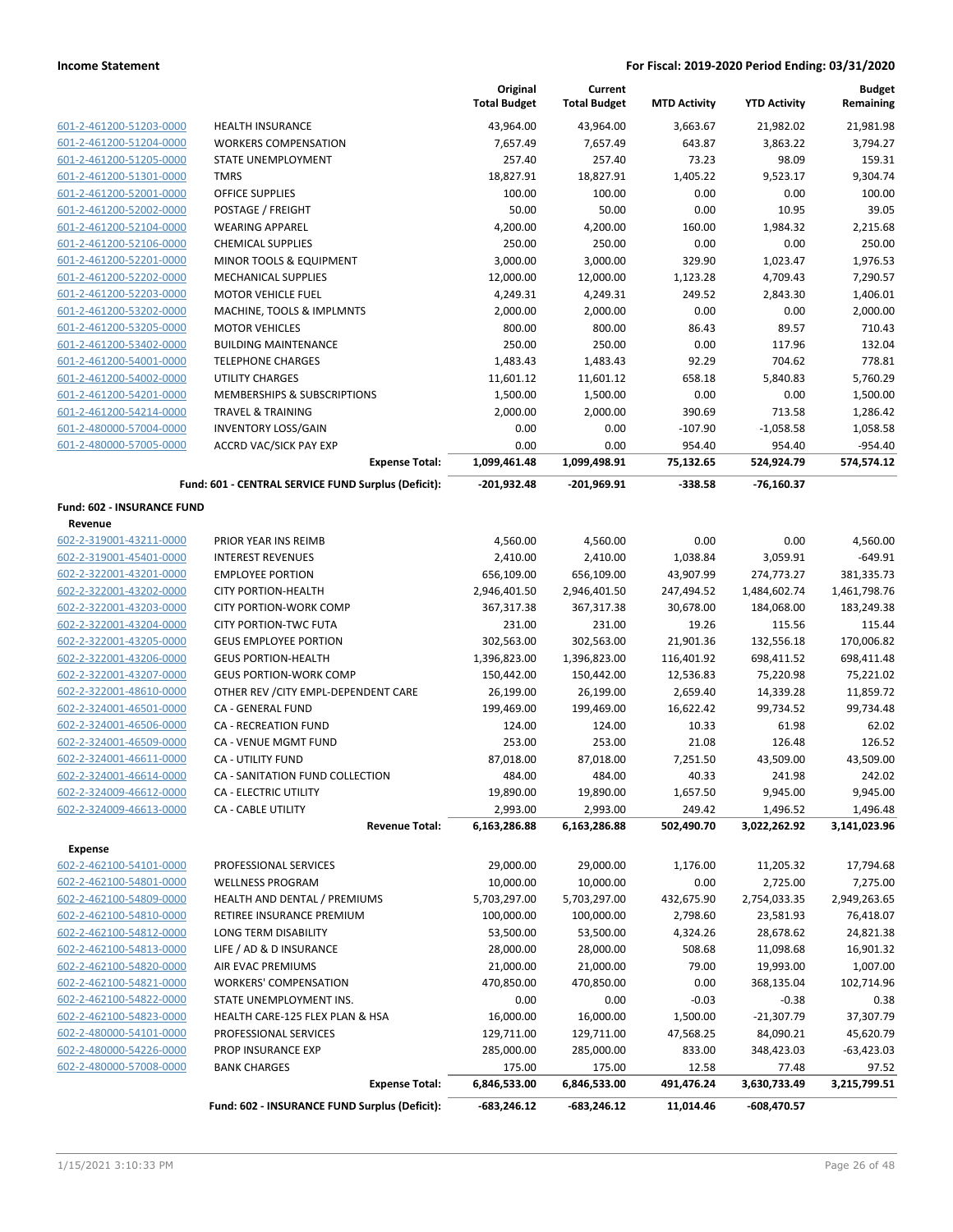|                                                    |                                                             | Original<br><b>Total Budget</b> | Current<br><b>Total Budget</b> | <b>MTD Activity</b> | <b>YTD Activity</b>  | <b>Budget</b><br>Remaining |
|----------------------------------------------------|-------------------------------------------------------------|---------------------------------|--------------------------------|---------------------|----------------------|----------------------------|
| 601-2-461200-51203-0000                            | HEALTH INSURANCE                                            | 43,964.00                       | 43,964.00                      | 3,663.67            | 21,982.02            | 21,981.98                  |
| 601-2-461200-51204-0000                            | <b>WORKERS COMPENSATION</b>                                 | 7,657.49                        | 7,657.49                       | 643.87              | 3,863.22             | 3,794.27                   |
| 601-2-461200-51205-0000                            | STATE UNEMPLOYMENT                                          | 257.40                          | 257.40                         | 73.23               | 98.09                | 159.31                     |
| 601-2-461200-51301-0000                            | <b>TMRS</b>                                                 | 18,827.91                       | 18,827.91                      | 1,405.22            | 9,523.17             | 9,304.74                   |
| 601-2-461200-52001-0000                            | OFFICE SUPPLIES                                             | 100.00                          | 100.00                         | 0.00                | 0.00                 | 100.00                     |
| 601-2-461200-52002-0000                            | POSTAGE / FREIGHT                                           | 50.00                           | 50.00                          | 0.00                | 10.95                | 39.05                      |
| 601-2-461200-52104-0000                            | <b>WEARING APPAREL</b>                                      | 4,200.00                        | 4,200.00                       | 160.00              | 1,984.32             | 2,215.68                   |
| 601-2-461200-52106-0000                            | <b>CHEMICAL SUPPLIES</b>                                    | 250.00                          | 250.00                         | 0.00                | 0.00                 | 250.00                     |
| 601-2-461200-52201-0000                            | MINOR TOOLS & EQUIPMENT                                     | 3,000.00                        | 3,000.00                       | 329.90              | 1,023.47             | 1,976.53                   |
| 601-2-461200-52202-0000                            | <b>MECHANICAL SUPPLIES</b>                                  | 12,000.00                       | 12,000.00                      | 1,123.28            | 4,709.43             | 7,290.57                   |
| 601-2-461200-52203-0000                            | MOTOR VEHICLE FUEL                                          | 4,249.31                        | 4,249.31                       | 249.52              | 2,843.30             | 1,406.01                   |
| 601-2-461200-53202-0000                            | MACHINE, TOOLS & IMPLMNTS                                   | 2,000.00                        | 2,000.00                       | 0.00                | 0.00                 | 2,000.00                   |
| 601-2-461200-53205-0000                            | <b>MOTOR VEHICLES</b>                                       | 800.00                          | 800.00                         | 86.43               | 89.57                | 710.43                     |
| 601-2-461200-53402-0000<br>601-2-461200-54001-0000 | <b>BUILDING MAINTENANCE</b><br><b>TELEPHONE CHARGES</b>     | 250.00<br>1,483.43              | 250.00<br>1,483.43             | 0.00<br>92.29       | 117.96<br>704.62     | 132.04<br>778.81           |
| 601-2-461200-54002-0000                            | UTILITY CHARGES                                             | 11,601.12                       | 11,601.12                      | 658.18              | 5,840.83             | 5,760.29                   |
| 601-2-461200-54201-0000                            | MEMBERSHIPS & SUBSCRIPTIONS                                 | 1,500.00                        | 1,500.00                       | 0.00                | 0.00                 | 1,500.00                   |
| 601-2-461200-54214-0000                            | <b>TRAVEL &amp; TRAINING</b>                                | 2,000.00                        | 2,000.00                       | 390.69              | 713.58               | 1,286.42                   |
| 601-2-480000-57004-0000                            | <b>INVENTORY LOSS/GAIN</b>                                  | 0.00                            | 0.00                           | $-107.90$           | $-1,058.58$          | 1,058.58                   |
| 601-2-480000-57005-0000                            | <b>ACCRD VAC/SICK PAY EXP</b>                               | 0.00                            | 0.00                           | 954.40              | 954.40               | $-954.40$                  |
|                                                    | <b>Expense Total:</b>                                       | 1,099,461.48                    | 1,099,498.91                   | 75,132.65           | 524,924.79           | 574,574.12                 |
|                                                    | Fund: 601 - CENTRAL SERVICE FUND Surplus (Deficit):         | -201,932.48                     | $-201,969.91$                  | $-338.58$           | $-76,160.37$         |                            |
| Fund: 602 - INSURANCE FUND                         |                                                             |                                 |                                |                     |                      |                            |
| Revenue                                            |                                                             |                                 |                                |                     |                      |                            |
| 602-2-319001-43211-0000                            | PRIOR YEAR INS REIMB                                        | 4,560.00                        | 4,560.00                       | 0.00                | 0.00                 | 4,560.00                   |
| 602-2-319001-45401-0000                            | <b>INTEREST REVENUES</b>                                    | 2,410.00                        | 2,410.00                       | 1,038.84            | 3,059.91             | $-649.91$                  |
| 602-2-322001-43201-0000                            | <b>EMPLOYEE PORTION</b>                                     | 656,109.00                      | 656,109.00                     | 43,907.99           | 274,773.27           | 381,335.73                 |
| 602-2-322001-43202-0000                            | <b>CITY PORTION-HEALTH</b>                                  | 2,946,401.50                    | 2,946,401.50                   | 247,494.52          | 1,484,602.74         | 1,461,798.76               |
| 602-2-322001-43203-0000                            | <b>CITY PORTION-WORK COMP</b>                               | 367,317.38                      | 367,317.38                     | 30,678.00           | 184,068.00           | 183,249.38                 |
| 602-2-322001-43204-0000                            | <b>CITY PORTION-TWC FUTA</b>                                | 231.00                          | 231.00                         | 19.26               | 115.56               | 115.44                     |
| 602-2-322001-43205-0000                            | <b>GEUS EMPLOYEE PORTION</b>                                | 302,563.00                      | 302,563.00                     | 21,901.36           | 132,556.18           | 170,006.82                 |
| 602-2-322001-43206-0000                            | <b>GEUS PORTION-HEALTH</b>                                  | 1,396,823.00                    | 1,396,823.00                   | 116,401.92          | 698,411.52           | 698,411.48                 |
| 602-2-322001-43207-0000                            | <b>GEUS PORTION-WORK COMP</b>                               | 150,442.00                      | 150,442.00                     | 12,536.83           | 75,220.98            | 75,221.02                  |
| 602-2-322001-48610-0000                            | OTHER REV / CITY EMPL-DEPENDENT CARE                        | 26,199.00                       | 26,199.00                      | 2,659.40            | 14,339.28            | 11,859.72                  |
| 602-2-324001-46501-0000                            | CA - GENERAL FUND                                           | 199,469.00                      | 199,469.00                     | 16,622.42           | 99,734.52            | 99,734.48                  |
| 602-2-324001-46506-0000                            | CA - RECREATION FUND                                        | 124.00                          | 124.00                         | 10.33               | 61.98                | 62.02                      |
| 602-2-324001-46509-0000                            | CA - VENUE MGMT FUND                                        | 253.00                          | 253.00                         | 21.08               | 126.48               | 126.52                     |
| 602-2-324001-46611-0000<br>602-2-324001-46614-0000 | <b>CA - UTILITY FUND</b><br>CA - SANITATION FUND COLLECTION | 87,018.00                       | 87,018.00                      | 7,251.50            | 43,509.00            | 43,509.00                  |
| 602-2-324009-46612-0000                            | CA - ELECTRIC UTILITY                                       | 484.00<br>19,890.00             | 484.00<br>19,890.00            | 40.33               | 241.98               | 242.02                     |
| 602-2-324009-46613-0000                            | <b>CA - CABLE UTILITY</b>                                   | 2,993.00                        | 2,993.00                       | 1,657.50<br>249.42  | 9,945.00<br>1,496.52 | 9,945.00<br>1,496.48       |
|                                                    | <b>Revenue Total:</b>                                       | 6,163,286.88                    | 6,163,286.88                   | 502,490.70          | 3,022,262.92         | 3,141,023.96               |
| Expense                                            |                                                             |                                 |                                |                     |                      |                            |
| 602-2-462100-54101-0000                            | PROFESSIONAL SERVICES                                       | 29,000.00                       | 29,000.00                      | 1,176.00            | 11,205.32            | 17,794.68                  |
| 602-2-462100-54801-0000                            | <b>WELLNESS PROGRAM</b>                                     | 10,000.00                       | 10,000.00                      | 0.00                | 2,725.00             | 7,275.00                   |
| 602-2-462100-54809-0000                            | HEALTH AND DENTAL / PREMIUMS                                | 5,703,297.00                    | 5,703,297.00                   | 432,675.90          | 2,754,033.35         | 2,949,263.65               |
| 602-2-462100-54810-0000                            | RETIREE INSURANCE PREMIUM                                   | 100,000.00                      | 100,000.00                     | 2,798.60            | 23,581.93            | 76,418.07                  |
| 602-2-462100-54812-0000                            | LONG TERM DISABILITY                                        | 53,500.00                       | 53,500.00                      | 4,324.26            | 28,678.62            | 24,821.38                  |
| 602-2-462100-54813-0000                            | LIFE / AD & D INSURANCE                                     | 28,000.00                       | 28,000.00                      | 508.68              | 11,098.68            | 16,901.32                  |
| 602-2-462100-54820-0000                            | AIR EVAC PREMIUMS                                           | 21,000.00                       | 21,000.00                      | 79.00               | 19,993.00            | 1,007.00                   |
| 602-2-462100-54821-0000                            | <b>WORKERS' COMPENSATION</b>                                | 470,850.00                      | 470,850.00                     | 0.00                | 368,135.04           | 102,714.96                 |
| 602-2-462100-54822-0000                            | STATE UNEMPLOYMENT INS.                                     | 0.00                            | 0.00                           | $-0.03$             | $-0.38$              | 0.38                       |
| 602-2-462100-54823-0000                            | HEALTH CARE-125 FLEX PLAN & HSA                             | 16,000.00                       | 16,000.00                      | 1,500.00            | $-21,307.79$         | 37,307.79                  |
| 602-2-480000-54101-0000                            | PROFESSIONAL SERVICES                                       | 129,711.00                      | 129,711.00                     | 47,568.25           | 84,090.21            | 45,620.79                  |
| 602-2-480000-54226-0000                            | PROP INSURANCE EXP                                          | 285,000.00                      | 285,000.00                     | 833.00              | 348,423.03           | $-63,423.03$               |
| 602-2-480000-57008-0000                            | <b>BANK CHARGES</b>                                         | 175.00                          | 175.00                         | 12.58               | 77.48                | 97.52                      |
|                                                    | <b>Expense Total:</b>                                       | 6,846,533.00                    | 6,846,533.00                   | 491,476.24          | 3,630,733.49         | 3,215,799.51               |
|                                                    | Fund: 602 - INSURANCE FUND Surplus (Deficit):               | $-683,246.12$                   | $-683,246.12$                  | 11,014.46           | $-608,470.57$        |                            |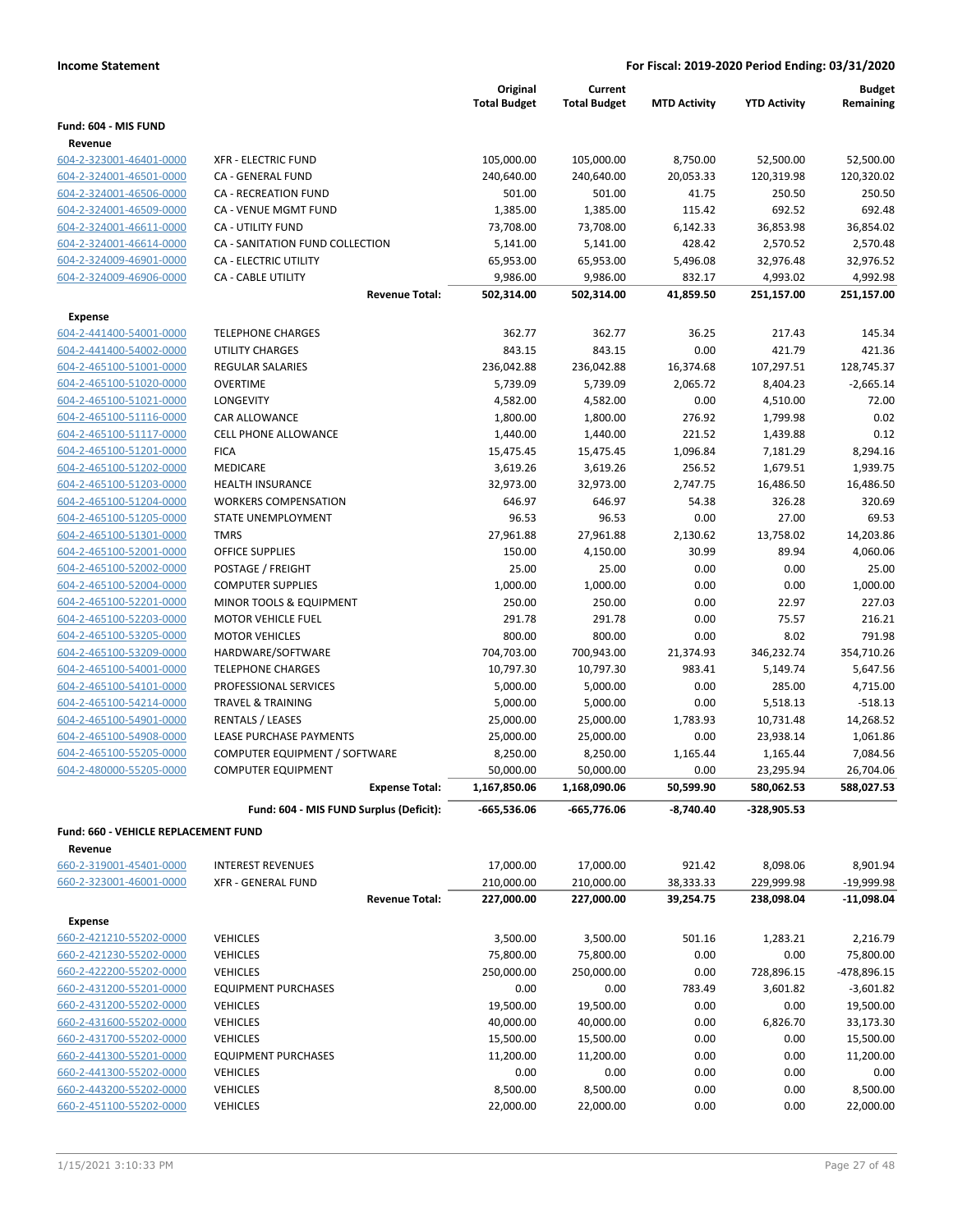|                                                    |                                                     | Original<br><b>Total Budget</b> | Current<br><b>Total Budget</b> | <b>MTD Activity</b> | <b>YTD Activity</b>   | <b>Budget</b><br>Remaining |
|----------------------------------------------------|-----------------------------------------------------|---------------------------------|--------------------------------|---------------------|-----------------------|----------------------------|
| Fund: 604 - MIS FUND                               |                                                     |                                 |                                |                     |                       |                            |
| Revenue                                            |                                                     |                                 |                                |                     |                       |                            |
| 604-2-323001-46401-0000                            | <b>XFR - ELECTRIC FUND</b>                          | 105,000.00                      | 105,000.00                     | 8,750.00            | 52,500.00             | 52,500.00                  |
| 604-2-324001-46501-0000                            | CA - GENERAL FUND                                   | 240,640.00                      | 240,640.00                     | 20,053.33           | 120,319.98            | 120,320.02                 |
| 604-2-324001-46506-0000                            | CA - RECREATION FUND                                | 501.00                          | 501.00                         | 41.75               | 250.50                | 250.50                     |
| 604-2-324001-46509-0000                            | CA - VENUE MGMT FUND                                | 1,385.00                        | 1,385.00                       | 115.42              | 692.52                | 692.48                     |
| 604-2-324001-46611-0000                            | <b>CA - UTILITY FUND</b>                            | 73,708.00                       | 73,708.00                      | 6,142.33            | 36,853.98             | 36,854.02                  |
| 604-2-324001-46614-0000                            | CA - SANITATION FUND COLLECTION                     | 5,141.00                        | 5,141.00                       | 428.42              | 2,570.52              | 2,570.48                   |
| 604-2-324009-46901-0000                            | <b>CA - ELECTRIC UTILITY</b>                        | 65,953.00                       | 65,953.00                      | 5,496.08            | 32,976.48             | 32,976.52                  |
| 604-2-324009-46906-0000                            | <b>CA - CABLE UTILITY</b>                           | 9,986.00                        | 9,986.00                       | 832.17              | 4,993.02              | 4,992.98                   |
|                                                    | <b>Revenue Total:</b>                               | 502,314.00                      | 502,314.00                     | 41,859.50           | 251,157.00            | 251,157.00                 |
| Expense                                            |                                                     |                                 |                                |                     |                       |                            |
| 604-2-441400-54001-0000                            | <b>TELEPHONE CHARGES</b>                            | 362.77                          | 362.77                         | 36.25               | 217.43                | 145.34                     |
| 604-2-441400-54002-0000                            | <b>UTILITY CHARGES</b>                              | 843.15                          | 843.15                         | 0.00                | 421.79                | 421.36                     |
| 604-2-465100-51001-0000                            | <b>REGULAR SALARIES</b>                             | 236,042.88                      | 236,042.88                     | 16,374.68           | 107,297.51            | 128,745.37                 |
| 604-2-465100-51020-0000                            | <b>OVERTIME</b>                                     | 5,739.09                        | 5,739.09                       | 2,065.72            | 8,404.23              | $-2,665.14$                |
| 604-2-465100-51021-0000                            | <b>LONGEVITY</b>                                    | 4,582.00                        | 4,582.00                       | 0.00                | 4,510.00              | 72.00                      |
| 604-2-465100-51116-0000                            | <b>CAR ALLOWANCE</b><br><b>CELL PHONE ALLOWANCE</b> | 1,800.00                        | 1,800.00                       | 276.92              | 1,799.98              | 0.02                       |
| 604-2-465100-51117-0000<br>604-2-465100-51201-0000 | <b>FICA</b>                                         | 1,440.00                        | 1,440.00<br>15,475.45          | 221.52              | 1,439.88<br>7,181.29  | 0.12                       |
| 604-2-465100-51202-0000                            | <b>MEDICARE</b>                                     | 15,475.45<br>3,619.26           | 3,619.26                       | 1,096.84<br>256.52  |                       | 8,294.16<br>1,939.75       |
| 604-2-465100-51203-0000                            | <b>HEALTH INSURANCE</b>                             | 32,973.00                       | 32,973.00                      | 2,747.75            | 1,679.51<br>16,486.50 | 16,486.50                  |
| 604-2-465100-51204-0000                            | <b>WORKERS COMPENSATION</b>                         | 646.97                          | 646.97                         | 54.38               | 326.28                | 320.69                     |
| 604-2-465100-51205-0000                            | STATE UNEMPLOYMENT                                  | 96.53                           | 96.53                          | 0.00                | 27.00                 | 69.53                      |
| 604-2-465100-51301-0000                            | <b>TMRS</b>                                         | 27,961.88                       | 27,961.88                      | 2,130.62            | 13,758.02             | 14,203.86                  |
| 604-2-465100-52001-0000                            | <b>OFFICE SUPPLIES</b>                              | 150.00                          | 4,150.00                       | 30.99               | 89.94                 | 4,060.06                   |
| 604-2-465100-52002-0000                            | POSTAGE / FREIGHT                                   | 25.00                           | 25.00                          | 0.00                | 0.00                  | 25.00                      |
| 604-2-465100-52004-0000                            | <b>COMPUTER SUPPLIES</b>                            | 1,000.00                        | 1,000.00                       | 0.00                | 0.00                  | 1,000.00                   |
| 604-2-465100-52201-0000                            | MINOR TOOLS & EQUIPMENT                             | 250.00                          | 250.00                         | 0.00                | 22.97                 | 227.03                     |
| 604-2-465100-52203-0000                            | <b>MOTOR VEHICLE FUEL</b>                           | 291.78                          | 291.78                         | 0.00                | 75.57                 | 216.21                     |
| 604-2-465100-53205-0000                            | <b>MOTOR VEHICLES</b>                               | 800.00                          | 800.00                         | 0.00                | 8.02                  | 791.98                     |
| 604-2-465100-53209-0000                            | HARDWARE/SOFTWARE                                   | 704,703.00                      | 700,943.00                     | 21,374.93           | 346,232.74            | 354,710.26                 |
| 604-2-465100-54001-0000                            | <b>TELEPHONE CHARGES</b>                            | 10,797.30                       | 10,797.30                      | 983.41              | 5,149.74              | 5,647.56                   |
| 604-2-465100-54101-0000                            | PROFESSIONAL SERVICES                               | 5,000.00                        | 5,000.00                       | 0.00                | 285.00                | 4,715.00                   |
| 604-2-465100-54214-0000                            | <b>TRAVEL &amp; TRAINING</b>                        | 5,000.00                        | 5,000.00                       | 0.00                | 5,518.13              | $-518.13$                  |
| 604-2-465100-54901-0000                            | <b>RENTALS / LEASES</b>                             | 25,000.00                       | 25,000.00                      | 1,783.93            | 10,731.48             | 14,268.52                  |
| 604-2-465100-54908-0000                            | LEASE PURCHASE PAYMENTS                             | 25,000.00                       | 25,000.00                      | 0.00                | 23,938.14             | 1,061.86                   |
| 604-2-465100-55205-0000                            | COMPUTER EQUIPMENT / SOFTWARE                       | 8,250.00                        | 8,250.00                       | 1,165.44            | 1,165.44              | 7,084.56                   |
| 604-2-480000-55205-0000                            | <b>COMPUTER EQUIPMENT</b>                           | 50,000.00                       | 50,000.00                      | 0.00                | 23,295.94             | 26,704.06                  |
|                                                    | <b>Expense Total:</b>                               | 1,167,850.06                    | 1,168,090.06                   | 50,599.90           | 580,062.53            | 588,027.53                 |
|                                                    | Fund: 604 - MIS FUND Surplus (Deficit):             | -665,536.06                     | -665,776.06                    | $-8,740.40$         | -328,905.53           |                            |
| Fund: 660 - VEHICLE REPLACEMENT FUND               |                                                     |                                 |                                |                     |                       |                            |
| Revenue                                            |                                                     |                                 |                                |                     |                       |                            |
| 660-2-319001-45401-0000                            | <b>INTEREST REVENUES</b>                            | 17,000.00                       | 17,000.00                      | 921.42              | 8,098.06              | 8,901.94                   |
| 660-2-323001-46001-0000                            | <b>XFR - GENERAL FUND</b>                           | 210,000.00                      | 210,000.00                     | 38,333.33           | 229,999.98            | $-19,999.98$               |
|                                                    | <b>Revenue Total:</b>                               | 227,000.00                      | 227,000.00                     | 39,254.75           | 238,098.04            | $-11,098.04$               |
| <b>Expense</b>                                     |                                                     |                                 |                                |                     |                       |                            |
| 660-2-421210-55202-0000                            | <b>VEHICLES</b>                                     | 3,500.00                        | 3,500.00                       | 501.16              | 1,283.21              | 2,216.79                   |
| 660-2-421230-55202-0000                            | <b>VEHICLES</b>                                     | 75,800.00                       | 75,800.00                      | 0.00                | 0.00                  | 75,800.00                  |
| 660-2-422200-55202-0000                            | <b>VEHICLES</b>                                     | 250,000.00                      | 250,000.00                     | 0.00                | 728,896.15            | -478,896.15                |
| 660-2-431200-55201-0000                            | <b>EQUIPMENT PURCHASES</b>                          | 0.00                            | 0.00                           | 783.49              | 3,601.82              | $-3,601.82$                |
| 660-2-431200-55202-0000                            | <b>VEHICLES</b>                                     | 19,500.00                       | 19,500.00                      | 0.00                | 0.00                  | 19,500.00                  |
| 660-2-431600-55202-0000                            | <b>VEHICLES</b>                                     | 40,000.00                       | 40,000.00                      | 0.00                | 6,826.70              | 33,173.30                  |
| 660-2-431700-55202-0000                            | <b>VEHICLES</b>                                     | 15,500.00                       | 15,500.00                      | 0.00                | 0.00                  | 15,500.00                  |
| 660-2-441300-55201-0000                            | <b>EQUIPMENT PURCHASES</b>                          | 11,200.00                       | 11,200.00                      | 0.00                | 0.00                  | 11,200.00                  |
| 660-2-441300-55202-0000                            | <b>VEHICLES</b>                                     | 0.00                            | 0.00                           | 0.00                | 0.00                  | 0.00                       |
| 660-2-443200-55202-0000                            | <b>VEHICLES</b>                                     | 8,500.00                        | 8,500.00                       | 0.00                | 0.00                  | 8,500.00                   |
| 660-2-451100-55202-0000                            | <b>VEHICLES</b>                                     | 22,000.00                       | 22,000.00                      | 0.00                | 0.00                  | 22,000.00                  |
|                                                    |                                                     |                                 |                                |                     |                       |                            |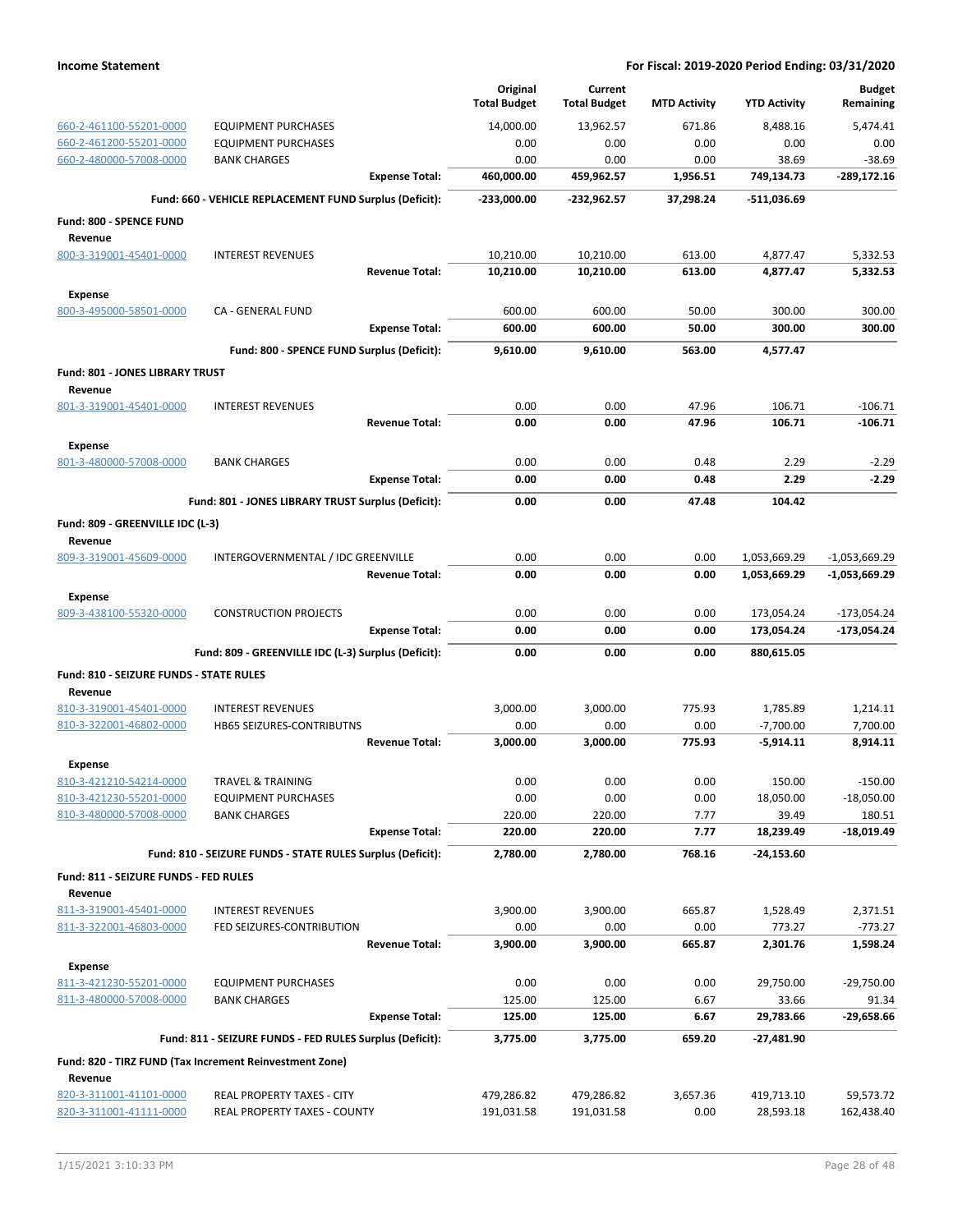|                                                    |                                                            | Original<br><b>Total Budget</b> | Current<br><b>Total Budget</b> | <b>MTD Activity</b> | <b>YTD Activity</b> | <b>Budget</b><br>Remaining |
|----------------------------------------------------|------------------------------------------------------------|---------------------------------|--------------------------------|---------------------|---------------------|----------------------------|
| 660-2-461100-55201-0000                            | <b>EQUIPMENT PURCHASES</b>                                 | 14,000.00                       | 13,962.57                      | 671.86              | 8,488.16            | 5.474.41                   |
| 660-2-461200-55201-0000                            | <b>EQUIPMENT PURCHASES</b>                                 | 0.00                            | 0.00                           | 0.00                | 0.00                | 0.00                       |
| 660-2-480000-57008-0000                            | <b>BANK CHARGES</b>                                        | 0.00                            | 0.00                           | 0.00                | 38.69               | $-38.69$                   |
|                                                    | <b>Expense Total:</b>                                      | 460,000.00                      | 459,962.57                     | 1,956.51            | 749,134.73          | -289,172.16                |
|                                                    | Fund: 660 - VEHICLE REPLACEMENT FUND Surplus (Deficit):    | $-233,000.00$                   | -232,962.57                    | 37,298.24           | $-511,036.69$       |                            |
| Fund: 800 - SPENCE FUND                            |                                                            |                                 |                                |                     |                     |                            |
| Revenue                                            |                                                            |                                 |                                |                     |                     |                            |
| 800-3-319001-45401-0000                            | <b>INTEREST REVENUES</b>                                   | 10,210.00                       | 10,210.00                      | 613.00              | 4,877.47            | 5,332.53                   |
|                                                    | <b>Revenue Total:</b>                                      | 10,210.00                       | 10,210.00                      | 613.00              | 4,877.47            | 5,332.53                   |
| <b>Expense</b>                                     |                                                            |                                 |                                |                     |                     |                            |
| 800-3-495000-58501-0000                            | CA - GENERAL FUND                                          | 600.00                          | 600.00                         | 50.00               | 300.00              | 300.00                     |
|                                                    | <b>Expense Total:</b>                                      | 600.00                          | 600.00                         | 50.00               | 300.00              | 300.00                     |
|                                                    | Fund: 800 - SPENCE FUND Surplus (Deficit):                 | 9,610.00                        | 9,610.00                       | 563.00              | 4,577.47            |                            |
| Fund: 801 - JONES LIBRARY TRUST                    |                                                            |                                 |                                |                     |                     |                            |
| Revenue                                            |                                                            |                                 |                                |                     |                     |                            |
| 801-3-319001-45401-0000                            | <b>INTEREST REVENUES</b>                                   | 0.00                            | 0.00                           | 47.96               | 106.71              | $-106.71$                  |
|                                                    | <b>Revenue Total:</b>                                      | 0.00                            | 0.00                           | 47.96               | 106.71              | $-106.71$                  |
| <b>Expense</b>                                     |                                                            |                                 |                                |                     |                     |                            |
| 801-3-480000-57008-0000                            | <b>BANK CHARGES</b>                                        | 0.00                            | 0.00                           | 0.48                | 2.29                | $-2.29$                    |
|                                                    | <b>Expense Total:</b>                                      | 0.00                            | 0.00                           | 0.48                | 2.29                | $-2.29$                    |
|                                                    | Fund: 801 - JONES LIBRARY TRUST Surplus (Deficit):         | 0.00                            | 0.00                           | 47.48               | 104.42              |                            |
| Fund: 809 - GREENVILLE IDC (L-3)                   |                                                            |                                 |                                |                     |                     |                            |
| Revenue                                            |                                                            |                                 |                                |                     |                     |                            |
| 809-3-319001-45609-0000                            | INTERGOVERNMENTAL / IDC GREENVILLE                         | 0.00                            | 0.00                           | 0.00                | 1,053,669.29        | $-1,053,669.29$            |
|                                                    | <b>Revenue Total:</b>                                      | 0.00                            | 0.00                           | 0.00                | 1,053,669.29        | $-1,053,669.29$            |
| <b>Expense</b>                                     |                                                            |                                 |                                |                     |                     |                            |
| 809-3-438100-55320-0000                            | <b>CONSTRUCTION PROJECTS</b>                               | 0.00                            | 0.00                           | 0.00                | 173,054.24          | $-173,054.24$              |
|                                                    | <b>Expense Total:</b>                                      | 0.00                            | 0.00                           | 0.00                | 173,054.24          | $-173,054.24$              |
|                                                    | Fund: 809 - GREENVILLE IDC (L-3) Surplus (Deficit):        | 0.00                            | 0.00                           | 0.00                | 880,615.05          |                            |
| Fund: 810 - SEIZURE FUNDS - STATE RULES            |                                                            |                                 |                                |                     |                     |                            |
| Revenue                                            |                                                            |                                 |                                |                     |                     |                            |
| 810-3-319001-45401-0000                            | <b>INTEREST REVENUES</b>                                   | 3,000.00                        | 3,000.00                       | 775.93              | 1,785.89            | 1,214.11                   |
| 810-3-322001-46802-0000                            | HB65 SEIZURES-CONTRIBUTNS                                  | 0.00                            | 0.00                           | 0.00                | $-7,700.00$         | 7,700.00                   |
|                                                    | <b>Revenue Total:</b>                                      | 3,000.00                        | 3,000.00                       | 775.93              | $-5,914.11$         | 8,914.11                   |
| Expense                                            |                                                            |                                 |                                |                     |                     |                            |
| 810-3-421210-54214-0000                            | TRAVEL & TRAINING                                          | 0.00                            | 0.00                           | 0.00                | 150.00              | $-150.00$                  |
| 810-3-421230-55201-0000                            | <b>EQUIPMENT PURCHASES</b>                                 | 0.00                            | 0.00                           | 0.00                | 18,050.00           | $-18,050.00$               |
| 810-3-480000-57008-0000                            | <b>BANK CHARGES</b><br><b>Expense Total:</b>               | 220.00<br>220.00                | 220.00<br>220.00               | 7.77<br>7.77        | 39.49<br>18,239.49  | 180.51<br>$-18,019.49$     |
|                                                    |                                                            |                                 |                                |                     |                     |                            |
|                                                    | Fund: 810 - SEIZURE FUNDS - STATE RULES Surplus (Deficit): | 2,780.00                        | 2,780.00                       | 768.16              | $-24,153.60$        |                            |
| Fund: 811 - SEIZURE FUNDS - FED RULES              |                                                            |                                 |                                |                     |                     |                            |
| Revenue                                            |                                                            |                                 |                                |                     |                     |                            |
| 811-3-319001-45401-0000<br>811-3-322001-46803-0000 | <b>INTEREST REVENUES</b><br>FED SEIZURES-CONTRIBUTION      | 3,900.00<br>0.00                | 3,900.00<br>0.00               | 665.87<br>0.00      | 1,528.49<br>773.27  | 2,371.51<br>$-773.27$      |
|                                                    | <b>Revenue Total:</b>                                      | 3,900.00                        | 3,900.00                       | 665.87              | 2,301.76            | 1,598.24                   |
|                                                    |                                                            |                                 |                                |                     |                     |                            |
| <b>Expense</b>                                     |                                                            |                                 |                                |                     |                     | $-29,750.00$               |
| 811-3-421230-55201-0000<br>811-3-480000-57008-0000 | <b>EQUIPMENT PURCHASES</b><br><b>BANK CHARGES</b>          | 0.00<br>125.00                  | 0.00<br>125.00                 | 0.00<br>6.67        | 29,750.00<br>33.66  | 91.34                      |
|                                                    | <b>Expense Total:</b>                                      | 125.00                          | 125.00                         | 6.67                | 29,783.66           | -29,658.66                 |
|                                                    | Fund: 811 - SEIZURE FUNDS - FED RULES Surplus (Deficit):   | 3,775.00                        | 3,775.00                       | 659.20              | $-27,481.90$        |                            |
|                                                    |                                                            |                                 |                                |                     |                     |                            |
|                                                    | Fund: 820 - TIRZ FUND (Tax Increment Reinvestment Zone)    |                                 |                                |                     |                     |                            |
| Revenue<br>820-3-311001-41101-0000                 | REAL PROPERTY TAXES - CITY                                 | 479,286.82                      | 479,286.82                     | 3,657.36            | 419,713.10          | 59,573.72                  |
| 820-3-311001-41111-0000                            | REAL PROPERTY TAXES - COUNTY                               | 191,031.58                      | 191,031.58                     | 0.00                | 28,593.18           | 162,438.40                 |
|                                                    |                                                            |                                 |                                |                     |                     |                            |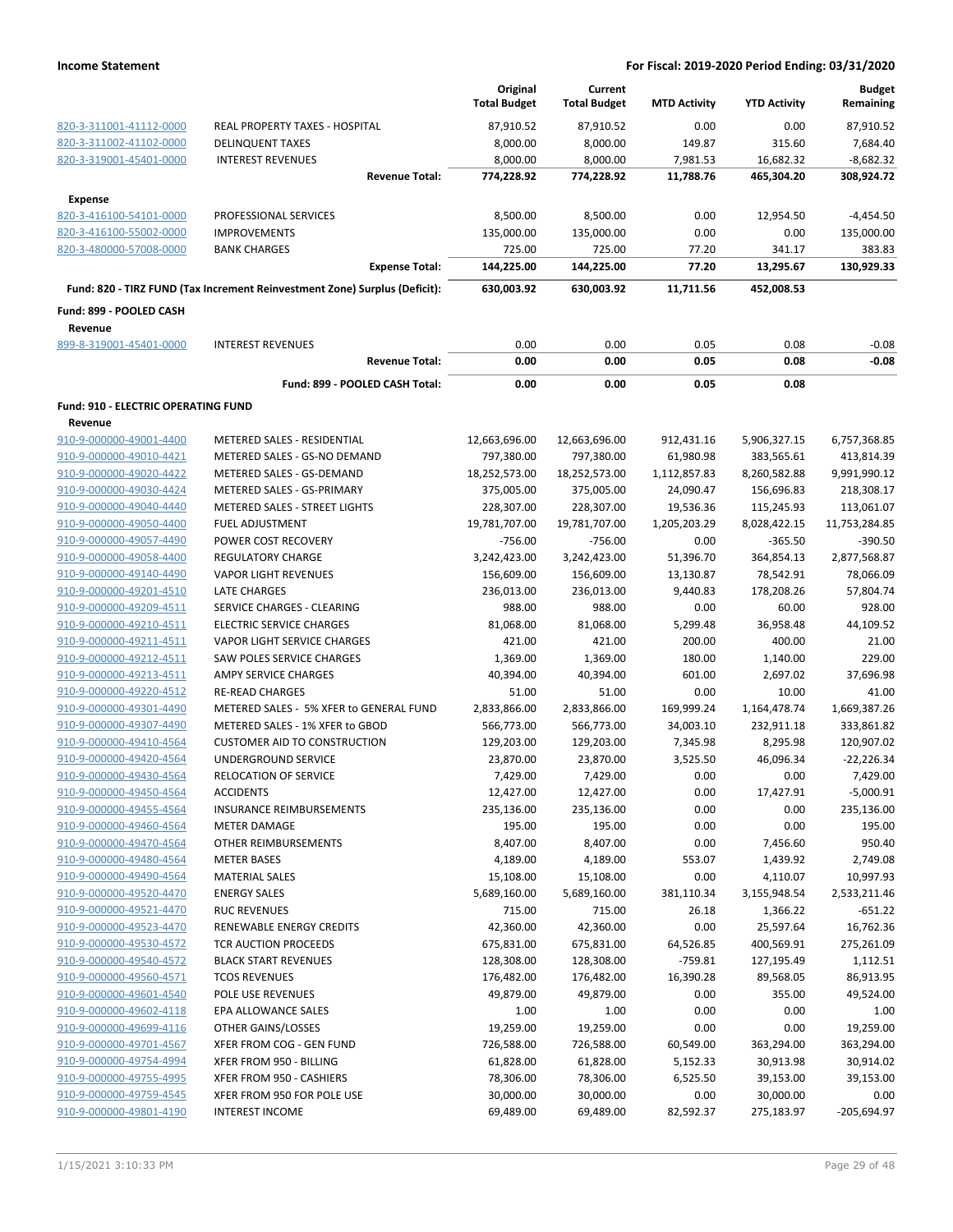|                                            |                                                                            | Original<br><b>Total Budget</b> | Current<br><b>Total Budget</b> | <b>MTD Activity</b> | <b>YTD Activity</b> | <b>Budget</b><br>Remaining |
|--------------------------------------------|----------------------------------------------------------------------------|---------------------------------|--------------------------------|---------------------|---------------------|----------------------------|
| 820-3-311001-41112-0000                    | REAL PROPERTY TAXES - HOSPITAL                                             | 87,910.52                       | 87,910.52                      | 0.00                | 0.00                | 87,910.52                  |
| 820-3-311002-41102-0000                    | <b>DELINQUENT TAXES</b>                                                    | 8,000.00                        | 8,000.00                       | 149.87              | 315.60              | 7,684.40                   |
| 820-3-319001-45401-0000                    | <b>INTEREST REVENUES</b>                                                   | 8,000.00                        | 8,000.00                       | 7,981.53            | 16,682.32           | $-8,682.32$                |
|                                            | <b>Revenue Total:</b>                                                      | 774,228.92                      | 774,228.92                     | 11,788.76           | 465,304.20          | 308,924.72                 |
| <b>Expense</b>                             |                                                                            |                                 |                                |                     |                     |                            |
| 820-3-416100-54101-0000                    | PROFESSIONAL SERVICES                                                      | 8,500.00                        | 8,500.00                       | 0.00                | 12,954.50           | $-4,454.50$                |
| 820-3-416100-55002-0000                    | <b>IMPROVEMENTS</b>                                                        | 135,000.00                      | 135,000.00                     | 0.00                | 0.00                | 135,000.00                 |
| 820-3-480000-57008-0000                    | <b>BANK CHARGES</b>                                                        | 725.00                          | 725.00                         | 77.20               | 341.17              | 383.83                     |
|                                            | <b>Expense Total:</b>                                                      | 144,225.00                      | 144,225.00                     | 77.20               | 13,295.67           | 130,929.33                 |
|                                            | Fund: 820 - TIRZ FUND (Tax Increment Reinvestment Zone) Surplus (Deficit): | 630,003.92                      | 630,003.92                     | 11.711.56           | 452,008.53          |                            |
| Fund: 899 - POOLED CASH                    |                                                                            |                                 |                                |                     |                     |                            |
| Revenue<br>899-8-319001-45401-0000         | <b>INTEREST REVENUES</b>                                                   | 0.00                            | 0.00                           | 0.05                | 0.08                | $-0.08$                    |
|                                            | <b>Revenue Total:</b>                                                      | 0.00                            | 0.00                           | 0.05                | 0.08                | $-0.08$                    |
|                                            | Fund: 899 - POOLED CASH Total:                                             | 0.00                            | 0.00                           | 0.05                | 0.08                |                            |
| <b>Fund: 910 - ELECTRIC OPERATING FUND</b> |                                                                            |                                 |                                |                     |                     |                            |
| Revenue                                    |                                                                            |                                 |                                |                     |                     |                            |
| 910-9-000000-49001-4400                    | METERED SALES - RESIDENTIAL                                                | 12,663,696.00                   | 12,663,696.00                  | 912,431.16          | 5,906,327.15        | 6,757,368.85               |
| 910-9-000000-49010-4421                    | METERED SALES - GS-NO DEMAND                                               | 797,380.00                      | 797,380.00                     | 61,980.98           | 383,565.61          | 413,814.39                 |
| 910-9-000000-49020-4422                    | METERED SALES - GS-DEMAND                                                  | 18,252,573.00                   | 18,252,573.00                  | 1,112,857.83        | 8,260,582.88        | 9,991,990.12               |
| 910-9-000000-49030-4424                    | METERED SALES - GS-PRIMARY                                                 | 375,005.00                      | 375,005.00                     | 24,090.47           | 156,696.83          | 218,308.17                 |
| 910-9-000000-49040-4440                    | METERED SALES - STREET LIGHTS                                              | 228,307.00                      | 228,307.00                     | 19,536.36           | 115,245.93          | 113,061.07                 |
| 910-9-000000-49050-4400                    | <b>FUEL ADJUSTMENT</b>                                                     | 19,781,707.00                   | 19,781,707.00                  | 1,205,203.29        | 8,028,422.15        | 11,753,284.85              |
| 910-9-000000-49057-4490                    | POWER COST RECOVERY                                                        | $-756.00$                       | $-756.00$                      | 0.00                | $-365.50$           | $-390.50$                  |
| 910-9-000000-49058-4400                    | <b>REGULATORY CHARGE</b>                                                   | 3,242,423.00                    | 3,242,423.00                   | 51,396.70           | 364,854.13          | 2,877,568.87               |
| 910-9-000000-49140-4490                    | <b>VAPOR LIGHT REVENUES</b>                                                | 156,609.00                      | 156,609.00                     | 13,130.87           | 78,542.91           | 78,066.09                  |
| 910-9-000000-49201-4510                    | <b>LATE CHARGES</b>                                                        | 236,013.00                      | 236,013.00                     | 9,440.83            | 178,208.26          | 57,804.74                  |
| 910-9-000000-49209-4511                    | SERVICE CHARGES - CLEARING                                                 | 988.00                          | 988.00                         | 0.00                | 60.00               | 928.00                     |
| 910-9-000000-49210-4511                    | <b>ELECTRIC SERVICE CHARGES</b>                                            | 81,068.00                       | 81,068.00                      | 5,299.48            | 36,958.48           | 44,109.52                  |
| 910-9-000000-49211-4511                    | <b>VAPOR LIGHT SERVICE CHARGES</b>                                         | 421.00                          | 421.00                         | 200.00              | 400.00              | 21.00                      |
| 910-9-000000-49212-4511                    | SAW POLES SERVICE CHARGES                                                  | 1,369.00                        | 1,369.00                       | 180.00              | 1,140.00            | 229.00                     |
| 910-9-000000-49213-4511                    | AMPY SERVICE CHARGES                                                       | 40,394.00                       | 40,394.00                      | 601.00              | 2,697.02            | 37,696.98                  |
| 910-9-000000-49220-4512                    | <b>RE-READ CHARGES</b>                                                     | 51.00                           | 51.00                          | 0.00                | 10.00               | 41.00                      |
| 910-9-000000-49301-4490                    | METERED SALES - 5% XFER to GENERAL FUND                                    | 2,833,866.00                    | 2,833,866.00                   | 169,999.24          | 1,164,478.74        | 1,669,387.26               |
| 910-9-000000-49307-4490                    | METERED SALES - 1% XFER to GBOD                                            | 566,773.00                      | 566,773.00                     | 34,003.10           | 232,911.18          | 333,861.82                 |
| 910-9-000000-49410-4564                    | <b>CUSTOMER AID TO CONSTRUCTION</b>                                        | 129,203.00                      | 129,203.00                     | 7,345.98            | 8,295.98            | 120,907.02                 |
| 910-9-000000-49420-4564                    | UNDERGROUND SERVICE                                                        | 23,870.00                       | 23,870.00                      | 3,525.50            | 46,096.34           | $-22,226.34$               |
| 910-9-000000-49430-4564                    | RELOCATION OF SERVICE                                                      | 7,429.00                        | 7,429.00                       | 0.00                | 0.00                | 7,429.00                   |
| 910-9-000000-49450-4564                    | <b>ACCIDENTS</b>                                                           | 12,427.00                       | 12,427.00                      | 0.00                | 17,427.91           | $-5,000.91$                |
| 910-9-000000-49455-4564                    | <b>INSURANCE REIMBURSEMENTS</b>                                            | 235,136.00                      | 235,136.00                     | 0.00                | 0.00                | 235,136.00                 |
| 910-9-000000-49460-4564                    | <b>METER DAMAGE</b>                                                        | 195.00                          | 195.00                         | 0.00                | 0.00                | 195.00                     |
| 910-9-000000-49470-4564                    | OTHER REIMBURSEMENTS                                                       | 8,407.00                        | 8,407.00                       | 0.00                | 7,456.60            | 950.40                     |
| 910-9-000000-49480-4564                    | <b>METER BASES</b>                                                         | 4,189.00                        | 4,189.00                       | 553.07              | 1,439.92            | 2,749.08                   |
| 910-9-000000-49490-4564                    | <b>MATERIAL SALES</b>                                                      | 15,108.00                       | 15,108.00                      | 0.00                | 4,110.07            | 10,997.93                  |
| 910-9-000000-49520-4470                    | <b>ENERGY SALES</b>                                                        | 5,689,160.00                    | 5,689,160.00                   | 381,110.34          | 3,155,948.54        | 2,533,211.46               |
| 910-9-000000-49521-4470                    | <b>RUC REVENUES</b>                                                        | 715.00                          | 715.00                         | 26.18               | 1,366.22            | $-651.22$                  |
| 910-9-000000-49523-4470                    | RENEWABLE ENERGY CREDITS                                                   | 42,360.00                       | 42,360.00                      | 0.00                | 25,597.64           | 16,762.36                  |
| 910-9-000000-49530-4572                    | TCR AUCTION PROCEEDS                                                       | 675,831.00                      | 675,831.00                     | 64,526.85           | 400,569.91          | 275,261.09                 |
| 910-9-000000-49540-4572                    | <b>BLACK START REVENUES</b>                                                | 128,308.00                      | 128,308.00                     | $-759.81$           | 127,195.49          | 1,112.51                   |
| 910-9-000000-49560-4571                    | <b>TCOS REVENUES</b>                                                       | 176,482.00                      | 176,482.00                     | 16,390.28           | 89,568.05           | 86,913.95                  |
| 910-9-000000-49601-4540                    | POLE USE REVENUES                                                          | 49,879.00                       | 49,879.00                      | 0.00                | 355.00              | 49,524.00                  |
| 910-9-000000-49602-4118                    | EPA ALLOWANCE SALES                                                        | 1.00                            | 1.00                           | 0.00                | 0.00                | 1.00                       |
| 910-9-000000-49699-4116                    | OTHER GAINS/LOSSES                                                         | 19,259.00                       | 19,259.00                      | 0.00                | 0.00                | 19,259.00                  |
| 910-9-000000-49701-4567                    | XFER FROM COG - GEN FUND                                                   | 726,588.00                      | 726,588.00                     | 60,549.00           |                     | 363,294.00                 |
| 910-9-000000-49754-4994                    | XFER FROM 950 - BILLING                                                    | 61,828.00                       | 61,828.00                      |                     | 363,294.00          | 30,914.02                  |
|                                            |                                                                            |                                 |                                | 5,152.33            | 30,913.98           |                            |
| 910-9-000000-49755-4995                    | XFER FROM 950 - CASHIERS                                                   | 78,306.00                       | 78,306.00                      | 6,525.50            | 39,153.00           | 39,153.00                  |
| 910-9-000000-49759-4545                    | XFER FROM 950 FOR POLE USE                                                 | 30,000.00                       | 30,000.00                      | 0.00                | 30,000.00           | 0.00                       |
| 910-9-000000-49801-4190                    | <b>INTEREST INCOME</b>                                                     | 69,489.00                       | 69,489.00                      | 82,592.37           | 275,183.97          | $-205,694.97$              |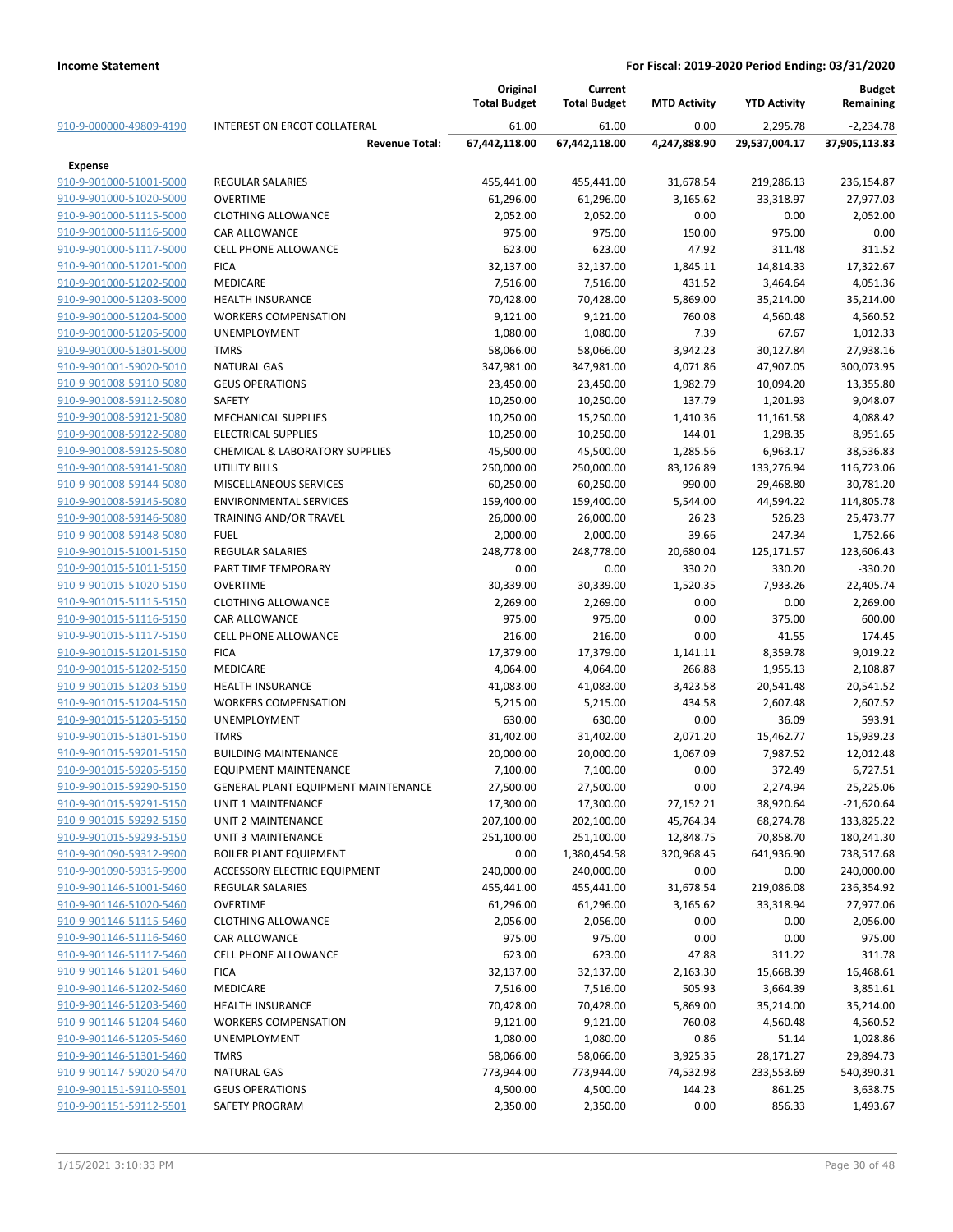|                         |                                            | Original<br><b>Total Budget</b> | Current<br><b>Total Budget</b> | <b>MTD Activity</b> | <b>YTD Activity</b> | Budget<br>Remaining |
|-------------------------|--------------------------------------------|---------------------------------|--------------------------------|---------------------|---------------------|---------------------|
| 910-9-000000-49809-4190 | <b>INTEREST ON ERCOT COLLATERAL</b>        | 61.00                           | 61.00                          | 0.00                | 2,295.78            | $-2,234.78$         |
|                         | <b>Revenue Total:</b>                      | 67,442,118.00                   | 67,442,118.00                  | 4,247,888.90        | 29,537,004.17       | 37,905,113.83       |
| <b>Expense</b>          |                                            |                                 |                                |                     |                     |                     |
| 910-9-901000-51001-5000 | <b>REGULAR SALARIES</b>                    | 455,441.00                      | 455,441.00                     | 31,678.54           | 219,286.13          | 236,154.87          |
| 910-9-901000-51020-5000 | <b>OVERTIME</b>                            | 61,296.00                       | 61,296.00                      | 3,165.62            | 33,318.97           | 27,977.03           |
| 910-9-901000-51115-5000 | <b>CLOTHING ALLOWANCE</b>                  | 2,052.00                        | 2,052.00                       | 0.00                | 0.00                | 2,052.00            |
| 910-9-901000-51116-5000 | <b>CAR ALLOWANCE</b>                       | 975.00                          | 975.00                         | 150.00              | 975.00              | 0.00                |
| 910-9-901000-51117-5000 | <b>CELL PHONE ALLOWANCE</b>                | 623.00                          | 623.00                         | 47.92               | 311.48              | 311.52              |
| 910-9-901000-51201-5000 | <b>FICA</b>                                | 32,137.00                       | 32,137.00                      | 1,845.11            | 14,814.33           | 17,322.67           |
| 910-9-901000-51202-5000 | <b>MEDICARE</b>                            | 7,516.00                        | 7,516.00                       | 431.52              | 3,464.64            | 4,051.36            |
| 910-9-901000-51203-5000 | <b>HEALTH INSURANCE</b>                    | 70,428.00                       | 70,428.00                      | 5,869.00            | 35,214.00           | 35,214.00           |
| 910-9-901000-51204-5000 | <b>WORKERS COMPENSATION</b>                | 9,121.00                        | 9,121.00                       | 760.08              | 4,560.48            | 4,560.52            |
| 910-9-901000-51205-5000 | UNEMPLOYMENT                               | 1,080.00                        | 1,080.00                       | 7.39                | 67.67               | 1,012.33            |
| 910-9-901000-51301-5000 | <b>TMRS</b>                                | 58,066.00                       | 58,066.00                      | 3,942.23            | 30,127.84           | 27,938.16           |
| 910-9-901001-59020-5010 | <b>NATURAL GAS</b>                         | 347,981.00                      | 347,981.00                     | 4,071.86            | 47,907.05           | 300,073.95          |
| 910-9-901008-59110-5080 | <b>GEUS OPERATIONS</b>                     | 23,450.00                       | 23,450.00                      | 1,982.79            | 10,094.20           | 13,355.80           |
| 910-9-901008-59112-5080 | SAFETY                                     | 10,250.00                       | 10,250.00                      | 137.79              | 1,201.93            | 9,048.07            |
| 910-9-901008-59121-5080 | <b>MECHANICAL SUPPLIES</b>                 | 10,250.00                       | 15,250.00                      | 1,410.36            | 11,161.58           | 4,088.42            |
| 910-9-901008-59122-5080 | <b>ELECTRICAL SUPPLIES</b>                 | 10,250.00                       | 10,250.00                      | 144.01              | 1,298.35            | 8,951.65            |
| 910-9-901008-59125-5080 | <b>CHEMICAL &amp; LABORATORY SUPPLIES</b>  | 45,500.00                       | 45,500.00                      | 1,285.56            | 6,963.17            | 38,536.83           |
| 910-9-901008-59141-5080 | <b>UTILITY BILLS</b>                       | 250,000.00                      | 250,000.00                     | 83,126.89           | 133,276.94          | 116,723.06          |
| 910-9-901008-59144-5080 | MISCELLANEOUS SERVICES                     | 60,250.00                       | 60,250.00                      | 990.00              | 29,468.80           | 30,781.20           |
| 910-9-901008-59145-5080 | <b>ENVIRONMENTAL SERVICES</b>              | 159,400.00                      | 159,400.00                     | 5,544.00            | 44,594.22           | 114,805.78          |
| 910-9-901008-59146-5080 | TRAINING AND/OR TRAVEL                     | 26,000.00                       | 26,000.00                      | 26.23               | 526.23              | 25,473.77           |
| 910-9-901008-59148-5080 | <b>FUEL</b>                                | 2,000.00                        | 2,000.00                       | 39.66               | 247.34              | 1,752.66            |
| 910-9-901015-51001-5150 | <b>REGULAR SALARIES</b>                    | 248,778.00                      | 248,778.00                     | 20,680.04           | 125,171.57          | 123,606.43          |
| 910-9-901015-51011-5150 | PART TIME TEMPORARY                        | 0.00                            | 0.00                           | 330.20              | 330.20              | $-330.20$           |
| 910-9-901015-51020-5150 | <b>OVERTIME</b>                            | 30,339.00                       | 30,339.00                      | 1,520.35            | 7,933.26            | 22,405.74           |
| 910-9-901015-51115-5150 | <b>CLOTHING ALLOWANCE</b>                  | 2,269.00                        | 2,269.00                       | 0.00                | 0.00                | 2,269.00            |
| 910-9-901015-51116-5150 | <b>CAR ALLOWANCE</b>                       | 975.00                          | 975.00                         | 0.00                | 375.00              | 600.00              |
| 910-9-901015-51117-5150 | <b>CELL PHONE ALLOWANCE</b>                | 216.00                          | 216.00                         | 0.00                | 41.55               | 174.45              |
| 910-9-901015-51201-5150 | <b>FICA</b>                                | 17,379.00                       | 17,379.00                      | 1,141.11            | 8,359.78            | 9,019.22            |
| 910-9-901015-51202-5150 | <b>MEDICARE</b>                            | 4,064.00                        | 4,064.00                       | 266.88              | 1,955.13            | 2,108.87            |
| 910-9-901015-51203-5150 | <b>HEALTH INSURANCE</b>                    | 41,083.00                       | 41,083.00                      | 3,423.58            | 20,541.48           | 20,541.52           |
| 910-9-901015-51204-5150 | <b>WORKERS COMPENSATION</b>                | 5,215.00                        | 5,215.00                       | 434.58              | 2,607.48            | 2,607.52            |
| 910-9-901015-51205-5150 | UNEMPLOYMENT                               | 630.00                          | 630.00                         | 0.00                | 36.09               | 593.91              |
| 910-9-901015-51301-5150 | <b>TMRS</b>                                | 31,402.00                       | 31,402.00                      | 2,071.20            | 15,462.77           | 15,939.23           |
| 910-9-901015-59201-5150 | <b>BUILDING MAINTENANCE</b>                | 20,000.00                       | 20,000.00                      | 1,067.09            | 7,987.52            | 12,012.48           |
| 910-9-901015-59205-5150 | <b>EQUIPMENT MAINTENANCE</b>               | 7,100.00                        | 7,100.00                       | 0.00                | 372.49              | 6,727.51            |
| 910-9-901015-59290-5150 | <b>GENERAL PLANT EQUIPMENT MAINTENANCE</b> | 27,500.00                       | 27,500.00                      | 0.00                | 2,274.94            | 25,225.06           |
| 910-9-901015-59291-5150 | UNIT 1 MAINTENANCE                         | 17,300.00                       | 17,300.00                      | 27,152.21           | 38,920.64           | $-21,620.64$        |
| 910-9-901015-59292-5150 | UNIT 2 MAINTENANCE                         | 207,100.00                      | 202,100.00                     | 45,764.34           | 68,274.78           | 133,825.22          |
| 910-9-901015-59293-5150 | UNIT 3 MAINTENANCE                         | 251,100.00                      | 251,100.00                     | 12,848.75           | 70,858.70           | 180,241.30          |
| 910-9-901090-59312-9900 | <b>BOILER PLANT EQUIPMENT</b>              | 0.00                            | 1,380,454.58                   | 320,968.45          | 641,936.90          | 738,517.68          |
| 910-9-901090-59315-9900 | ACCESSORY ELECTRIC EQUIPMENT               | 240,000.00                      | 240,000.00                     | 0.00                | 0.00                | 240,000.00          |
| 910-9-901146-51001-5460 | <b>REGULAR SALARIES</b>                    | 455,441.00                      | 455,441.00                     | 31,678.54           | 219,086.08          | 236,354.92          |
| 910-9-901146-51020-5460 | <b>OVERTIME</b>                            | 61,296.00                       | 61,296.00                      | 3,165.62            | 33,318.94           | 27,977.06           |
| 910-9-901146-51115-5460 | <b>CLOTHING ALLOWANCE</b>                  | 2,056.00                        | 2,056.00                       | 0.00                | 0.00                | 2,056.00            |
| 910-9-901146-51116-5460 | <b>CAR ALLOWANCE</b>                       | 975.00                          | 975.00                         | 0.00                | 0.00                | 975.00              |
| 910-9-901146-51117-5460 | <b>CELL PHONE ALLOWANCE</b>                | 623.00                          | 623.00                         | 47.88               | 311.22              | 311.78              |
| 910-9-901146-51201-5460 | <b>FICA</b>                                | 32,137.00                       | 32,137.00                      | 2,163.30            | 15,668.39           | 16,468.61           |
| 910-9-901146-51202-5460 | MEDICARE                                   | 7,516.00                        | 7,516.00                       | 505.93              | 3,664.39            | 3,851.61            |
| 910-9-901146-51203-5460 | HEALTH INSURANCE                           | 70,428.00                       | 70,428.00                      | 5,869.00            | 35,214.00           | 35,214.00           |
| 910-9-901146-51204-5460 | <b>WORKERS COMPENSATION</b>                | 9,121.00                        | 9,121.00                       | 760.08              | 4,560.48            | 4,560.52            |
| 910-9-901146-51205-5460 | <b>UNEMPLOYMENT</b>                        | 1,080.00                        | 1,080.00                       | 0.86                | 51.14               | 1,028.86            |
| 910-9-901146-51301-5460 | <b>TMRS</b>                                | 58,066.00                       | 58,066.00                      | 3,925.35            | 28,171.27           | 29,894.73           |
| 910-9-901147-59020-5470 | <b>NATURAL GAS</b>                         | 773,944.00                      | 773,944.00                     | 74,532.98           | 233,553.69          | 540,390.31          |
| 910-9-901151-59110-5501 | <b>GEUS OPERATIONS</b>                     | 4,500.00                        | 4,500.00                       | 144.23              | 861.25              | 3,638.75            |
| 910-9-901151-59112-5501 | SAFETY PROGRAM                             | 2,350.00                        | 2,350.00                       | 0.00                | 856.33              | 1,493.67            |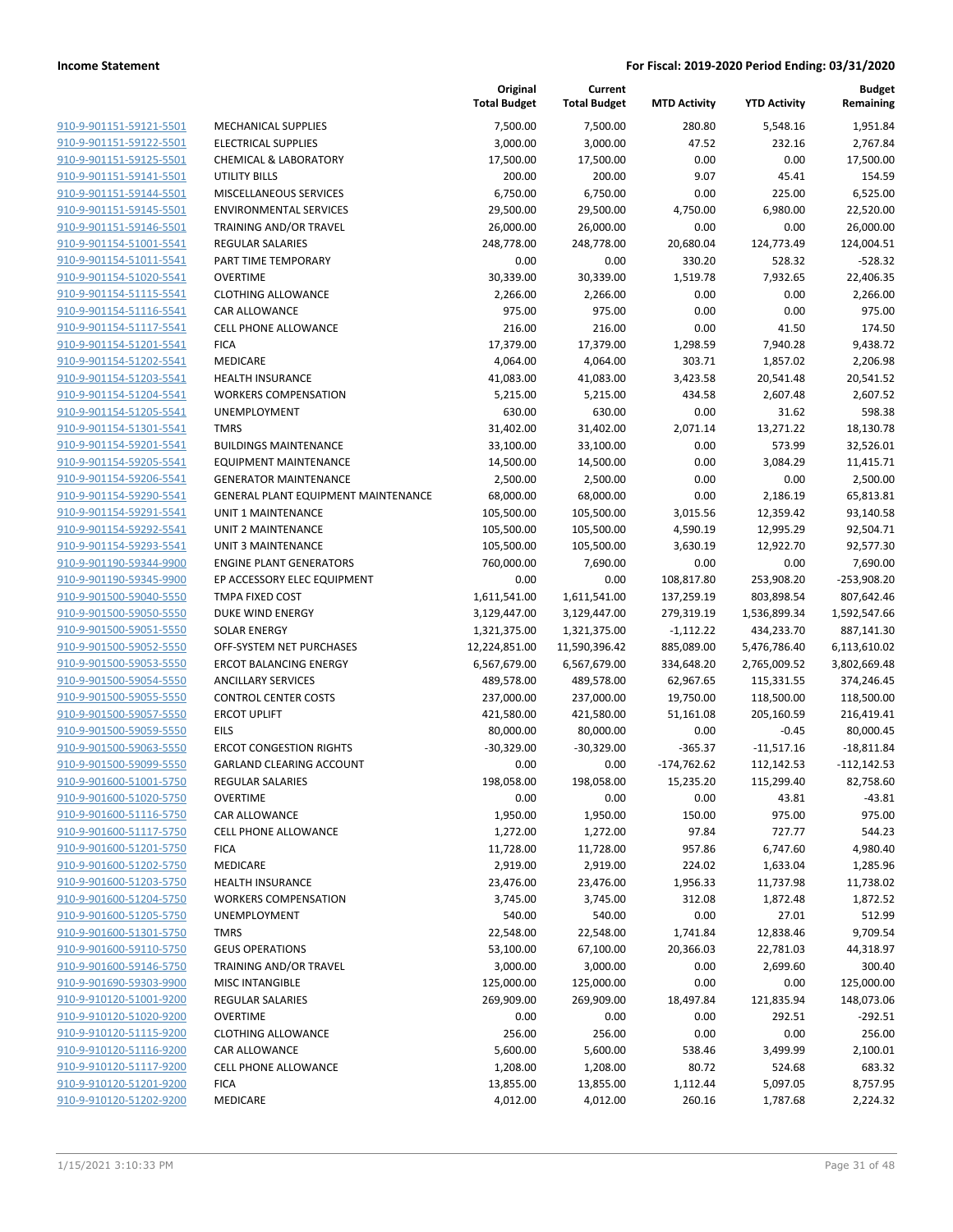|                         |                                     | Original<br><b>Total Budget</b> | Current<br><b>Total Budget</b> | <b>MTD Activity</b> | <b>YTD Activity</b> | <b>Budget</b><br>Remaining |
|-------------------------|-------------------------------------|---------------------------------|--------------------------------|---------------------|---------------------|----------------------------|
| 910-9-901151-59121-5501 | <b>MECHANICAL SUPPLIES</b>          | 7,500.00                        | 7,500.00                       | 280.80              | 5,548.16            | 1,951.84                   |
| 910-9-901151-59122-5501 | <b>ELECTRICAL SUPPLIES</b>          | 3,000.00                        | 3,000.00                       | 47.52               | 232.16              | 2,767.84                   |
| 910-9-901151-59125-5501 | <b>CHEMICAL &amp; LABORATORY</b>    | 17,500.00                       | 17,500.00                      | 0.00                | 0.00                | 17,500.00                  |
| 910-9-901151-59141-5501 | <b>UTILITY BILLS</b>                | 200.00                          | 200.00                         | 9.07                | 45.41               | 154.59                     |
| 910-9-901151-59144-5501 | MISCELLANEOUS SERVICES              | 6,750.00                        | 6,750.00                       | 0.00                | 225.00              | 6,525.00                   |
| 910-9-901151-59145-5501 | <b>ENVIRONMENTAL SERVICES</b>       | 29,500.00                       | 29,500.00                      | 4,750.00            | 6,980.00            | 22,520.00                  |
| 910-9-901151-59146-5501 | TRAINING AND/OR TRAVEL              | 26,000.00                       | 26,000.00                      | 0.00                | 0.00                | 26,000.00                  |
| 910-9-901154-51001-5541 | <b>REGULAR SALARIES</b>             | 248,778.00                      | 248,778.00                     | 20,680.04           | 124,773.49          | 124,004.51                 |
| 910-9-901154-51011-5541 | PART TIME TEMPORARY                 | 0.00                            | 0.00                           | 330.20              | 528.32              | $-528.32$                  |
| 910-9-901154-51020-5541 | <b>OVERTIME</b>                     | 30,339.00                       | 30,339.00                      | 1,519.78            | 7,932.65            | 22,406.35                  |
| 910-9-901154-51115-5541 | <b>CLOTHING ALLOWANCE</b>           | 2,266.00                        | 2,266.00                       | 0.00                | 0.00                | 2,266.00                   |
| 910-9-901154-51116-5541 | CAR ALLOWANCE                       | 975.00                          | 975.00                         | 0.00                | 0.00                | 975.00                     |
| 910-9-901154-51117-5541 | <b>CELL PHONE ALLOWANCE</b>         | 216.00                          | 216.00                         | 0.00                | 41.50               | 174.50                     |
| 910-9-901154-51201-5541 | <b>FICA</b>                         | 17,379.00                       | 17,379.00                      | 1,298.59            | 7,940.28            | 9,438.72                   |
| 910-9-901154-51202-5541 | MEDICARE                            | 4,064.00                        | 4,064.00                       | 303.71              | 1,857.02            | 2,206.98                   |
| 910-9-901154-51203-5541 | <b>HEALTH INSURANCE</b>             | 41,083.00                       | 41,083.00                      | 3,423.58            | 20,541.48           | 20,541.52                  |
| 910-9-901154-51204-5541 | <b>WORKERS COMPENSATION</b>         | 5,215.00                        | 5,215.00                       | 434.58              | 2,607.48            | 2,607.52                   |
| 910-9-901154-51205-5541 | <b>UNEMPLOYMENT</b>                 | 630.00                          | 630.00                         | 0.00                | 31.62               | 598.38                     |
| 910-9-901154-51301-5541 | <b>TMRS</b>                         | 31,402.00                       | 31,402.00                      | 2,071.14            | 13,271.22           | 18,130.78                  |
| 910-9-901154-59201-5541 | <b>BUILDINGS MAINTENANCE</b>        | 33,100.00                       | 33,100.00                      | 0.00                | 573.99              | 32,526.01                  |
| 910-9-901154-59205-5541 | <b>EQUIPMENT MAINTENANCE</b>        | 14,500.00                       | 14,500.00                      | 0.00                | 3,084.29            | 11,415.71                  |
| 910-9-901154-59206-5541 | <b>GENERATOR MAINTENANCE</b>        | 2,500.00                        | 2,500.00                       | 0.00                | 0.00                | 2,500.00                   |
| 910-9-901154-59290-5541 | GENERAL PLANT EQUIPMENT MAINTENANCE | 68,000.00                       | 68,000.00                      | 0.00                | 2,186.19            | 65,813.81                  |
| 910-9-901154-59291-5541 | <b>UNIT 1 MAINTENANCE</b>           | 105,500.00                      | 105,500.00                     | 3,015.56            | 12,359.42           | 93,140.58                  |
| 910-9-901154-59292-5541 | <b>UNIT 2 MAINTENANCE</b>           | 105,500.00                      | 105,500.00                     | 4,590.19            | 12,995.29           | 92,504.71                  |
| 910-9-901154-59293-5541 | <b>UNIT 3 MAINTENANCE</b>           | 105,500.00                      | 105,500.00                     | 3,630.19            | 12,922.70           | 92,577.30                  |
| 910-9-901190-59344-9900 | <b>ENGINE PLANT GENERATORS</b>      | 760,000.00                      | 7,690.00                       | 0.00                | 0.00                | 7,690.00                   |
| 910-9-901190-59345-9900 | EP ACCESSORY ELEC EQUIPMENT         | 0.00                            | 0.00                           | 108,817.80          | 253,908.20          | $-253,908.20$              |
| 910-9-901500-59040-5550 | TMPA FIXED COST                     | 1,611,541.00                    | 1,611,541.00                   | 137,259.19          | 803,898.54          | 807,642.46                 |
| 910-9-901500-59050-5550 | DUKE WIND ENERGY                    | 3,129,447.00                    | 3,129,447.00                   | 279,319.19          | 1,536,899.34        | 1,592,547.66               |
| 910-9-901500-59051-5550 | SOLAR ENERGY                        | 1,321,375.00                    | 1,321,375.00                   | $-1,112.22$         | 434,233.70          | 887,141.30                 |
| 910-9-901500-59052-5550 | OFF-SYSTEM NET PURCHASES            | 12,224,851.00                   | 11,590,396.42                  | 885,089.00          | 5,476,786.40        | 6,113,610.02               |
| 910-9-901500-59053-5550 | <b>ERCOT BALANCING ENERGY</b>       | 6,567,679.00                    | 6,567,679.00                   | 334,648.20          | 2,765,009.52        | 3,802,669.48               |
| 910-9-901500-59054-5550 | <b>ANCILLARY SERVICES</b>           | 489,578.00                      | 489,578.00                     | 62,967.65           | 115,331.55          | 374,246.45                 |
| 910-9-901500-59055-5550 | <b>CONTROL CENTER COSTS</b>         | 237,000.00                      | 237,000.00                     | 19,750.00           | 118,500.00          | 118,500.00                 |
| 910-9-901500-59057-5550 | <b>ERCOT UPLIFT</b>                 | 421,580.00                      | 421,580.00                     | 51,161.08           | 205,160.59          | 216,419.41                 |
| 910-9-901500-59059-5550 | <b>EILS</b>                         | 80,000.00                       | 80,000.00                      | 0.00                | $-0.45$             | 80,000.45                  |
| 910-9-901500-59063-5550 | <b>ERCOT CONGESTION RIGHTS</b>      | $-30,329.00$                    | $-30,329.00$                   | $-365.37$           | $-11,517.16$        | $-18,811.84$               |
| 910-9-901500-59099-5550 | <b>GARLAND CLEARING ACCOUNT</b>     | 0.00                            | 0.00                           | $-174,762.62$       | 112,142.53          | $-112,142.53$              |
| 910-9-901600-51001-5750 | <b>REGULAR SALARIES</b>             | 198,058.00                      | 198,058.00                     | 15,235.20           | 115,299.40          | 82,758.60                  |
| 910-9-901600-51020-5750 | <b>OVERTIME</b>                     | 0.00                            | 0.00                           | 0.00                | 43.81               | $-43.81$                   |
| 910-9-901600-51116-5750 | CAR ALLOWANCE                       | 1,950.00                        | 1,950.00                       | 150.00              | 975.00              | 975.00                     |
| 910-9-901600-51117-5750 | <b>CELL PHONE ALLOWANCE</b>         | 1,272.00                        | 1,272.00                       | 97.84               | 727.77              | 544.23                     |
| 910-9-901600-51201-5750 | <b>FICA</b>                         | 11,728.00                       | 11,728.00                      | 957.86              | 6,747.60            | 4,980.40                   |
| 910-9-901600-51202-5750 | MEDICARE                            | 2,919.00                        | 2,919.00                       | 224.02              | 1,633.04            | 1,285.96                   |
| 910-9-901600-51203-5750 | <b>HEALTH INSURANCE</b>             | 23,476.00                       | 23,476.00                      | 1,956.33            | 11,737.98           | 11,738.02                  |
| 910-9-901600-51204-5750 | <b>WORKERS COMPENSATION</b>         | 3,745.00                        | 3,745.00                       | 312.08              | 1,872.48            | 1,872.52                   |
| 910-9-901600-51205-5750 | UNEMPLOYMENT                        | 540.00                          | 540.00                         | 0.00                | 27.01               | 512.99                     |
| 910-9-901600-51301-5750 | <b>TMRS</b>                         | 22,548.00                       | 22,548.00                      | 1,741.84            | 12,838.46           | 9,709.54                   |
| 910-9-901600-59110-5750 | <b>GEUS OPERATIONS</b>              | 53,100.00                       | 67,100.00                      | 20,366.03           | 22,781.03           | 44,318.97                  |
| 910-9-901600-59146-5750 | TRAINING AND/OR TRAVEL              | 3,000.00                        | 3,000.00                       | 0.00                | 2,699.60            | 300.40                     |
| 910-9-901690-59303-9900 | <b>MISC INTANGIBLE</b>              | 125,000.00                      | 125,000.00                     | 0.00                | 0.00                | 125,000.00                 |
| 910-9-910120-51001-9200 | <b>REGULAR SALARIES</b>             | 269,909.00                      | 269,909.00                     | 18,497.84           | 121,835.94          | 148,073.06                 |
| 910-9-910120-51020-9200 | <b>OVERTIME</b>                     | 0.00                            | 0.00                           | 0.00                | 292.51              | $-292.51$                  |
| 910-9-910120-51115-9200 | <b>CLOTHING ALLOWANCE</b>           | 256.00                          | 256.00                         | 0.00                | 0.00                | 256.00                     |
| 910-9-910120-51116-9200 | CAR ALLOWANCE                       | 5,600.00                        | 5,600.00                       | 538.46              | 3,499.99            | 2,100.01                   |
| 910-9-910120-51117-9200 | <b>CELL PHONE ALLOWANCE</b>         | 1,208.00                        | 1,208.00                       | 80.72               | 524.68              | 683.32                     |
| 910-9-910120-51201-9200 | <b>FICA</b>                         | 13,855.00                       | 13,855.00                      | 1,112.44            | 5,097.05            | 8,757.95                   |
| 910-9-910120-51202-9200 | MEDICARE                            | 4,012.00                        | 4,012.00                       | 260.16              | 1,787.68            | 2,224.32                   |
|                         |                                     |                                 |                                |                     |                     |                            |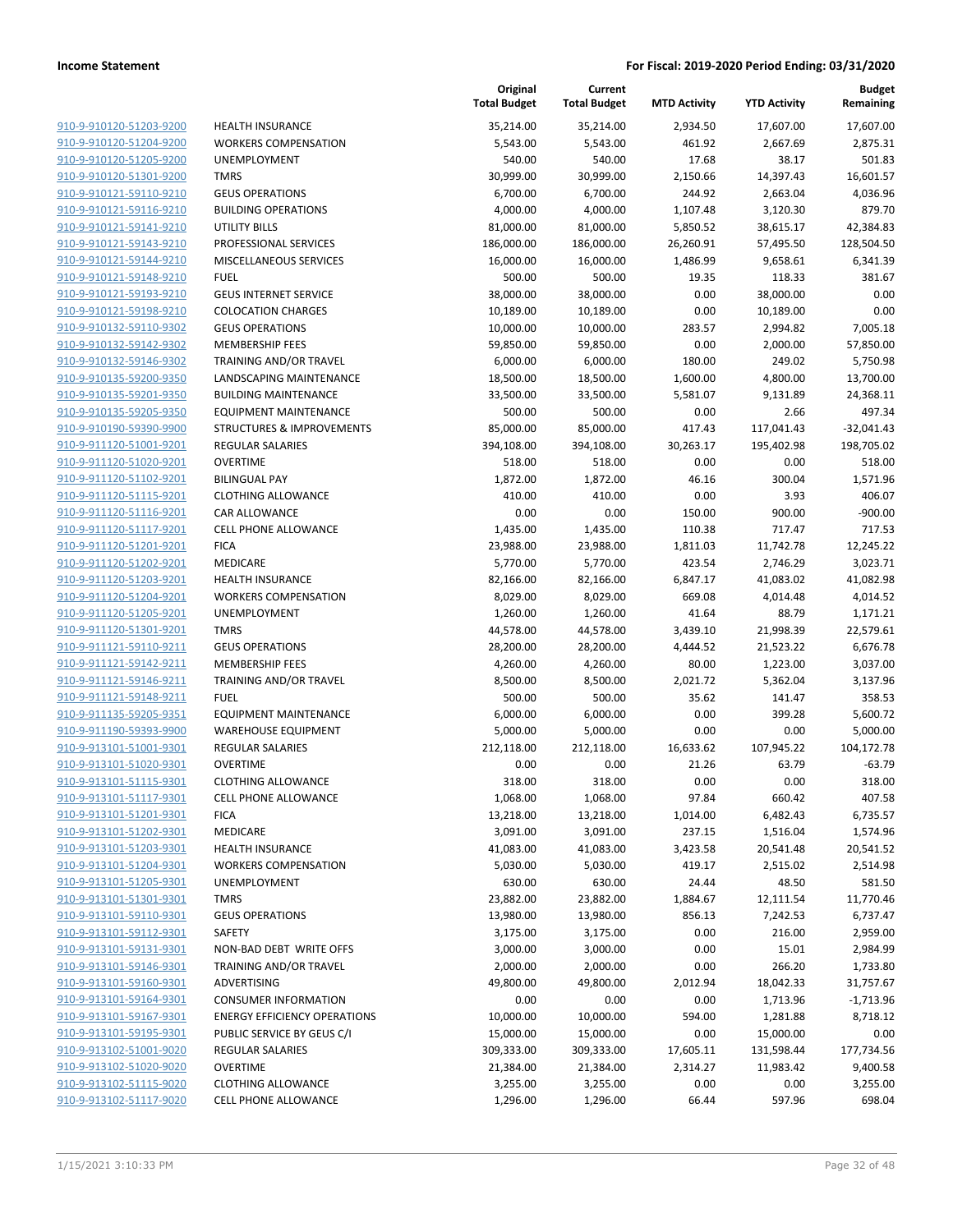**Budget**

|                                                    |                                      | Original<br><b>Total Budget</b> | Current<br><b>Total Budget</b> | <b>MTD Activity</b> | <b>YTD Activity</b> | <b>Budget</b><br>Remaining |
|----------------------------------------------------|--------------------------------------|---------------------------------|--------------------------------|---------------------|---------------------|----------------------------|
| 910-9-910120-51203-9200                            | <b>HEALTH INSURANCE</b>              | 35,214.00                       | 35,214.00                      | 2,934.50            | 17,607.00           | 17,607.00                  |
| 910-9-910120-51204-9200                            | <b>WORKERS COMPENSATION</b>          | 5,543.00                        | 5,543.00                       | 461.92              | 2,667.69            | 2,875.31                   |
| 910-9-910120-51205-9200                            | <b>UNEMPLOYMENT</b>                  | 540.00                          | 540.00                         | 17.68               | 38.17               | 501.83                     |
| 910-9-910120-51301-9200                            | <b>TMRS</b>                          | 30,999.00                       | 30,999.00                      | 2,150.66            | 14,397.43           | 16,601.57                  |
| 910-9-910121-59110-9210                            | <b>GEUS OPERATIONS</b>               | 6,700.00                        | 6,700.00                       | 244.92              | 2,663.04            | 4,036.96                   |
| 910-9-910121-59116-9210                            | <b>BUILDING OPERATIONS</b>           | 4,000.00                        | 4,000.00                       | 1,107.48            | 3,120.30            | 879.70                     |
| 910-9-910121-59141-9210                            | UTILITY BILLS                        | 81,000.00                       | 81,000.00                      | 5,850.52            | 38,615.17           | 42,384.83                  |
| 910-9-910121-59143-9210                            | PROFESSIONAL SERVICES                | 186,000.00                      | 186,000.00                     | 26,260.91           | 57,495.50           | 128,504.50                 |
| 910-9-910121-59144-9210                            | MISCELLANEOUS SERVICES               | 16,000.00                       | 16,000.00                      | 1,486.99            | 9,658.61            | 6,341.39                   |
| 910-9-910121-59148-9210                            | <b>FUEL</b>                          | 500.00                          | 500.00                         | 19.35               | 118.33              | 381.67                     |
| 910-9-910121-59193-9210                            | <b>GEUS INTERNET SERVICE</b>         | 38,000.00                       | 38,000.00                      | 0.00                | 38,000.00           | 0.00                       |
| 910-9-910121-59198-9210                            | <b>COLOCATION CHARGES</b>            | 10,189.00                       | 10,189.00                      | 0.00                | 10,189.00           | 0.00                       |
| 910-9-910132-59110-9302                            | <b>GEUS OPERATIONS</b>               | 10,000.00                       | 10,000.00                      | 283.57              | 2,994.82            | 7,005.18                   |
| 910-9-910132-59142-9302                            | <b>MEMBERSHIP FEES</b>               | 59,850.00                       | 59,850.00                      | 0.00                | 2,000.00            | 57,850.00                  |
| 910-9-910132-59146-9302                            | TRAINING AND/OR TRAVEL               | 6,000.00                        | 6,000.00                       | 180.00              | 249.02              | 5,750.98                   |
| 910-9-910135-59200-9350                            | LANDSCAPING MAINTENANCE              | 18,500.00                       | 18,500.00                      | 1,600.00            | 4,800.00            | 13,700.00                  |
| 910-9-910135-59201-9350                            | <b>BUILDING MAINTENANCE</b>          | 33,500.00                       | 33,500.00                      | 5,581.07            | 9,131.89            | 24,368.11                  |
| 910-9-910135-59205-9350                            | EQUIPMENT MAINTENANCE                | 500.00                          | 500.00                         | 0.00                | 2.66                | 497.34                     |
| 910-9-910190-59390-9900                            | <b>STRUCTURES &amp; IMPROVEMENTS</b> | 85,000.00                       | 85,000.00                      | 417.43              | 117,041.43          | $-32,041.43$               |
| 910-9-911120-51001-9201                            | <b>REGULAR SALARIES</b>              | 394,108.00                      | 394,108.00                     | 30,263.17           | 195,402.98          | 198,705.02                 |
| 910-9-911120-51020-9201                            | <b>OVERTIME</b>                      | 518.00                          | 518.00                         | 0.00                | 0.00                | 518.00                     |
| 910-9-911120-51102-9201                            | <b>BILINGUAL PAY</b>                 | 1,872.00                        | 1,872.00                       | 46.16               | 300.04              | 1,571.96                   |
| 910-9-911120-51115-9201                            | <b>CLOTHING ALLOWANCE</b>            | 410.00                          | 410.00                         | 0.00                | 3.93                | 406.07                     |
| 910-9-911120-51116-9201                            | CAR ALLOWANCE                        | 0.00                            | 0.00                           | 150.00              | 900.00              | $-900.00$                  |
| 910-9-911120-51117-9201                            | <b>CELL PHONE ALLOWANCE</b>          | 1,435.00                        | 1,435.00                       | 110.38              | 717.47              | 717.53                     |
| 910-9-911120-51201-9201                            | <b>FICA</b>                          | 23,988.00                       | 23,988.00                      | 1,811.03            | 11,742.78           | 12,245.22                  |
| 910-9-911120-51202-9201                            | MEDICARE                             | 5,770.00                        | 5,770.00                       | 423.54              | 2,746.29            | 3,023.71                   |
| 910-9-911120-51203-9201                            | HEALTH INSURANCE                     | 82,166.00                       | 82,166.00                      | 6,847.17            | 41,083.02           | 41,082.98                  |
| 910-9-911120-51204-9201                            | <b>WORKERS COMPENSATION</b>          | 8,029.00                        | 8,029.00                       | 669.08              | 4,014.48            | 4,014.52                   |
| 910-9-911120-51205-9201                            | UNEMPLOYMENT                         | 1,260.00                        | 1,260.00                       | 41.64               | 88.79               | 1,171.21                   |
| 910-9-911120-51301-9201                            | <b>TMRS</b>                          | 44,578.00                       | 44,578.00                      | 3,439.10            | 21,998.39           | 22,579.61                  |
| 910-9-911121-59110-9211                            | <b>GEUS OPERATIONS</b>               | 28,200.00                       | 28,200.00                      | 4,444.52            | 21,523.22           | 6,676.78                   |
| 910-9-911121-59142-9211                            | <b>MEMBERSHIP FEES</b>               | 4,260.00                        | 4,260.00                       | 80.00               | 1,223.00            | 3,037.00                   |
| 910-9-911121-59146-9211                            | TRAINING AND/OR TRAVEL               | 8,500.00                        | 8,500.00                       | 2,021.72            | 5,362.04            | 3,137.96                   |
| 910-9-911121-59148-9211                            | <b>FUEL</b>                          | 500.00                          | 500.00                         | 35.62               | 141.47              | 358.53                     |
| 910-9-911135-59205-9351                            | <b>EQUIPMENT MAINTENANCE</b>         | 6,000.00                        | 6,000.00                       | 0.00                | 399.28              | 5,600.72                   |
| 910-9-911190-59393-9900                            | <b>WAREHOUSE EQUIPMENT</b>           | 5,000.00                        | 5,000.00                       | 0.00                | 0.00                | 5,000.00                   |
| 910-9-913101-51001-9301                            | REGULAR SALARIES                     | 212,118.00                      | 212,118.00                     | 16,633.62           | 107,945.22          | 104,172.78                 |
| 910-9-913101-51020-9301                            | <b>OVERTIME</b>                      | 0.00                            | 0.00                           | 21.26               | 63.79               | $-63.79$                   |
| 910-9-913101-51115-9301                            | <b>CLOTHING ALLOWANCE</b>            | 318.00                          | 318.00                         | 0.00                | 0.00                | 318.00                     |
| 910-9-913101-51117-9301                            | <b>CELL PHONE ALLOWANCE</b>          | 1,068.00                        | 1,068.00                       | 97.84               | 660.42              | 407.58                     |
| 910-9-913101-51201-9301                            | <b>FICA</b>                          | 13,218.00                       | 13,218.00                      | 1,014.00            | 6,482.43            | 6,735.57                   |
| 910-9-913101-51202-9301                            | MEDICARE                             | 3,091.00                        | 3,091.00                       | 237.15              | 1,516.04            | 1,574.96                   |
| 910-9-913101-51203-9301                            | <b>HEALTH INSURANCE</b>              | 41,083.00                       | 41,083.00                      | 3,423.58            | 20,541.48           | 20,541.52                  |
| 910-9-913101-51204-9301                            | <b>WORKERS COMPENSATION</b>          | 5,030.00                        | 5,030.00                       | 419.17              | 2,515.02            | 2,514.98                   |
| 910-9-913101-51205-9301                            | <b>UNEMPLOYMENT</b>                  | 630.00                          | 630.00                         | 24.44               | 48.50               | 581.50                     |
| 910-9-913101-51301-9301                            | <b>TMRS</b>                          | 23,882.00                       | 23,882.00                      | 1,884.67            | 12,111.54           | 11,770.46                  |
| 910-9-913101-59110-9301                            | <b>GEUS OPERATIONS</b>               | 13,980.00                       | 13,980.00                      | 856.13              | 7,242.53            | 6,737.47                   |
| 910-9-913101-59112-9301                            | SAFETY                               | 3,175.00                        | 3,175.00                       | 0.00                | 216.00              | 2,959.00                   |
| 910-9-913101-59131-9301                            | NON-BAD DEBT WRITE OFFS              | 3,000.00                        | 3,000.00                       | 0.00                | 15.01               | 2,984.99                   |
| 910-9-913101-59146-9301                            | <b>TRAINING AND/OR TRAVEL</b>        | 2,000.00                        | 2,000.00                       | 0.00                | 266.20              | 1,733.80                   |
| 910-9-913101-59160-9301                            | <b>ADVERTISING</b>                   | 49,800.00                       | 49,800.00                      | 2,012.94            | 18,042.33           | 31,757.67                  |
| 910-9-913101-59164-9301                            | <b>CONSUMER INFORMATION</b>          | 0.00                            | 0.00                           | 0.00                | 1,713.96            | $-1,713.96$                |
| 910-9-913101-59167-9301                            | <b>ENERGY EFFICIENCY OPERATIONS</b>  | 10,000.00                       | 10,000.00                      | 594.00              | 1,281.88            | 8,718.12                   |
| 910-9-913101-59195-9301                            | PUBLIC SERVICE BY GEUS C/I           | 15,000.00                       | 15,000.00                      | 0.00                | 15,000.00           | 0.00                       |
| 910-9-913102-51001-9020                            | REGULAR SALARIES                     | 309,333.00                      | 309,333.00                     | 17,605.11           | 131,598.44          | 177,734.56                 |
| 910-9-913102-51020-9020                            | <b>OVERTIME</b>                      | 21,384.00                       | 21,384.00                      | 2,314.27            | 11,983.42           | 9,400.58                   |
| 910-9-913102-51115-9020<br>910-9-913102-51117-9020 | <b>CLOTHING ALLOWANCE</b>            | 3,255.00                        | 3,255.00                       | 0.00                | 0.00                | 3,255.00                   |
|                                                    | <b>CELL PHONE ALLOWANCE</b>          | 1,296.00                        | 1,296.00                       | 66.44               | 597.96              | 698.04                     |

**Original**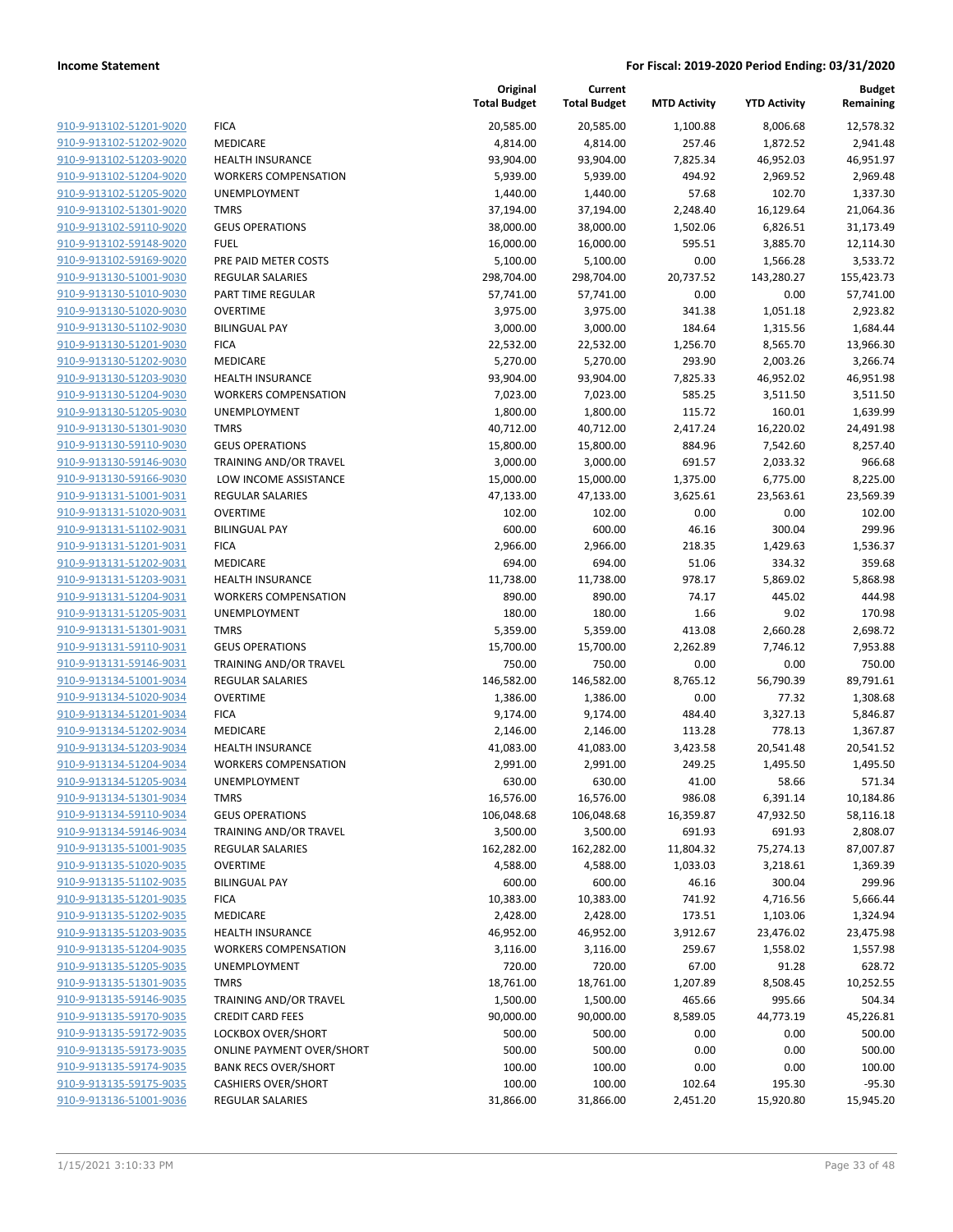|                         |                                  | Original<br><b>Total Budget</b> | Current<br><b>Total Budget</b> | <b>MTD Activity</b> | <b>YTD Activity</b> | Budget<br>Remaining |
|-------------------------|----------------------------------|---------------------------------|--------------------------------|---------------------|---------------------|---------------------|
| 910-9-913102-51201-9020 | <b>FICA</b>                      | 20,585.00                       | 20,585.00                      | 1,100.88            | 8,006.68            | 12,578.32           |
| 910-9-913102-51202-9020 | MEDICARE                         | 4,814.00                        | 4,814.00                       | 257.46              | 1,872.52            | 2,941.48            |
| 910-9-913102-51203-9020 | <b>HEALTH INSURANCE</b>          | 93,904.00                       | 93,904.00                      | 7,825.34            | 46,952.03           | 46,951.97           |
| 910-9-913102-51204-9020 | <b>WORKERS COMPENSATION</b>      | 5,939.00                        | 5,939.00                       | 494.92              | 2,969.52            | 2,969.48            |
| 910-9-913102-51205-9020 | UNEMPLOYMENT                     | 1,440.00                        | 1,440.00                       | 57.68               | 102.70              | 1,337.30            |
| 910-9-913102-51301-9020 | <b>TMRS</b>                      | 37,194.00                       | 37,194.00                      | 2,248.40            | 16,129.64           | 21,064.36           |
| 910-9-913102-59110-9020 | <b>GEUS OPERATIONS</b>           | 38,000.00                       | 38,000.00                      | 1,502.06            | 6,826.51            | 31,173.49           |
| 910-9-913102-59148-9020 | <b>FUEL</b>                      | 16,000.00                       | 16,000.00                      | 595.51              | 3,885.70            | 12,114.30           |
| 910-9-913102-59169-9020 | PRE PAID METER COSTS             | 5,100.00                        | 5,100.00                       | 0.00                | 1,566.28            | 3,533.72            |
| 910-9-913130-51001-9030 | <b>REGULAR SALARIES</b>          | 298,704.00                      | 298,704.00                     | 20,737.52           | 143,280.27          | 155,423.73          |
| 910-9-913130-51010-9030 | PART TIME REGULAR                | 57,741.00                       | 57,741.00                      | 0.00                | 0.00                | 57,741.00           |
| 910-9-913130-51020-9030 | <b>OVERTIME</b>                  | 3,975.00                        | 3,975.00                       | 341.38              | 1,051.18            | 2,923.82            |
| 910-9-913130-51102-9030 | <b>BILINGUAL PAY</b>             | 3,000.00                        | 3,000.00                       | 184.64              | 1,315.56            | 1,684.44            |
| 910-9-913130-51201-9030 | <b>FICA</b>                      | 22,532.00                       | 22,532.00                      | 1,256.70            | 8,565.70            | 13,966.30           |
| 910-9-913130-51202-9030 | MEDICARE                         | 5,270.00                        | 5,270.00                       | 293.90              | 2,003.26            | 3,266.74            |
| 910-9-913130-51203-9030 | <b>HEALTH INSURANCE</b>          | 93,904.00                       | 93,904.00                      | 7,825.33            | 46,952.02           | 46,951.98           |
| 910-9-913130-51204-9030 | <b>WORKERS COMPENSATION</b>      | 7,023.00                        | 7,023.00                       | 585.25              | 3,511.50            | 3,511.50            |
| 910-9-913130-51205-9030 | UNEMPLOYMENT                     | 1,800.00                        | 1,800.00                       | 115.72              | 160.01              | 1,639.99            |
| 910-9-913130-51301-9030 | <b>TMRS</b>                      | 40,712.00                       | 40,712.00                      | 2,417.24            | 16,220.02           | 24,491.98           |
| 910-9-913130-59110-9030 | <b>GEUS OPERATIONS</b>           | 15,800.00                       | 15,800.00                      | 884.96              | 7,542.60            | 8,257.40            |
| 910-9-913130-59146-9030 | TRAINING AND/OR TRAVEL           | 3,000.00                        | 3,000.00                       | 691.57              | 2,033.32            | 966.68              |
| 910-9-913130-59166-9030 | LOW INCOME ASSISTANCE            | 15,000.00                       | 15,000.00                      | 1,375.00            | 6,775.00            | 8,225.00            |
| 910-9-913131-51001-9031 | <b>REGULAR SALARIES</b>          | 47,133.00                       | 47,133.00                      | 3,625.61            | 23,563.61           | 23,569.39           |
| 910-9-913131-51020-9031 | <b>OVERTIME</b>                  | 102.00                          | 102.00                         | 0.00                | 0.00                | 102.00              |
| 910-9-913131-51102-9031 | <b>BILINGUAL PAY</b>             | 600.00                          | 600.00                         | 46.16               | 300.04              | 299.96              |
| 910-9-913131-51201-9031 | <b>FICA</b>                      | 2,966.00                        | 2,966.00                       | 218.35              | 1,429.63            | 1,536.37            |
| 910-9-913131-51202-9031 | MEDICARE                         | 694.00                          | 694.00                         | 51.06               | 334.32              | 359.68              |
| 910-9-913131-51203-9031 | <b>HEALTH INSURANCE</b>          | 11,738.00                       | 11,738.00                      | 978.17              | 5,869.02            | 5,868.98            |
| 910-9-913131-51204-9031 | <b>WORKERS COMPENSATION</b>      | 890.00                          | 890.00                         | 74.17               | 445.02              | 444.98              |
| 910-9-913131-51205-9031 | UNEMPLOYMENT                     | 180.00                          | 180.00                         | 1.66                | 9.02                | 170.98              |
| 910-9-913131-51301-9031 | <b>TMRS</b>                      | 5,359.00                        | 5,359.00                       | 413.08              | 2,660.28            | 2,698.72            |
| 910-9-913131-59110-9031 | <b>GEUS OPERATIONS</b>           | 15,700.00                       | 15,700.00                      | 2,262.89            | 7,746.12            | 7,953.88            |
| 910-9-913131-59146-9031 | TRAINING AND/OR TRAVEL           | 750.00                          | 750.00                         | 0.00                | 0.00                | 750.00              |
| 910-9-913134-51001-9034 | <b>REGULAR SALARIES</b>          | 146,582.00                      | 146,582.00                     | 8,765.12            | 56,790.39           | 89,791.61           |
| 910-9-913134-51020-9034 | <b>OVERTIME</b>                  | 1,386.00                        | 1,386.00                       | 0.00                | 77.32               | 1,308.68            |
| 910-9-913134-51201-9034 | <b>FICA</b>                      | 9,174.00                        | 9,174.00                       | 484.40              | 3,327.13            | 5,846.87            |
| 910-9-913134-51202-9034 | MEDICARE                         | 2,146.00                        | 2,146.00                       | 113.28              | 778.13              | 1,367.87            |
| 910-9-913134-51203-9034 | <b>HEALTH INSURANCE</b>          | 41,083.00                       | 41,083.00                      | 3,423.58            | 20,541.48           | 20,541.52           |
| 910-9-913134-51204-9034 | <b>WORKERS COMPENSATION</b>      | 2,991.00                        | 2,991.00                       | 249.25              | 1,495.50            | 1,495.50            |
| 910-9-913134-51205-9034 | UNEMPLOYMENT                     | 630.00                          | 630.00                         | 41.00               | 58.66               | 571.34              |
| 910-9-913134-51301-9034 | <b>TMRS</b>                      | 16,576.00                       | 16,576.00                      | 986.08              | 6,391.14            | 10,184.86           |
| 910-9-913134-59110-9034 | <b>GEUS OPERATIONS</b>           | 106,048.68                      | 106,048.68                     | 16,359.87           | 47,932.50           | 58,116.18           |
| 910-9-913134-59146-9034 | <b>TRAINING AND/OR TRAVEL</b>    | 3,500.00                        | 3,500.00                       | 691.93              | 691.93              | 2,808.07            |
| 910-9-913135-51001-9035 | <b>REGULAR SALARIES</b>          | 162,282.00                      | 162,282.00                     | 11,804.32           | 75,274.13           | 87,007.87           |
| 910-9-913135-51020-9035 | <b>OVERTIME</b>                  | 4,588.00                        | 4,588.00                       | 1,033.03            | 3,218.61            | 1,369.39            |
| 910-9-913135-51102-9035 | <b>BILINGUAL PAY</b>             | 600.00                          | 600.00                         | 46.16               | 300.04              | 299.96              |
| 910-9-913135-51201-9035 | <b>FICA</b>                      | 10,383.00                       | 10,383.00                      | 741.92              | 4,716.56            | 5,666.44            |
| 910-9-913135-51202-9035 | MEDICARE                         | 2,428.00                        | 2,428.00                       | 173.51              | 1,103.06            | 1,324.94            |
| 910-9-913135-51203-9035 | <b>HEALTH INSURANCE</b>          | 46,952.00                       | 46,952.00                      | 3,912.67            | 23,476.02           | 23,475.98           |
| 910-9-913135-51204-9035 | <b>WORKERS COMPENSATION</b>      | 3,116.00                        | 3,116.00                       | 259.67              | 1,558.02            | 1,557.98            |
| 910-9-913135-51205-9035 | <b>UNEMPLOYMENT</b>              | 720.00                          | 720.00                         | 67.00               | 91.28               | 628.72              |
| 910-9-913135-51301-9035 | <b>TMRS</b>                      | 18,761.00                       | 18,761.00                      | 1,207.89            | 8,508.45            | 10,252.55           |
| 910-9-913135-59146-9035 | TRAINING AND/OR TRAVEL           | 1,500.00                        | 1,500.00                       | 465.66              | 995.66              | 504.34              |
| 910-9-913135-59170-9035 | <b>CREDIT CARD FEES</b>          | 90,000.00                       | 90,000.00                      | 8,589.05            | 44,773.19           | 45,226.81           |
| 910-9-913135-59172-9035 | LOCKBOX OVER/SHORT               | 500.00                          | 500.00                         | 0.00                | 0.00                | 500.00              |
| 910-9-913135-59173-9035 | <b>ONLINE PAYMENT OVER/SHORT</b> | 500.00                          | 500.00                         | 0.00                | 0.00                | 500.00              |
| 910-9-913135-59174-9035 | <b>BANK RECS OVER/SHORT</b>      | 100.00                          | 100.00                         | 0.00                | 0.00                | 100.00              |
| 910-9-913135-59175-9035 | <b>CASHIERS OVER/SHORT</b>       | 100.00                          | 100.00                         | 102.64              | 195.30              | $-95.30$            |
| 910-9-913136-51001-9036 | REGULAR SALARIES                 | 31,866.00                       | 31,866.00                      | 2,451.20            | 15,920.80           | 15,945.20           |
|                         |                                  |                                 |                                |                     |                     |                     |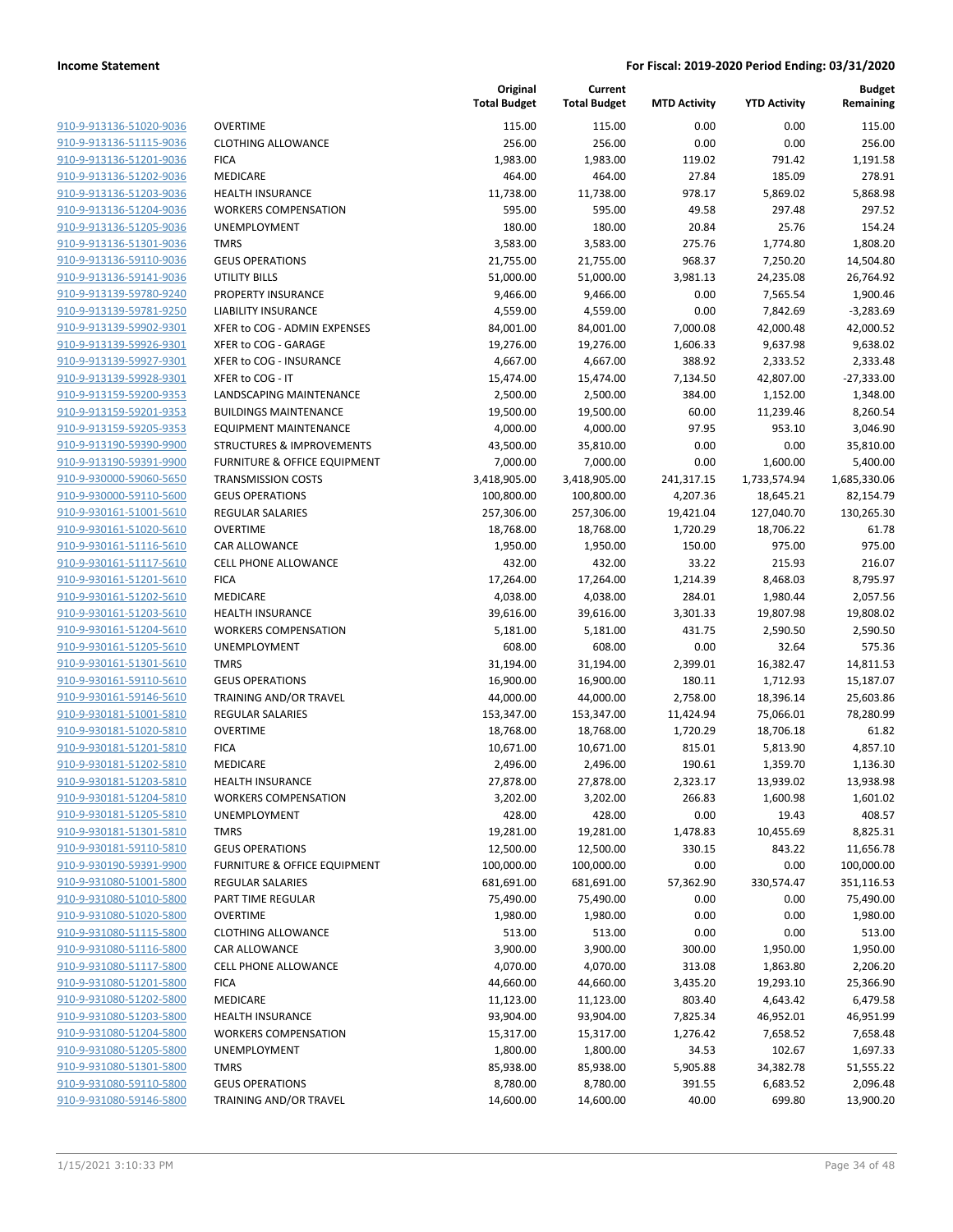| 910-9-913136-51020-9036        |
|--------------------------------|
| 910-9-913136-51115-9036        |
| 910-9-913136-51201-9036        |
| <u>910-9-913136-51202-9036</u> |
| 910-9-913136-51203-9036        |
| 910-9-913136-51204-9036        |
| 910-9-913136-51205-9036        |
| 910-9-913136-51301-9036        |
| <u>910-9-913136-59110-9036</u> |
| 910-9-913136-59141-9036        |
| 910-9-913139-59780-9240        |
| 910-9-913139-59781-9250        |
| 910-9-913139-59902-9301        |
| 910-9-913139-59926-9301        |
|                                |
| 910-9-913139-59927-9301        |
| 910-9-913139-59928-9301        |
| 910-9-913159-59200-9353        |
| 910-9-913159-59201-9353        |
| 910-9-913159-59205-9353        |
| 910-9-913190-59390-9900        |
| 910-9-913190-59391-9900        |
| 910-9-930000-59060-5650        |
| 910-9-930000-59110-5600        |
| <u>910-9-930161-51001-5610</u> |
| 910-9-930161-51020-5610        |
| 910-9-930161-51116-5610        |
| 910-9-930161-51117-5610        |
| 910-9-930161-51201-5610        |
| <u>910-9-930161-51202-5610</u> |
| <u>910-9-930161-51203-5610</u> |
| 910-9-930161-51204-5610        |
| 910-9-930161-51205-5610        |
| 910-9-930161-51301-5610        |
| <u>910-9-930161-59110-5610</u> |
|                                |
| <u>910-9-930161-59146-5610</u> |
| 910-9-930181-51001-5810        |
| 910-9-930181-51020-5810        |
| 910-9-930181-51201-5810        |
| <u>910-9-930181-51202-5810</u> |
| 910-9-930181-51203-5810        |
| 910-9-930181-51204-5810        |
| 910-9-930181-51205-5810        |
| <u>910-9-930181-51301-5810</u> |
| 910-9-930181-59110-5810        |
| <u>910-9-930190-59391-9900</u> |
| 910-9-931080-51001-5800        |
| 910-9-931080-51010-5800        |
| 910-9-931080-51020-5800        |
| <u>910-9-931080-51115-5800</u> |
| <u>910-9-931080-51116-5800</u> |
| 910-9-931080-51117-5800        |
| 910-9-931080-51201-5800        |
| 910-9-931080-51202-5800        |
|                                |
| <u>910-9-931080-51203-5800</u> |
| <u>910-9-931080-51204-5800</u> |
| <u>910-9-931080-51205-5800</u> |
| 910-9-931080-51301-5800        |
| 910-9-931080-59110-5800        |
| <u>910-9-931080-59146-5800</u> |
|                                |

|                         |                                      | Original<br><b>Total Budget</b> | Current<br><b>Total Budget</b> | <b>MTD Activity</b> | <b>YTD Activity</b> | <b>Budget</b><br>Remaining |
|-------------------------|--------------------------------------|---------------------------------|--------------------------------|---------------------|---------------------|----------------------------|
| 910-9-913136-51020-9036 | <b>OVERTIME</b>                      | 115.00                          | 115.00                         | 0.00                | 0.00                | 115.00                     |
| 910-9-913136-51115-9036 | <b>CLOTHING ALLOWANCE</b>            | 256.00                          | 256.00                         | 0.00                | 0.00                | 256.00                     |
| 910-9-913136-51201-9036 | <b>FICA</b>                          | 1,983.00                        | 1,983.00                       | 119.02              | 791.42              | 1,191.58                   |
| 910-9-913136-51202-9036 | MEDICARE                             | 464.00                          | 464.00                         | 27.84               | 185.09              | 278.91                     |
| 910-9-913136-51203-9036 | <b>HEALTH INSURANCE</b>              | 11,738.00                       | 11,738.00                      | 978.17              | 5,869.02            | 5,868.98                   |
| 910-9-913136-51204-9036 | <b>WORKERS COMPENSATION</b>          | 595.00                          | 595.00                         | 49.58               | 297.48              | 297.52                     |
| 910-9-913136-51205-9036 | UNEMPLOYMENT                         | 180.00                          | 180.00                         | 20.84               | 25.76               | 154.24                     |
| 910-9-913136-51301-9036 | <b>TMRS</b>                          | 3,583.00                        | 3,583.00                       | 275.76              | 1,774.80            | 1,808.20                   |
| 910-9-913136-59110-9036 | <b>GEUS OPERATIONS</b>               | 21,755.00                       | 21,755.00                      | 968.37              | 7,250.20            | 14,504.80                  |
| 910-9-913136-59141-9036 | <b>UTILITY BILLS</b>                 | 51,000.00                       | 51,000.00                      | 3,981.13            | 24,235.08           | 26,764.92                  |
| 910-9-913139-59780-9240 | PROPERTY INSURANCE                   | 9,466.00                        | 9,466.00                       | 0.00                | 7,565.54            | 1,900.46                   |
| 910-9-913139-59781-9250 | <b>LIABILITY INSURANCE</b>           | 4,559.00                        | 4,559.00                       | 0.00                | 7,842.69            | $-3,283.69$                |
| 910-9-913139-59902-9301 | XFER to COG - ADMIN EXPENSES         | 84,001.00                       | 84,001.00                      | 7,000.08            | 42,000.48           | 42,000.52                  |
| 910-9-913139-59926-9301 | XFER to COG - GARAGE                 | 19,276.00                       | 19,276.00                      | 1,606.33            | 9,637.98            | 9,638.02                   |
| 910-9-913139-59927-9301 | XFER to COG - INSURANCE              | 4,667.00                        | 4,667.00                       | 388.92              | 2,333.52            | 2,333.48                   |
| 910-9-913139-59928-9301 | XFER to COG - IT                     | 15,474.00                       | 15,474.00                      | 7,134.50            | 42,807.00           | $-27,333.00$               |
| 910-9-913159-59200-9353 | LANDSCAPING MAINTENANCE              | 2,500.00                        | 2,500.00                       | 384.00              | 1,152.00            | 1,348.00                   |
| 910-9-913159-59201-9353 | <b>BUILDINGS MAINTENANCE</b>         | 19,500.00                       | 19,500.00                      | 60.00               | 11,239.46           | 8,260.54                   |
| 910-9-913159-59205-9353 | <b>EQUIPMENT MAINTENANCE</b>         | 4,000.00                        | 4,000.00                       | 97.95               | 953.10              | 3,046.90                   |
| 910-9-913190-59390-9900 | <b>STRUCTURES &amp; IMPROVEMENTS</b> | 43,500.00                       | 35,810.00                      | 0.00                | 0.00                | 35,810.00                  |
| 910-9-913190-59391-9900 | FURNITURE & OFFICE EQUIPMENT         | 7,000.00                        | 7,000.00                       | 0.00                | 1,600.00            | 5,400.00                   |
| 910-9-930000-59060-5650 | <b>TRANSMISSION COSTS</b>            | 3,418,905.00                    | 3,418,905.00                   | 241,317.15          | 1,733,574.94        | 1,685,330.06               |
| 910-9-930000-59110-5600 | <b>GEUS OPERATIONS</b>               | 100,800.00                      | 100,800.00                     | 4,207.36            | 18,645.21           | 82,154.79                  |
| 910-9-930161-51001-5610 | <b>REGULAR SALARIES</b>              | 257,306.00                      | 257,306.00                     | 19,421.04           | 127,040.70          | 130,265.30                 |
| 910-9-930161-51020-5610 | <b>OVERTIME</b>                      | 18,768.00                       | 18,768.00                      | 1,720.29            | 18,706.22           | 61.78                      |
| 910-9-930161-51116-5610 | CAR ALLOWANCE                        | 1,950.00                        | 1,950.00                       | 150.00              | 975.00              | 975.00                     |
| 910-9-930161-51117-5610 | CELL PHONE ALLOWANCE                 | 432.00                          | 432.00                         | 33.22               | 215.93              | 216.07                     |
| 910-9-930161-51201-5610 | <b>FICA</b>                          | 17,264.00                       | 17,264.00                      | 1,214.39            | 8,468.03            | 8,795.97                   |
| 910-9-930161-51202-5610 | MEDICARE                             | 4,038.00                        | 4,038.00                       | 284.01              | 1,980.44            | 2,057.56                   |
| 910-9-930161-51203-5610 | <b>HEALTH INSURANCE</b>              | 39,616.00                       | 39,616.00                      | 3,301.33            | 19,807.98           | 19,808.02                  |
| 910-9-930161-51204-5610 | <b>WORKERS COMPENSATION</b>          | 5,181.00                        | 5,181.00                       | 431.75              | 2,590.50            | 2,590.50                   |
| 910-9-930161-51205-5610 | UNEMPLOYMENT                         | 608.00                          | 608.00                         | 0.00                | 32.64               | 575.36                     |
| 910-9-930161-51301-5610 | <b>TMRS</b>                          | 31,194.00                       | 31,194.00                      | 2,399.01            | 16,382.47           | 14,811.53                  |
| 910-9-930161-59110-5610 | <b>GEUS OPERATIONS</b>               | 16,900.00                       | 16,900.00                      | 180.11              | 1,712.93            | 15,187.07                  |
| 910-9-930161-59146-5610 | TRAINING AND/OR TRAVEL               | 44,000.00                       | 44,000.00                      | 2,758.00            | 18,396.14           | 25,603.86                  |
| 910-9-930181-51001-5810 | <b>REGULAR SALARIES</b>              | 153,347.00                      | 153,347.00                     | 11,424.94           | 75,066.01           | 78,280.99                  |
| 910-9-930181-51020-5810 | <b>OVERTIME</b>                      | 18,768.00                       | 18,768.00                      | 1,720.29            | 18,706.18           | 61.82                      |
| 910-9-930181-51201-5810 | <b>FICA</b>                          | 10,671.00                       | 10,671.00                      | 815.01              | 5,813.90            | 4,857.10                   |
| 910-9-930181-51202-5810 | MEDICARE                             | 2,496.00                        | 2,496.00                       | 190.61              | 1,359.70            | 1,136.30                   |
| 910-9-930181-51203-5810 | HEALTH INSURANCE                     | 27,878.00                       | 27,878.00                      | 2,323.17            | 13,939.02           | 13,938.98                  |
| 910-9-930181-51204-5810 | <b>WORKERS COMPENSATION</b>          | 3,202.00                        | 3,202.00                       | 266.83              | 1,600.98            | 1,601.02                   |
| 910-9-930181-51205-5810 | UNEMPLOYMENT                         | 428.00                          | 428.00                         | 0.00                | 19.43               | 408.57                     |
| 910-9-930181-51301-5810 | <b>TMRS</b>                          | 19,281.00                       | 19,281.00                      | 1,478.83            | 10,455.69           | 8,825.31                   |
| 910-9-930181-59110-5810 | <b>GEUS OPERATIONS</b>               | 12,500.00                       | 12,500.00                      | 330.15              | 843.22              | 11,656.78                  |
| 910-9-930190-59391-9900 | FURNITURE & OFFICE EQUIPMENT         | 100,000.00                      | 100,000.00                     | 0.00                | 0.00                | 100,000.00                 |
| 910-9-931080-51001-5800 | REGULAR SALARIES                     | 681,691.00                      | 681,691.00                     | 57,362.90           | 330,574.47          | 351,116.53                 |
| 910-9-931080-51010-5800 | PART TIME REGULAR                    | 75,490.00                       | 75,490.00                      | 0.00                | 0.00                | 75,490.00                  |
| 910-9-931080-51020-5800 | <b>OVERTIME</b>                      | 1,980.00                        | 1,980.00                       | 0.00                | 0.00                | 1,980.00                   |
| 910-9-931080-51115-5800 | <b>CLOTHING ALLOWANCE</b>            | 513.00                          | 513.00                         | 0.00                | 0.00                | 513.00                     |
| 910-9-931080-51116-5800 | CAR ALLOWANCE                        | 3,900.00                        | 3,900.00                       | 300.00              | 1,950.00            | 1,950.00                   |
| 910-9-931080-51117-5800 | <b>CELL PHONE ALLOWANCE</b>          | 4,070.00                        | 4,070.00                       | 313.08              | 1,863.80            | 2,206.20                   |
| 910-9-931080-51201-5800 | <b>FICA</b>                          | 44,660.00                       | 44,660.00                      | 3,435.20            | 19,293.10           | 25,366.90                  |
| 910-9-931080-51202-5800 | MEDICARE                             | 11,123.00                       | 11,123.00                      | 803.40              | 4,643.42            | 6,479.58                   |
| 910-9-931080-51203-5800 | <b>HEALTH INSURANCE</b>              | 93,904.00                       | 93,904.00                      | 7,825.34            | 46,952.01           | 46,951.99                  |
| 910-9-931080-51204-5800 | <b>WORKERS COMPENSATION</b>          | 15,317.00                       | 15,317.00                      | 1,276.42            | 7,658.52            | 7,658.48                   |
| 910-9-931080-51205-5800 | UNEMPLOYMENT                         | 1,800.00                        | 1,800.00                       | 34.53               | 102.67              | 1,697.33                   |
| 910-9-931080-51301-5800 | <b>TMRS</b>                          | 85,938.00                       | 85,938.00                      | 5,905.88            | 34,382.78           | 51,555.22                  |
| 910-9-931080-59110-5800 | <b>GEUS OPERATIONS</b>               | 8,780.00                        | 8,780.00                       | 391.55              | 6,683.52            | 2,096.48                   |
| 910-9-931080-59146-5800 | TRAINING AND/OR TRAVEL               | 14,600.00                       | 14,600.00                      | 40.00               | 699.80              | 13,900.20                  |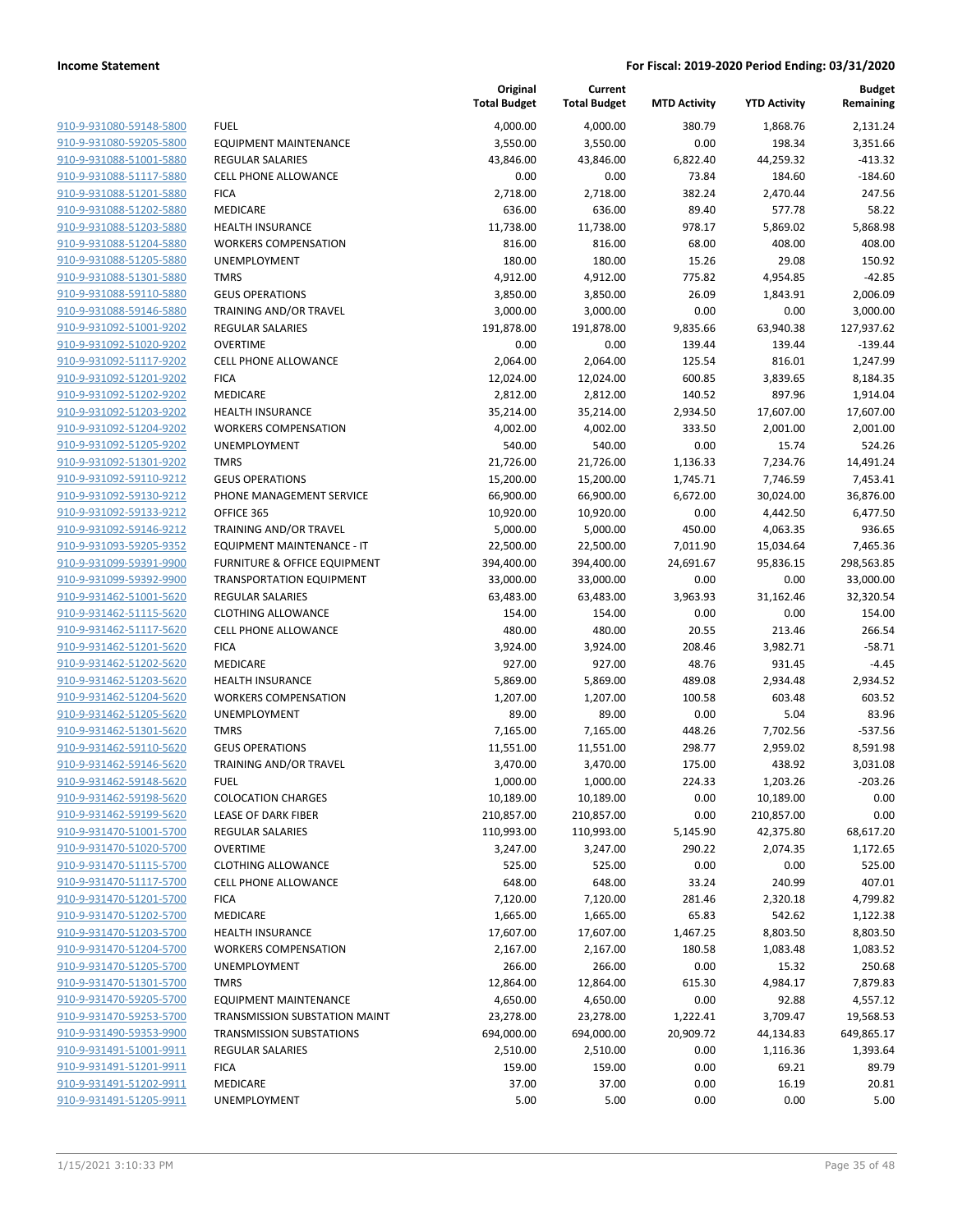|                         |                                 | Original<br><b>Total Budget</b> | Current<br><b>Total Budget</b> | <b>MTD Activity</b> | <b>YTD Activity</b> | <b>Budget</b><br>Remaining |
|-------------------------|---------------------------------|---------------------------------|--------------------------------|---------------------|---------------------|----------------------------|
| 910-9-931080-59148-5800 | <b>FUEL</b>                     | 4,000.00                        | 4,000.00                       | 380.79              | 1,868.76            | 2,131.24                   |
| 910-9-931080-59205-5800 | <b>EQUIPMENT MAINTENANCE</b>    | 3,550.00                        | 3,550.00                       | 0.00                | 198.34              | 3,351.66                   |
| 910-9-931088-51001-5880 | <b>REGULAR SALARIES</b>         | 43,846.00                       | 43,846.00                      | 6,822.40            | 44,259.32           | $-413.32$                  |
| 910-9-931088-51117-5880 | <b>CELL PHONE ALLOWANCE</b>     | 0.00                            | 0.00                           | 73.84               | 184.60              | $-184.60$                  |
| 910-9-931088-51201-5880 | <b>FICA</b>                     | 2,718.00                        | 2,718.00                       | 382.24              | 2,470.44            | 247.56                     |
| 910-9-931088-51202-5880 | MEDICARE                        | 636.00                          | 636.00                         | 89.40               | 577.78              | 58.22                      |
| 910-9-931088-51203-5880 | <b>HEALTH INSURANCE</b>         | 11,738.00                       | 11,738.00                      | 978.17              | 5,869.02            | 5,868.98                   |
| 910-9-931088-51204-5880 | <b>WORKERS COMPENSATION</b>     | 816.00                          | 816.00                         | 68.00               | 408.00              | 408.00                     |
| 910-9-931088-51205-5880 | <b>UNEMPLOYMENT</b>             | 180.00                          | 180.00                         | 15.26               | 29.08               | 150.92                     |
| 910-9-931088-51301-5880 | <b>TMRS</b>                     | 4,912.00                        | 4,912.00                       | 775.82              | 4,954.85            | $-42.85$                   |
| 910-9-931088-59110-5880 | <b>GEUS OPERATIONS</b>          | 3,850.00                        | 3,850.00                       | 26.09               | 1,843.91            | 2,006.09                   |
| 910-9-931088-59146-5880 | <b>TRAINING AND/OR TRAVEL</b>   | 3,000.00                        | 3,000.00                       | 0.00                | 0.00                | 3,000.00                   |
| 910-9-931092-51001-9202 | <b>REGULAR SALARIES</b>         | 191,878.00                      | 191,878.00                     | 9,835.66            | 63,940.38           | 127,937.62                 |
| 910-9-931092-51020-9202 | <b>OVERTIME</b>                 | 0.00                            | 0.00                           | 139.44              | 139.44              | $-139.44$                  |
| 910-9-931092-51117-9202 | <b>CELL PHONE ALLOWANCE</b>     | 2,064.00                        | 2,064.00                       | 125.54              | 816.01              | 1,247.99                   |
| 910-9-931092-51201-9202 | <b>FICA</b>                     | 12,024.00                       | 12,024.00                      | 600.85              | 3,839.65            | 8,184.35                   |
| 910-9-931092-51202-9202 | MEDICARE                        | 2,812.00                        | 2,812.00                       | 140.52              | 897.96              | 1,914.04                   |
| 910-9-931092-51203-9202 | <b>HEALTH INSURANCE</b>         | 35,214.00                       | 35,214.00                      | 2,934.50            | 17,607.00           | 17,607.00                  |
| 910-9-931092-51204-9202 | <b>WORKERS COMPENSATION</b>     | 4,002.00                        | 4,002.00                       | 333.50              | 2,001.00            | 2,001.00                   |
| 910-9-931092-51205-9202 | <b>UNEMPLOYMENT</b>             | 540.00                          | 540.00                         | 0.00                | 15.74               | 524.26                     |
| 910-9-931092-51301-9202 | <b>TMRS</b>                     | 21,726.00                       | 21,726.00                      | 1,136.33            | 7,234.76            | 14,491.24                  |
| 910-9-931092-59110-9212 | <b>GEUS OPERATIONS</b>          | 15,200.00                       | 15,200.00                      | 1,745.71            | 7,746.59            | 7,453.41                   |
| 910-9-931092-59130-9212 | PHONE MANAGEMENT SERVICE        | 66,900.00                       | 66,900.00                      | 6,672.00            | 30,024.00           | 36,876.00                  |
| 910-9-931092-59133-9212 | OFFICE 365                      | 10,920.00                       | 10,920.00                      | 0.00                | 4,442.50            | 6,477.50                   |
| 910-9-931092-59146-9212 | TRAINING AND/OR TRAVEL          | 5,000.00                        | 5,000.00                       | 450.00              | 4,063.35            | 936.65                     |
| 910-9-931093-59205-9352 | EQUIPMENT MAINTENANCE - IT      | 22,500.00                       | 22,500.00                      | 7,011.90            | 15,034.64           | 7,465.36                   |
| 910-9-931099-59391-9900 | FURNITURE & OFFICE EQUIPMENT    | 394,400.00                      | 394,400.00                     | 24,691.67           | 95,836.15           | 298,563.85                 |
| 910-9-931099-59392-9900 | <b>TRANSPORTATION EQUIPMENT</b> | 33,000.00                       | 33,000.00                      | 0.00                | 0.00                | 33,000.00                  |
| 910-9-931462-51001-5620 | <b>REGULAR SALARIES</b>         | 63,483.00                       | 63,483.00                      | 3,963.93            | 31,162.46           | 32,320.54                  |
| 910-9-931462-51115-5620 | <b>CLOTHING ALLOWANCE</b>       | 154.00                          | 154.00                         | 0.00                | 0.00                | 154.00                     |
| 910-9-931462-51117-5620 | <b>CELL PHONE ALLOWANCE</b>     | 480.00                          | 480.00                         | 20.55               | 213.46              | 266.54                     |
| 910-9-931462-51201-5620 | <b>FICA</b>                     | 3,924.00                        | 3,924.00                       | 208.46              | 3,982.71            | $-58.71$                   |
| 910-9-931462-51202-5620 | MEDICARE                        | 927.00                          | 927.00                         | 48.76               | 931.45              | $-4.45$                    |
| 910-9-931462-51203-5620 | <b>HEALTH INSURANCE</b>         | 5,869.00                        | 5,869.00                       | 489.08              | 2,934.48            | 2,934.52                   |
| 910-9-931462-51204-5620 | <b>WORKERS COMPENSATION</b>     | 1,207.00                        | 1,207.00                       | 100.58              | 603.48              | 603.52                     |
| 910-9-931462-51205-5620 | UNEMPLOYMENT                    | 89.00                           | 89.00                          | 0.00                | 5.04                | 83.96                      |
| 910-9-931462-51301-5620 | <b>TMRS</b>                     | 7,165.00                        | 7,165.00                       | 448.26              | 7,702.56            | $-537.56$                  |
| 910-9-931462-59110-5620 | <b>GEUS OPERATIONS</b>          | 11,551.00                       | 11,551.00                      | 298.77              | 2,959.02            | 8,591.98                   |
| 910-9-931462-59146-5620 | TRAINING AND/OR TRAVEL          | 3,470.00                        | 3,470.00                       | 175.00              | 438.92              | 3,031.08                   |
| 910-9-931462-59148-5620 | FUEL                            | 1,000.00                        | 1,000.00                       | 224.33              | 1,203.26            | $-203.26$                  |
| 910-9-931462-59198-5620 | <b>COLOCATION CHARGES</b>       | 10,189.00                       | 10,189.00                      | 0.00                | 10,189.00           | 0.00                       |
| 910-9-931462-59199-5620 | LEASE OF DARK FIBER             | 210,857.00                      | 210,857.00                     | 0.00                | 210,857.00          | 0.00                       |
| 910-9-931470-51001-5700 | REGULAR SALARIES                | 110,993.00                      | 110,993.00                     | 5,145.90            | 42,375.80           | 68,617.20                  |
| 910-9-931470-51020-5700 | <b>OVERTIME</b>                 | 3,247.00                        | 3,247.00                       | 290.22              | 2,074.35            | 1,172.65                   |
| 910-9-931470-51115-5700 | <b>CLOTHING ALLOWANCE</b>       | 525.00                          | 525.00                         | 0.00                | 0.00                | 525.00                     |
| 910-9-931470-51117-5700 | <b>CELL PHONE ALLOWANCE</b>     | 648.00                          | 648.00                         | 33.24               | 240.99              | 407.01                     |
| 910-9-931470-51201-5700 | <b>FICA</b>                     | 7,120.00                        | 7,120.00                       | 281.46              | 2,320.18            | 4,799.82                   |
| 910-9-931470-51202-5700 | MEDICARE                        | 1,665.00                        | 1,665.00                       | 65.83               | 542.62              | 1,122.38                   |
| 910-9-931470-51203-5700 | <b>HEALTH INSURANCE</b>         | 17,607.00                       | 17,607.00                      | 1,467.25            | 8,803.50            | 8,803.50                   |
| 910-9-931470-51204-5700 | <b>WORKERS COMPENSATION</b>     | 2,167.00                        | 2,167.00                       | 180.58              | 1,083.48            | 1,083.52                   |
| 910-9-931470-51205-5700 | <b>UNEMPLOYMENT</b>             | 266.00                          | 266.00                         | 0.00                | 15.32               | 250.68                     |
| 910-9-931470-51301-5700 | <b>TMRS</b>                     | 12,864.00                       | 12,864.00                      | 615.30              | 4,984.17            | 7,879.83                   |
| 910-9-931470-59205-5700 | <b>EQUIPMENT MAINTENANCE</b>    | 4,650.00                        | 4,650.00                       | 0.00                | 92.88               | 4,557.12                   |
| 910-9-931470-59253-5700 | TRANSMISSION SUBSTATION MAINT   | 23,278.00                       | 23,278.00                      | 1,222.41            | 3,709.47            | 19,568.53                  |
| 910-9-931490-59353-9900 | <b>TRANSMISSION SUBSTATIONS</b> | 694,000.00                      | 694,000.00                     | 20,909.72           | 44,134.83           | 649,865.17                 |
| 910-9-931491-51001-9911 | REGULAR SALARIES                | 2,510.00                        | 2,510.00                       | 0.00                | 1,116.36            | 1,393.64                   |
| 910-9-931491-51201-9911 | <b>FICA</b>                     | 159.00                          | 159.00                         | 0.00                | 69.21               | 89.79                      |
| 910-9-931491-51202-9911 | MEDICARE                        | 37.00                           | 37.00                          | 0.00                | 16.19               | 20.81                      |
| 910-9-931491-51205-9911 | UNEMPLOYMENT                    | 5.00                            | 5.00                           | 0.00                | 0.00                | 5.00                       |
|                         |                                 |                                 |                                |                     |                     |                            |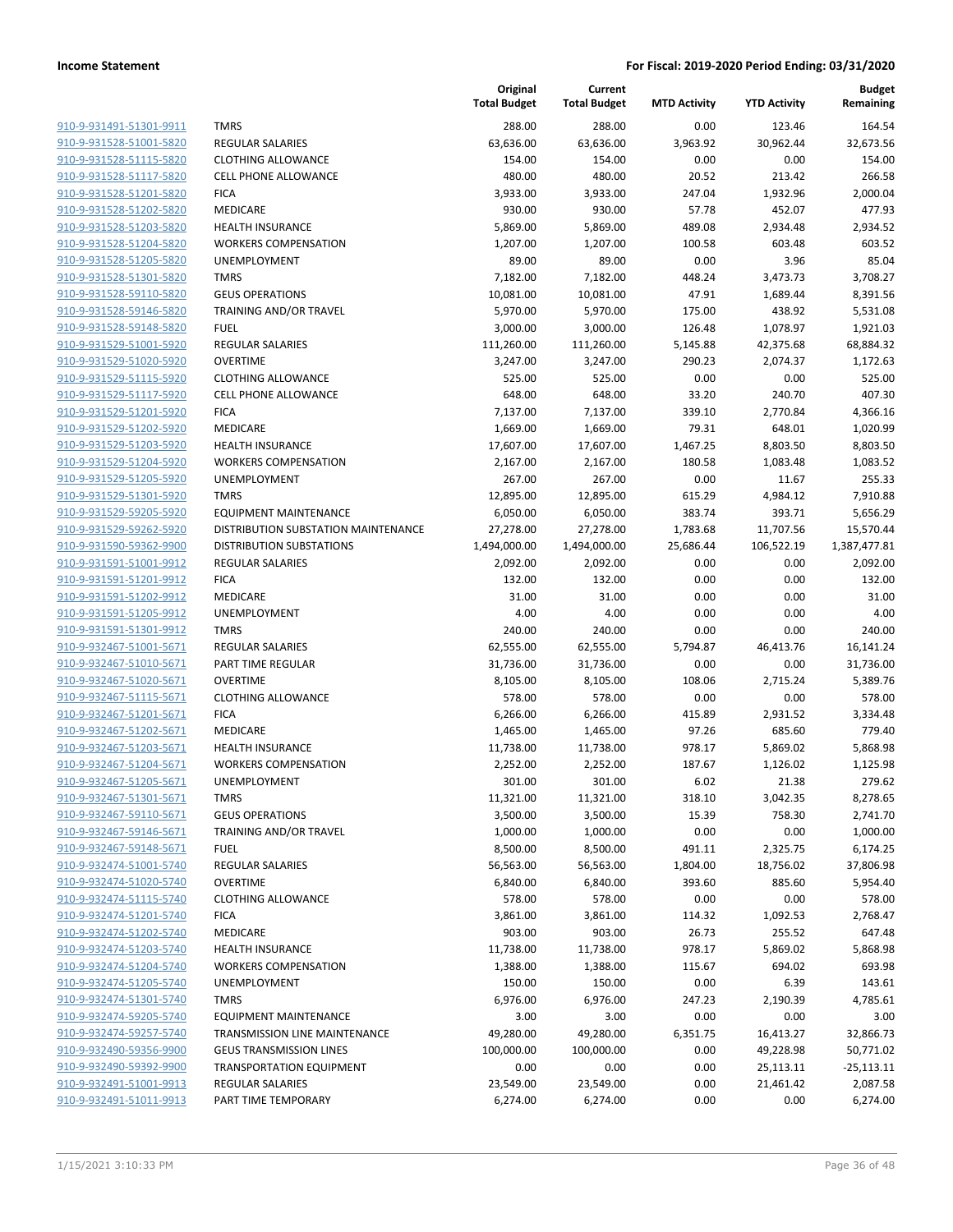|                         |                                     | Original<br><b>Total Budget</b> | Current<br><b>Total Budget</b> | <b>MTD Activity</b> | <b>YTD Activity</b> | <b>Budget</b><br>Remaining |
|-------------------------|-------------------------------------|---------------------------------|--------------------------------|---------------------|---------------------|----------------------------|
| 910-9-931491-51301-9911 | <b>TMRS</b>                         | 288.00                          | 288.00                         | 0.00                | 123.46              | 164.54                     |
| 910-9-931528-51001-5820 | <b>REGULAR SALARIES</b>             | 63,636.00                       | 63,636.00                      | 3,963.92            | 30,962.44           | 32,673.56                  |
| 910-9-931528-51115-5820 | <b>CLOTHING ALLOWANCE</b>           | 154.00                          | 154.00                         | 0.00                | 0.00                | 154.00                     |
| 910-9-931528-51117-5820 | <b>CELL PHONE ALLOWANCE</b>         | 480.00                          | 480.00                         | 20.52               | 213.42              | 266.58                     |
| 910-9-931528-51201-5820 | <b>FICA</b>                         | 3,933.00                        | 3,933.00                       | 247.04              | 1,932.96            | 2,000.04                   |
|                         |                                     |                                 |                                |                     |                     |                            |
| 910-9-931528-51202-5820 | MEDICARE                            | 930.00                          | 930.00                         | 57.78               | 452.07              | 477.93                     |
| 910-9-931528-51203-5820 | <b>HEALTH INSURANCE</b>             | 5,869.00                        | 5,869.00                       | 489.08              | 2,934.48            | 2,934.52                   |
| 910-9-931528-51204-5820 | <b>WORKERS COMPENSATION</b>         | 1,207.00                        | 1,207.00                       | 100.58              | 603.48              | 603.52                     |
| 910-9-931528-51205-5820 | <b>UNEMPLOYMENT</b>                 | 89.00                           | 89.00                          | 0.00                | 3.96                | 85.04                      |
| 910-9-931528-51301-5820 | <b>TMRS</b>                         | 7,182.00                        | 7,182.00                       | 448.24              | 3,473.73            | 3,708.27                   |
| 910-9-931528-59110-5820 | <b>GEUS OPERATIONS</b>              | 10,081.00                       | 10,081.00                      | 47.91               | 1,689.44            | 8,391.56                   |
| 910-9-931528-59146-5820 | TRAINING AND/OR TRAVEL              | 5,970.00                        | 5,970.00                       | 175.00              | 438.92              | 5,531.08                   |
| 910-9-931528-59148-5820 | <b>FUEL</b>                         | 3,000.00                        | 3,000.00                       | 126.48              | 1,078.97            | 1,921.03                   |
| 910-9-931529-51001-5920 | <b>REGULAR SALARIES</b>             | 111,260.00                      | 111,260.00                     | 5,145.88            | 42,375.68           | 68,884.32                  |
| 910-9-931529-51020-5920 | <b>OVERTIME</b>                     | 3,247.00                        | 3,247.00                       | 290.23              | 2,074.37            | 1,172.63                   |
| 910-9-931529-51115-5920 | <b>CLOTHING ALLOWANCE</b>           | 525.00                          | 525.00                         | 0.00                | 0.00                | 525.00                     |
| 910-9-931529-51117-5920 | <b>CELL PHONE ALLOWANCE</b>         | 648.00                          | 648.00                         | 33.20               | 240.70              | 407.30                     |
| 910-9-931529-51201-5920 | <b>FICA</b>                         | 7,137.00                        | 7,137.00                       | 339.10              | 2,770.84            | 4,366.16                   |
| 910-9-931529-51202-5920 | MEDICARE                            | 1,669.00                        | 1,669.00                       | 79.31               | 648.01              | 1,020.99                   |
| 910-9-931529-51203-5920 | <b>HEALTH INSURANCE</b>             | 17,607.00                       | 17,607.00                      | 1,467.25            | 8,803.50            | 8,803.50                   |
| 910-9-931529-51204-5920 | <b>WORKERS COMPENSATION</b>         | 2,167.00                        | 2,167.00                       | 180.58              | 1,083.48            | 1,083.52                   |
| 910-9-931529-51205-5920 | UNEMPLOYMENT                        | 267.00                          | 267.00                         | 0.00                | 11.67               | 255.33                     |
| 910-9-931529-51301-5920 | <b>TMRS</b>                         | 12,895.00                       | 12,895.00                      | 615.29              | 4,984.12            | 7,910.88                   |
| 910-9-931529-59205-5920 | <b>EQUIPMENT MAINTENANCE</b>        | 6,050.00                        | 6,050.00                       | 383.74              | 393.71              | 5,656.29                   |
| 910-9-931529-59262-5920 | DISTRIBUTION SUBSTATION MAINTENANCE | 27,278.00                       | 27,278.00                      | 1,783.68            | 11,707.56           | 15,570.44                  |
| 910-9-931590-59362-9900 | <b>DISTRIBUTION SUBSTATIONS</b>     | 1,494,000.00                    | 1,494,000.00                   | 25,686.44           | 106,522.19          | 1,387,477.81               |
| 910-9-931591-51001-9912 | <b>REGULAR SALARIES</b>             | 2,092.00                        | 2,092.00                       | 0.00                | 0.00                | 2,092.00                   |
| 910-9-931591-51201-9912 | <b>FICA</b>                         | 132.00                          | 132.00                         | 0.00                | 0.00                | 132.00                     |
| 910-9-931591-51202-9912 | MEDICARE                            | 31.00                           | 31.00                          | 0.00                | 0.00                | 31.00                      |
| 910-9-931591-51205-9912 | <b>UNEMPLOYMENT</b>                 | 4.00                            | 4.00                           | 0.00                | 0.00                | 4.00                       |
| 910-9-931591-51301-9912 | <b>TMRS</b>                         | 240.00                          | 240.00                         | 0.00                | 0.00                | 240.00                     |
| 910-9-932467-51001-5671 | REGULAR SALARIES                    | 62,555.00                       | 62,555.00                      | 5,794.87            | 46,413.76           | 16,141.24                  |
| 910-9-932467-51010-5671 | PART TIME REGULAR                   | 31,736.00                       | 31,736.00                      | 0.00                | 0.00                | 31,736.00                  |
| 910-9-932467-51020-5671 | <b>OVERTIME</b>                     | 8,105.00                        | 8,105.00                       | 108.06              | 2,715.24            | 5,389.76                   |
| 910-9-932467-51115-5671 | <b>CLOTHING ALLOWANCE</b>           | 578.00                          | 578.00                         | 0.00                | 0.00                | 578.00                     |
| 910-9-932467-51201-5671 | <b>FICA</b>                         | 6,266.00                        | 6,266.00                       | 415.89              | 2,931.52            | 3,334.48                   |
| 910-9-932467-51202-5671 | MEDICARE                            | 1,465.00                        | 1,465.00                       | 97.26               | 685.60              | 779.40                     |
| 910-9-932467-51203-5671 | <b>HEALTH INSURANCE</b>             | 11,738.00                       | 11,738.00                      | 978.17              | 5,869.02            | 5,868.98                   |
| 910-9-932467-51204-5671 | <b>WORKERS COMPENSATION</b>         | 2,252.00                        | 2,252.00                       | 187.67              | 1,126.02            | 1,125.98                   |
| 910-9-932467-51205-5671 | UNEMPLOYMENT                        | 301.00                          | 301.00                         | 6.02                | 21.38               | 279.62                     |
| 910-9-932467-51301-5671 | <b>TMRS</b>                         | 11,321.00                       | 11,321.00                      | 318.10              | 3,042.35            | 8,278.65                   |
| 910-9-932467-59110-5671 | <b>GEUS OPERATIONS</b>              | 3,500.00                        | 3,500.00                       | 15.39               | 758.30              | 2,741.70                   |
| 910-9-932467-59146-5671 | TRAINING AND/OR TRAVEL              | 1,000.00                        | 1,000.00                       | 0.00                | 0.00                | 1,000.00                   |
| 910-9-932467-59148-5671 | <b>FUEL</b>                         | 8,500.00                        | 8,500.00                       | 491.11              | 2,325.75            | 6,174.25                   |
| 910-9-932474-51001-5740 | <b>REGULAR SALARIES</b>             | 56,563.00                       | 56,563.00                      | 1,804.00            | 18,756.02           | 37,806.98                  |
| 910-9-932474-51020-5740 | <b>OVERTIME</b>                     | 6,840.00                        | 6,840.00                       | 393.60              | 885.60              | 5,954.40                   |
| 910-9-932474-51115-5740 | <b>CLOTHING ALLOWANCE</b>           | 578.00                          | 578.00                         | 0.00                | 0.00                | 578.00                     |
| 910-9-932474-51201-5740 | <b>FICA</b>                         | 3,861.00                        | 3,861.00                       | 114.32              | 1,092.53            | 2,768.47                   |
| 910-9-932474-51202-5740 | <b>MEDICARE</b>                     | 903.00                          | 903.00                         | 26.73               | 255.52              | 647.48                     |
| 910-9-932474-51203-5740 | <b>HEALTH INSURANCE</b>             | 11,738.00                       | 11,738.00                      | 978.17              | 5,869.02            | 5,868.98                   |
| 910-9-932474-51204-5740 | <b>WORKERS COMPENSATION</b>         | 1,388.00                        | 1,388.00                       | 115.67              | 694.02              | 693.98                     |
| 910-9-932474-51205-5740 | UNEMPLOYMENT                        | 150.00                          | 150.00                         | 0.00                | 6.39                | 143.61                     |
| 910-9-932474-51301-5740 | <b>TMRS</b>                         | 6,976.00                        | 6,976.00                       | 247.23              | 2,190.39            | 4,785.61                   |
| 910-9-932474-59205-5740 | <b>EQUIPMENT MAINTENANCE</b>        | 3.00                            | 3.00                           | 0.00                | 0.00                | 3.00                       |
| 910-9-932474-59257-5740 | TRANSMISSION LINE MAINTENANCE       | 49,280.00                       | 49,280.00                      | 6,351.75            | 16,413.27           | 32,866.73                  |
| 910-9-932490-59356-9900 | <b>GEUS TRANSMISSION LINES</b>      | 100,000.00                      | 100,000.00                     | 0.00                | 49,228.98           | 50,771.02                  |
| 910-9-932490-59392-9900 | <b>TRANSPORTATION EQUIPMENT</b>     | 0.00                            | 0.00                           | 0.00                | 25,113.11           | $-25,113.11$               |
| 910-9-932491-51001-9913 | <b>REGULAR SALARIES</b>             | 23,549.00                       | 23,549.00                      | 0.00                | 21,461.42           | 2,087.58                   |
| 910-9-932491-51011-9913 | PART TIME TEMPORARY                 | 6,274.00                        | 6,274.00                       | 0.00                | 0.00                | 6,274.00                   |
|                         |                                     |                                 |                                |                     |                     |                            |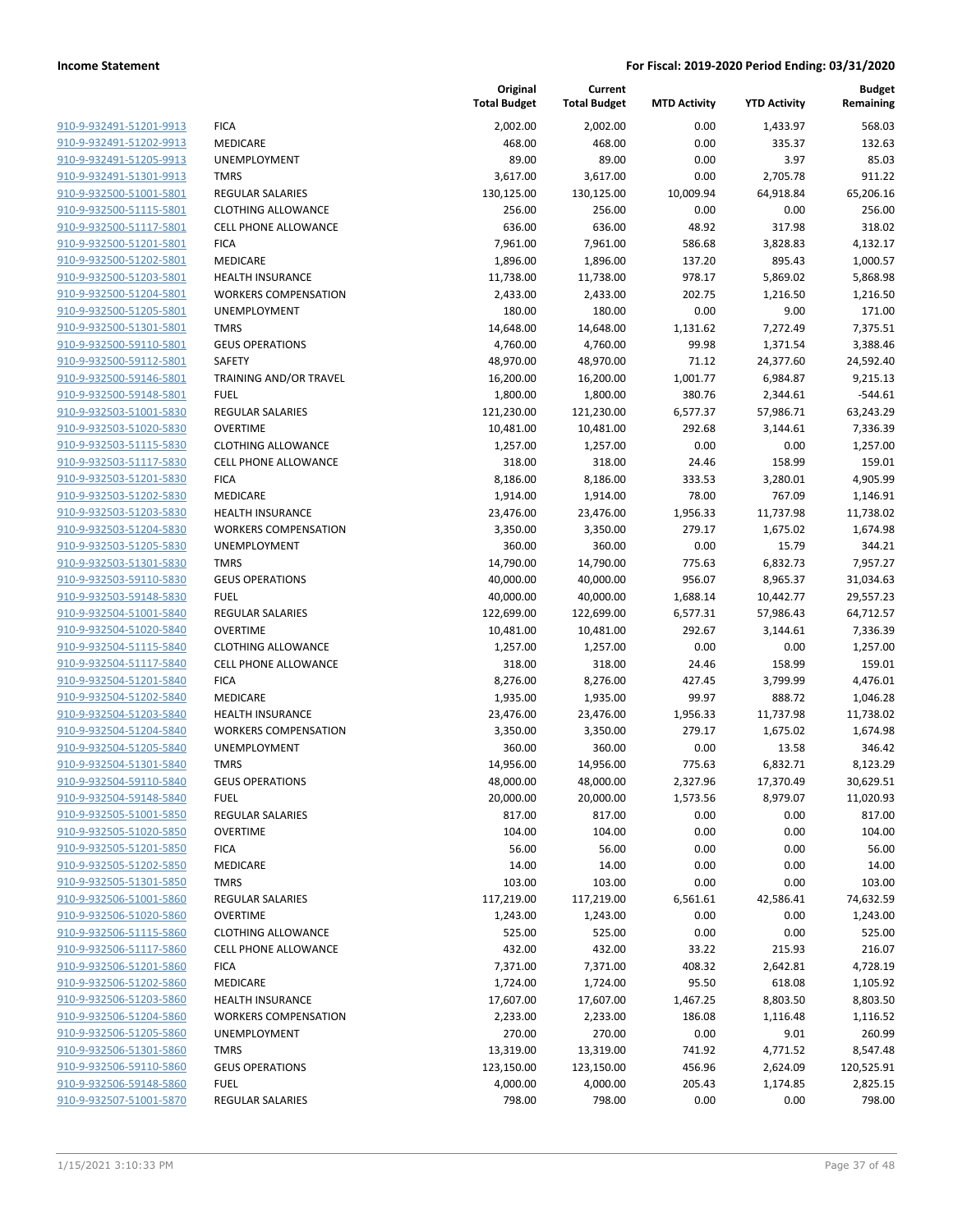| 910-9-932491-51201-9913        | <b>FICA</b>                 |
|--------------------------------|-----------------------------|
| 910-9-932491-51202-9913        | MEDICARE                    |
| <u>910-9-932491-51205-9913</u> | UNEMPLOYMENT                |
| 910-9-932491-51301-9913        | <b>TMRS</b>                 |
| 910-9-932500-51001-5801        | <b>REGULAR SALARIES</b>     |
| 910-9-932500-51115-5801        | <b>CLOTHING ALLOWANCE</b>   |
| 910-9-932500-51117-5801        | <b>CELL PHONE ALLOWANCE</b> |
| 910-9-932500-51201-5801        | <b>FICA</b>                 |
| 910-9-932500-51202-5801        | <b>MEDICARE</b>             |
| 910-9-932500-51203-5801        | <b>HEALTH INSURANCE</b>     |
| 910-9-932500-51204-5801        | <b>WORKERS COMPENSATION</b> |
| 910-9-932500-51205-5801        | <b>UNEMPLOYMENT</b>         |
| 910-9-932500-51301-5801        | <b>TMRS</b>                 |
| 910-9-932500-59110-5801        | <b>GEUS OPERATIONS</b>      |
| 910-9-932500-59112-5801        | SAFETY                      |
| 910-9-932500-59146-5801        | TRAINING AND/OR TRAVEL      |
| 910-9-932500-59148-5801        | <b>FUEL</b>                 |
| 910-9-932503-51001-5830        | <b>REGULAR SALARIES</b>     |
| 910-9-932503-51020-5830        | <b>OVERTIME</b>             |
| 910-9-932503-51115-5830        | <b>CLOTHING ALLOWANCE</b>   |
| 910-9-932503-51117-5830        | <b>CELL PHONE ALLOWANCE</b> |
| 910-9-932503-51201-5830        | <b>FICA</b>                 |
| 910-9-932503-51202-5830        | <b>MEDICARE</b>             |
| 910-9-932503-51203-5830        | <b>HEALTH INSURANCE</b>     |
| 910-9-932503-51204-5830        | <b>WORKERS COMPENSATION</b> |
| 910-9-932503-51205-5830        | <b>UNEMPLOYMENT</b>         |
| 910-9-932503-51301-5830        | <b>TMRS</b>                 |
| 910-9-932503-59110-5830        | <b>GEUS OPERATIONS</b>      |
| 910-9-932503-59148-5830        | <b>FUEL</b>                 |
| 910-9-932504-51001-5840        | <b>REGULAR SALARIES</b>     |
| 910-9-932504-51020-5840        | <b>OVERTIME</b>             |
| 910-9-932504-51115-5840        | <b>CLOTHING ALLOWANCE</b>   |
| 910-9-932504-51117-5840        | <b>CELL PHONE ALLOWANCE</b> |
| 910-9-932504-51201-5840        | <b>FICA</b>                 |
| 910-9-932504-51202-5840        | MEDICARE                    |
| 910-9-932504-51203-5840        | <b>HEALTH INSURANCE</b>     |
| 910-9-932504-51204-5840        | <b>WORKERS COMPENSATION</b> |
| 910-9-932504-51205-5840        | <b>UNEMPLOYMENT</b>         |
| 910-9-932504-51301-5840        | <b>TMRS</b>                 |
| 910-9-932504-59110-5840        | <b>GEUS OPERATIONS</b>      |
| 910-9-932504-59148-5840        | FUEL                        |
| 910-9-932505-51001-5850        | REGULAR SALARIES            |
| 910-9-932505-51020-5850        | OVERTIME                    |
| 910-9-932505-51201-5850        | <b>FICA</b>                 |
| 910-9-932505-51202-5850        | <b>MEDICARE</b>             |
| 910-9-932505-51301-5850        | <b>TMRS</b>                 |
| 910-9-932506-51001-5860        | <b>REGULAR SALARIES</b>     |
| 910-9-932506-51020-5860        | <b>OVERTIME</b>             |
| 910-9-932506-51115-5860        | <b>CLOTHING ALLOWANCE</b>   |
| 910-9-932506-51117-5860        | <b>CELL PHONE ALLOWANCE</b> |
| 910-9-932506-51201-5860        | <b>FICA</b>                 |
| 910-9-932506-51202-5860        | <b>MEDICARE</b>             |
| 910-9-932506-51203-5860        | <b>HEALTH INSURANCE</b>     |
| 910-9-932506-51204-5860        | <b>WORKERS COMPENSATION</b> |
| 910-9-932506-51205-5860        | UNEMPLOYMENT                |
| 910-9-932506-51301-5860        | TMRS                        |
| 910-9-932506-59110-5860        | <b>GEUS OPERATIONS</b>      |
| 910-9-932506-59148-5860        | FUEL                        |
| 910-9-932507-51001-5870        | REGULAR SALARIES            |

|                         |                             | Original<br><b>Total Budget</b> | Current<br><b>Total Budget</b> | <b>MTD Activity</b> | <b>YTD Activity</b> | <b>Budget</b><br>Remaining |
|-------------------------|-----------------------------|---------------------------------|--------------------------------|---------------------|---------------------|----------------------------|
| 910-9-932491-51201-9913 | <b>FICA</b>                 | 2,002.00                        | 2,002.00                       | 0.00                | 1,433.97            | 568.03                     |
| 910-9-932491-51202-9913 | MEDICARE                    | 468.00                          | 468.00                         | 0.00                | 335.37              | 132.63                     |
| 910-9-932491-51205-9913 | UNEMPLOYMENT                | 89.00                           | 89.00                          | 0.00                | 3.97                | 85.03                      |
| 910-9-932491-51301-9913 | <b>TMRS</b>                 | 3,617.00                        | 3,617.00                       | 0.00                | 2,705.78            | 911.22                     |
| 910-9-932500-51001-5801 | REGULAR SALARIES            | 130,125.00                      | 130,125.00                     | 10,009.94           | 64,918.84           | 65,206.16                  |
| 910-9-932500-51115-5801 | <b>CLOTHING ALLOWANCE</b>   | 256.00                          | 256.00                         | 0.00                | 0.00                | 256.00                     |
| 910-9-932500-51117-5801 | <b>CELL PHONE ALLOWANCE</b> | 636.00                          | 636.00                         | 48.92               | 317.98              | 318.02                     |
| 910-9-932500-51201-5801 | <b>FICA</b>                 | 7,961.00                        | 7,961.00                       | 586.68              | 3,828.83            | 4,132.17                   |
| 910-9-932500-51202-5801 | <b>MEDICARE</b>             | 1,896.00                        | 1,896.00                       | 137.20              | 895.43              | 1,000.57                   |
| 910-9-932500-51203-5801 | <b>HEALTH INSURANCE</b>     | 11,738.00                       | 11,738.00                      | 978.17              | 5,869.02            | 5,868.98                   |
| 910-9-932500-51204-5801 | <b>WORKERS COMPENSATION</b> | 2,433.00                        | 2,433.00                       | 202.75              | 1,216.50            | 1,216.50                   |
| 910-9-932500-51205-5801 | UNEMPLOYMENT                | 180.00                          | 180.00                         | 0.00                | 9.00                | 171.00                     |
| 910-9-932500-51301-5801 | <b>TMRS</b>                 | 14,648.00                       | 14,648.00                      | 1,131.62            | 7,272.49            | 7,375.51                   |
| 910-9-932500-59110-5801 | <b>GEUS OPERATIONS</b>      | 4,760.00                        | 4,760.00                       | 99.98               | 1,371.54            | 3,388.46                   |
| 910-9-932500-59112-5801 | SAFETY                      | 48,970.00                       | 48,970.00                      | 71.12               | 24,377.60           | 24,592.40                  |
| 910-9-932500-59146-5801 | TRAINING AND/OR TRAVEL      | 16,200.00                       | 16,200.00                      | 1,001.77            | 6,984.87            | 9,215.13                   |
| 910-9-932500-59148-5801 | <b>FUEL</b>                 | 1,800.00                        | 1,800.00                       | 380.76              | 2,344.61            | $-544.61$                  |
| 910-9-932503-51001-5830 | <b>REGULAR SALARIES</b>     | 121,230.00                      | 121,230.00                     | 6,577.37            | 57,986.71           | 63,243.29                  |
| 910-9-932503-51020-5830 | <b>OVERTIME</b>             | 10,481.00                       | 10,481.00                      | 292.68              | 3,144.61            | 7,336.39                   |
| 910-9-932503-51115-5830 | <b>CLOTHING ALLOWANCE</b>   | 1,257.00                        | 1,257.00                       | 0.00                | 0.00                | 1,257.00                   |
| 910-9-932503-51117-5830 | <b>CELL PHONE ALLOWANCE</b> | 318.00                          | 318.00                         | 24.46               | 158.99              | 159.01                     |
| 910-9-932503-51201-5830 | <b>FICA</b>                 | 8,186.00                        | 8,186.00                       | 333.53              | 3,280.01            | 4,905.99                   |
| 910-9-932503-51202-5830 | <b>MEDICARE</b>             | 1,914.00                        | 1,914.00                       | 78.00               | 767.09              | 1,146.91                   |
| 910-9-932503-51203-5830 | <b>HEALTH INSURANCE</b>     | 23,476.00                       | 23,476.00                      | 1,956.33            | 11,737.98           | 11,738.02                  |
| 910-9-932503-51204-5830 | <b>WORKERS COMPENSATION</b> | 3,350.00                        | 3,350.00                       | 279.17              | 1,675.02            | 1,674.98                   |
| 910-9-932503-51205-5830 | UNEMPLOYMENT                | 360.00                          | 360.00                         | 0.00                | 15.79               | 344.21                     |
| 910-9-932503-51301-5830 | <b>TMRS</b>                 | 14,790.00                       | 14,790.00                      | 775.63              | 6,832.73            | 7,957.27                   |
| 910-9-932503-59110-5830 | <b>GEUS OPERATIONS</b>      | 40,000.00                       | 40,000.00                      | 956.07              | 8,965.37            | 31,034.63                  |
| 910-9-932503-59148-5830 | <b>FUEL</b>                 | 40,000.00                       | 40,000.00                      | 1,688.14            | 10,442.77           | 29,557.23                  |
| 910-9-932504-51001-5840 | REGULAR SALARIES            | 122,699.00                      | 122,699.00                     | 6,577.31            | 57,986.43           | 64,712.57                  |
| 910-9-932504-51020-5840 | <b>OVERTIME</b>             | 10,481.00                       | 10,481.00                      | 292.67              | 3,144.61            | 7,336.39                   |
| 910-9-932504-51115-5840 | <b>CLOTHING ALLOWANCE</b>   | 1,257.00                        | 1,257.00                       | 0.00                | 0.00                | 1,257.00                   |
| 910-9-932504-51117-5840 | <b>CELL PHONE ALLOWANCE</b> | 318.00                          | 318.00                         | 24.46               | 158.99              | 159.01                     |
| 910-9-932504-51201-5840 | <b>FICA</b>                 | 8,276.00                        | 8,276.00                       | 427.45              | 3,799.99            | 4,476.01                   |
| 910-9-932504-51202-5840 | MEDICARE                    | 1,935.00                        | 1,935.00                       | 99.97               | 888.72              | 1,046.28                   |
| 910-9-932504-51203-5840 | <b>HEALTH INSURANCE</b>     | 23,476.00                       | 23,476.00                      | 1,956.33            | 11,737.98           | 11,738.02                  |
| 910-9-932504-51204-5840 | <b>WORKERS COMPENSATION</b> | 3,350.00                        | 3,350.00                       | 279.17              | 1,675.02            | 1,674.98                   |
| 910-9-932504-51205-5840 | UNEMPLOYMENT                | 360.00                          | 360.00                         | 0.00                | 13.58               | 346.42                     |
| 910-9-932504-51301-5840 | <b>TMRS</b>                 | 14,956.00                       | 14,956.00                      | 775.63              | 6,832.71            | 8,123.29                   |
| 910-9-932504-59110-5840 | <b>GEUS OPERATIONS</b>      | 48,000.00                       | 48,000.00                      | 2,327.96            | 17,370.49           | 30,629.51                  |
| 910-9-932504-59148-5840 | <b>FUEL</b>                 | 20,000.00                       | 20,000.00                      | 1,573.56            | 8,979.07            | 11,020.93                  |
| 910-9-932505-51001-5850 | <b>REGULAR SALARIES</b>     | 817.00                          | 817.00                         | 0.00                | 0.00                | 817.00                     |
| 910-9-932505-51020-5850 | <b>OVERTIME</b>             | 104.00                          | 104.00                         | 0.00                | 0.00                | 104.00                     |
| 910-9-932505-51201-5850 | <b>FICA</b>                 | 56.00                           | 56.00                          | 0.00                | 0.00                | 56.00                      |
| 910-9-932505-51202-5850 | MEDICARE                    | 14.00                           | 14.00                          | 0.00                | 0.00                | 14.00                      |
| 910-9-932505-51301-5850 | <b>TMRS</b>                 | 103.00                          | 103.00                         | 0.00                | 0.00                | 103.00                     |
| 910-9-932506-51001-5860 | <b>REGULAR SALARIES</b>     | 117,219.00                      | 117,219.00                     | 6,561.61            | 42,586.41           | 74,632.59                  |
| 910-9-932506-51020-5860 | <b>OVERTIME</b>             | 1,243.00                        | 1,243.00                       | 0.00                | 0.00                | 1,243.00                   |
| 910-9-932506-51115-5860 | <b>CLOTHING ALLOWANCE</b>   | 525.00                          | 525.00                         | 0.00                | 0.00                | 525.00                     |
| 910-9-932506-51117-5860 | CELL PHONE ALLOWANCE        | 432.00                          | 432.00                         | 33.22               | 215.93              | 216.07                     |
| 910-9-932506-51201-5860 | <b>FICA</b>                 | 7,371.00                        | 7,371.00                       | 408.32              | 2,642.81            | 4,728.19                   |
| 910-9-932506-51202-5860 | MEDICARE                    | 1,724.00                        | 1,724.00                       | 95.50               | 618.08              | 1,105.92                   |
| 910-9-932506-51203-5860 | <b>HEALTH INSURANCE</b>     | 17,607.00                       | 17,607.00                      | 1,467.25            | 8,803.50            | 8,803.50                   |
| 910-9-932506-51204-5860 | <b>WORKERS COMPENSATION</b> | 2,233.00                        | 2,233.00                       | 186.08              | 1,116.48            | 1,116.52                   |
| 910-9-932506-51205-5860 | UNEMPLOYMENT                | 270.00                          | 270.00                         | 0.00                | 9.01                | 260.99                     |
| 910-9-932506-51301-5860 | <b>TMRS</b>                 | 13,319.00                       | 13,319.00                      | 741.92              | 4,771.52            | 8,547.48                   |
| 910-9-932506-59110-5860 | <b>GEUS OPERATIONS</b>      | 123,150.00                      | 123,150.00                     | 456.96              | 2,624.09            | 120,525.91                 |
| 910-9-932506-59148-5860 | <b>FUEL</b>                 | 4,000.00                        | 4,000.00                       | 205.43              | 1,174.85            | 2,825.15                   |
| 910-9-932507-51001-5870 | <b>REGULAR SALARIES</b>     | 798.00                          | 798.00                         | 0.00                | 0.00                | 798.00                     |
|                         |                             |                                 |                                |                     |                     |                            |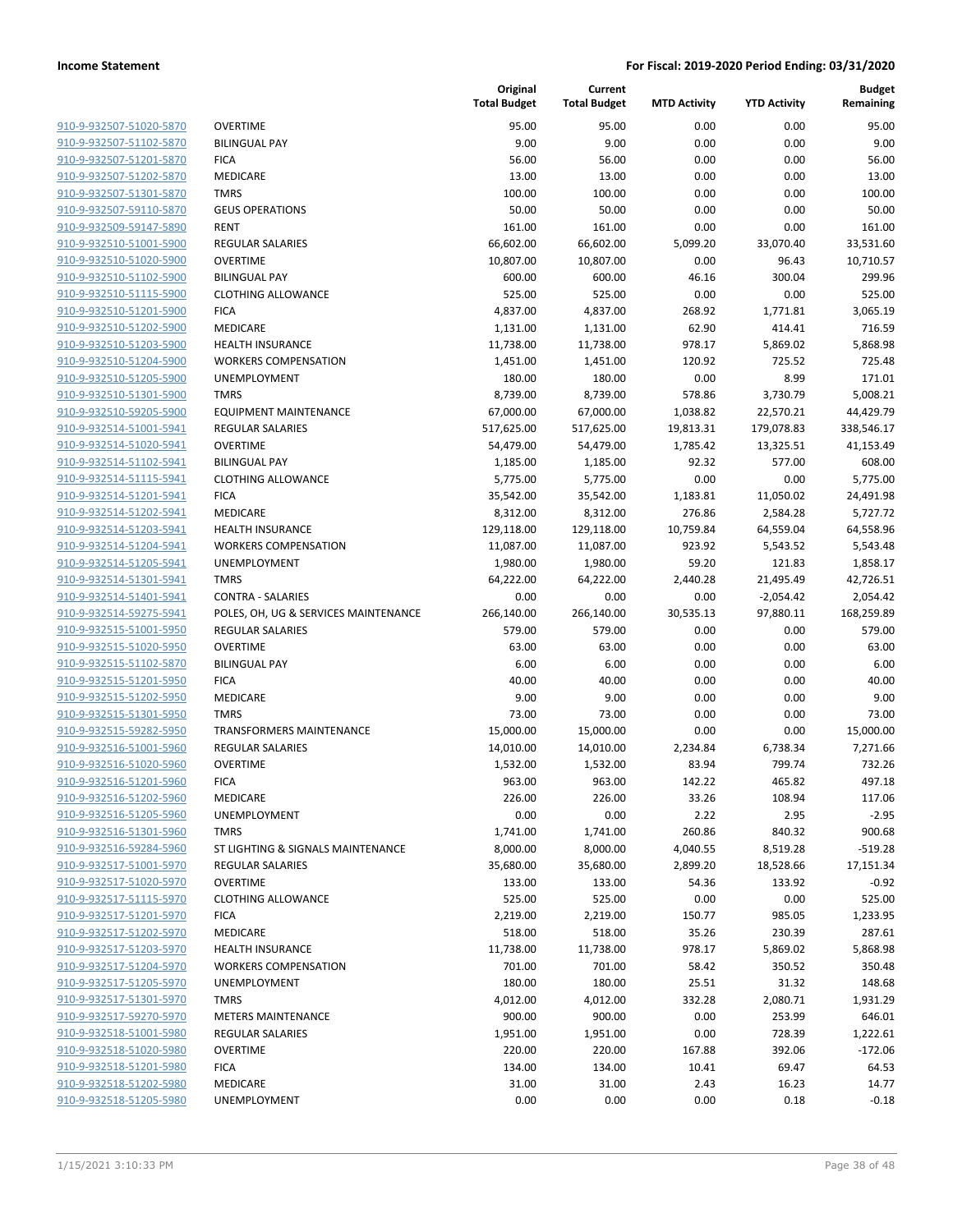910-9-932507-51020-5870 910-9-932507-51102-5870 910-9-932507-51201-5870 910-9-932507-51202-5870 910-9-932507-51301-5870 910-9-932507-59110-5870 910-9-932509-59147-5890 910-9-932510-51001-5900 910-9-932510-51020-5900 910-9-932510-51102-5900 910-9-932510-51115-5900 910-9-932510-51201-5900 910-9-932510-51202-5900 910-9-932510-51203-5900 910-9-932510-51204-5900 910-9-932510-51205-5900 910-9-932510-51301-5900 910-9-932510-59205-5900 910-9-932514-51001-5941 910-9-932514-51020-5941 910-9-932514-51102-5941 910-9-932514-51115-5941 910-9-932514-51201-5941 910-9-932514-51202-5941 910-9-932514-51203-5941 910-9-932514-51204-5941 910-9-932514-51205-5941 910-9-932514-51301-5941 910-9-932514-51401-5941 910-9-932514-59275-5941 910-9-932515-51001-5950 910-9-932515-51020-5950 910-9-932515-51102-5870 910-9-932515-51201-5950 910-9-932515-51202-5950 910-9-932515-51301-5950 910-9-932515-59282-5950 910-9-932516-51001-5960 910-9-932516-51020-5960 910-9-932516-51201-5960 910-9-932516-51202-5960 910-9-932516-51205-5960 910-9-932516-51301-5960 910-9-932516-59284-5960 910-9-932517-51001-5970 910-9-932517-51020-5970 910-9-932517-51115-5970 910-9-932517-51201-5970 910-9-932517-51202-5970 910-9-932517-51203-5970 910-9-932517-51204-5970 910-9-932517-51205-5970 910-9-932517-51301-5970 910-9-932517-59270-5970 910-9-932518-51001-5980 910-9-932518-51020-5980 910-9-932518-51201-5980 910-9-932518-51202-5980 910-9-932518-51205-5980

|                                      | Original<br><b>Total Budget</b> | Current<br><b>Total Budget</b> | <b>MTD Activity</b> | <b>YTD Activity</b> | <b>Budget</b><br>Remaining |
|--------------------------------------|---------------------------------|--------------------------------|---------------------|---------------------|----------------------------|
| <b>OVERTIME</b>                      | 95.00                           | 95.00                          | 0.00                | 0.00                | 95.00                      |
| <b>BILINGUAL PAY</b>                 | 9.00                            | 9.00                           | 0.00                | 0.00                | 9.00                       |
| <b>FICA</b>                          | 56.00                           | 56.00                          | 0.00                | 0.00                | 56.00                      |
| MEDICARE                             | 13.00                           | 13.00                          | 0.00                | 0.00                | 13.00                      |
| <b>TMRS</b>                          | 100.00                          | 100.00                         | 0.00                | 0.00                | 100.00                     |
| <b>GEUS OPERATIONS</b>               | 50.00                           | 50.00                          | 0.00                | 0.00                | 50.00                      |
| <b>RENT</b>                          | 161.00                          | 161.00                         | 0.00                | 0.00                | 161.00                     |
| <b>REGULAR SALARIES</b>              | 66,602.00                       | 66,602.00                      | 5,099.20            | 33,070.40           | 33,531.60                  |
| <b>OVERTIME</b>                      | 10,807.00                       | 10,807.00                      | 0.00                | 96.43               | 10,710.57                  |
| <b>BILINGUAL PAY</b>                 | 600.00                          | 600.00                         | 46.16               | 300.04              | 299.96                     |
| <b>CLOTHING ALLOWANCE</b>            | 525.00                          | 525.00                         | 0.00                | 0.00                | 525.00                     |
| <b>FICA</b>                          | 4,837.00                        | 4,837.00                       | 268.92              | 1,771.81            | 3,065.19                   |
| MEDICARE                             | 1,131.00                        | 1,131.00                       | 62.90               | 414.41              | 716.59                     |
| <b>HEALTH INSURANCE</b>              | 11,738.00                       | 11,738.00                      | 978.17              | 5,869.02            | 5,868.98                   |
| <b>WORKERS COMPENSATION</b>          | 1,451.00                        | 1,451.00                       | 120.92              | 725.52              | 725.48                     |
| UNEMPLOYMENT                         | 180.00                          | 180.00                         | 0.00                | 8.99                | 171.01                     |
| <b>TMRS</b>                          | 8,739.00                        | 8,739.00                       | 578.86              | 3,730.79            | 5,008.21                   |
| <b>EQUIPMENT MAINTENANCE</b>         | 67,000.00                       | 67,000.00                      | 1,038.82            | 22,570.21           | 44,429.79                  |
| <b>REGULAR SALARIES</b>              | 517,625.00                      | 517,625.00                     | 19,813.31           | 179,078.83          | 338,546.17                 |
| <b>OVERTIME</b>                      | 54,479.00                       | 54,479.00                      | 1,785.42            | 13,325.51           | 41,153.49                  |
| <b>BILINGUAL PAY</b>                 | 1,185.00                        | 1,185.00                       | 92.32               | 577.00              | 608.00                     |
| <b>CLOTHING ALLOWANCE</b>            | 5,775.00                        | 5,775.00                       | 0.00                | 0.00                | 5,775.00                   |
| <b>FICA</b>                          | 35,542.00                       | 35,542.00                      | 1,183.81            | 11,050.02           | 24,491.98                  |
| MEDICARE                             | 8,312.00                        | 8,312.00                       | 276.86              | 2,584.28            | 5,727.72                   |
| <b>HEALTH INSURANCE</b>              | 129,118.00                      | 129,118.00                     | 10,759.84           | 64,559.04           | 64,558.96                  |
| <b>WORKERS COMPENSATION</b>          | 11,087.00                       | 11,087.00                      | 923.92              | 5,543.52            | 5,543.48                   |
| UNEMPLOYMENT                         | 1,980.00                        | 1,980.00                       | 59.20               | 121.83              | 1,858.17                   |
| <b>TMRS</b>                          | 64,222.00                       | 64,222.00                      | 2,440.28            | 21,495.49           | 42,726.51                  |
| <b>CONTRA - SALARIES</b>             | 0.00                            | 0.00                           | 0.00                | $-2,054.42$         | 2,054.42                   |
| POLES, OH, UG & SERVICES MAINTENANCE | 266,140.00                      | 266,140.00                     | 30,535.13           | 97,880.11           | 168,259.89                 |
| <b>REGULAR SALARIES</b>              | 579.00                          | 579.00                         | 0.00                | 0.00                | 579.00                     |
| <b>OVERTIME</b>                      | 63.00                           | 63.00                          | 0.00                | 0.00                | 63.00                      |
| <b>BILINGUAL PAY</b>                 | 6.00                            | 6.00                           | 0.00                | 0.00                | 6.00                       |
| <b>FICA</b>                          | 40.00                           | 40.00                          | 0.00                | 0.00                | 40.00                      |
| MEDICARE                             | 9.00                            | 9.00                           | 0.00                | 0.00                | 9.00                       |
| <b>TMRS</b>                          | 73.00                           | 73.00                          | 0.00                | 0.00                | 73.00                      |
| <b>TRANSFORMERS MAINTENANCE</b>      | 15,000.00                       | 15,000.00                      | 0.00                | 0.00                | 15,000.00                  |
| <b>REGULAR SALARIES</b>              | 14,010.00                       | 14,010.00                      | 2,234.84            | 6,738.34            | 7,271.66                   |
| <b>OVERTIME</b>                      | 1,532.00                        | 1,532.00                       | 83.94               | 799.74              | 732.26                     |
| <b>FICA</b>                          | 963.00                          | 963.00                         | 142.22              | 465.82              | 497.18                     |
| MEDICARE                             | 226.00                          | 226.00                         | 33.26               | 108.94              | 117.06                     |
| UNEMPLOYMENT                         | 0.00                            | 0.00                           | 2.22                | 2.95                | $-2.95$                    |
| <b>TMRS</b>                          | 1,741.00                        | 1,741.00                       | 260.86              | 840.32              | 900.68                     |
| ST LIGHTING & SIGNALS MAINTENANCE    | 8,000.00                        | 8,000.00                       | 4,040.55            | 8,519.28            | $-519.28$                  |
| REGULAR SALARIES                     | 35,680.00                       | 35,680.00                      | 2,899.20            | 18,528.66           | 17,151.34                  |
| <b>OVERTIME</b>                      | 133.00                          | 133.00                         | 54.36               | 133.92              | $-0.92$                    |
| <b>CLOTHING ALLOWANCE</b>            | 525.00                          | 525.00                         | 0.00                | 0.00                | 525.00                     |
| <b>FICA</b>                          | 2,219.00                        | 2,219.00                       | 150.77              | 985.05              | 1,233.95                   |
| MEDICARE                             | 518.00                          | 518.00                         | 35.26               | 230.39              | 287.61                     |
| <b>HEALTH INSURANCE</b>              | 11,738.00                       | 11,738.00                      | 978.17              | 5,869.02            | 5,868.98                   |
| <b>WORKERS COMPENSATION</b>          | 701.00                          | 701.00                         | 58.42               | 350.52              | 350.48                     |
| UNEMPLOYMENT                         | 180.00                          | 180.00                         | 25.51               | 31.32               | 148.68                     |
| <b>TMRS</b>                          | 4,012.00                        | 4,012.00                       | 332.28              | 2,080.71            | 1,931.29                   |
| <b>METERS MAINTENANCE</b>            | 900.00                          | 900.00                         | 0.00                | 253.99              | 646.01                     |
| REGULAR SALARIES                     | 1,951.00                        | 1,951.00                       | 0.00                | 728.39              | 1,222.61                   |
| <b>OVERTIME</b>                      | 220.00                          | 220.00                         | 167.88              | 392.06              | $-172.06$                  |
| <b>FICA</b>                          | 134.00                          | 134.00                         | 10.41               | 69.47               | 64.53                      |
| MEDICARE                             | 31.00                           | 31.00                          | 2.43                | 16.23               | 14.77                      |
| UNEMPLOYMENT                         | 0.00                            | 0.00                           | 0.00                | 0.18                | $-0.18$                    |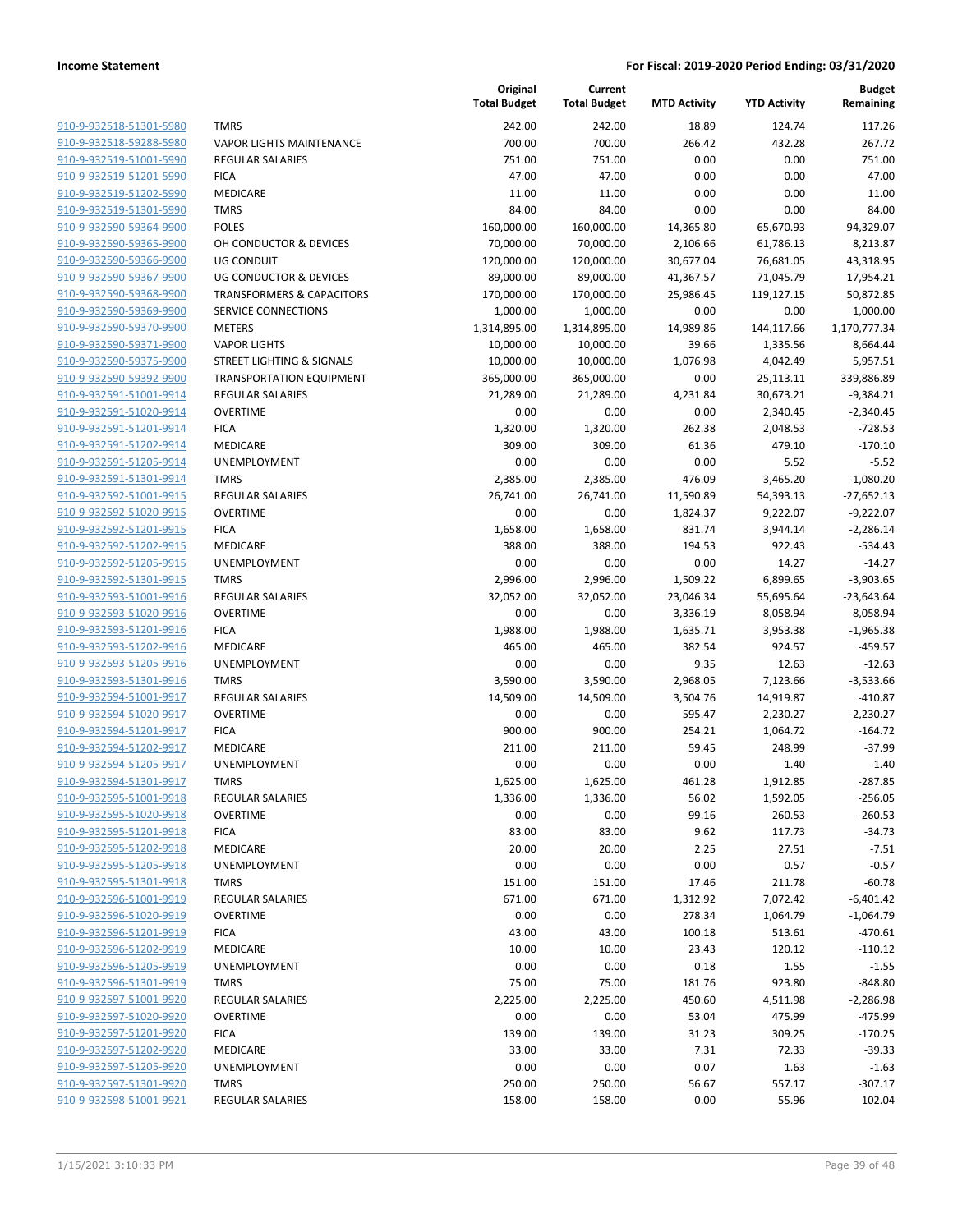|                         |                                      | Original<br><b>Total Budget</b> | Current<br><b>Total Budget</b> | <b>MTD Activity</b> | <b>YTD Activity</b> | <b>Budget</b><br>Remaining |
|-------------------------|--------------------------------------|---------------------------------|--------------------------------|---------------------|---------------------|----------------------------|
| 910-9-932518-51301-5980 | <b>TMRS</b>                          | 242.00                          | 242.00                         | 18.89               | 124.74              | 117.26                     |
| 910-9-932518-59288-5980 | <b>VAPOR LIGHTS MAINTENANCE</b>      | 700.00                          | 700.00                         | 266.42              | 432.28              | 267.72                     |
| 910-9-932519-51001-5990 | <b>REGULAR SALARIES</b>              | 751.00                          | 751.00                         | 0.00                | 0.00                | 751.00                     |
| 910-9-932519-51201-5990 | <b>FICA</b>                          | 47.00                           | 47.00                          | 0.00                | 0.00                | 47.00                      |
| 910-9-932519-51202-5990 | MEDICARE                             | 11.00                           | 11.00                          | 0.00                | 0.00                | 11.00                      |
| 910-9-932519-51301-5990 | <b>TMRS</b>                          | 84.00                           | 84.00                          | 0.00                | 0.00                | 84.00                      |
| 910-9-932590-59364-9900 | <b>POLES</b>                         | 160,000.00                      | 160,000.00                     | 14,365.80           | 65,670.93           | 94,329.07                  |
| 910-9-932590-59365-9900 | OH CONDUCTOR & DEVICES               | 70,000.00                       | 70,000.00                      | 2,106.66            | 61,786.13           | 8,213.87                   |
| 910-9-932590-59366-9900 | <b>UG CONDUIT</b>                    | 120,000.00                      | 120,000.00                     | 30,677.04           | 76,681.05           | 43,318.95                  |
| 910-9-932590-59367-9900 | <b>UG CONDUCTOR &amp; DEVICES</b>    | 89,000.00                       | 89,000.00                      | 41,367.57           | 71,045.79           | 17,954.21                  |
| 910-9-932590-59368-9900 | <b>TRANSFORMERS &amp; CAPACITORS</b> | 170,000.00                      | 170,000.00                     | 25,986.45           | 119,127.15          | 50,872.85                  |
| 910-9-932590-59369-9900 | <b>SERVICE CONNECTIONS</b>           | 1,000.00                        | 1,000.00                       | 0.00                | 0.00                | 1,000.00                   |
| 910-9-932590-59370-9900 | <b>METERS</b>                        | 1,314,895.00                    | 1,314,895.00                   | 14,989.86           | 144,117.66          | 1,170,777.34               |
| 910-9-932590-59371-9900 | <b>VAPOR LIGHTS</b>                  | 10,000.00                       | 10,000.00                      | 39.66               | 1,335.56            | 8,664.44                   |
| 910-9-932590-59375-9900 | <b>STREET LIGHTING &amp; SIGNALS</b> | 10,000.00                       | 10,000.00                      | 1,076.98            | 4,042.49            | 5,957.51                   |
| 910-9-932590-59392-9900 | <b>TRANSPORTATION EQUIPMENT</b>      | 365,000.00                      | 365,000.00                     | 0.00                | 25,113.11           | 339,886.89                 |
| 910-9-932591-51001-9914 | <b>REGULAR SALARIES</b>              | 21,289.00                       | 21,289.00                      | 4,231.84            | 30,673.21           | $-9,384.21$                |
| 910-9-932591-51020-9914 | <b>OVERTIME</b>                      | 0.00                            | 0.00                           | 0.00                | 2,340.45            | $-2,340.45$                |
| 910-9-932591-51201-9914 | <b>FICA</b>                          | 1,320.00                        | 1,320.00                       | 262.38              | 2,048.53            | $-728.53$                  |
| 910-9-932591-51202-9914 | MEDICARE                             | 309.00                          | 309.00                         | 61.36               | 479.10              | $-170.10$                  |
| 910-9-932591-51205-9914 | UNEMPLOYMENT                         | 0.00                            | 0.00                           | 0.00                | 5.52                | $-5.52$                    |
| 910-9-932591-51301-9914 | <b>TMRS</b>                          | 2,385.00                        | 2,385.00                       | 476.09              | 3,465.20            | $-1,080.20$                |
| 910-9-932592-51001-9915 | <b>REGULAR SALARIES</b>              | 26,741.00                       | 26,741.00                      | 11,590.89           | 54,393.13           | $-27,652.13$               |
| 910-9-932592-51020-9915 | <b>OVERTIME</b>                      | 0.00                            | 0.00                           | 1,824.37            | 9,222.07            | $-9,222.07$                |
| 910-9-932592-51201-9915 | <b>FICA</b>                          | 1,658.00                        | 1,658.00                       | 831.74              | 3,944.14            | $-2,286.14$                |
| 910-9-932592-51202-9915 | MEDICARE                             | 388.00                          | 388.00                         | 194.53              | 922.43              | $-534.43$                  |
| 910-9-932592-51205-9915 | UNEMPLOYMENT                         | 0.00                            | 0.00                           | 0.00                | 14.27               | $-14.27$                   |
| 910-9-932592-51301-9915 | <b>TMRS</b>                          | 2,996.00                        | 2,996.00                       | 1,509.22            | 6,899.65            | $-3,903.65$                |
| 910-9-932593-51001-9916 | <b>REGULAR SALARIES</b>              | 32,052.00                       | 32,052.00                      | 23,046.34           | 55,695.64           | $-23,643.64$               |
| 910-9-932593-51020-9916 | <b>OVERTIME</b>                      | 0.00                            | 0.00                           | 3,336.19            | 8,058.94            | $-8,058.94$                |
| 910-9-932593-51201-9916 | <b>FICA</b>                          | 1,988.00                        | 1,988.00                       | 1,635.71            | 3,953.38            | $-1,965.38$                |
| 910-9-932593-51202-9916 | MEDICARE                             | 465.00                          | 465.00                         | 382.54              | 924.57              | $-459.57$                  |
| 910-9-932593-51205-9916 | <b>UNEMPLOYMENT</b>                  | 0.00                            | 0.00                           | 9.35                | 12.63               | $-12.63$                   |
| 910-9-932593-51301-9916 | <b>TMRS</b>                          | 3,590.00                        | 3,590.00                       | 2,968.05            | 7,123.66            | $-3,533.66$                |
| 910-9-932594-51001-9917 | <b>REGULAR SALARIES</b>              | 14,509.00                       | 14,509.00                      | 3,504.76            | 14,919.87           | $-410.87$                  |
| 910-9-932594-51020-9917 | <b>OVERTIME</b>                      | 0.00                            | 0.00                           | 595.47              | 2,230.27            | $-2,230.27$                |
| 910-9-932594-51201-9917 | <b>FICA</b>                          | 900.00                          | 900.00                         | 254.21              | 1,064.72            | $-164.72$                  |
| 910-9-932594-51202-9917 | MEDICARE                             | 211.00                          | 211.00                         | 59.45               | 248.99              | $-37.99$                   |
| 910-9-932594-51205-9917 | <b>UNEMPLOYMENT</b>                  | 0.00                            | 0.00                           | 0.00                | 1.40                | $-1.40$                    |
| 910-9-932594-51301-9917 | <b>TMRS</b>                          | 1,625.00                        | 1,625.00                       | 461.28              | 1,912.85            | $-287.85$                  |
| 910-9-932595-51001-9918 | <b>REGULAR SALARIES</b>              | 1,336.00                        | 1,336.00                       | 56.02               | 1,592.05            | $-256.05$                  |
| 910-9-932595-51020-9918 | <b>OVERTIME</b>                      | 0.00                            | 0.00                           | 99.16               | 260.53              | $-260.53$                  |
| 910-9-932595-51201-9918 | <b>FICA</b>                          | 83.00                           | 83.00                          | 9.62                | 117.73              | $-34.73$                   |
| 910-9-932595-51202-9918 | MEDICARE                             | 20.00                           | 20.00                          | 2.25                | 27.51               | $-7.51$                    |
| 910-9-932595-51205-9918 | UNEMPLOYMENT                         | 0.00                            | 0.00                           | 0.00                | 0.57                | $-0.57$                    |
| 910-9-932595-51301-9918 | <b>TMRS</b>                          | 151.00                          | 151.00                         | 17.46               | 211.78              | $-60.78$                   |
| 910-9-932596-51001-9919 | <b>REGULAR SALARIES</b>              | 671.00                          | 671.00                         | 1,312.92            | 7,072.42            | $-6,401.42$                |
| 910-9-932596-51020-9919 | <b>OVERTIME</b>                      | 0.00                            | 0.00                           | 278.34              | 1,064.79            | $-1,064.79$                |
| 910-9-932596-51201-9919 | <b>FICA</b>                          | 43.00                           | 43.00                          | 100.18              | 513.61              | $-470.61$                  |
| 910-9-932596-51202-9919 | MEDICARE                             | 10.00                           | 10.00                          | 23.43               | 120.12              | $-110.12$                  |
| 910-9-932596-51205-9919 | UNEMPLOYMENT                         | 0.00                            | 0.00                           | 0.18                | 1.55                | $-1.55$                    |
| 910-9-932596-51301-9919 | <b>TMRS</b>                          | 75.00                           | 75.00                          | 181.76              | 923.80              | $-848.80$                  |
| 910-9-932597-51001-9920 | REGULAR SALARIES                     | 2,225.00                        | 2,225.00                       | 450.60              | 4,511.98            | $-2,286.98$                |
| 910-9-932597-51020-9920 | <b>OVERTIME</b>                      | 0.00                            | 0.00                           | 53.04               | 475.99              | $-475.99$                  |
| 910-9-932597-51201-9920 | <b>FICA</b>                          | 139.00                          | 139.00                         | 31.23               | 309.25              | $-170.25$                  |
| 910-9-932597-51202-9920 | MEDICARE                             | 33.00                           | 33.00                          | 7.31                | 72.33               | $-39.33$                   |
| 910-9-932597-51205-9920 | <b>UNEMPLOYMENT</b>                  | 0.00                            | 0.00                           | 0.07                | 1.63                | $-1.63$                    |
| 910-9-932597-51301-9920 | <b>TMRS</b>                          | 250.00                          | 250.00                         | 56.67               | 557.17              | $-307.17$                  |
| 910-9-932598-51001-9921 | REGULAR SALARIES                     | 158.00                          | 158.00                         | 0.00                | 55.96               | 102.04                     |
|                         |                                      |                                 |                                |                     |                     |                            |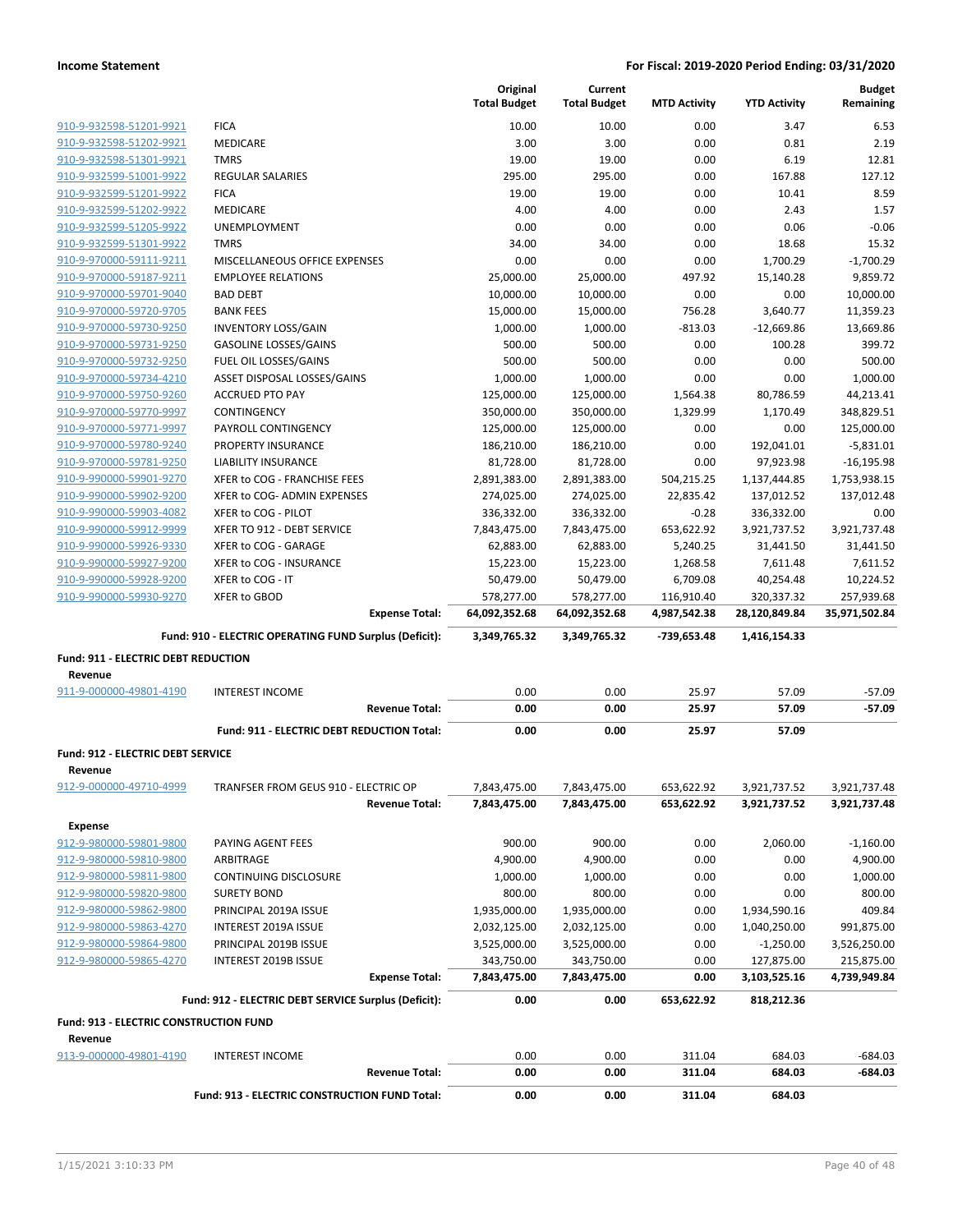|                                                    |                                                                        | Original<br><b>Total Budget</b> | Current<br><b>Total Budget</b> | <b>MTD Activity</b> | <b>YTD Activity</b> | <b>Budget</b><br>Remaining |
|----------------------------------------------------|------------------------------------------------------------------------|---------------------------------|--------------------------------|---------------------|---------------------|----------------------------|
| 910-9-932598-51201-9921                            | <b>FICA</b>                                                            | 10.00                           | 10.00                          | 0.00                | 3.47                | 6.53                       |
| 910-9-932598-51202-9921                            | <b>MEDICARE</b>                                                        | 3.00                            | 3.00                           | 0.00                | 0.81                | 2.19                       |
| 910-9-932598-51301-9921                            | <b>TMRS</b>                                                            | 19.00                           | 19.00                          | 0.00                | 6.19                | 12.81                      |
| 910-9-932599-51001-9922                            | <b>REGULAR SALARIES</b>                                                | 295.00                          | 295.00                         | 0.00                | 167.88              | 127.12                     |
| 910-9-932599-51201-9922                            | <b>FICA</b>                                                            | 19.00                           | 19.00                          | 0.00                | 10.41               | 8.59                       |
| 910-9-932599-51202-9922                            | <b>MEDICARE</b>                                                        | 4.00                            | 4.00                           | 0.00                | 2.43                | 1.57                       |
| 910-9-932599-51205-9922                            | <b>UNEMPLOYMENT</b>                                                    | 0.00                            | 0.00                           | 0.00                | 0.06                | $-0.06$                    |
| 910-9-932599-51301-9922                            | <b>TMRS</b>                                                            | 34.00                           | 34.00                          | 0.00                | 18.68               | 15.32                      |
| 910-9-970000-59111-9211                            | MISCELLANEOUS OFFICE EXPENSES                                          | 0.00                            | 0.00                           | 0.00                | 1,700.29            | $-1,700.29$                |
| 910-9-970000-59187-9211                            | <b>EMPLOYEE RELATIONS</b>                                              | 25,000.00                       | 25,000.00                      | 497.92              | 15,140.28           | 9,859.72                   |
| 910-9-970000-59701-9040                            | <b>BAD DEBT</b>                                                        | 10,000.00                       | 10,000.00                      | 0.00                | 0.00                | 10,000.00                  |
| 910-9-970000-59720-9705                            | <b>BANK FEES</b>                                                       | 15,000.00                       | 15,000.00                      | 756.28              | 3,640.77            | 11,359.23                  |
| 910-9-970000-59730-9250                            | <b>INVENTORY LOSS/GAIN</b>                                             | 1,000.00                        | 1,000.00                       | $-813.03$           | $-12,669.86$        | 13,669.86                  |
| 910-9-970000-59731-9250                            | <b>GASOLINE LOSSES/GAINS</b>                                           | 500.00                          | 500.00                         | 0.00                | 100.28              | 399.72                     |
| 910-9-970000-59732-9250                            | FUEL OIL LOSSES/GAINS                                                  | 500.00                          | 500.00                         | 0.00                | 0.00                | 500.00                     |
| 910-9-970000-59734-4210                            | ASSET DISPOSAL LOSSES/GAINS                                            | 1,000.00                        | 1,000.00                       | 0.00                | 0.00                | 1,000.00                   |
| 910-9-970000-59750-9260                            | <b>ACCRUED PTO PAY</b>                                                 | 125,000.00                      | 125,000.00                     | 1,564.38            | 80,786.59           | 44,213.41                  |
| 910-9-970000-59770-9997                            | <b>CONTINGENCY</b>                                                     | 350,000.00                      | 350,000.00                     | 1,329.99            | 1,170.49            | 348,829.51                 |
| 910-9-970000-59771-9997                            | PAYROLL CONTINGENCY                                                    | 125,000.00                      | 125,000.00                     | 0.00                | 0.00                | 125,000.00                 |
| 910-9-970000-59780-9240                            | PROPERTY INSURANCE                                                     | 186,210.00                      | 186,210.00                     | 0.00                | 192,041.01          | $-5,831.01$                |
| 910-9-970000-59781-9250                            | <b>LIABILITY INSURANCE</b>                                             | 81,728.00                       | 81,728.00                      | 0.00                | 97,923.98           | $-16, 195.98$              |
| 910-9-990000-59901-9270                            | XFER to COG - FRANCHISE FEES                                           | 2,891,383.00                    | 2,891,383.00                   | 504,215.25          | 1,137,444.85        | 1,753,938.15               |
| 910-9-990000-59902-9200                            | XFER to COG- ADMIN EXPENSES                                            | 274,025.00                      | 274,025.00                     | 22,835.42           | 137,012.52          | 137,012.48                 |
| 910-9-990000-59903-4082                            | XFER to COG - PILOT                                                    | 336,332.00                      | 336,332.00                     | $-0.28$             | 336,332.00          | 0.00                       |
| 910-9-990000-59912-9999                            | XFER TO 912 - DEBT SERVICE                                             | 7,843,475.00                    | 7,843,475.00                   | 653,622.92          | 3,921,737.52        | 3,921,737.48               |
| 910-9-990000-59926-9330                            | XFER to COG - GARAGE                                                   | 62,883.00                       | 62,883.00                      | 5,240.25            | 31,441.50           | 31,441.50                  |
| 910-9-990000-59927-9200                            | XFER to COG - INSURANCE                                                | 15,223.00                       | 15,223.00                      | 1,268.58            | 7,611.48            | 7,611.52                   |
| 910-9-990000-59928-9200<br>910-9-990000-59930-9270 | XFER to COG - IT                                                       | 50,479.00                       | 50,479.00                      | 6,709.08            | 40,254.48           | 10,224.52                  |
|                                                    | XFER to GBOD<br><b>Expense Total:</b>                                  | 578,277.00<br>64,092,352.68     | 578,277.00                     | 116,910.40          | 320,337.32          | 257,939.68                 |
|                                                    |                                                                        |                                 | 64,092,352.68                  | 4,987,542.38        | 28,120,849.84       | 35,971,502.84              |
|                                                    | Fund: 910 - ELECTRIC OPERATING FUND Surplus (Deficit):                 | 3,349,765.32                    | 3,349,765.32                   | -739,653.48         | 1,416,154.33        |                            |
| <b>Fund: 911 - ELECTRIC DEBT REDUCTION</b>         |                                                                        |                                 |                                |                     |                     |                            |
| Revenue                                            |                                                                        |                                 |                                |                     |                     |                            |
| 911-9-000000-49801-4190                            | <b>INTEREST INCOME</b>                                                 | 0.00                            | 0.00                           | 25.97               | 57.09               | $-57.09$                   |
|                                                    | <b>Revenue Total:</b>                                                  | 0.00                            | 0.00                           | 25.97               | 57.09               | $-57.09$                   |
|                                                    | Fund: 911 - ELECTRIC DEBT REDUCTION Total:                             | 0.00                            | 0.00                           | 25.97               | 57.09               |                            |
| <b>Fund: 912 - ELECTRIC DEBT SERVICE</b>           |                                                                        |                                 |                                |                     |                     |                            |
| Revenue                                            |                                                                        |                                 |                                |                     |                     |                            |
| 912-9-000000-49710-4999                            | TRANFSER FROM GEUS 910 - ELECTRIC OP                                   | 7,843,475.00                    | 7,843,475.00                   | 653,622.92          | 3,921,737.52        | 3,921,737.48               |
|                                                    | <b>Revenue Total:</b>                                                  | 7,843,475.00                    | 7,843,475.00                   | 653,622.92          | 3,921,737.52        | 3,921,737.48               |
| <b>Expense</b>                                     |                                                                        |                                 |                                |                     |                     |                            |
| 912-9-980000-59801-9800                            | PAYING AGENT FEES                                                      | 900.00                          | 900.00                         | 0.00                | 2,060.00            | $-1,160.00$                |
| 912-9-980000-59810-9800                            | ARBITRAGE                                                              | 4,900.00                        | 4,900.00                       | 0.00                | 0.00                | 4,900.00                   |
| 912-9-980000-59811-9800                            | <b>CONTINUING DISCLOSURE</b>                                           | 1,000.00                        | 1,000.00                       | 0.00                | 0.00                | 1,000.00                   |
| 912-9-980000-59820-9800                            | <b>SURETY BOND</b>                                                     | 800.00                          | 800.00                         | 0.00                | 0.00                | 800.00                     |
| 912-9-980000-59862-9800                            | PRINCIPAL 2019A ISSUE                                                  | 1,935,000.00                    | 1,935,000.00                   | 0.00                | 1,934,590.16        | 409.84                     |
| 912-9-980000-59863-4270                            | INTEREST 2019A ISSUE                                                   | 2,032,125.00                    | 2,032,125.00                   | 0.00                | 1,040,250.00        | 991,875.00                 |
| 912-9-980000-59864-9800                            | PRINCIPAL 2019B ISSUE                                                  | 3,525,000.00                    | 3,525,000.00                   | 0.00                | $-1,250.00$         | 3,526,250.00               |
| 912-9-980000-59865-4270                            | INTEREST 2019B ISSUE                                                   | 343,750.00                      | 343,750.00                     | 0.00                | 127,875.00          | 215,875.00                 |
|                                                    | <b>Expense Total:</b>                                                  | 7,843,475.00                    | 7,843,475.00                   | 0.00                | 3,103,525.16        | 4,739,949.84               |
|                                                    | Fund: 912 - ELECTRIC DEBT SERVICE Surplus (Deficit):                   | 0.00                            | 0.00                           | 653,622.92          | 818,212.36          |                            |
| <b>Fund: 913 - ELECTRIC CONSTRUCTION FUND</b>      |                                                                        |                                 |                                |                     |                     |                            |
| Revenue                                            |                                                                        |                                 |                                |                     |                     |                            |
| 913-9-000000-49801-4190                            | <b>INTEREST INCOME</b>                                                 | 0.00                            | 0.00                           | 311.04              | 684.03              | $-684.03$                  |
|                                                    | <b>Revenue Total:</b><br>Fund: 913 - ELECTRIC CONSTRUCTION FUND Total: | 0.00<br>0.00                    | 0.00<br>0.00                   | 311.04<br>311.04    | 684.03<br>684.03    | $-684.03$                  |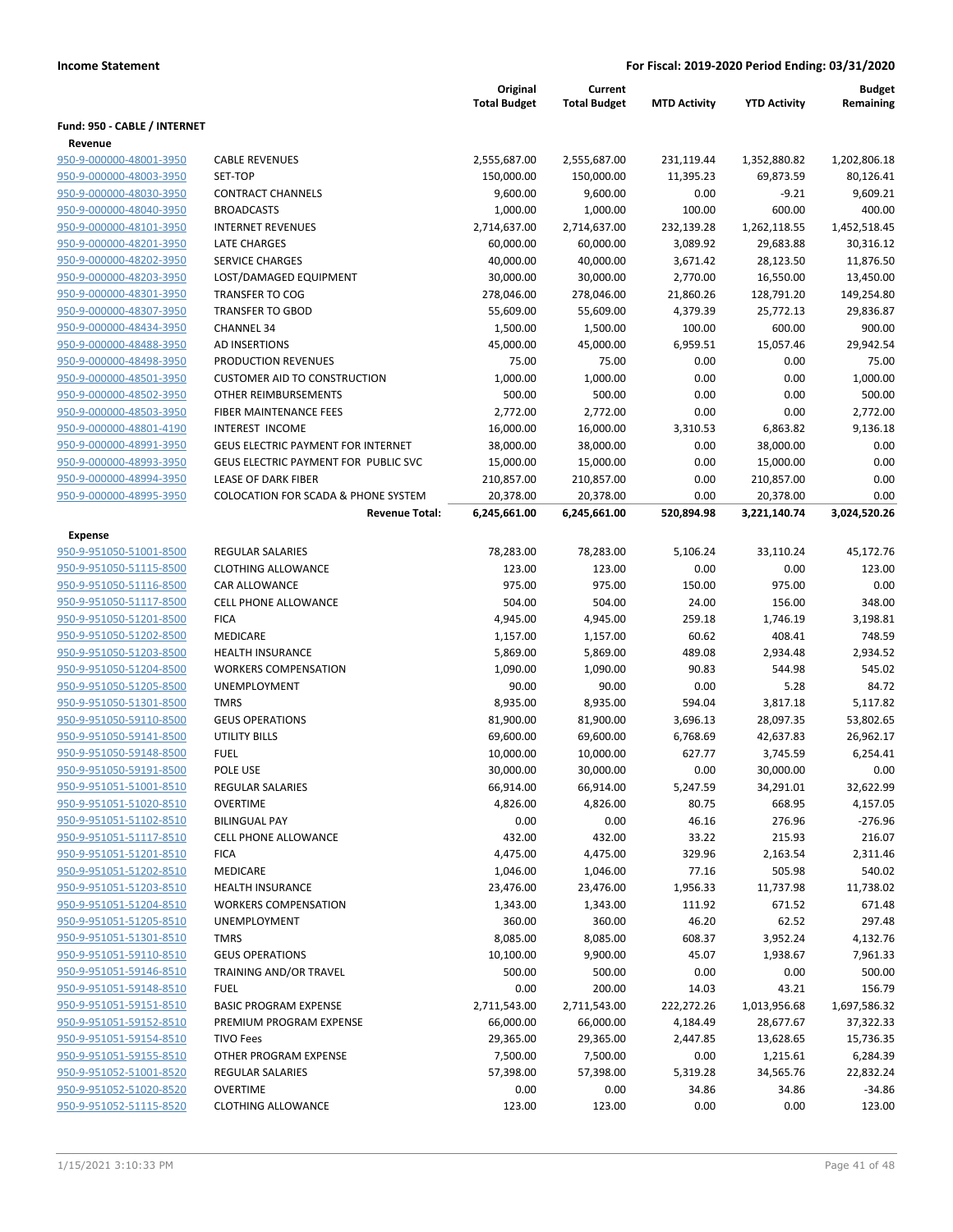|                                                    |                                                        | Original<br><b>Total Budget</b> | Current<br><b>Total Budget</b> | <b>MTD Activity</b>  | <b>YTD Activity</b>   | <b>Budget</b><br>Remaining |
|----------------------------------------------------|--------------------------------------------------------|---------------------------------|--------------------------------|----------------------|-----------------------|----------------------------|
| Fund: 950 - CABLE / INTERNET                       |                                                        |                                 |                                |                      |                       |                            |
| Revenue                                            |                                                        |                                 |                                |                      |                       |                            |
| 950-9-000000-48001-3950                            | <b>CABLE REVENUES</b>                                  | 2,555,687.00                    | 2,555,687.00                   | 231,119.44           | 1,352,880.82          | 1,202,806.18               |
| 950-9-000000-48003-3950                            | <b>SET-TOP</b>                                         | 150,000.00                      | 150,000.00                     | 11,395.23            | 69,873.59             | 80,126.41                  |
| 950-9-000000-48030-3950                            | <b>CONTRACT CHANNELS</b>                               | 9,600.00                        | 9,600.00                       | 0.00                 | $-9.21$               | 9,609.21                   |
| 950-9-000000-48040-3950                            | <b>BROADCASTS</b>                                      | 1,000.00                        | 1,000.00                       | 100.00               | 600.00                | 400.00                     |
| 950-9-000000-48101-3950                            | <b>INTERNET REVENUES</b>                               | 2,714,637.00                    | 2,714,637.00                   | 232,139.28           | 1,262,118.55          | 1,452,518.45               |
| 950-9-000000-48201-3950                            | LATE CHARGES                                           | 60,000.00                       | 60,000.00                      | 3,089.92             | 29,683.88             | 30,316.12                  |
| 950-9-000000-48202-3950                            | <b>SERVICE CHARGES</b>                                 | 40,000.00                       | 40,000.00                      | 3,671.42             | 28,123.50             | 11,876.50                  |
| 950-9-000000-48203-3950                            | LOST/DAMAGED EQUIPMENT                                 | 30,000.00                       | 30,000.00                      | 2,770.00             | 16,550.00             | 13,450.00                  |
| 950-9-000000-48301-3950                            | <b>TRANSFER TO COG</b>                                 | 278,046.00                      | 278,046.00                     | 21,860.26            | 128,791.20            | 149,254.80                 |
| 950-9-000000-48307-3950                            | <b>TRANSFER TO GBOD</b>                                | 55,609.00                       | 55,609.00                      | 4,379.39             | 25,772.13             | 29,836.87                  |
| 950-9-000000-48434-3950                            | <b>CHANNEL 34</b>                                      | 1,500.00                        | 1,500.00                       | 100.00               | 600.00                | 900.00                     |
| 950-9-000000-48488-3950                            | AD INSERTIONS                                          | 45,000.00                       | 45,000.00                      | 6,959.51             | 15,057.46             | 29,942.54                  |
| 950-9-000000-48498-3950                            | PRODUCTION REVENUES                                    | 75.00                           | 75.00                          | 0.00                 | 0.00                  | 75.00                      |
| 950-9-000000-48501-3950                            | <b>CUSTOMER AID TO CONSTRUCTION</b>                    | 1,000.00                        | 1,000.00                       | 0.00                 | 0.00                  | 1,000.00                   |
| 950-9-000000-48502-3950                            | OTHER REIMBURSEMENTS                                   | 500.00                          | 500.00                         | 0.00                 | 0.00                  | 500.00                     |
| 950-9-000000-48503-3950                            | <b>FIBER MAINTENANCE FEES</b>                          | 2,772.00                        | 2,772.00                       | 0.00                 | 0.00                  | 2,772.00                   |
| 950-9-000000-48801-4190                            | <b>INTEREST INCOME</b>                                 | 16,000.00                       | 16,000.00                      | 3,310.53             | 6,863.82              | 9,136.18                   |
| 950-9-000000-48991-3950                            | <b>GEUS ELECTRIC PAYMENT FOR INTERNET</b>              | 38,000.00                       | 38,000.00                      | 0.00                 | 38,000.00             | 0.00                       |
| 950-9-000000-48993-3950                            | GEUS ELECTRIC PAYMENT FOR PUBLIC SVC                   | 15,000.00                       | 15,000.00                      | 0.00                 | 15,000.00             | 0.00                       |
| 950-9-000000-48994-3950                            | <b>LEASE OF DARK FIBER</b>                             | 210,857.00                      | 210,857.00                     | 0.00                 | 210,857.00            | 0.00                       |
| 950-9-000000-48995-3950                            | <b>COLOCATION FOR SCADA &amp; PHONE SYSTEM</b>         | 20,378.00                       | 20,378.00                      | 0.00                 | 20,378.00             | 0.00                       |
|                                                    | <b>Revenue Total:</b>                                  | 6,245,661.00                    | 6,245,661.00                   | 520,894.98           | 3,221,140.74          | 3,024,520.26               |
| Expense                                            |                                                        |                                 |                                |                      |                       |                            |
| 950-9-951050-51001-8500                            | <b>REGULAR SALARIES</b>                                | 78,283.00                       | 78,283.00                      | 5,106.24             | 33,110.24             | 45,172.76                  |
| 950-9-951050-51115-8500                            | <b>CLOTHING ALLOWANCE</b>                              | 123.00                          | 123.00                         | 0.00                 | 0.00                  | 123.00                     |
| 950-9-951050-51116-8500                            | CAR ALLOWANCE                                          | 975.00                          | 975.00                         | 150.00               | 975.00                | 0.00                       |
| 950-9-951050-51117-8500                            | <b>CELL PHONE ALLOWANCE</b>                            | 504.00                          | 504.00                         | 24.00                | 156.00                | 348.00                     |
| 950-9-951050-51201-8500                            | <b>FICA</b>                                            | 4,945.00                        | 4,945.00                       | 259.18               | 1,746.19              | 3,198.81                   |
| 950-9-951050-51202-8500                            | <b>MEDICARE</b>                                        | 1,157.00                        | 1,157.00                       | 60.62                | 408.41                | 748.59                     |
| 950-9-951050-51203-8500                            | <b>HEALTH INSURANCE</b><br><b>WORKERS COMPENSATION</b> | 5,869.00                        | 5,869.00                       | 489.08<br>90.83      | 2,934.48              | 2,934.52<br>545.02         |
| 950-9-951050-51204-8500                            |                                                        | 1,090.00                        | 1,090.00                       | 0.00                 | 544.98                | 84.72                      |
| 950-9-951050-51205-8500<br>950-9-951050-51301-8500 | UNEMPLOYMENT<br><b>TMRS</b>                            | 90.00                           | 90.00                          |                      | 5.28<br>3,817.18      |                            |
| 950-9-951050-59110-8500                            | <b>GEUS OPERATIONS</b>                                 | 8,935.00<br>81,900.00           | 8,935.00                       | 594.04               |                       | 5,117.82                   |
| 950-9-951050-59141-8500                            |                                                        | 69,600.00                       | 81,900.00                      | 3,696.13<br>6,768.69 | 28,097.35             | 53,802.65                  |
| 950-9-951050-59148-8500                            | UTILITY BILLS<br><b>FUEL</b>                           | 10,000.00                       | 69,600.00<br>10,000.00         | 627.77               | 42,637.83<br>3,745.59 | 26,962.17<br>6,254.41      |
| 950-9-951050-59191-8500                            | POLE USE                                               | 30,000.00                       | 30,000.00                      | 0.00                 | 30,000.00             | 0.00                       |
|                                                    |                                                        | 66,914.00                       | 66,914.00                      |                      |                       |                            |
| 950-9-951051-51001-8510                            | REGULAR SALARIES<br><b>OVERTIME</b>                    |                                 |                                | 5,247.59<br>80.75    | 34,291.01<br>668.95   | 32,622.99<br>4,157.05      |
| 950-9-951051-51020-8510<br>950-9-951051-51102-8510 |                                                        | 4,826.00                        | 4,826.00                       |                      |                       | $-276.96$                  |
| 950-9-951051-51117-8510                            | <b>BILINGUAL PAY</b><br><b>CELL PHONE ALLOWANCE</b>    | 0.00<br>432.00                  | 0.00<br>432.00                 | 46.16<br>33.22       | 276.96<br>215.93      | 216.07                     |
| 950-9-951051-51201-8510                            |                                                        | 4,475.00                        | 4,475.00                       | 329.96               |                       | 2,311.46                   |
| 950-9-951051-51202-8510                            | <b>FICA</b><br><b>MEDICARE</b>                         | 1,046.00                        | 1,046.00                       | 77.16                | 2,163.54<br>505.98    | 540.02                     |
| 950-9-951051-51203-8510                            | <b>HEALTH INSURANCE</b>                                | 23,476.00                       | 23,476.00                      | 1,956.33             | 11,737.98             | 11,738.02                  |
| 950-9-951051-51204-8510                            | <b>WORKERS COMPENSATION</b>                            | 1,343.00                        | 1,343.00                       | 111.92               | 671.52                | 671.48                     |
| 950-9-951051-51205-8510                            | UNEMPLOYMENT                                           | 360.00                          | 360.00                         | 46.20                | 62.52                 | 297.48                     |
|                                                    |                                                        | 8,085.00                        |                                |                      |                       |                            |
| 950-9-951051-51301-8510<br>950-9-951051-59110-8510 | <b>TMRS</b>                                            |                                 | 8,085.00                       | 608.37<br>45.07      | 3,952.24              | 4,132.76                   |
|                                                    | <b>GEUS OPERATIONS</b>                                 | 10,100.00                       | 9,900.00                       |                      | 1,938.67              | 7,961.33                   |
| 950-9-951051-59146-8510                            | TRAINING AND/OR TRAVEL                                 | 500.00                          | 500.00                         | 0.00                 | 0.00                  | 500.00                     |
| 950-9-951051-59148-8510                            | <b>FUEL</b>                                            | 0.00                            | 200.00                         | 14.03                | 43.21                 | 156.79                     |
| 950-9-951051-59151-8510                            | <b>BASIC PROGRAM EXPENSE</b>                           | 2,711,543.00                    | 2,711,543.00                   | 222,272.26           | 1,013,956.68          | 1,697,586.32               |
| 950-9-951051-59152-8510                            | PREMIUM PROGRAM EXPENSE                                | 66,000.00                       | 66,000.00                      | 4,184.49             | 28,677.67             | 37,322.33                  |
| 950-9-951051-59154-8510                            | TIVO Fees                                              | 29,365.00                       | 29,365.00                      | 2,447.85             | 13,628.65             | 15,736.35                  |
| 950-9-951051-59155-8510                            | OTHER PROGRAM EXPENSE                                  | 7,500.00                        | 7,500.00                       | 0.00                 | 1,215.61              | 6,284.39                   |
| 950-9-951052-51001-8520                            | REGULAR SALARIES<br><b>OVERTIME</b>                    | 57,398.00                       | 57,398.00                      | 5,319.28             | 34,565.76             | 22,832.24                  |
| 950-9-951052-51020-8520<br>950-9-951052-51115-8520 |                                                        | 0.00                            | 0.00                           | 34.86                | 34.86                 | $-34.86$                   |
|                                                    | <b>CLOTHING ALLOWANCE</b>                              | 123.00                          | 123.00                         | 0.00                 | 0.00                  | 123.00                     |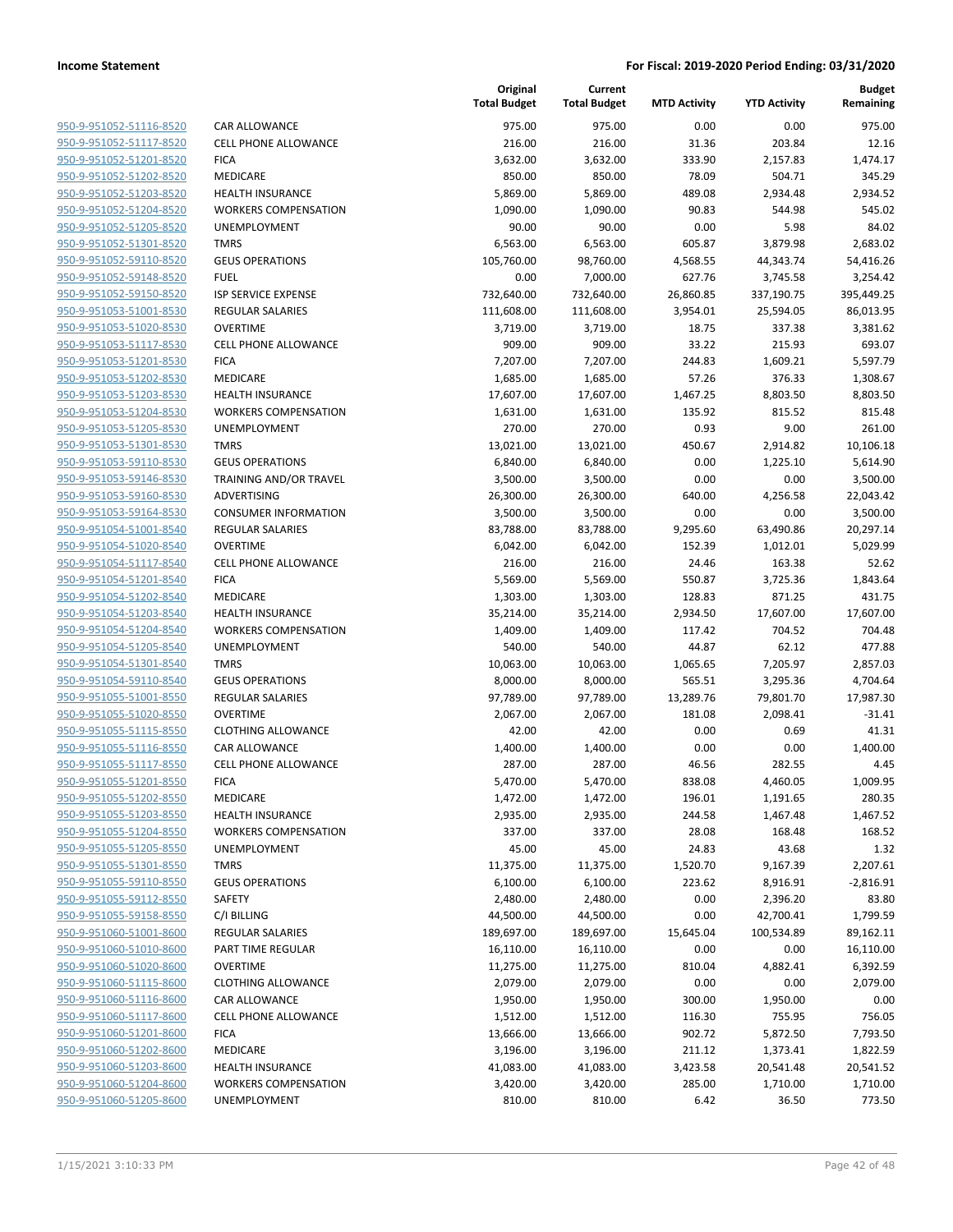| 950-9-951052-51116-8520        |
|--------------------------------|
| 950-9-951052-51117-8520        |
| 950-9-951052-51201-8520        |
| <u>950-9-951052-51202-8520</u> |
| <u>950-9-951052-51203-8520</u> |
| 950-9-951052-51204-8520        |
| 950-9-951052-51205-8520        |
| 950-9-951052-51301-8520        |
| 950-9-951052-59110-8520        |
| <u>950-9-951052-59148-8520</u> |
| 950-9-951052-59150-8520        |
| 950-9-951053-51001-8530        |
| 950-9-951053-51020-8530        |
| <u>950-9-951053-51117-8530</u> |
| <u>950-9-951053-51201-8530</u> |
| 950-9-951053-51202-8530        |
| 950-9-951053-51203-8530        |
| 950-9-951053-51204-8530        |
| 950-9-951053-51205-8530        |
| 950-9-951053-51301-8530        |
| 950-9-951053-59110-8530        |
| 950-9-951053-59146-8530        |
| 950-9-951053-59160-8530        |
| <u>950-9-951053-59164-8530</u> |
| <u>950-9-951054-51001-8540</u> |
| 950-9-951054-51020-8540        |
| 950-9-951054-51117-8540        |
| 950-9-951054-51201-8540        |
| 950-9-951054-51202-8540        |
| 950-9-951054-51203-8540        |
| 950-9-951054-51204-8540        |
| 950-9-951054-51205-8540        |
| 950-9-951054-51301-8540        |
| 950-9-951054-59110-8540        |
| <u>950-9-951055-51001-8550</u> |
| 950-9-951055-51020-8550        |
| 950-9-951055-51115-8550        |
| 950-9-951055-51116-8550        |
| 950-9-951055-51117-8550        |
| 950-9-951055-51201-8550        |
| 950-9-951055-51202-8550        |
| 950-9-951055-51203-8550        |
| 950-9-951055-51204-8550        |
| 950-9-951055-51205-8550        |
| 950-9-951055-51301-8550        |
| 950-9-951055-59110-8550        |
| 950-9-951055-59112-8550        |
|                                |
| 950-9-951055-59158-8550        |
| 950-9-951060-51001-8600        |
| 950-9-951060-51010-8600        |
| 950-9-951060-51020-8600        |
| 950-9-951060-51115-8600        |
| 950-9-951060-51116-8600        |
| 950-9-951060-51117-8600        |
| 950-9-951060-51201-8600        |
| 950-9-951060-51202-8600        |
| 950-9-951060-51203-8600        |
| 950-9-951060-51204-8600        |
| 950-9-951060-51205-8600        |
|                                |

|                         |                             | Original<br><b>Total Budget</b> | Current<br><b>Total Budget</b> | <b>MTD Activity</b> | <b>YTD Activity</b> | <b>Budget</b><br>Remaining |
|-------------------------|-----------------------------|---------------------------------|--------------------------------|---------------------|---------------------|----------------------------|
| 950-9-951052-51116-8520 | <b>CAR ALLOWANCE</b>        | 975.00                          | 975.00                         | 0.00                | 0.00                | 975.00                     |
| 950-9-951052-51117-8520 | <b>CELL PHONE ALLOWANCE</b> | 216.00                          | 216.00                         | 31.36               | 203.84              | 12.16                      |
| 950-9-951052-51201-8520 | <b>FICA</b>                 | 3,632.00                        | 3,632.00                       | 333.90              | 2,157.83            | 1,474.17                   |
| 950-9-951052-51202-8520 | MEDICARE                    | 850.00                          | 850.00                         | 78.09               | 504.71              | 345.29                     |
| 950-9-951052-51203-8520 | <b>HEALTH INSURANCE</b>     | 5,869.00                        | 5,869.00                       | 489.08              | 2,934.48            | 2,934.52                   |
| 950-9-951052-51204-8520 | <b>WORKERS COMPENSATION</b> | 1,090.00                        | 1,090.00                       | 90.83               | 544.98              | 545.02                     |
| 950-9-951052-51205-8520 | UNEMPLOYMENT                | 90.00                           | 90.00                          | 0.00                | 5.98                | 84.02                      |
| 950-9-951052-51301-8520 | <b>TMRS</b>                 | 6,563.00                        | 6,563.00                       | 605.87              | 3,879.98            | 2,683.02                   |
| 950-9-951052-59110-8520 | <b>GEUS OPERATIONS</b>      | 105,760.00                      | 98,760.00                      | 4,568.55            | 44,343.74           | 54,416.26                  |
| 950-9-951052-59148-8520 | <b>FUEL</b>                 | 0.00                            | 7,000.00                       | 627.76              | 3,745.58            | 3,254.42                   |
| 950-9-951052-59150-8520 | <b>ISP SERVICE EXPENSE</b>  | 732,640.00                      | 732,640.00                     | 26,860.85           | 337,190.75          | 395,449.25                 |
| 950-9-951053-51001-8530 | <b>REGULAR SALARIES</b>     | 111,608.00                      | 111,608.00                     | 3,954.01            | 25,594.05           | 86,013.95                  |
| 950-9-951053-51020-8530 | <b>OVERTIME</b>             | 3,719.00                        | 3,719.00                       | 18.75               | 337.38              | 3,381.62                   |
| 950-9-951053-51117-8530 | <b>CELL PHONE ALLOWANCE</b> | 909.00                          | 909.00                         | 33.22               | 215.93              | 693.07                     |
| 950-9-951053-51201-8530 | <b>FICA</b>                 | 7,207.00                        | 7,207.00                       | 244.83              | 1,609.21            | 5,597.79                   |
| 950-9-951053-51202-8530 | MEDICARE                    | 1,685.00                        | 1,685.00                       | 57.26               | 376.33              | 1,308.67                   |
| 950-9-951053-51203-8530 | <b>HEALTH INSURANCE</b>     | 17,607.00                       | 17,607.00                      | 1,467.25            | 8,803.50            | 8,803.50                   |
| 950-9-951053-51204-8530 | <b>WORKERS COMPENSATION</b> | 1,631.00                        | 1,631.00                       | 135.92              | 815.52              | 815.48                     |
| 950-9-951053-51205-8530 | UNEMPLOYMENT                | 270.00                          | 270.00                         | 0.93                | 9.00                | 261.00                     |
| 950-9-951053-51301-8530 | <b>TMRS</b>                 | 13,021.00                       | 13,021.00                      | 450.67              | 2,914.82            | 10,106.18                  |
| 950-9-951053-59110-8530 | <b>GEUS OPERATIONS</b>      | 6,840.00                        | 6,840.00                       | 0.00                | 1,225.10            | 5,614.90                   |
| 950-9-951053-59146-8530 | TRAINING AND/OR TRAVEL      | 3,500.00                        | 3,500.00                       | 0.00                | 0.00                | 3,500.00                   |
| 950-9-951053-59160-8530 | ADVERTISING                 | 26,300.00                       | 26,300.00                      | 640.00              | 4,256.58            | 22,043.42                  |
| 950-9-951053-59164-8530 | <b>CONSUMER INFORMATION</b> | 3,500.00                        | 3,500.00                       | 0.00                | 0.00                | 3,500.00                   |
| 950-9-951054-51001-8540 | <b>REGULAR SALARIES</b>     | 83,788.00                       | 83,788.00                      | 9,295.60            | 63,490.86           | 20,297.14                  |
| 950-9-951054-51020-8540 | <b>OVERTIME</b>             | 6,042.00                        | 6,042.00                       | 152.39              | 1,012.01            | 5,029.99                   |
| 950-9-951054-51117-8540 | <b>CELL PHONE ALLOWANCE</b> | 216.00                          | 216.00                         | 24.46               | 163.38              | 52.62                      |
| 950-9-951054-51201-8540 | <b>FICA</b>                 | 5,569.00                        | 5,569.00                       | 550.87              | 3,725.36            | 1,843.64                   |
| 950-9-951054-51202-8540 | MEDICARE                    | 1,303.00                        | 1,303.00                       | 128.83              | 871.25              | 431.75                     |
| 950-9-951054-51203-8540 | <b>HEALTH INSURANCE</b>     | 35,214.00                       | 35,214.00                      | 2,934.50            | 17,607.00           | 17,607.00                  |
| 950-9-951054-51204-8540 | <b>WORKERS COMPENSATION</b> | 1,409.00                        | 1,409.00                       | 117.42              | 704.52              | 704.48                     |
| 950-9-951054-51205-8540 | UNEMPLOYMENT                | 540.00                          | 540.00                         | 44.87               | 62.12               | 477.88                     |
| 950-9-951054-51301-8540 | <b>TMRS</b>                 | 10,063.00                       | 10,063.00                      | 1,065.65            | 7,205.97            | 2,857.03                   |
| 950-9-951054-59110-8540 | <b>GEUS OPERATIONS</b>      | 8,000.00                        | 8,000.00                       | 565.51              | 3,295.36            | 4,704.64                   |
| 950-9-951055-51001-8550 | <b>REGULAR SALARIES</b>     | 97,789.00                       | 97,789.00                      | 13,289.76           | 79,801.70           | 17,987.30                  |
| 950-9-951055-51020-8550 | <b>OVERTIME</b>             | 2,067.00                        | 2,067.00                       | 181.08              | 2,098.41            | $-31.41$                   |
| 950-9-951055-51115-8550 | <b>CLOTHING ALLOWANCE</b>   | 42.00                           | 42.00                          | 0.00                | 0.69                | 41.31                      |
| 950-9-951055-51116-8550 | CAR ALLOWANCE               | 1,400.00                        | 1,400.00                       | 0.00                | 0.00                | 1,400.00                   |
| 950-9-951055-51117-8550 | <b>CELL PHONE ALLOWANCE</b> | 287.00                          | 287.00                         | 46.56               | 282.55              | 4.45                       |
| 950-9-951055-51201-8550 | <b>FICA</b>                 | 5,470.00                        | 5,470.00                       | 838.08              | 4,460.05            | 1,009.95                   |
| 950-9-951055-51202-8550 | MEDICARE                    | 1,472.00                        | 1,472.00                       | 196.01              | 1,191.65            | 280.35                     |
| 950-9-951055-51203-8550 | <b>HEALTH INSURANCE</b>     | 2,935.00                        | 2,935.00                       | 244.58              | 1,467.48            | 1,467.52                   |
| 950-9-951055-51204-8550 | <b>WORKERS COMPENSATION</b> | 337.00                          | 337.00                         | 28.08               | 168.48              | 168.52                     |
| 950-9-951055-51205-8550 | UNEMPLOYMENT                | 45.00                           | 45.00                          | 24.83               | 43.68               | 1.32                       |
| 950-9-951055-51301-8550 | <b>TMRS</b>                 | 11,375.00                       | 11,375.00                      | 1,520.70            | 9,167.39            | 2,207.61                   |
| 950-9-951055-59110-8550 | <b>GEUS OPERATIONS</b>      | 6,100.00                        | 6,100.00                       | 223.62              | 8,916.91            | $-2,816.91$                |
| 950-9-951055-59112-8550 | SAFETY                      | 2,480.00                        | 2,480.00                       | 0.00                | 2,396.20            | 83.80                      |
| 950-9-951055-59158-8550 | C/I BILLING                 | 44,500.00                       | 44,500.00                      | 0.00                | 42,700.41           | 1,799.59                   |
| 950-9-951060-51001-8600 | REGULAR SALARIES            | 189,697.00                      | 189,697.00                     | 15,645.04           | 100,534.89          | 89,162.11                  |
| 950-9-951060-51010-8600 | PART TIME REGULAR           | 16,110.00                       | 16,110.00                      | 0.00                | 0.00                | 16,110.00                  |
| 950-9-951060-51020-8600 | <b>OVERTIME</b>             | 11,275.00                       | 11,275.00                      | 810.04              | 4,882.41            | 6,392.59                   |
| 950-9-951060-51115-8600 | <b>CLOTHING ALLOWANCE</b>   | 2,079.00                        | 2,079.00                       | 0.00                | 0.00                | 2,079.00                   |
| 950-9-951060-51116-8600 | CAR ALLOWANCE               | 1,950.00                        | 1,950.00                       | 300.00              | 1,950.00            | 0.00                       |
| 950-9-951060-51117-8600 | <b>CELL PHONE ALLOWANCE</b> | 1,512.00                        | 1,512.00                       | 116.30              | 755.95              | 756.05                     |
| 950-9-951060-51201-8600 | <b>FICA</b>                 | 13,666.00                       | 13,666.00                      | 902.72              | 5,872.50            | 7,793.50                   |
| 950-9-951060-51202-8600 | MEDICARE                    | 3,196.00                        | 3,196.00                       | 211.12              | 1,373.41            | 1,822.59                   |
| 950-9-951060-51203-8600 | <b>HEALTH INSURANCE</b>     | 41,083.00                       | 41,083.00                      | 3,423.58            | 20,541.48           | 20,541.52                  |
| 950-9-951060-51204-8600 | <b>WORKERS COMPENSATION</b> | 3,420.00                        | 3,420.00                       | 285.00              | 1,710.00            | 1,710.00                   |
| 950-9-951060-51205-8600 | UNEMPLOYMENT                | 810.00                          | 810.00                         | 6.42                | 36.50               | 773.50                     |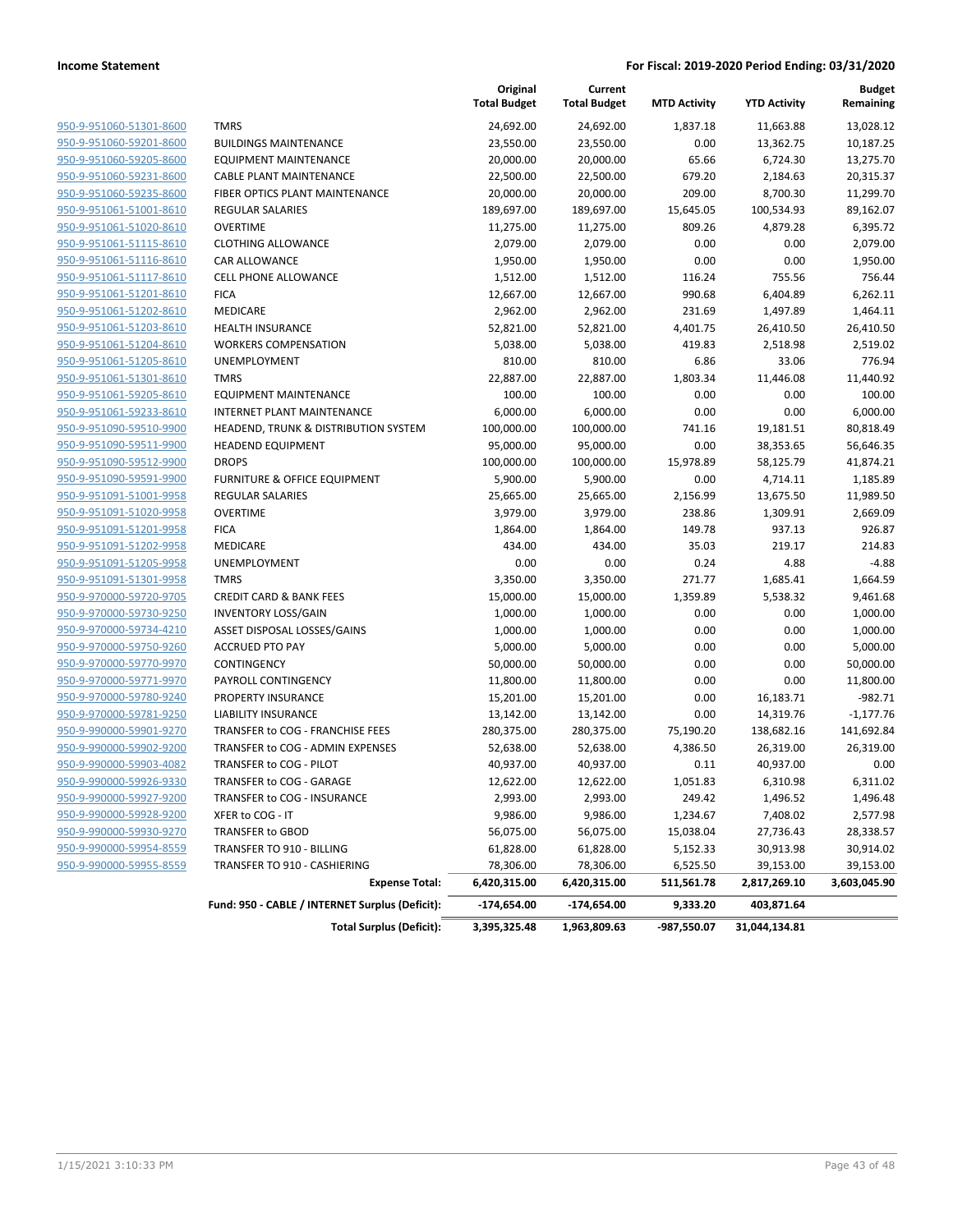| 950-9-951060-51301-8600        |
|--------------------------------|
| 950-9-951060-59201-8600        |
| <u>950-9-951060-59205-8600</u> |
| 950-9-951060-59231-8600        |
| 950-9-951060-59235-8600        |
| 950-9-951061-51001-8610        |
| 950-9-951061-51020-8610        |
| <u>950-9-951061-51115-8610</u> |
| 950-9-951061-51116-8610        |
| 950-9-951061-51117-8610        |
| 950-9-951061-51201-8610        |
| 950-9-951061-51202-8610        |
| 950-9-951061-51203-8610        |
| 950-9-951061-51204-8610        |
| 950-9-951061-51205-8610        |
| 950-9-951061-51301-8610        |
| 950-9-951061-59205-8610        |
| 950-9-951061-59233-8610        |
| <u>950-9-951090-59510-9900</u> |
| 950-9-951090-59511-9900        |
| 950-9-951090-59512-9900        |
| 950-9-951090-59591-9900        |
| 950-9-951091-51001-9958        |
| 950-9-951091-51020-9958        |
| 950-9-951091-51201-9958        |
| 950-9-951091-51202-9958        |
| 950-9-951091-51205-9958        |
| 950-9-951091-51301-9958        |
| 950-9-970000-59720-9705        |
| 950-9-970000-59730-9250        |
| 950-9-970000-59734-4210        |
| 950-9-970000-59750-9260        |
| 950-9-970000-59770-9970        |
| 950-9-970000-59771-9970        |
| <u>950-9-970000-59780-9240</u> |
| 950-9-970000-59781-9250        |
| <u>950-9-990000-59901-9270</u> |
| 950-9-990000-59902-9200        |
| 950-9-990000-59903-4082        |
| 950-9-990000-59926-9330        |
| 950-9-990000-59927-9200        |
| 950-9-990000-59928-9200        |
| 950-9-990000-59930-9270        |
| 950-9-990000-59954-8559        |
| 950-9-990000-59955-8559        |
|                                |

|                         |                                                 | Original<br><b>Total Budget</b> | Current<br><b>Total Budget</b> | <b>MTD Activity</b> | <b>YTD Activity</b> | <b>Budget</b><br>Remaining |
|-------------------------|-------------------------------------------------|---------------------------------|--------------------------------|---------------------|---------------------|----------------------------|
| 950-9-951060-51301-8600 | <b>TMRS</b>                                     | 24,692.00                       | 24,692.00                      | 1,837.18            | 11,663.88           | 13,028.12                  |
| 950-9-951060-59201-8600 | <b>BUILDINGS MAINTENANCE</b>                    | 23,550.00                       | 23,550.00                      | 0.00                | 13,362.75           | 10,187.25                  |
| 950-9-951060-59205-8600 | <b>EQUIPMENT MAINTENANCE</b>                    | 20,000.00                       | 20,000.00                      | 65.66               | 6,724.30            | 13,275.70                  |
| 950-9-951060-59231-8600 | <b>CABLE PLANT MAINTENANCE</b>                  | 22,500.00                       | 22,500.00                      | 679.20              | 2,184.63            | 20,315.37                  |
| 950-9-951060-59235-8600 | FIBER OPTICS PLANT MAINTENANCE                  | 20,000.00                       | 20,000.00                      | 209.00              | 8,700.30            | 11,299.70                  |
| 950-9-951061-51001-8610 | <b>REGULAR SALARIES</b>                         | 189,697.00                      | 189,697.00                     | 15,645.05           | 100,534.93          | 89,162.07                  |
| 950-9-951061-51020-8610 | <b>OVERTIME</b>                                 | 11,275.00                       | 11,275.00                      | 809.26              | 4,879.28            | 6,395.72                   |
| 950-9-951061-51115-8610 | <b>CLOTHING ALLOWANCE</b>                       | 2,079.00                        | 2,079.00                       | 0.00                | 0.00                | 2,079.00                   |
| 950-9-951061-51116-8610 | CAR ALLOWANCE                                   | 1,950.00                        | 1,950.00                       | 0.00                | 0.00                | 1,950.00                   |
| 950-9-951061-51117-8610 | CELL PHONE ALLOWANCE                            | 1,512.00                        | 1,512.00                       | 116.24              | 755.56              | 756.44                     |
| 950-9-951061-51201-8610 | <b>FICA</b>                                     | 12,667.00                       | 12,667.00                      | 990.68              | 6,404.89            | 6,262.11                   |
| 950-9-951061-51202-8610 | MEDICARE                                        | 2,962.00                        | 2,962.00                       | 231.69              | 1,497.89            | 1,464.11                   |
| 950-9-951061-51203-8610 | <b>HEALTH INSURANCE</b>                         | 52,821.00                       | 52,821.00                      | 4,401.75            | 26,410.50           | 26,410.50                  |
| 950-9-951061-51204-8610 | <b>WORKERS COMPENSATION</b>                     | 5,038.00                        | 5,038.00                       | 419.83              | 2,518.98            | 2,519.02                   |
| 950-9-951061-51205-8610 | UNEMPLOYMENT                                    | 810.00                          | 810.00                         | 6.86                | 33.06               | 776.94                     |
| 950-9-951061-51301-8610 | <b>TMRS</b>                                     | 22,887.00                       | 22,887.00                      | 1,803.34            | 11,446.08           | 11,440.92                  |
| 950-9-951061-59205-8610 | <b>EQUIPMENT MAINTENANCE</b>                    | 100.00                          | 100.00                         | 0.00                | 0.00                | 100.00                     |
| 950-9-951061-59233-8610 | <b>INTERNET PLANT MAINTENANCE</b>               | 6,000.00                        | 6,000.00                       | 0.00                | 0.00                | 6,000.00                   |
| 950-9-951090-59510-9900 | HEADEND, TRUNK & DISTRIBUTION SYSTEM            | 100,000.00                      | 100,000.00                     | 741.16              | 19,181.51           | 80,818.49                  |
| 950-9-951090-59511-9900 | <b>HEADEND EQUIPMENT</b>                        | 95,000.00                       | 95,000.00                      | 0.00                | 38,353.65           | 56,646.35                  |
| 950-9-951090-59512-9900 | <b>DROPS</b>                                    | 100,000.00                      | 100,000.00                     | 15,978.89           | 58,125.79           | 41,874.21                  |
| 950-9-951090-59591-9900 | <b>FURNITURE &amp; OFFICE EQUIPMENT</b>         | 5,900.00                        | 5,900.00                       | 0.00                | 4,714.11            | 1,185.89                   |
| 950-9-951091-51001-9958 | <b>REGULAR SALARIES</b>                         | 25,665.00                       | 25,665.00                      | 2,156.99            | 13,675.50           | 11,989.50                  |
| 950-9-951091-51020-9958 | <b>OVERTIME</b>                                 | 3,979.00                        | 3,979.00                       | 238.86              | 1,309.91            | 2,669.09                   |
| 950-9-951091-51201-9958 | <b>FICA</b>                                     | 1,864.00                        | 1,864.00                       | 149.78              | 937.13              | 926.87                     |
| 950-9-951091-51202-9958 | MEDICARE                                        | 434.00                          | 434.00                         | 35.03               | 219.17              | 214.83                     |
| 950-9-951091-51205-9958 | <b>UNEMPLOYMENT</b>                             | 0.00                            | 0.00                           | 0.24                | 4.88                | $-4.88$                    |
| 950-9-951091-51301-9958 | <b>TMRS</b>                                     | 3,350.00                        | 3,350.00                       | 271.77              | 1,685.41            | 1,664.59                   |
| 950-9-970000-59720-9705 | <b>CREDIT CARD &amp; BANK FEES</b>              | 15,000.00                       | 15,000.00                      | 1,359.89            | 5,538.32            | 9,461.68                   |
| 950-9-970000-59730-9250 | <b>INVENTORY LOSS/GAIN</b>                      | 1,000.00                        | 1,000.00                       | 0.00                | 0.00                | 1,000.00                   |
| 950-9-970000-59734-4210 | ASSET DISPOSAL LOSSES/GAINS                     | 1,000.00                        | 1,000.00                       | 0.00                | 0.00                | 1,000.00                   |
| 950-9-970000-59750-9260 | <b>ACCRUED PTO PAY</b>                          | 5,000.00                        | 5,000.00                       | 0.00                | 0.00                | 5,000.00                   |
| 950-9-970000-59770-9970 | CONTINGENCY                                     | 50,000.00                       | 50,000.00                      | 0.00                | 0.00                | 50,000.00                  |
| 950-9-970000-59771-9970 | PAYROLL CONTINGENCY                             | 11,800.00                       | 11,800.00                      | 0.00                | 0.00                | 11,800.00                  |
| 950-9-970000-59780-9240 | PROPERTY INSURANCE                              | 15,201.00                       | 15,201.00                      | 0.00                | 16,183.71           | $-982.71$                  |
| 950-9-970000-59781-9250 | <b>LIABILITY INSURANCE</b>                      | 13,142.00                       | 13,142.00                      | 0.00                | 14,319.76           | $-1,177.76$                |
| 950-9-990000-59901-9270 | TRANSFER to COG - FRANCHISE FEES                | 280,375.00                      | 280,375.00                     | 75,190.20           | 138,682.16          | 141,692.84                 |
| 950-9-990000-59902-9200 | TRANSFER to COG - ADMIN EXPENSES                | 52,638.00                       | 52,638.00                      | 4,386.50            | 26,319.00           | 26,319.00                  |
| 950-9-990000-59903-4082 | TRANSFER to COG - PILOT                         | 40,937.00                       | 40,937.00                      | 0.11                | 40,937.00           | 0.00                       |
| 950-9-990000-59926-9330 | TRANSFER to COG - GARAGE                        | 12,622.00                       | 12,622.00                      | 1,051.83            | 6,310.98            | 6,311.02                   |
| 950-9-990000-59927-9200 | TRANSFER to COG - INSURANCE                     | 2,993.00                        | 2,993.00                       | 249.42              | 1,496.52            | 1,496.48                   |
| 950-9-990000-59928-9200 | XFER to COG - IT                                | 9,986.00                        | 9,986.00                       | 1,234.67            | 7,408.02            | 2,577.98                   |
| 950-9-990000-59930-9270 | TRANSFER to GBOD                                | 56,075.00                       | 56,075.00                      | 15,038.04           | 27,736.43           | 28,338.57                  |
| 950-9-990000-59954-8559 | TRANSFER TO 910 - BILLING                       | 61,828.00                       | 61,828.00                      | 5,152.33            | 30,913.98           | 30,914.02                  |
| 950-9-990000-59955-8559 | TRANSFER TO 910 - CASHIERING                    | 78,306.00                       | 78,306.00                      | 6,525.50            | 39,153.00           | 39,153.00                  |
|                         | <b>Expense Total:</b>                           | 6,420,315.00                    | 6,420,315.00                   | 511,561.78          | 2,817,269.10        | 3,603,045.90               |
|                         | Fund: 950 - CABLE / INTERNET Surplus (Deficit): | $-174,654.00$                   | $-174,654.00$                  | 9,333.20            | 403,871.64          |                            |

**Total Surplus (Deficit): 3,395,325.48 1,963,809.63 -987,550.07 31,044,134.81**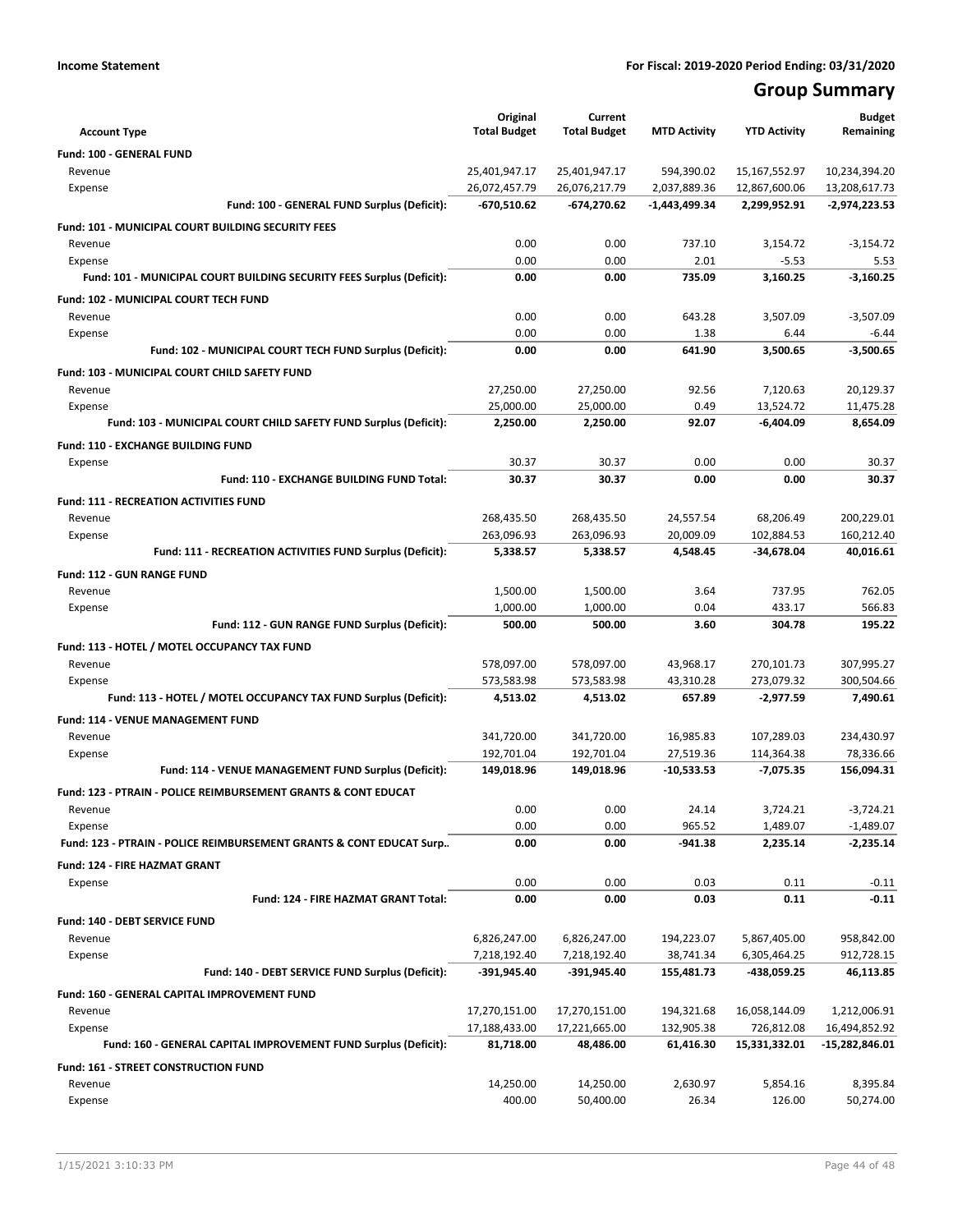# **Group Summary**

|                                                                           | Original            | Current             |                     |                     | <b>Budget</b>          |
|---------------------------------------------------------------------------|---------------------|---------------------|---------------------|---------------------|------------------------|
| <b>Account Type</b>                                                       | <b>Total Budget</b> | <b>Total Budget</b> | <b>MTD Activity</b> | <b>YTD Activity</b> | Remaining              |
| Fund: 100 - GENERAL FUND                                                  |                     |                     |                     |                     |                        |
| Revenue                                                                   | 25,401,947.17       | 25,401,947.17       | 594,390.02          | 15,167,552.97       | 10,234,394.20          |
| Expense                                                                   | 26,072,457.79       | 26,076,217.79       | 2,037,889.36        | 12,867,600.06       | 13,208,617.73          |
| Fund: 100 - GENERAL FUND Surplus (Deficit):                               | -670,510.62         | -674,270.62         | -1,443,499.34       | 2,299,952.91        | -2,974,223.53          |
| <b>Fund: 101 - MUNICIPAL COURT BUILDING SECURITY FEES</b>                 |                     |                     |                     |                     |                        |
| Revenue                                                                   | 0.00                | 0.00                | 737.10              | 3,154.72            | $-3,154.72$            |
| Expense                                                                   | 0.00                | 0.00                | 2.01                | $-5.53$             | 5.53                   |
| Fund: 101 - MUNICIPAL COURT BUILDING SECURITY FEES Surplus (Deficit):     | 0.00                | 0.00                | 735.09              | 3,160.25            | $-3,160.25$            |
| Fund: 102 - MUNICIPAL COURT TECH FUND                                     |                     |                     |                     |                     |                        |
| Revenue                                                                   | 0.00                | 0.00                | 643.28              | 3,507.09            | $-3.507.09$            |
| Expense                                                                   | 0.00<br>0.00        | 0.00<br>0.00        | 1.38<br>641.90      | 6.44<br>3,500.65    | $-6.44$<br>$-3,500.65$ |
| Fund: 102 - MUNICIPAL COURT TECH FUND Surplus (Deficit):                  |                     |                     |                     |                     |                        |
| Fund: 103 - MUNICIPAL COURT CHILD SAFETY FUND                             |                     |                     |                     |                     |                        |
| Revenue                                                                   | 27,250.00           | 27,250.00           | 92.56               | 7,120.63            | 20,129.37              |
| Expense                                                                   | 25,000.00           | 25,000.00           | 0.49                | 13,524.72           | 11,475.28              |
| Fund: 103 - MUNICIPAL COURT CHILD SAFETY FUND Surplus (Deficit):          | 2,250.00            | 2,250.00            | 92.07               | $-6,404.09$         | 8,654.09               |
| <b>Fund: 110 - EXCHANGE BUILDING FUND</b>                                 |                     |                     |                     |                     |                        |
| Expense                                                                   | 30.37               | 30.37               | 0.00                | 0.00                | 30.37                  |
| Fund: 110 - EXCHANGE BUILDING FUND Total:                                 | 30.37               | 30.37               | 0.00                | 0.00                | 30.37                  |
| <b>Fund: 111 - RECREATION ACTIVITIES FUND</b>                             |                     |                     |                     |                     |                        |
| Revenue                                                                   | 268,435.50          | 268,435.50          | 24,557.54           | 68,206.49           | 200,229.01             |
| Expense                                                                   | 263,096.93          | 263,096.93          | 20,009.09           | 102,884.53          | 160,212.40             |
| Fund: 111 - RECREATION ACTIVITIES FUND Surplus (Deficit):                 | 5,338.57            | 5,338.57            | 4,548.45            | $-34,678.04$        | 40,016.61              |
| Fund: 112 - GUN RANGE FUND                                                |                     |                     |                     |                     |                        |
| Revenue                                                                   | 1,500.00            | 1,500.00            | 3.64                | 737.95              | 762.05                 |
| Expense                                                                   | 1,000.00            | 1,000.00            | 0.04                | 433.17              | 566.83                 |
| Fund: 112 - GUN RANGE FUND Surplus (Deficit):                             | 500.00              | 500.00              | 3.60                | 304.78              | 195.22                 |
| Fund: 113 - HOTEL / MOTEL OCCUPANCY TAX FUND                              |                     |                     |                     |                     |                        |
| Revenue                                                                   | 578,097.00          | 578,097.00          | 43,968.17           | 270,101.73          | 307,995.27             |
| Expense                                                                   | 573,583.98          | 573,583.98          | 43,310.28           | 273,079.32          | 300,504.66             |
| Fund: 113 - HOTEL / MOTEL OCCUPANCY TAX FUND Surplus (Deficit):           | 4,513.02            | 4,513.02            | 657.89              | -2,977.59           | 7,490.61               |
| <b>Fund: 114 - VENUE MANAGEMENT FUND</b>                                  |                     |                     |                     |                     |                        |
| Revenue                                                                   | 341,720.00          | 341,720.00          | 16,985.83           | 107,289.03          | 234,430.97             |
| Expense                                                                   | 192,701.04          | 192,701.04          | 27,519.36           | 114,364.38          | 78,336.66              |
| Fund: 114 - VENUE MANAGEMENT FUND Surplus (Deficit):                      | 149,018.96          | 149,018.96          | $-10,533.53$        | -7,075.35           | 156,094.31             |
| <b>Fund: 123 - PTRAIN - POLICE REIMBURSEMENT GRANTS &amp; CONT EDUCAT</b> |                     |                     |                     |                     |                        |
| Revenue                                                                   | 0.00                | 0.00                | 24.14               | 3,724.21            | $-3,724.21$            |
| Expense                                                                   | 0.00                | 0.00                | 965.52              | 1,489.07            | $-1,489.07$            |
| Fund: 123 - PTRAIN - POLICE REIMBURSEMENT GRANTS & CONT EDUCAT Surp       | 0.00                | 0.00                | $-941.38$           | 2,235.14            | $-2,235.14$            |
| <b>Fund: 124 - FIRE HAZMAT GRANT</b>                                      |                     |                     |                     |                     |                        |
| Expense                                                                   | 0.00                | 0.00                | 0.03                | 0.11                | $-0.11$                |
| Fund: 124 - FIRE HAZMAT GRANT Total:                                      | 0.00                | 0.00                | 0.03                | 0.11                | $-0.11$                |
| Fund: 140 - DEBT SERVICE FUND                                             |                     |                     |                     |                     |                        |
| Revenue                                                                   | 6,826,247.00        | 6,826,247.00        | 194,223.07          | 5,867,405.00        | 958,842.00             |
| Expense                                                                   | 7,218,192.40        | 7,218,192.40        | 38,741.34           | 6,305,464.25        | 912,728.15             |
| Fund: 140 - DEBT SERVICE FUND Surplus (Deficit):                          | -391,945.40         | $-391,945.40$       | 155,481.73          | -438,059.25         | 46,113.85              |
| Fund: 160 - GENERAL CAPITAL IMPROVEMENT FUND                              |                     |                     |                     |                     |                        |
| Revenue                                                                   | 17,270,151.00       | 17,270,151.00       | 194,321.68          | 16,058,144.09       | 1,212,006.91           |
| Expense                                                                   | 17,188,433.00       | 17,221,665.00       | 132,905.38          | 726,812.08          | 16,494,852.92          |
| Fund: 160 - GENERAL CAPITAL IMPROVEMENT FUND Surplus (Deficit):           | 81,718.00           | 48,486.00           | 61,416.30           | 15,331,332.01       | -15,282,846.01         |
| Fund: 161 - STREET CONSTRUCTION FUND                                      |                     |                     |                     |                     |                        |
| Revenue                                                                   | 14,250.00           | 14,250.00           | 2,630.97            | 5,854.16            | 8,395.84               |
| Expense                                                                   | 400.00              | 50,400.00           | 26.34               | 126.00              | 50,274.00              |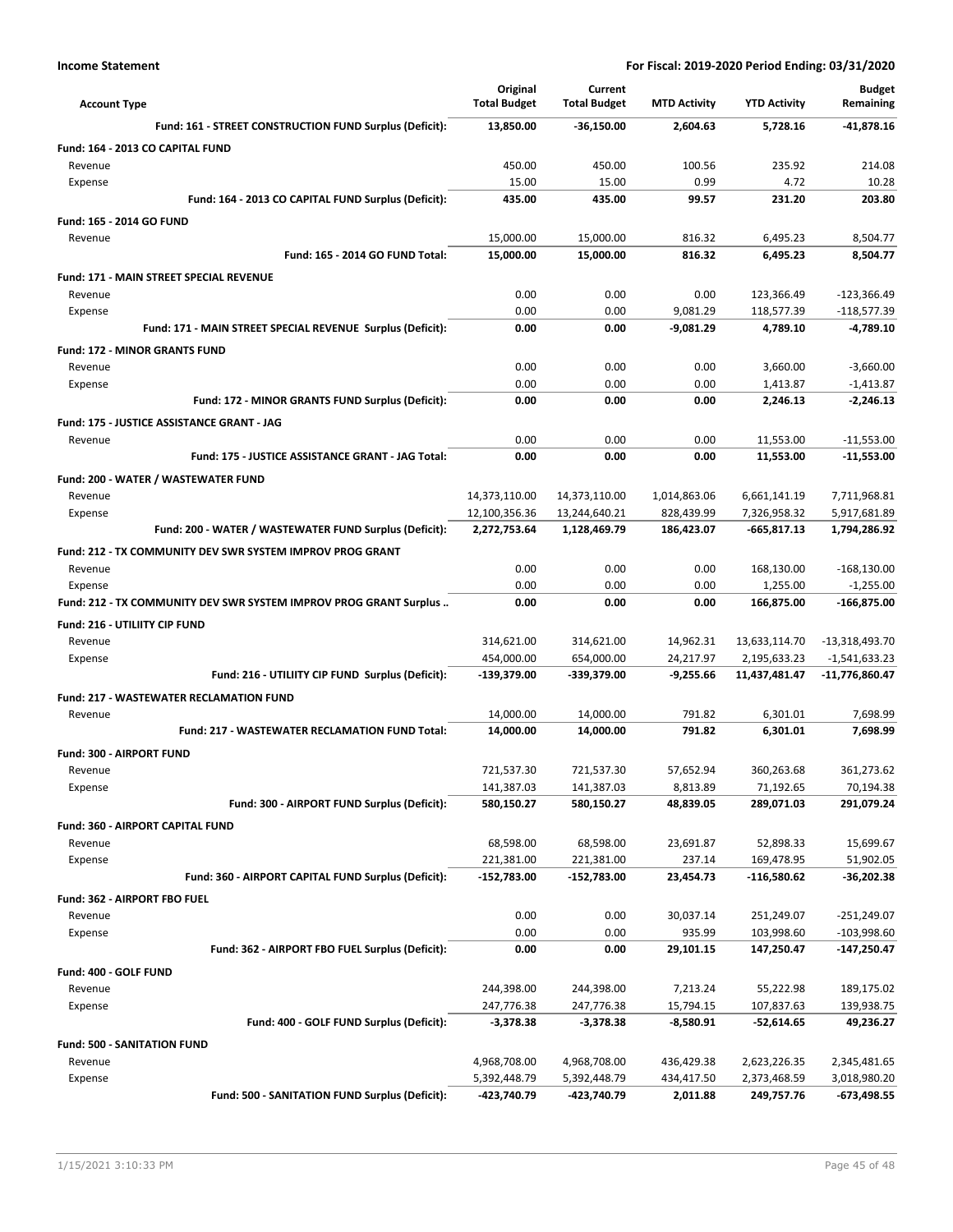| <b>Account Type</b>                                               | Original<br><b>Total Budget</b> | Current<br><b>Total Budget</b> | <b>MTD Activity</b>      | <b>YTD Activity</b>           | <b>Budget</b><br>Remaining   |
|-------------------------------------------------------------------|---------------------------------|--------------------------------|--------------------------|-------------------------------|------------------------------|
| Fund: 161 - STREET CONSTRUCTION FUND Surplus (Deficit):           | 13,850.00                       | $-36,150.00$                   | 2,604.63                 | 5,728.16                      | $-41,878.16$                 |
| Fund: 164 - 2013 CO CAPITAL FUND                                  |                                 |                                |                          |                               |                              |
| Revenue                                                           | 450.00                          | 450.00                         | 100.56                   | 235.92                        | 214.08                       |
| Expense                                                           | 15.00                           | 15.00                          | 0.99                     | 4.72                          | 10.28                        |
| Fund: 164 - 2013 CO CAPITAL FUND Surplus (Deficit):               | 435.00                          | 435.00                         | 99.57                    | 231.20                        | 203.80                       |
| <b>Fund: 165 - 2014 GO FUND</b>                                   |                                 |                                |                          |                               |                              |
| Revenue                                                           | 15,000.00                       | 15,000.00                      | 816.32                   | 6,495.23                      | 8,504.77                     |
| Fund: 165 - 2014 GO FUND Total:                                   | 15,000.00                       | 15,000.00                      | 816.32                   | 6,495.23                      | 8,504.77                     |
| <b>Fund: 171 - MAIN STREET SPECIAL REVENUE</b>                    |                                 |                                |                          |                               |                              |
| Revenue                                                           | 0.00                            | 0.00                           | 0.00                     | 123,366.49                    | $-123,366.49$                |
| Expense                                                           | 0.00                            | 0.00                           | 9,081.29                 | 118,577.39                    | -118,577.39                  |
| Fund: 171 - MAIN STREET SPECIAL REVENUE Surplus (Deficit):        | 0.00                            | 0.00                           | $-9,081.29$              | 4,789.10                      | $-4,789.10$                  |
| <b>Fund: 172 - MINOR GRANTS FUND</b>                              |                                 |                                |                          |                               |                              |
| Revenue                                                           | 0.00                            | 0.00                           | 0.00                     | 3,660.00                      | $-3,660.00$                  |
| Expense                                                           | 0.00                            | 0.00                           | 0.00                     | 1,413.87                      | $-1,413.87$                  |
| Fund: 172 - MINOR GRANTS FUND Surplus (Deficit):                  | 0.00                            | 0.00                           | 0.00                     | 2,246.13                      | $-2,246.13$                  |
| Fund: 175 - JUSTICE ASSISTANCE GRANT - JAG                        |                                 |                                |                          |                               |                              |
| Revenue                                                           | 0.00                            | 0.00                           | 0.00                     | 11,553.00                     | $-11,553.00$                 |
| Fund: 175 - JUSTICE ASSISTANCE GRANT - JAG Total:                 | 0.00                            | 0.00                           | 0.00                     | 11,553.00                     | -11,553.00                   |
| Fund: 200 - WATER / WASTEWATER FUND                               |                                 |                                |                          |                               |                              |
| Revenue                                                           | 14,373,110.00                   | 14,373,110.00                  | 1,014,863.06             | 6,661,141.19                  | 7,711,968.81                 |
| Expense<br>Fund: 200 - WATER / WASTEWATER FUND Surplus (Deficit): | 12,100,356.36<br>2,272,753.64   | 13,244,640.21<br>1,128,469.79  | 828,439.99<br>186,423.07 | 7,326,958.32<br>$-665,817.13$ | 5,917,681.89<br>1,794,286.92 |
|                                                                   |                                 |                                |                          |                               |                              |
| Fund: 212 - TX COMMUNITY DEV SWR SYSTEM IMPROV PROG GRANT         |                                 |                                |                          |                               |                              |
| Revenue<br>Expense                                                | 0.00<br>0.00                    | 0.00<br>0.00                   | 0.00<br>0.00             | 168,130.00<br>1,255.00        | $-168,130.00$<br>$-1,255.00$ |
| Fund: 212 - TX COMMUNITY DEV SWR SYSTEM IMPROV PROG GRANT Surplus | 0.00                            | 0.00                           | 0.00                     | 166,875.00                    | -166,875.00                  |
| <b>Fund: 216 - UTILIITY CIP FUND</b>                              |                                 |                                |                          |                               |                              |
| Revenue                                                           | 314,621.00                      | 314,621.00                     | 14,962.31                | 13,633,114.70                 | -13,318,493.70               |
| Expense                                                           | 454,000.00                      | 654,000.00                     | 24,217.97                | 2,195,633.23                  | $-1,541,633.23$              |
| Fund: 216 - UTILIITY CIP FUND Surplus (Deficit):                  | -139,379.00                     | -339,379.00                    | $-9,255.66$              | 11,437,481.47                 | -11,776,860.47               |
| <b>Fund: 217 - WASTEWATER RECLAMATION FUND</b>                    |                                 |                                |                          |                               |                              |
| Revenue                                                           | 14,000.00                       | 14,000.00                      | 791.82                   | 6,301.01                      | 7,698.99                     |
| Fund: 217 - WASTEWATER RECLAMATION FUND Total:                    | 14,000.00                       | 14,000.00                      | 791.82                   | 6,301.01                      | 7,698.99                     |
| <b>Fund: 300 - AIRPORT FUND</b>                                   |                                 |                                |                          |                               |                              |
| Revenue                                                           | 721,537.30                      | 721,537.30                     | 57,652.94                | 360,263.68                    | 361,273.62                   |
| Expense                                                           | 141,387.03                      | 141,387.03                     | 8,813.89                 | 71,192.65                     | 70,194.38                    |
| Fund: 300 - AIRPORT FUND Surplus (Deficit):                       | 580,150.27                      | 580,150.27                     | 48,839.05                | 289,071.03                    | 291,079.24                   |
| Fund: 360 - AIRPORT CAPITAL FUND                                  |                                 |                                |                          |                               |                              |
| Revenue                                                           | 68,598.00                       | 68,598.00                      | 23,691.87                | 52,898.33                     | 15,699.67                    |
| Expense                                                           | 221,381.00                      | 221,381.00                     | 237.14                   | 169,478.95                    | 51,902.05                    |
| Fund: 360 - AIRPORT CAPITAL FUND Surplus (Deficit):               | -152,783.00                     | $-152,783.00$                  | 23,454.73                | $-116,580.62$                 | -36,202.38                   |
| Fund: 362 - AIRPORT FBO FUEL                                      |                                 |                                |                          |                               |                              |
| Revenue                                                           | 0.00                            | 0.00                           | 30,037.14                | 251,249.07                    | -251,249.07                  |
| Expense                                                           | 0.00                            | 0.00                           | 935.99                   | 103,998.60                    | $-103,998.60$                |
| Fund: 362 - AIRPORT FBO FUEL Surplus (Deficit):                   | 0.00                            | 0.00                           | 29,101.15                | 147,250.47                    | -147,250.47                  |
| Fund: 400 - GOLF FUND                                             |                                 |                                |                          |                               |                              |
| Revenue                                                           | 244,398.00                      | 244,398.00                     | 7,213.24                 | 55,222.98                     | 189,175.02                   |
| Expense                                                           | 247,776.38                      | 247,776.38                     | 15,794.15                | 107,837.63                    | 139,938.75                   |
| Fund: 400 - GOLF FUND Surplus (Deficit):                          | $-3,378.38$                     | -3,378.38                      | -8,580.91                | -52,614.65                    | 49,236.27                    |
| Fund: 500 - SANITATION FUND                                       |                                 |                                |                          |                               |                              |
| Revenue                                                           | 4,968,708.00                    | 4,968,708.00<br>5,392,448.79   | 436,429.38               | 2,623,226.35                  | 2,345,481.65                 |
| Expense<br>Fund: 500 - SANITATION FUND Surplus (Deficit):         | 5,392,448.79<br>-423,740.79     | -423,740.79                    | 434,417.50<br>2,011.88   | 2,373,468.59<br>249,757.76    | 3,018,980.20<br>-673,498.55  |
|                                                                   |                                 |                                |                          |                               |                              |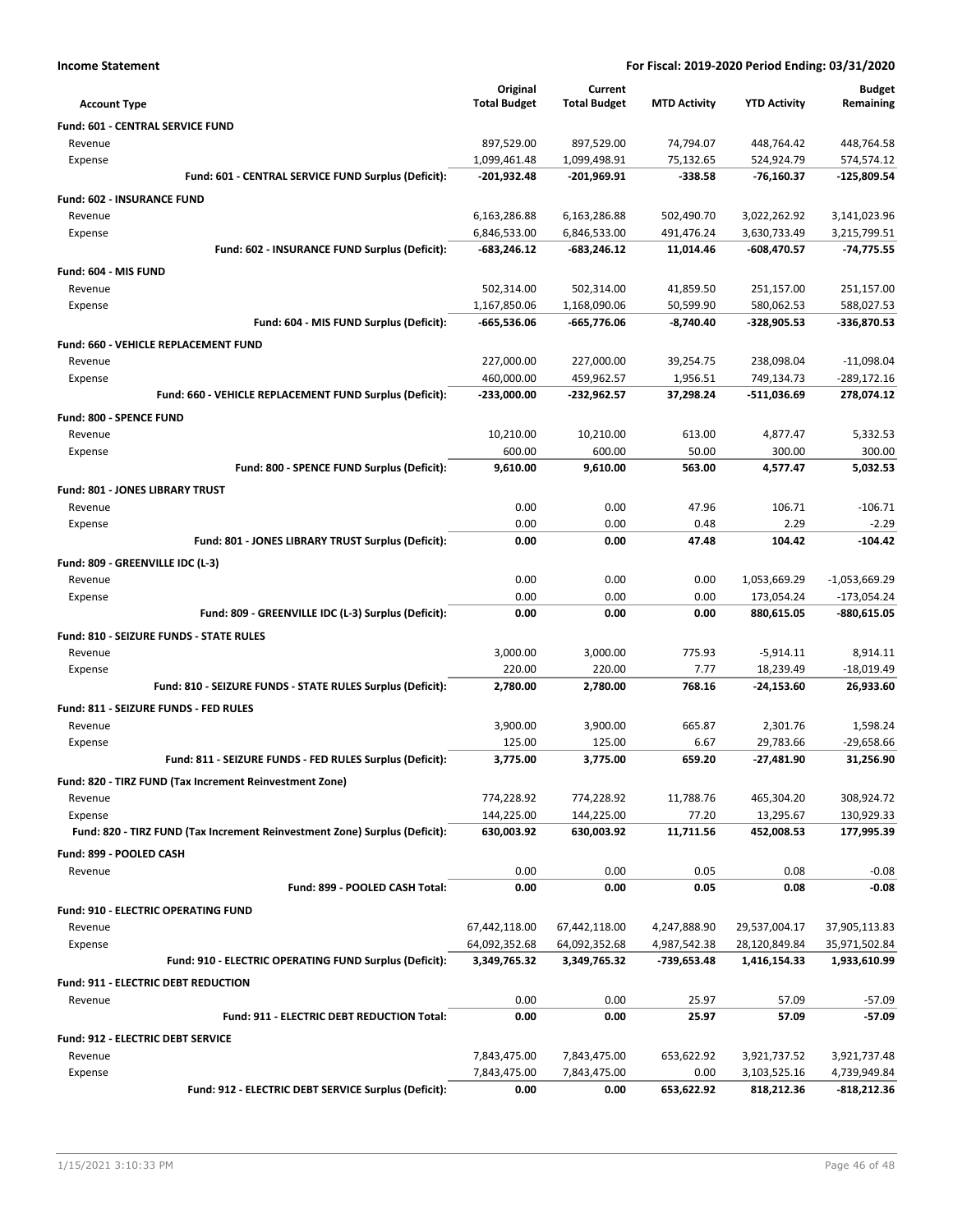|                                                                            | Original            | Current             |                     |                     | <b>Budget</b>   |
|----------------------------------------------------------------------------|---------------------|---------------------|---------------------|---------------------|-----------------|
| <b>Account Type</b>                                                        | <b>Total Budget</b> | <b>Total Budget</b> | <b>MTD Activity</b> | <b>YTD Activity</b> | Remaining       |
| <b>Fund: 601 - CENTRAL SERVICE FUND</b>                                    |                     |                     |                     |                     |                 |
| Revenue                                                                    | 897,529.00          | 897,529.00          | 74,794.07           | 448,764.42          | 448,764.58      |
| Expense                                                                    | 1,099,461.48        | 1,099,498.91        | 75,132.65           | 524,924.79          | 574,574.12      |
| Fund: 601 - CENTRAL SERVICE FUND Surplus (Deficit):                        | $-201,932.48$       | $-201,969.91$       | $-338.58$           | $-76,160.37$        | $-125,809.54$   |
| Fund: 602 - INSURANCE FUND                                                 |                     |                     |                     |                     |                 |
| Revenue                                                                    | 6,163,286.88        | 6,163,286.88        | 502,490.70          | 3,022,262.92        | 3,141,023.96    |
| Expense                                                                    | 6,846,533.00        | 6,846,533.00        | 491,476.24          | 3,630,733.49        | 3,215,799.51    |
| Fund: 602 - INSURANCE FUND Surplus (Deficit):                              | $-683,246.12$       | $-683,246.12$       | 11,014.46           | $-608,470.57$       | $-74,775.55$    |
| Fund: 604 - MIS FUND                                                       |                     |                     |                     |                     |                 |
| Revenue                                                                    | 502,314.00          | 502,314.00          | 41,859.50           | 251,157.00          | 251,157.00      |
| Expense                                                                    | 1,167,850.06        | 1,168,090.06        | 50,599.90           | 580,062.53          | 588,027.53      |
| Fund: 604 - MIS FUND Surplus (Deficit):                                    | $-665,536.06$       | -665,776.06         | $-8,740.40$         | -328,905.53         | -336,870.53     |
| Fund: 660 - VEHICLE REPLACEMENT FUND                                       |                     |                     |                     |                     |                 |
| Revenue                                                                    | 227,000.00          | 227,000.00          | 39,254.75           | 238,098.04          | $-11,098.04$    |
| Expense                                                                    | 460,000.00          | 459,962.57          | 1,956.51            | 749,134.73          | -289,172.16     |
| Fund: 660 - VEHICLE REPLACEMENT FUND Surplus (Deficit):                    | $-233,000.00$       | $-232,962.57$       | 37,298.24           | $-511,036.69$       | 278,074.12      |
| Fund: 800 - SPENCE FUND                                                    |                     |                     |                     |                     |                 |
| Revenue                                                                    | 10,210.00           | 10,210.00           | 613.00              | 4,877.47            | 5,332.53        |
| Expense                                                                    | 600.00              | 600.00              | 50.00               | 300.00              | 300.00          |
| Fund: 800 - SPENCE FUND Surplus (Deficit):                                 | 9,610.00            | 9,610.00            | 563.00              | 4,577.47            | 5.032.53        |
| Fund: 801 - JONES LIBRARY TRUST                                            |                     |                     |                     |                     |                 |
| Revenue                                                                    | 0.00                | 0.00                | 47.96               | 106.71              | $-106.71$       |
| Expense                                                                    | 0.00                | 0.00                | 0.48                | 2.29                | $-2.29$         |
| Fund: 801 - JONES LIBRARY TRUST Surplus (Deficit):                         | 0.00                | 0.00                | 47.48               | 104.42              | $-104.42$       |
| Fund: 809 - GREENVILLE IDC (L-3)                                           |                     |                     |                     |                     |                 |
| Revenue                                                                    | 0.00                | 0.00                | 0.00                | 1,053,669.29        | $-1,053,669.29$ |
| Expense                                                                    | 0.00                | 0.00                | 0.00                | 173,054.24          | $-173,054.24$   |
| Fund: 809 - GREENVILLE IDC (L-3) Surplus (Deficit):                        | 0.00                | 0.00                | 0.00                | 880,615.05          | $-880,615.05$   |
| <b>Fund: 810 - SEIZURE FUNDS - STATE RULES</b>                             |                     |                     |                     |                     |                 |
| Revenue                                                                    | 3,000.00            | 3,000.00            | 775.93              | $-5,914.11$         | 8,914.11        |
| Expense                                                                    | 220.00              | 220.00              | 7.77                | 18,239.49           | $-18,019.49$    |
| Fund: 810 - SEIZURE FUNDS - STATE RULES Surplus (Deficit):                 | 2,780.00            | 2,780.00            | 768.16              | $-24,153.60$        | 26,933.60       |
| <b>Fund: 811 - SEIZURE FUNDS - FED RULES</b>                               |                     |                     |                     |                     |                 |
| Revenue                                                                    | 3,900.00            | 3,900.00            | 665.87              | 2,301.76            | 1,598.24        |
| Expense                                                                    | 125.00              | 125.00              | 6.67                | 29,783.66           | $-29,658.66$    |
| Fund: 811 - SEIZURE FUNDS - FED RULES Surplus (Deficit):                   | 3,775.00            | 3,775.00            | 659.20              | $-27,481.90$        | 31,256.90       |
| Fund: 820 - TIRZ FUND (Tax Increment Reinvestment Zone)                    |                     |                     |                     |                     |                 |
| Revenue                                                                    | 774,228.92          | 774,228.92          | 11,788.76           | 465,304.20          | 308,924.72      |
| Expense                                                                    | 144,225.00          | 144,225.00          | 77.20               | 13,295.67           | 130,929.33      |
| Fund: 820 - TIRZ FUND (Tax Increment Reinvestment Zone) Surplus (Deficit): | 630,003.92          | 630,003.92          | 11,711.56           | 452,008.53          | 177,995.39      |
| Fund: 899 - POOLED CASH                                                    |                     |                     |                     |                     |                 |
| Revenue                                                                    | 0.00                | 0.00                | 0.05                | 0.08                | $-0.08$         |
| Fund: 899 - POOLED CASH Total:                                             | 0.00                | 0.00                | 0.05                | 0.08                | -0.08           |
| <b>Fund: 910 - ELECTRIC OPERATING FUND</b>                                 |                     |                     |                     |                     |                 |
| Revenue                                                                    | 67,442,118.00       | 67,442,118.00       | 4,247,888.90        | 29,537,004.17       | 37,905,113.83   |
| Expense                                                                    | 64,092,352.68       | 64,092,352.68       | 4,987,542.38        | 28,120,849.84       | 35,971,502.84   |
| Fund: 910 - ELECTRIC OPERATING FUND Surplus (Deficit):                     | 3,349,765.32        | 3,349,765.32        | -739,653.48         | 1,416,154.33        | 1,933,610.99    |
| <b>Fund: 911 - ELECTRIC DEBT REDUCTION</b>                                 |                     |                     |                     |                     |                 |
| Revenue                                                                    | 0.00                | 0.00                | 25.97               | 57.09               | $-57.09$        |
| Fund: 911 - ELECTRIC DEBT REDUCTION Total:                                 | 0.00                | 0.00                | 25.97               | 57.09               | $-57.09$        |
| Fund: 912 - ELECTRIC DEBT SERVICE                                          |                     |                     |                     |                     |                 |
| Revenue                                                                    | 7,843,475.00        | 7,843,475.00        | 653,622.92          | 3,921,737.52        | 3,921,737.48    |

Expense 7,843,475.00 7,843,475.00 0.00 3,103,525.16 4,739,949.84

**Fund: 912 - ELECTRIC DEBT SERVICE Surplus (Deficit): 0.00 0.00 653,622.92 818,212.36 -818,212.36**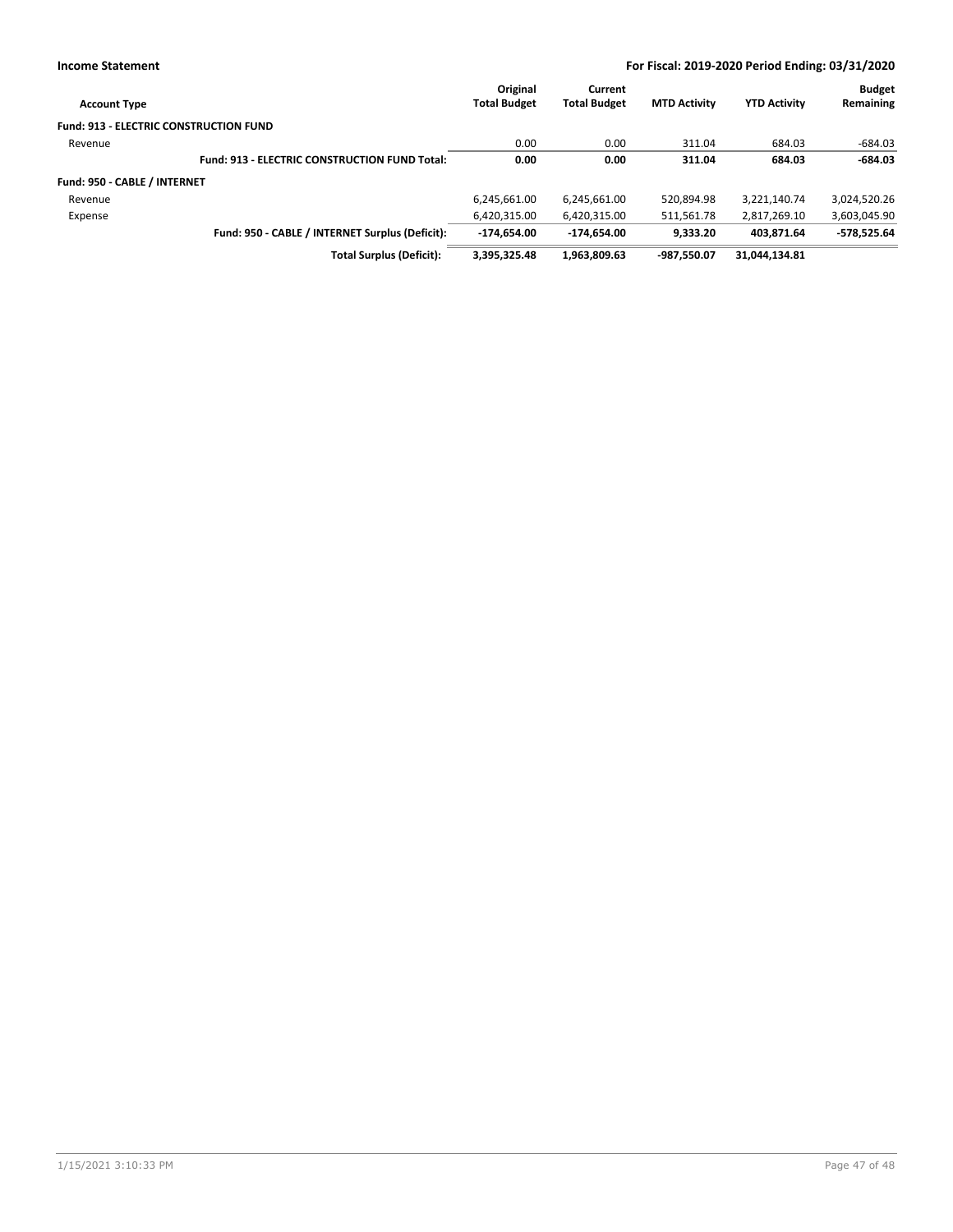| <b>Account Type</b>                           |                                                      | Original<br><b>Total Budget</b> | Current<br><b>Total Budget</b> | <b>MTD Activity</b> | <b>YTD Activity</b> | <b>Budget</b><br>Remaining |
|-----------------------------------------------|------------------------------------------------------|---------------------------------|--------------------------------|---------------------|---------------------|----------------------------|
| <b>Fund: 913 - ELECTRIC CONSTRUCTION FUND</b> |                                                      |                                 |                                |                     |                     |                            |
| Revenue                                       |                                                      | 0.00                            | 0.00                           | 311.04              | 684.03              | $-684.03$                  |
|                                               | <b>Fund: 913 - ELECTRIC CONSTRUCTION FUND Total:</b> | 0.00                            | 0.00                           | 311.04              | 684.03              | $-684.03$                  |
| Fund: 950 - CABLE / INTERNET                  |                                                      |                                 |                                |                     |                     |                            |
| Revenue                                       |                                                      | 6,245,661.00                    | 6,245,661.00                   | 520,894.98          | 3,221,140.74        | 3,024,520.26               |
| Expense                                       |                                                      | 6,420,315.00                    | 6,420,315.00                   | 511,561.78          | 2,817,269.10        | 3,603,045.90               |
|                                               | Fund: 950 - CABLE / INTERNET Surplus (Deficit):      | $-174.654.00$                   | -174.654.00                    | 9.333.20            | 403.871.64          | $-578,525.64$              |
|                                               | <b>Total Surplus (Deficit):</b>                      | 3,395,325.48                    | 1,963,809.63                   | -987.550.07         | 31.044.134.81       |                            |